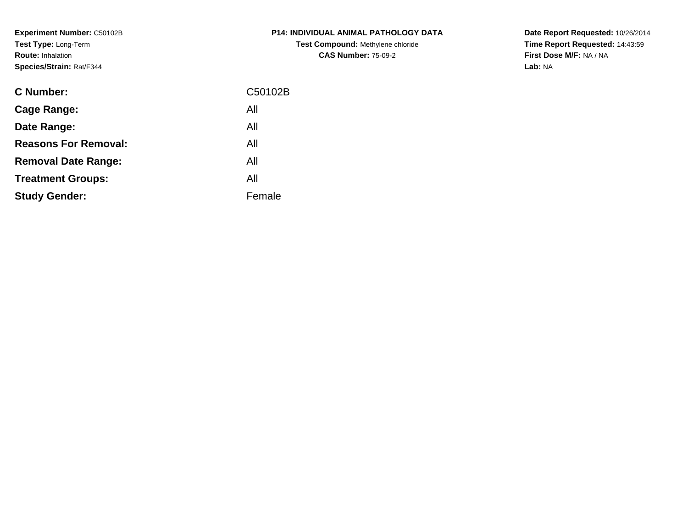**Experiment Number:** C50102B**Test Type:** Long-Term**Route:** Inhalation**Species/Strain:** Rat/F344

| <b>C Number:</b>            | C50102B |
|-----------------------------|---------|
| <b>Cage Range:</b>          | All     |
| Date Range:                 | All     |
| <b>Reasons For Removal:</b> | All     |
| <b>Removal Date Range:</b>  | All     |
| <b>Treatment Groups:</b>    | All     |
| <b>Study Gender:</b>        | Female  |
|                             |         |

**P14: INDIVIDUAL ANIMAL PATHOLOGY DATATest Compound:** Methylene chloride**CAS Number:** 75-09-2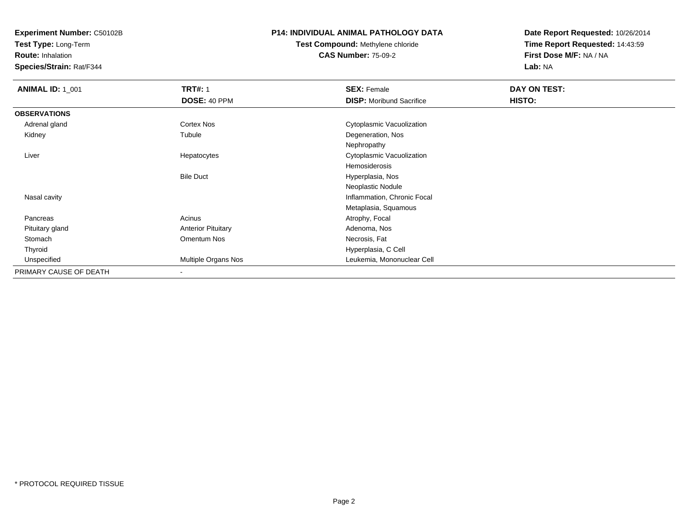**Test Type:** Long-Term

**Route:** Inhalation

**Species/Strain:** Rat/F344

### **P14: INDIVIDUAL ANIMAL PATHOLOGY DATA**

# **Test Compound:** Methylene chloride**CAS Number:** 75-09-2

| <b>ANIMAL ID: 1_001</b> | <b>TRT#: 1</b>            | <b>SEX: Female</b>              | DAY ON TEST: |  |
|-------------------------|---------------------------|---------------------------------|--------------|--|
|                         | DOSE: 40 PPM              | <b>DISP:</b> Moribund Sacrifice | HISTO:       |  |
| <b>OBSERVATIONS</b>     |                           |                                 |              |  |
| Adrenal gland           | Cortex Nos                | Cytoplasmic Vacuolization       |              |  |
| Kidney                  | Tubule                    | Degeneration, Nos               |              |  |
|                         |                           | Nephropathy                     |              |  |
| Liver                   | Hepatocytes               | Cytoplasmic Vacuolization       |              |  |
|                         |                           | Hemosiderosis                   |              |  |
|                         | <b>Bile Duct</b>          | Hyperplasia, Nos                |              |  |
|                         |                           | Neoplastic Nodule               |              |  |
| Nasal cavity            |                           | Inflammation, Chronic Focal     |              |  |
|                         |                           | Metaplasia, Squamous            |              |  |
| Pancreas                | Acinus                    | Atrophy, Focal                  |              |  |
| Pituitary gland         | <b>Anterior Pituitary</b> | Adenoma, Nos                    |              |  |
| Stomach                 | Omentum Nos               | Necrosis, Fat                   |              |  |
| Thyroid                 |                           | Hyperplasia, C Cell             |              |  |
| Unspecified             | Multiple Organs Nos       | Leukemia, Mononuclear Cell      |              |  |
| PRIMARY CAUSE OF DEATH  | $\blacksquare$            |                                 |              |  |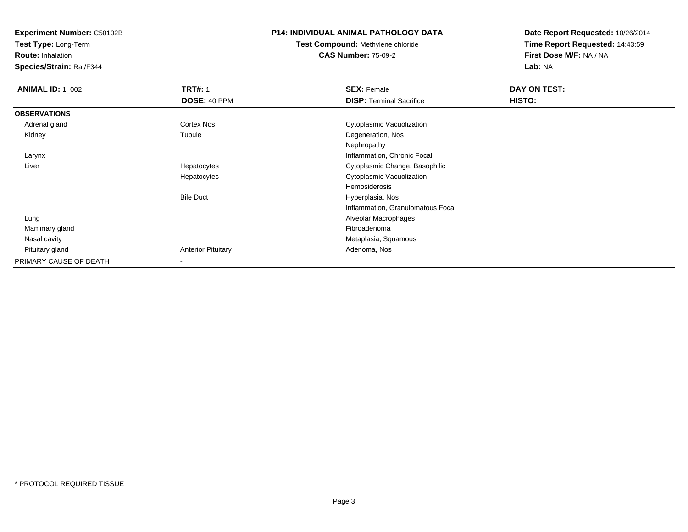**Test Type:** Long-Term

**Route:** Inhalation

**Species/Strain:** Rat/F344

#### **P14: INDIVIDUAL ANIMAL PATHOLOGY DATA**

# **Test Compound:** Methylene chloride**CAS Number:** 75-09-2

| <b>ANIMAL ID: 1_002</b> | <b>TRT#: 1</b>            | <b>SEX: Female</b>                | DAY ON TEST: |  |
|-------------------------|---------------------------|-----------------------------------|--------------|--|
|                         | DOSE: 40 PPM              | <b>DISP: Terminal Sacrifice</b>   | HISTO:       |  |
| <b>OBSERVATIONS</b>     |                           |                                   |              |  |
| Adrenal gland           | <b>Cortex Nos</b>         | Cytoplasmic Vacuolization         |              |  |
| Kidney                  | Tubule                    | Degeneration, Nos                 |              |  |
|                         |                           | Nephropathy                       |              |  |
| Larynx                  |                           | Inflammation, Chronic Focal       |              |  |
| Liver                   | Hepatocytes               | Cytoplasmic Change, Basophilic    |              |  |
|                         | Hepatocytes               | Cytoplasmic Vacuolization         |              |  |
|                         |                           | Hemosiderosis                     |              |  |
|                         | <b>Bile Duct</b>          | Hyperplasia, Nos                  |              |  |
|                         |                           | Inflammation, Granulomatous Focal |              |  |
| Lung                    |                           | Alveolar Macrophages              |              |  |
| Mammary gland           |                           | Fibroadenoma                      |              |  |
| Nasal cavity            |                           | Metaplasia, Squamous              |              |  |
| Pituitary gland         | <b>Anterior Pituitary</b> | Adenoma, Nos                      |              |  |
| PRIMARY CAUSE OF DEATH  |                           |                                   |              |  |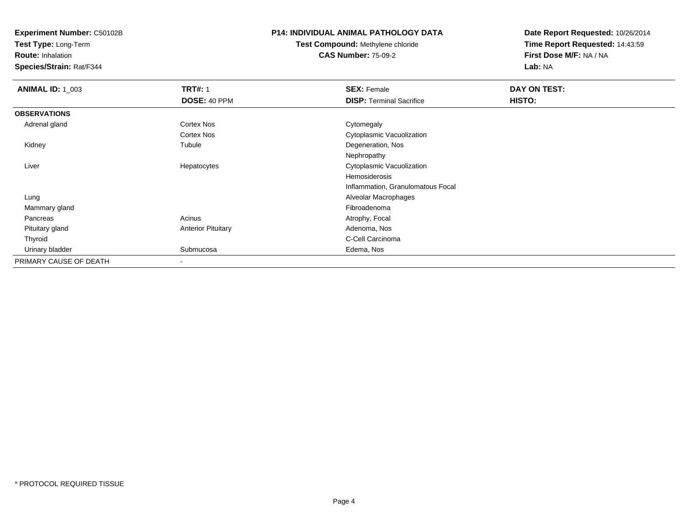**Test Type:** Long-Term

**Route:** Inhalation

**Species/Strain:** Rat/F344

#### **P14: INDIVIDUAL ANIMAL PATHOLOGY DATA**

# **Test Compound:** Methylene chloride**CAS Number:** 75-09-2

| <b>ANIMAL ID: 1_003</b> | <b>TRT#: 1</b>            | <b>SEX: Female</b>                | DAY ON TEST: |  |
|-------------------------|---------------------------|-----------------------------------|--------------|--|
|                         | DOSE: 40 PPM              | <b>DISP: Terminal Sacrifice</b>   | HISTO:       |  |
| <b>OBSERVATIONS</b>     |                           |                                   |              |  |
| Adrenal gland           | <b>Cortex Nos</b>         | Cytomegaly                        |              |  |
|                         | <b>Cortex Nos</b>         | Cytoplasmic Vacuolization         |              |  |
| Kidney                  | Tubule                    | Degeneration, Nos                 |              |  |
|                         |                           | Nephropathy                       |              |  |
| Liver                   | Hepatocytes               | Cytoplasmic Vacuolization         |              |  |
|                         |                           | Hemosiderosis                     |              |  |
|                         |                           | Inflammation, Granulomatous Focal |              |  |
| Lung                    |                           | Alveolar Macrophages              |              |  |
| Mammary gland           |                           | Fibroadenoma                      |              |  |
| Pancreas                | Acinus                    | Atrophy, Focal                    |              |  |
| Pituitary gland         | <b>Anterior Pituitary</b> | Adenoma, Nos                      |              |  |
| Thyroid                 |                           | C-Cell Carcinoma                  |              |  |
| Urinary bladder         | Submucosa                 | Edema, Nos                        |              |  |
| PRIMARY CAUSE OF DEATH  | $\overline{\phantom{a}}$  |                                   |              |  |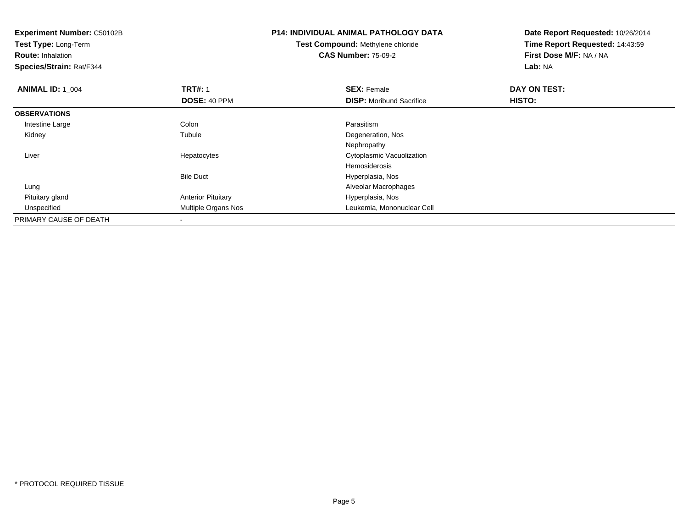**Experiment Number:** C50102B**Test Type:** Long-Term**Route:** Inhalation **Species/Strain:** Rat/F344**P14: INDIVIDUAL ANIMAL PATHOLOGY DATATest Compound:** Methylene chloride**CAS Number:** 75-09-2**Date Report Requested:** 10/26/2014**Time Report Requested:** 14:43:59**First Dose M/F:** NA / NA**Lab:** NA**ANIMAL ID: 1\_004 TRT#:** 1 **SEX:** Female **DAY ON TEST: DOSE:** 40 PPM**DISP:** Moribund Sacrifice **HISTO: OBSERVATIONS** Intestine Largee and the Colon Colon Colon Colon and the Parasitism Degeneration, Nos Kidneyy the contract of the contract of the contract of the contract of the contract of the contract of the contract of the contract of the contract of the contract of the contract of the contract of the contract of the contract Nephropathys **Subset Constructs** Cytoplasmic Vacuolization Liver HepatocytesHemosiderosis Hyperplasia, NosBile Duct Alveolar Macrophages Lung Pituitary glandAnterior Pituitary **Anterior Pituitary** Hyperplasia, Nos<br>
Multiple Organs Nos<br>
Leukemia, Monon UnspecifiedLeukemia, Mononuclear Cell PRIMARY CAUSE OF DEATH-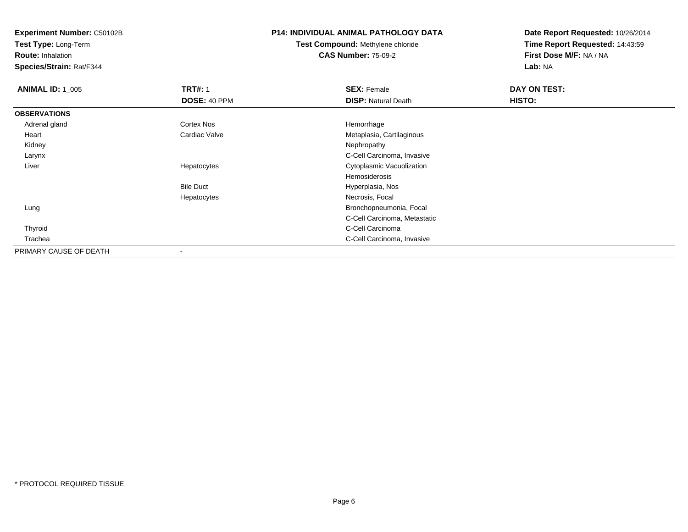**Test Type:** Long-Term

**Route:** Inhalation

**Species/Strain:** Rat/F344

#### **P14: INDIVIDUAL ANIMAL PATHOLOGY DATA**

# **Test Compound:** Methylene chloride**CAS Number:** 75-09-2

| <b>ANIMAL ID: 1 005</b> | <b>TRT#: 1</b>    | <b>SEX: Female</b>           | DAY ON TEST: |  |
|-------------------------|-------------------|------------------------------|--------------|--|
|                         | DOSE: 40 PPM      | <b>DISP: Natural Death</b>   | HISTO:       |  |
| <b>OBSERVATIONS</b>     |                   |                              |              |  |
| Adrenal gland           | <b>Cortex Nos</b> | Hemorrhage                   |              |  |
| Heart                   | Cardiac Valve     | Metaplasia, Cartilaginous    |              |  |
| Kidney                  |                   | Nephropathy                  |              |  |
| Larynx                  |                   | C-Cell Carcinoma, Invasive   |              |  |
| Liver                   | Hepatocytes       | Cytoplasmic Vacuolization    |              |  |
|                         |                   | Hemosiderosis                |              |  |
|                         | <b>Bile Duct</b>  | Hyperplasia, Nos             |              |  |
|                         | Hepatocytes       | Necrosis, Focal              |              |  |
| Lung                    |                   | Bronchopneumonia, Focal      |              |  |
|                         |                   | C-Cell Carcinoma, Metastatic |              |  |
| Thyroid                 |                   | C-Cell Carcinoma             |              |  |
| Trachea                 |                   | C-Cell Carcinoma, Invasive   |              |  |
| PRIMARY CAUSE OF DEATH  |                   |                              |              |  |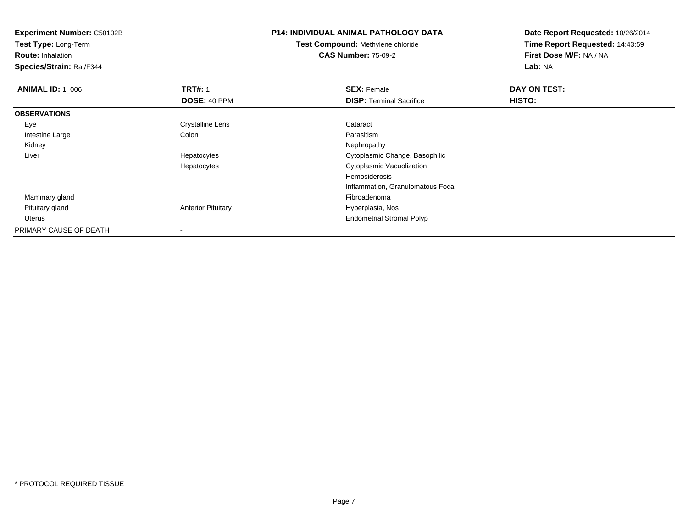**Experiment Number:** C50102B**Test Type:** Long-Term**Route:** Inhalation **Species/Strain:** Rat/F344**P14: INDIVIDUAL ANIMAL PATHOLOGY DATATest Compound:** Methylene chloride**CAS Number:** 75-09-2**Date Report Requested:** 10/26/2014**Time Report Requested:** 14:43:59**First Dose M/F:** NA / NA**Lab:** NA**ANIMAL ID: 1\_006 6 DAY ON TEST:** 1 **SEX:** Female **SEX: Female DAY ON TEST: DOSE:** 40 PPM**DISP:** Terminal Sacrifice **HISTO: OBSERVATIONS** EyeCrystalline Lens Cataract Colon Cataract Colon Cataract Colon Cataract Colon Cataract Colon Cataract Colon Cataract Colon Cataract Colon Cataract Colon Cataract Colon Cataract Colon Cataract Colon Cataract Colon Cataract C Intestine Largee and the Colon Colon Colon Colon and the Parasitism Nephropathy Kidneyy the control of the control of the control of the control of the control of the control of the control of the control of the control of the control of the control of the control of the control of the control of the contro Liver Hepatocytes Cytoplasmic Change, Basophilic Hepatocytes Cytoplasmic VacuolizationHemosiderosis Inflammation, Granulomatous Focal Mammary glandd and the control of the control of the control of the control of the control of the control of the control of the control of the control of the control of the control of the control of the control of the control of the co Pituitary glandAnterior Pituitary **Anterior Pituitary Hyperplasia, Nos**  Uterus Endometrial Stromal PolypPRIMARY CAUSE OF DEATH-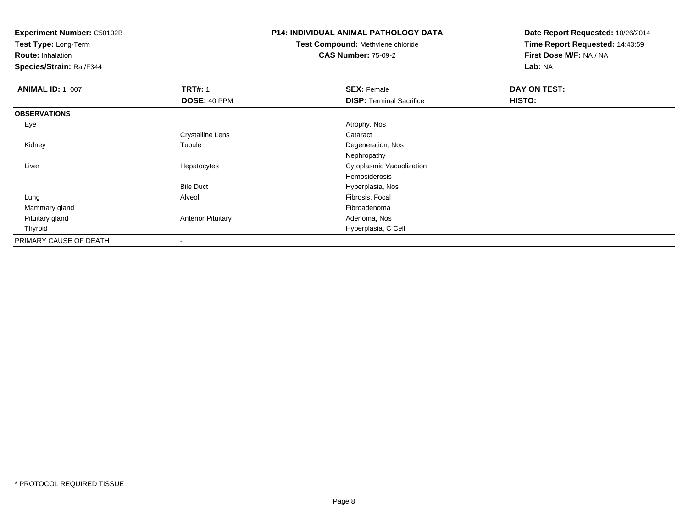**Test Type:** Long-Term

**Route:** Inhalation

**Species/Strain:** Rat/F344

### **P14: INDIVIDUAL ANIMAL PATHOLOGY DATA**

**Test Compound:** Methylene chloride**CAS Number:** 75-09-2

| <b>ANIMAL ID: 1_007</b> | <b>TRT#: 1</b>            | <b>SEX: Female</b>              | DAY ON TEST: |  |
|-------------------------|---------------------------|---------------------------------|--------------|--|
|                         | DOSE: 40 PPM              | <b>DISP: Terminal Sacrifice</b> | HISTO:       |  |
| <b>OBSERVATIONS</b>     |                           |                                 |              |  |
| Eye                     |                           | Atrophy, Nos                    |              |  |
|                         | <b>Crystalline Lens</b>   | Cataract                        |              |  |
| Kidney                  | Tubule                    | Degeneration, Nos               |              |  |
|                         |                           | Nephropathy                     |              |  |
| Liver                   | Hepatocytes               | Cytoplasmic Vacuolization       |              |  |
|                         |                           | Hemosiderosis                   |              |  |
|                         | <b>Bile Duct</b>          | Hyperplasia, Nos                |              |  |
| Lung                    | Alveoli                   | Fibrosis, Focal                 |              |  |
| Mammary gland           |                           | Fibroadenoma                    |              |  |
| Pituitary gland         | <b>Anterior Pituitary</b> | Adenoma, Nos                    |              |  |
| Thyroid                 |                           | Hyperplasia, C Cell             |              |  |
| PRIMARY CAUSE OF DEATH  | $\overline{\phantom{0}}$  |                                 |              |  |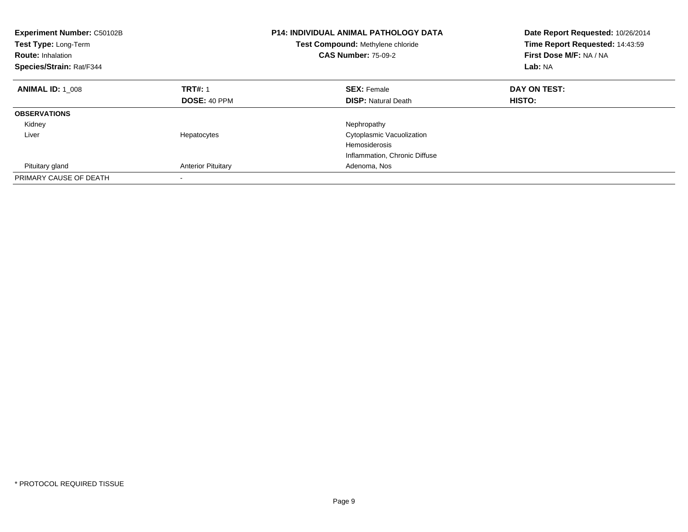| <b>Experiment Number: C50102B</b><br>Test Type: Long-Term<br><b>Route: Inhalation</b><br>Species/Strain: Rat/F344 |                           | <b>P14: INDIVIDUAL ANIMAL PATHOLOGY DATA</b><br>Test Compound: Methylene chloride<br><b>CAS Number: 75-09-2</b> | Date Report Requested: 10/26/2014<br>Time Report Requested: 14:43:59<br>First Dose M/F: NA / NA<br>Lab: NA |
|-------------------------------------------------------------------------------------------------------------------|---------------------------|-----------------------------------------------------------------------------------------------------------------|------------------------------------------------------------------------------------------------------------|
| <b>ANIMAL ID: 1 008</b>                                                                                           | <b>TRT#: 1</b>            | <b>SEX: Female</b>                                                                                              | DAY ON TEST:                                                                                               |
|                                                                                                                   | <b>DOSE: 40 PPM</b>       | <b>DISP:</b> Natural Death                                                                                      | HISTO:                                                                                                     |
| <b>OBSERVATIONS</b>                                                                                               |                           |                                                                                                                 |                                                                                                            |
| Kidney                                                                                                            |                           | Nephropathy                                                                                                     |                                                                                                            |
| Liver                                                                                                             | Hepatocytes               | Cytoplasmic Vacuolization                                                                                       |                                                                                                            |
|                                                                                                                   |                           | <b>Hemosiderosis</b>                                                                                            |                                                                                                            |
|                                                                                                                   |                           | Inflammation, Chronic Diffuse                                                                                   |                                                                                                            |
| Pituitary gland                                                                                                   | <b>Anterior Pituitary</b> | Adenoma, Nos                                                                                                    |                                                                                                            |
| PRIMARY CAUSE OF DEATH                                                                                            |                           |                                                                                                                 |                                                                                                            |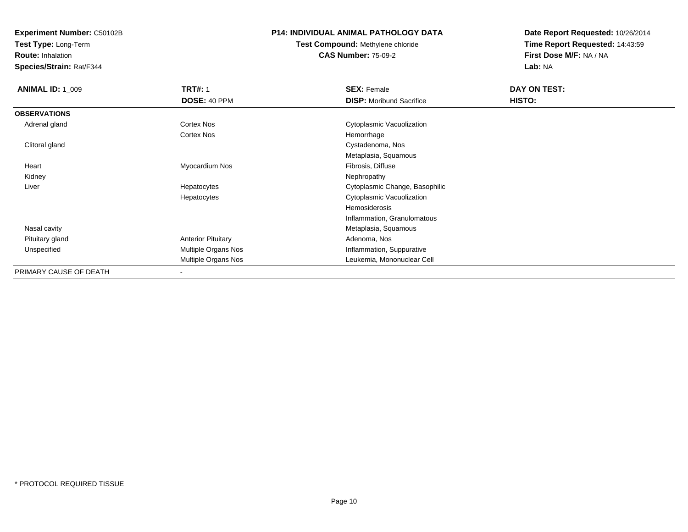**Test Type:** Long-Term

**Route:** Inhalation

**Species/Strain:** Rat/F344

#### **P14: INDIVIDUAL ANIMAL PATHOLOGY DATA**

**Test Compound:** Methylene chloride**CAS Number:** 75-09-2

| <b>ANIMAL ID: 1 009</b> | <b>TRT#: 1</b>            | <b>SEX: Female</b>              | DAY ON TEST: |  |
|-------------------------|---------------------------|---------------------------------|--------------|--|
|                         | DOSE: 40 PPM              | <b>DISP:</b> Moribund Sacrifice | HISTO:       |  |
| <b>OBSERVATIONS</b>     |                           |                                 |              |  |
| Adrenal gland           | <b>Cortex Nos</b>         | Cytoplasmic Vacuolization       |              |  |
|                         | <b>Cortex Nos</b>         | Hemorrhage                      |              |  |
| Clitoral gland          |                           | Cystadenoma, Nos                |              |  |
|                         |                           | Metaplasia, Squamous            |              |  |
| Heart                   | Myocardium Nos            | Fibrosis, Diffuse               |              |  |
| Kidney                  |                           | Nephropathy                     |              |  |
| Liver                   | Hepatocytes               | Cytoplasmic Change, Basophilic  |              |  |
|                         | Hepatocytes               | Cytoplasmic Vacuolization       |              |  |
|                         |                           | Hemosiderosis                   |              |  |
|                         |                           | Inflammation, Granulomatous     |              |  |
| Nasal cavity            |                           | Metaplasia, Squamous            |              |  |
| Pituitary gland         | <b>Anterior Pituitary</b> | Adenoma, Nos                    |              |  |
| Unspecified             | Multiple Organs Nos       | Inflammation, Suppurative       |              |  |
|                         | Multiple Organs Nos       | Leukemia, Mononuclear Cell      |              |  |
| PRIMARY CAUSE OF DEATH  | $\,$                      |                                 |              |  |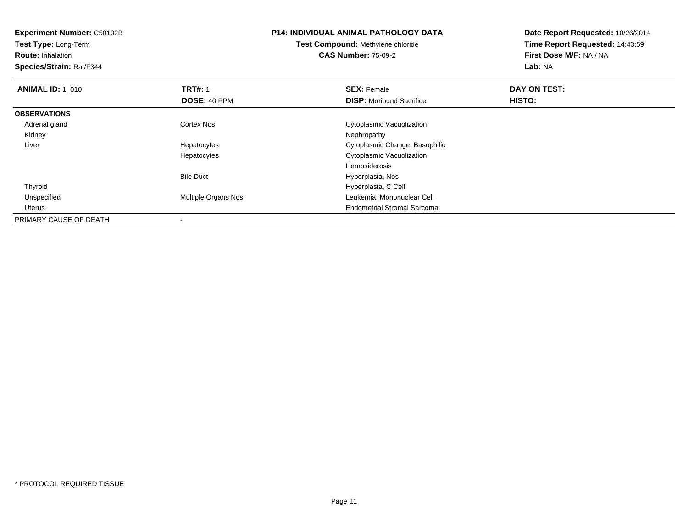| <b>Experiment Number: C50102B</b><br>Test Type: Long-Term<br><b>Route: Inhalation</b><br>Species/Strain: Rat/F344 |                     | P14: INDIVIDUAL ANIMAL PATHOLOGY DATA<br><b>Test Compound: Methylene chloride</b><br><b>CAS Number: 75-09-2</b> | Date Report Requested: 10/26/2014<br>Time Report Requested: 14:43:59<br>First Dose M/F: NA / NA<br>Lab: NA |
|-------------------------------------------------------------------------------------------------------------------|---------------------|-----------------------------------------------------------------------------------------------------------------|------------------------------------------------------------------------------------------------------------|
| <b>ANIMAL ID: 1 010</b>                                                                                           | <b>TRT#: 1</b>      | <b>SEX: Female</b>                                                                                              | DAY ON TEST:                                                                                               |
|                                                                                                                   | DOSE: 40 PPM        | <b>DISP:</b> Moribund Sacrifice                                                                                 | HISTO:                                                                                                     |
| <b>OBSERVATIONS</b>                                                                                               |                     |                                                                                                                 |                                                                                                            |
| Adrenal gland                                                                                                     | Cortex Nos          | Cytoplasmic Vacuolization                                                                                       |                                                                                                            |
| Kidney                                                                                                            |                     | Nephropathy                                                                                                     |                                                                                                            |
| Liver                                                                                                             | Hepatocytes         | Cytoplasmic Change, Basophilic                                                                                  |                                                                                                            |
|                                                                                                                   | Hepatocytes         | Cytoplasmic Vacuolization                                                                                       |                                                                                                            |
|                                                                                                                   |                     | Hemosiderosis                                                                                                   |                                                                                                            |
|                                                                                                                   | <b>Bile Duct</b>    | Hyperplasia, Nos                                                                                                |                                                                                                            |
| Thyroid                                                                                                           |                     | Hyperplasia, C Cell                                                                                             |                                                                                                            |
| Unspecified                                                                                                       | Multiple Organs Nos | Leukemia, Mononuclear Cell                                                                                      |                                                                                                            |
| Uterus                                                                                                            |                     | <b>Endometrial Stromal Sarcoma</b>                                                                              |                                                                                                            |
| PRIMARY CAUSE OF DEATH                                                                                            |                     |                                                                                                                 |                                                                                                            |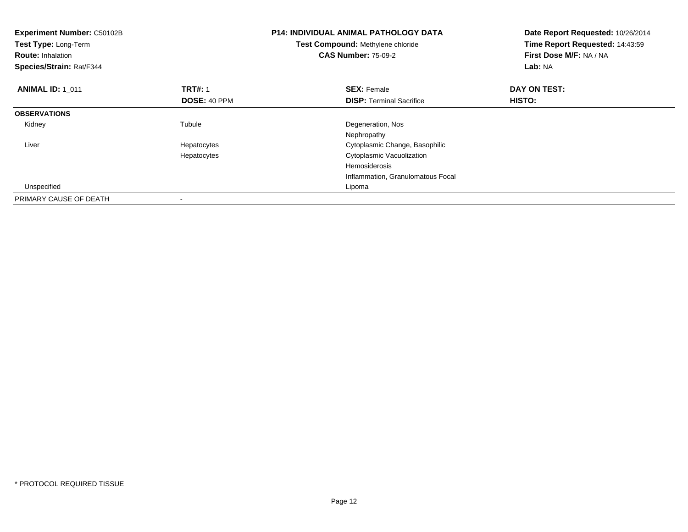| <b>Experiment Number: C50102B</b><br>Test Type: Long-Term<br><b>Route: Inhalation</b><br>Species/Strain: Rat/F344 |                | <b>P14: INDIVIDUAL ANIMAL PATHOLOGY DATA</b><br>Test Compound: Methylene chloride<br><b>CAS Number: 75-09-2</b> | Date Report Requested: 10/26/2014<br>Time Report Requested: 14:43:59<br>First Dose M/F: NA / NA<br>Lab: NA |
|-------------------------------------------------------------------------------------------------------------------|----------------|-----------------------------------------------------------------------------------------------------------------|------------------------------------------------------------------------------------------------------------|
| <b>ANIMAL ID: 1_011</b>                                                                                           | <b>TRT#:</b> 1 | <b>SEX: Female</b>                                                                                              | DAY ON TEST:                                                                                               |
|                                                                                                                   | DOSE: 40 PPM   | <b>DISP:</b> Terminal Sacrifice                                                                                 | HISTO:                                                                                                     |
| <b>OBSERVATIONS</b>                                                                                               |                |                                                                                                                 |                                                                                                            |
| Kidney                                                                                                            | Tubule         | Degeneration, Nos                                                                                               |                                                                                                            |
|                                                                                                                   |                | Nephropathy                                                                                                     |                                                                                                            |
| Liver                                                                                                             | Hepatocytes    | Cytoplasmic Change, Basophilic                                                                                  |                                                                                                            |
|                                                                                                                   | Hepatocytes    | Cytoplasmic Vacuolization                                                                                       |                                                                                                            |
|                                                                                                                   |                | Hemosiderosis                                                                                                   |                                                                                                            |
|                                                                                                                   |                | Inflammation, Granulomatous Focal                                                                               |                                                                                                            |
| Unspecified                                                                                                       |                | Lipoma                                                                                                          |                                                                                                            |
| PRIMARY CAUSE OF DEATH                                                                                            |                |                                                                                                                 |                                                                                                            |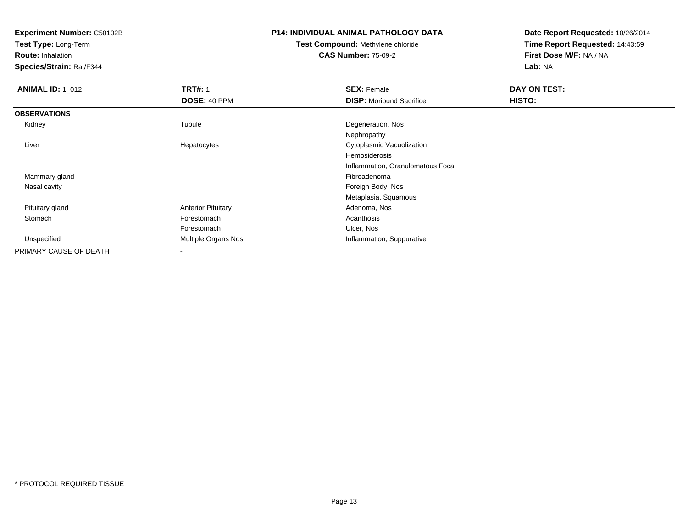**Test Type:** Long-Term

**Route:** Inhalation

**Species/Strain:** Rat/F344

### **P14: INDIVIDUAL ANIMAL PATHOLOGY DATA**

# **Test Compound:** Methylene chloride**CAS Number:** 75-09-2

| <b>ANIMAL ID: 1_012</b> | <b>TRT#: 1</b>            | <b>SEX: Female</b>                | DAY ON TEST: |  |
|-------------------------|---------------------------|-----------------------------------|--------------|--|
|                         | DOSE: 40 PPM              | <b>DISP:</b> Moribund Sacrifice   | HISTO:       |  |
| <b>OBSERVATIONS</b>     |                           |                                   |              |  |
| Kidney                  | Tubule                    | Degeneration, Nos                 |              |  |
|                         |                           | Nephropathy                       |              |  |
| Liver                   | Hepatocytes               | Cytoplasmic Vacuolization         |              |  |
|                         |                           | Hemosiderosis                     |              |  |
|                         |                           | Inflammation, Granulomatous Focal |              |  |
| Mammary gland           |                           | Fibroadenoma                      |              |  |
| Nasal cavity            |                           | Foreign Body, Nos                 |              |  |
|                         |                           | Metaplasia, Squamous              |              |  |
| Pituitary gland         | <b>Anterior Pituitary</b> | Adenoma, Nos                      |              |  |
| Stomach                 | Forestomach               | Acanthosis                        |              |  |
|                         | Forestomach               | Ulcer, Nos                        |              |  |
| Unspecified             | Multiple Organs Nos       | Inflammation, Suppurative         |              |  |
| PRIMARY CAUSE OF DEATH  | $\,$                      |                                   |              |  |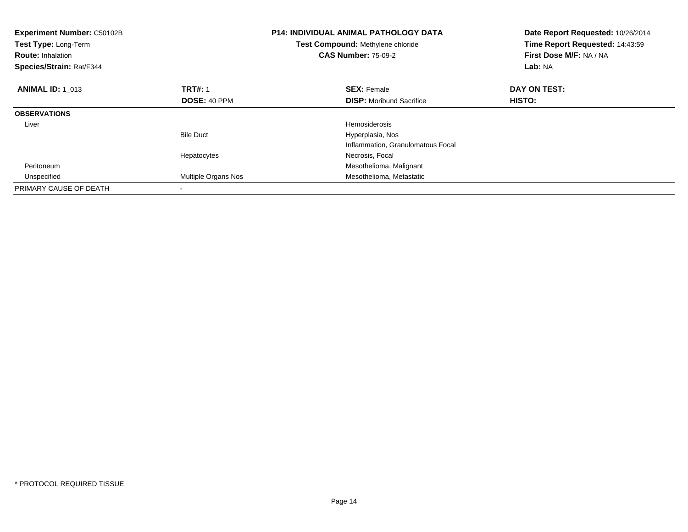| <b>Experiment Number: C50102B</b><br>Test Type: Long-Term<br><b>Route: Inhalation</b><br>Species/Strain: Rat/F344 |                     | <b>P14: INDIVIDUAL ANIMAL PATHOLOGY DATA</b><br><b>Test Compound: Methylene chloride</b><br><b>CAS Number: 75-09-2</b> | Date Report Requested: 10/26/2014<br>Time Report Requested: 14:43:59<br>First Dose M/F: NA / NA<br>Lab: NA |  |
|-------------------------------------------------------------------------------------------------------------------|---------------------|------------------------------------------------------------------------------------------------------------------------|------------------------------------------------------------------------------------------------------------|--|
| <b>ANIMAL ID: 1 013</b>                                                                                           | <b>TRT#: 1</b>      | <b>SEX: Female</b>                                                                                                     | DAY ON TEST:                                                                                               |  |
|                                                                                                                   | <b>DOSE: 40 PPM</b> | <b>DISP:</b> Moribund Sacrifice                                                                                        | <b>HISTO:</b>                                                                                              |  |
| <b>OBSERVATIONS</b>                                                                                               |                     |                                                                                                                        |                                                                                                            |  |
| Liver                                                                                                             |                     | <b>Hemosiderosis</b>                                                                                                   |                                                                                                            |  |
|                                                                                                                   | <b>Bile Duct</b>    | Hyperplasia, Nos                                                                                                       |                                                                                                            |  |
|                                                                                                                   |                     | Inflammation, Granulomatous Focal                                                                                      |                                                                                                            |  |
|                                                                                                                   | Hepatocytes         | Necrosis, Focal                                                                                                        |                                                                                                            |  |
| Peritoneum                                                                                                        |                     | Mesothelioma, Malignant                                                                                                |                                                                                                            |  |
| Unspecified                                                                                                       | Multiple Organs Nos | Mesothelioma, Metastatic                                                                                               |                                                                                                            |  |
| PRIMARY CAUSE OF DEATH                                                                                            |                     |                                                                                                                        |                                                                                                            |  |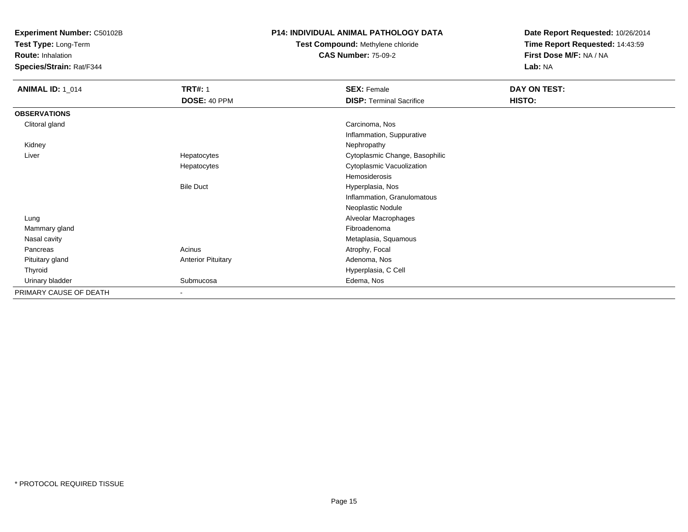**Test Type:** Long-Term

**Route:** Inhalation

**Species/Strain:** Rat/F344

### **P14: INDIVIDUAL ANIMAL PATHOLOGY DATA**

# **Test Compound:** Methylene chloride**CAS Number:** 75-09-2

| <b>ANIMAL ID: 1_014</b> | <b>TRT#: 1</b>            | <b>SEX: Female</b>              | DAY ON TEST: |  |
|-------------------------|---------------------------|---------------------------------|--------------|--|
|                         | DOSE: 40 PPM              | <b>DISP: Terminal Sacrifice</b> | HISTO:       |  |
| <b>OBSERVATIONS</b>     |                           |                                 |              |  |
| Clitoral gland          |                           | Carcinoma, Nos                  |              |  |
|                         |                           | Inflammation, Suppurative       |              |  |
| Kidney                  |                           | Nephropathy                     |              |  |
| Liver                   | Hepatocytes               | Cytoplasmic Change, Basophilic  |              |  |
|                         | Hepatocytes               | Cytoplasmic Vacuolization       |              |  |
|                         |                           | Hemosiderosis                   |              |  |
|                         | <b>Bile Duct</b>          | Hyperplasia, Nos                |              |  |
|                         |                           | Inflammation, Granulomatous     |              |  |
|                         |                           | Neoplastic Nodule               |              |  |
| Lung                    |                           | Alveolar Macrophages            |              |  |
| Mammary gland           |                           | Fibroadenoma                    |              |  |
| Nasal cavity            |                           | Metaplasia, Squamous            |              |  |
| Pancreas                | Acinus                    | Atrophy, Focal                  |              |  |
| Pituitary gland         | <b>Anterior Pituitary</b> | Adenoma, Nos                    |              |  |
| Thyroid                 |                           | Hyperplasia, C Cell             |              |  |
| Urinary bladder         | Submucosa                 | Edema, Nos                      |              |  |
| PRIMARY CAUSE OF DEATH  | ۰                         |                                 |              |  |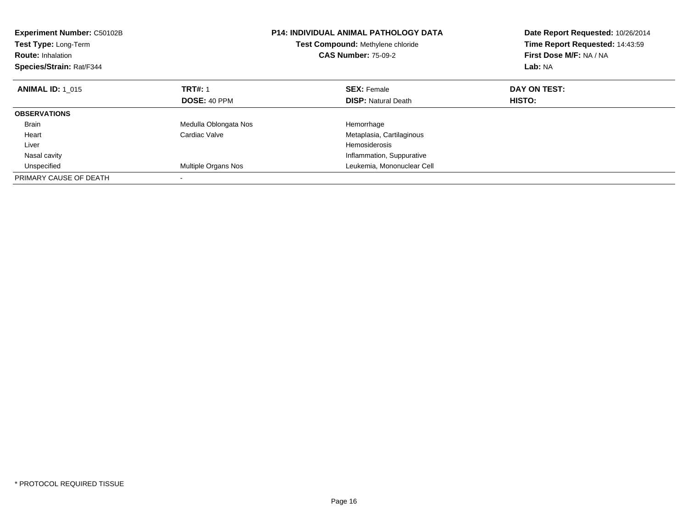| <b>Experiment Number: C50102B</b><br><b>Test Type: Long-Term</b><br><b>Route: Inhalation</b><br>Species/Strain: Rat/F344 |                            | <b>P14: INDIVIDUAL ANIMAL PATHOLOGY DATA</b><br>Test Compound: Methylene chloride<br><b>CAS Number: 75-09-2</b> | Date Report Requested: 10/26/2014<br>Time Report Requested: 14:43:59<br>First Dose M/F: NA / NA<br>Lab: NA |
|--------------------------------------------------------------------------------------------------------------------------|----------------------------|-----------------------------------------------------------------------------------------------------------------|------------------------------------------------------------------------------------------------------------|
| <b>ANIMAL ID: 1 015</b>                                                                                                  | <b>TRT#: 1</b>             | <b>SEX: Female</b>                                                                                              | DAY ON TEST:                                                                                               |
|                                                                                                                          | DOSE: 40 PPM               | <b>DISP:</b> Natural Death                                                                                      | HISTO:                                                                                                     |
| <b>OBSERVATIONS</b>                                                                                                      |                            |                                                                                                                 |                                                                                                            |
| <b>Brain</b>                                                                                                             | Medulla Oblongata Nos      | Hemorrhage                                                                                                      |                                                                                                            |
| Heart                                                                                                                    | Cardiac Valve              | Metaplasia, Cartilaginous                                                                                       |                                                                                                            |
| Liver                                                                                                                    |                            | Hemosiderosis                                                                                                   |                                                                                                            |
| Nasal cavity                                                                                                             |                            | Inflammation, Suppurative                                                                                       |                                                                                                            |
| Unspecified                                                                                                              | <b>Multiple Organs Nos</b> | Leukemia, Mononuclear Cell                                                                                      |                                                                                                            |
| PRIMARY CAUSE OF DEATH                                                                                                   |                            |                                                                                                                 |                                                                                                            |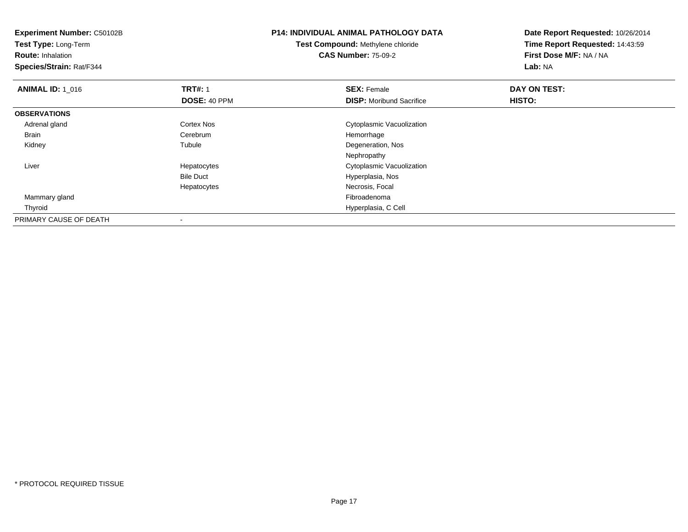| <b>Experiment Number: C50102B</b><br>Test Type: Long-Term<br><b>Route: Inhalation</b><br>Species/Strain: Rat/F344 |                  | <b>P14: INDIVIDUAL ANIMAL PATHOLOGY DATA</b><br>Test Compound: Methylene chloride<br><b>CAS Number: 75-09-2</b> | Date Report Requested: 10/26/2014<br>Time Report Requested: 14:43:59<br>First Dose M/F: NA / NA<br>Lab: NA |  |
|-------------------------------------------------------------------------------------------------------------------|------------------|-----------------------------------------------------------------------------------------------------------------|------------------------------------------------------------------------------------------------------------|--|
| <b>ANIMAL ID: 1 016</b>                                                                                           | <b>TRT#: 1</b>   | <b>SEX: Female</b>                                                                                              | DAY ON TEST:                                                                                               |  |
|                                                                                                                   | DOSE: 40 PPM     | <b>DISP:</b> Moribund Sacrifice                                                                                 | HISTO:                                                                                                     |  |
| <b>OBSERVATIONS</b>                                                                                               |                  |                                                                                                                 |                                                                                                            |  |
| Adrenal gland                                                                                                     | Cortex Nos       | Cytoplasmic Vacuolization                                                                                       |                                                                                                            |  |
| Brain                                                                                                             | Cerebrum         | Hemorrhage                                                                                                      |                                                                                                            |  |
| Kidney                                                                                                            | Tubule           | Degeneration, Nos                                                                                               |                                                                                                            |  |
|                                                                                                                   |                  | Nephropathy                                                                                                     |                                                                                                            |  |
| Liver                                                                                                             | Hepatocytes      | Cytoplasmic Vacuolization                                                                                       |                                                                                                            |  |
|                                                                                                                   | <b>Bile Duct</b> | Hyperplasia, Nos                                                                                                |                                                                                                            |  |
|                                                                                                                   | Hepatocytes      | Necrosis, Focal                                                                                                 |                                                                                                            |  |
| Mammary gland                                                                                                     |                  | Fibroadenoma                                                                                                    |                                                                                                            |  |
| Thyroid                                                                                                           |                  | Hyperplasia, C Cell                                                                                             |                                                                                                            |  |
| PRIMARY CAUSE OF DEATH                                                                                            |                  |                                                                                                                 |                                                                                                            |  |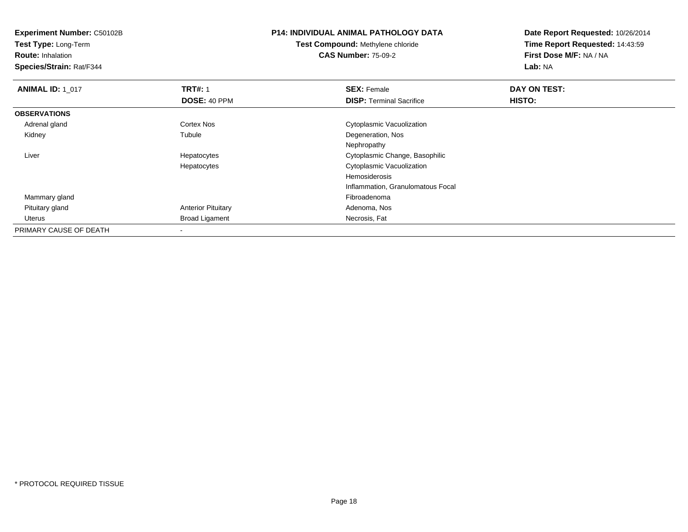**Experiment Number:** C50102B**Test Type:** Long-Term**Route:** Inhalation **Species/Strain:** Rat/F344**P14: INDIVIDUAL ANIMAL PATHOLOGY DATATest Compound:** Methylene chloride**CAS Number:** 75-09-2**Date Report Requested:** 10/26/2014**Time Report Requested:** 14:43:59**First Dose M/F:** NA / NA**Lab:** NA**ANIMAL ID: 1\_017 TRT#:** 1 **SEX:** Female **DAY ON TEST: DOSE:** 40 PPM**DISP:** Terminal Sacrifice **HISTO: OBSERVATIONS** Adrenal gland Cortex Nos Cytoplasmic Vacuolization Kidneyy the contract of the contract of the contract of the contract of the contract of the contract of the contract of the contract of the contract of the contract of the contract of the contract of the contract of the contract Degeneration, Nos NephropathyS<br>
Secret Cytoplasmic Change, Basophilic Liver HepatocytesHepatocytes Cytoplasmic VacuolizationHemosiderosis Inflammation, Granulomatous Focal Mammary glandd and the control of the control of the control of the control of the control of the control of the control of the control of the control of the control of the control of the control of the control of the control of the co Pituitary glandAnterior Pituitary **Adenoma, Nosting Community Community** Adenoma, Nosting Proach<br>
Broad Ligament **Adenomia** Necrosis, Fat UterusBroad Ligament PRIMARY CAUSE OF DEATH-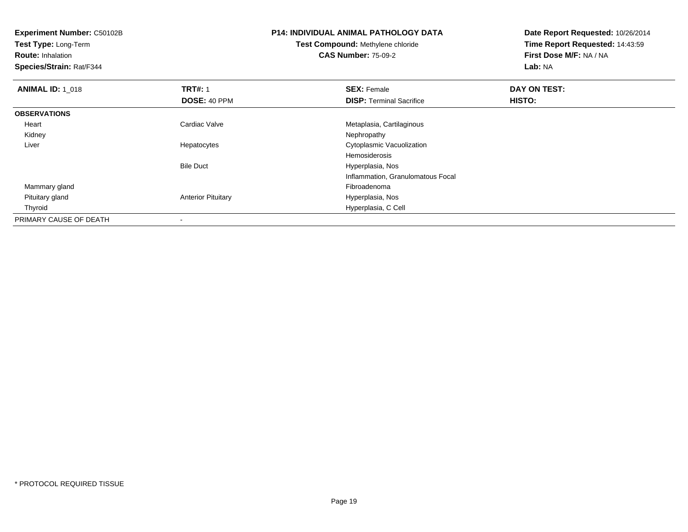**Experiment Number:** C50102B**Test Type:** Long-Term**Route:** Inhalation **Species/Strain:** Rat/F344**P14: INDIVIDUAL ANIMAL PATHOLOGY DATATest Compound:** Methylene chloride**CAS Number:** 75-09-2**Date Report Requested:** 10/26/2014**Time Report Requested:** 14:43:59**First Dose M/F:** NA / NA**Lab:** NA**ANIMAL ID: 1\_018 REX:** Female **DAY ON TEST: CONSIST: SEX:** Female **DAY ON TEST: DOSE:** 40 PPM**DISP:** Terminal Sacrifice **HISTO: OBSERVATIONS** Heart Cardiac ValveMetaplasia, Cartilaginous<br>Nephropathy Kidneyy the control of the control of the control of the control of the control of the control of the control of the control of the control of the control of the control of the control of the control of the control of the contro Liver Hepatocytes Cytoplasmic VacuolizationHemosiderosis Hyperplasia, NosBile Duct Inflammation, Granulomatous Focal Mammary glandd and the control of the control of the control of the control of the control of the control of the control of the control of the control of the control of the control of the control of the control of the control of the co Pituitary glandAnterior Pituitary **Anterior Pituitary Hyperplasia, Nos**  Thyroid Hyperplasia, C Cell PRIMARY CAUSE OF DEATH-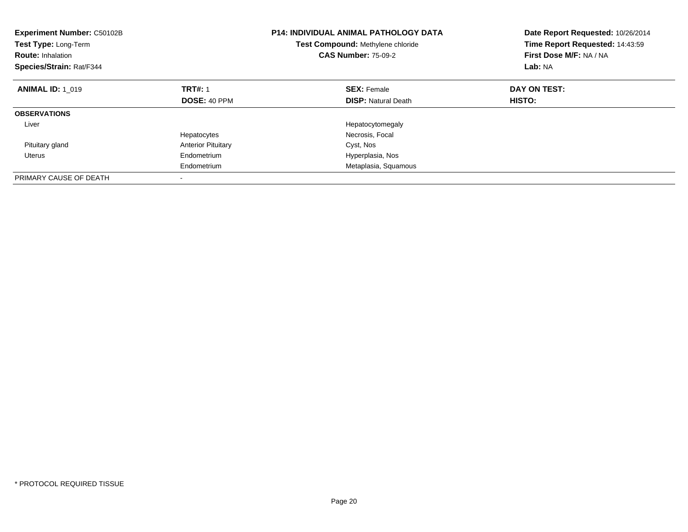| <b>Experiment Number: C50102B</b><br>Test Type: Long-Term<br><b>Route: Inhalation</b><br>Species/Strain: Rat/F344 |                           | <b>P14: INDIVIDUAL ANIMAL PATHOLOGY DATA</b><br>Test Compound: Methylene chloride<br><b>CAS Number: 75-09-2</b> | Date Report Requested: 10/26/2014<br>Time Report Requested: 14:43:59<br>First Dose M/F: NA / NA<br>Lab: NA |
|-------------------------------------------------------------------------------------------------------------------|---------------------------|-----------------------------------------------------------------------------------------------------------------|------------------------------------------------------------------------------------------------------------|
| <b>ANIMAL ID: 1 019</b>                                                                                           | <b>TRT#: 1</b>            | <b>SEX: Female</b>                                                                                              | DAY ON TEST:                                                                                               |
|                                                                                                                   | <b>DOSE: 40 PPM</b>       | <b>DISP:</b> Natural Death                                                                                      | HISTO:                                                                                                     |
| <b>OBSERVATIONS</b>                                                                                               |                           |                                                                                                                 |                                                                                                            |
| Liver                                                                                                             |                           | Hepatocytomegaly                                                                                                |                                                                                                            |
|                                                                                                                   | Hepatocytes               | Necrosis, Focal                                                                                                 |                                                                                                            |
| Pituitary gland                                                                                                   | <b>Anterior Pituitary</b> | Cyst, Nos                                                                                                       |                                                                                                            |
| Uterus                                                                                                            | Endometrium               | Hyperplasia, Nos                                                                                                |                                                                                                            |
|                                                                                                                   | Endometrium               | Metaplasia, Squamous                                                                                            |                                                                                                            |
| PRIMARY CAUSE OF DEATH                                                                                            |                           |                                                                                                                 |                                                                                                            |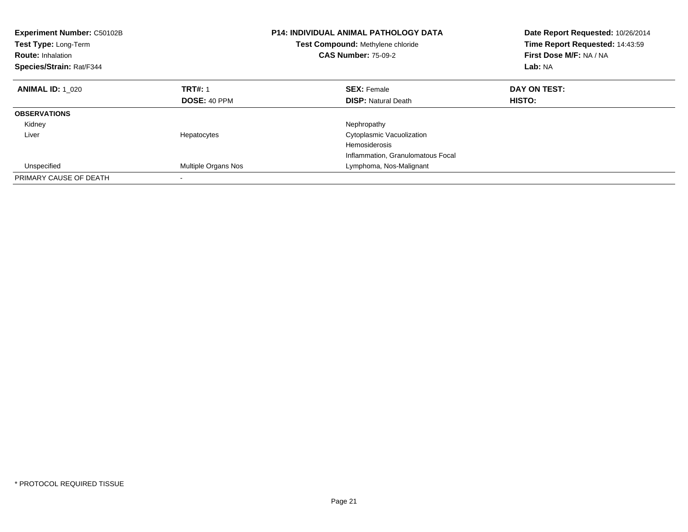| <b>Experiment Number: C50102B</b><br>Test Type: Long-Term<br><b>Route: Inhalation</b><br>Species/Strain: Rat/F344 |                     | <b>P14: INDIVIDUAL ANIMAL PATHOLOGY DATA</b><br>Test Compound: Methylene chloride<br><b>CAS Number: 75-09-2</b> | Date Report Requested: 10/26/2014<br>Time Report Requested: 14:43:59<br>First Dose M/F: NA / NA<br>Lab: NA |
|-------------------------------------------------------------------------------------------------------------------|---------------------|-----------------------------------------------------------------------------------------------------------------|------------------------------------------------------------------------------------------------------------|
| <b>ANIMAL ID: 1 020</b>                                                                                           | <b>TRT#: 1</b>      | <b>SEX: Female</b>                                                                                              | DAY ON TEST:                                                                                               |
|                                                                                                                   | DOSE: 40 PPM        | <b>DISP:</b> Natural Death                                                                                      | HISTO:                                                                                                     |
| <b>OBSERVATIONS</b>                                                                                               |                     |                                                                                                                 |                                                                                                            |
| Kidney                                                                                                            |                     | Nephropathy                                                                                                     |                                                                                                            |
| Liver                                                                                                             | Hepatocytes         | Cytoplasmic Vacuolization                                                                                       |                                                                                                            |
|                                                                                                                   |                     | <b>Hemosiderosis</b>                                                                                            |                                                                                                            |
|                                                                                                                   |                     | Inflammation, Granulomatous Focal                                                                               |                                                                                                            |
| Unspecified                                                                                                       | Multiple Organs Nos | Lymphoma, Nos-Malignant                                                                                         |                                                                                                            |
| PRIMARY CAUSE OF DEATH                                                                                            |                     |                                                                                                                 |                                                                                                            |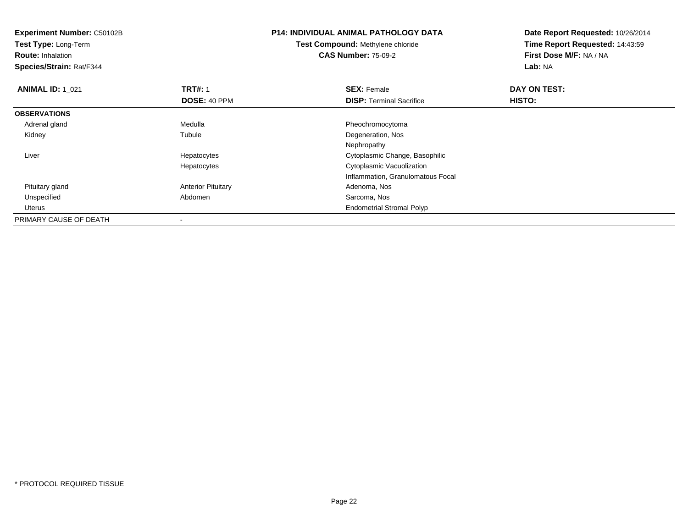| <b>Experiment Number: C50102B</b><br>Test Type: Long-Term<br><b>Route: Inhalation</b><br>Species/Strain: Rat/F344 |                           | <b>P14: INDIVIDUAL ANIMAL PATHOLOGY DATA</b><br><b>Test Compound: Methylene chloride</b><br><b>CAS Number: 75-09-2</b> | Date Report Requested: 10/26/2014<br>Time Report Requested: 14:43:59<br>First Dose M/F: NA / NA<br>Lab: NA |  |
|-------------------------------------------------------------------------------------------------------------------|---------------------------|------------------------------------------------------------------------------------------------------------------------|------------------------------------------------------------------------------------------------------------|--|
| <b>ANIMAL ID: 1_021</b>                                                                                           | <b>TRT#: 1</b>            | <b>SEX: Female</b>                                                                                                     | DAY ON TEST:                                                                                               |  |
|                                                                                                                   | DOSE: 40 PPM              | <b>DISP:</b> Terminal Sacrifice                                                                                        | HISTO:                                                                                                     |  |
| <b>OBSERVATIONS</b>                                                                                               |                           |                                                                                                                        |                                                                                                            |  |
| Adrenal gland                                                                                                     | Medulla                   | Pheochromocytoma                                                                                                       |                                                                                                            |  |
| Kidney                                                                                                            | Tubule                    | Degeneration, Nos                                                                                                      |                                                                                                            |  |
|                                                                                                                   |                           | Nephropathy                                                                                                            |                                                                                                            |  |
| Liver                                                                                                             | Hepatocytes               | Cytoplasmic Change, Basophilic                                                                                         |                                                                                                            |  |
|                                                                                                                   | Hepatocytes               | Cytoplasmic Vacuolization                                                                                              |                                                                                                            |  |
|                                                                                                                   |                           | Inflammation, Granulomatous Focal                                                                                      |                                                                                                            |  |
| Pituitary gland                                                                                                   | <b>Anterior Pituitary</b> | Adenoma, Nos                                                                                                           |                                                                                                            |  |
| Unspecified                                                                                                       | Abdomen                   | Sarcoma, Nos                                                                                                           |                                                                                                            |  |
| Uterus                                                                                                            |                           | <b>Endometrial Stromal Polyp</b>                                                                                       |                                                                                                            |  |
| PRIMARY CAUSE OF DEATH                                                                                            |                           |                                                                                                                        |                                                                                                            |  |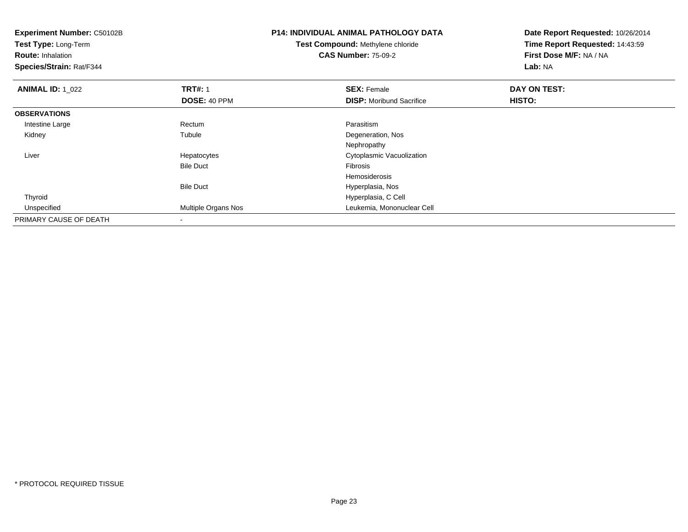| <b>Experiment Number: C50102B</b><br>Test Type: Long-Term<br><b>Route: Inhalation</b><br>Species/Strain: Rat/F344 |                     | <b>P14: INDIVIDUAL ANIMAL PATHOLOGY DATA</b><br><b>Test Compound: Methylene chloride</b><br><b>CAS Number: 75-09-2</b> | Date Report Requested: 10/26/2014<br>Time Report Requested: 14:43:59<br>First Dose M/F: NA / NA<br>Lab: NA |  |
|-------------------------------------------------------------------------------------------------------------------|---------------------|------------------------------------------------------------------------------------------------------------------------|------------------------------------------------------------------------------------------------------------|--|
| <b>ANIMAL ID: 1_022</b>                                                                                           | <b>TRT#: 1</b>      | <b>SEX: Female</b>                                                                                                     | DAY ON TEST:                                                                                               |  |
|                                                                                                                   | DOSE: 40 PPM        | <b>DISP:</b> Moribund Sacrifice                                                                                        | HISTO:                                                                                                     |  |
| <b>OBSERVATIONS</b>                                                                                               |                     |                                                                                                                        |                                                                                                            |  |
| Intestine Large                                                                                                   | Rectum              | Parasitism                                                                                                             |                                                                                                            |  |
| Kidney                                                                                                            | Tubule              | Degeneration, Nos                                                                                                      |                                                                                                            |  |
|                                                                                                                   |                     | Nephropathy                                                                                                            |                                                                                                            |  |
| Liver                                                                                                             | Hepatocytes         | Cytoplasmic Vacuolization                                                                                              |                                                                                                            |  |
|                                                                                                                   | <b>Bile Duct</b>    | Fibrosis                                                                                                               |                                                                                                            |  |
|                                                                                                                   |                     | <b>Hemosiderosis</b>                                                                                                   |                                                                                                            |  |
|                                                                                                                   | <b>Bile Duct</b>    | Hyperplasia, Nos                                                                                                       |                                                                                                            |  |
| Thyroid                                                                                                           |                     | Hyperplasia, C Cell                                                                                                    |                                                                                                            |  |
| Unspecified                                                                                                       | Multiple Organs Nos | Leukemia, Mononuclear Cell                                                                                             |                                                                                                            |  |
| PRIMARY CAUSE OF DEATH                                                                                            |                     |                                                                                                                        |                                                                                                            |  |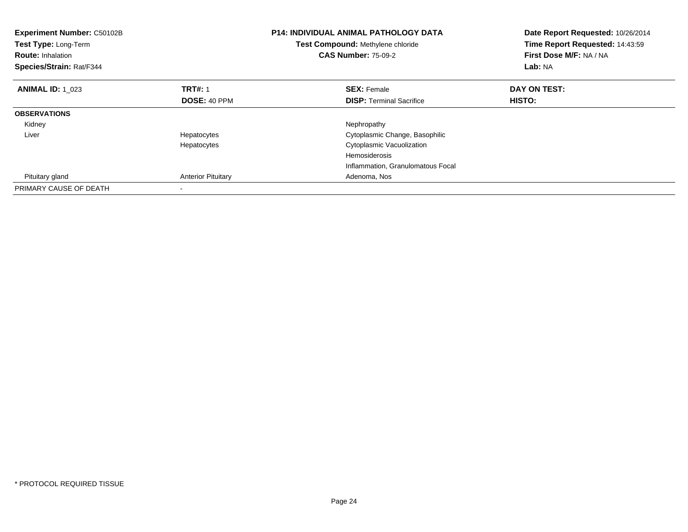| <b>Experiment Number: C50102B</b><br>Test Type: Long-Term<br><b>Route: Inhalation</b><br>Species/Strain: Rat/F344 |                           | <b>P14: INDIVIDUAL ANIMAL PATHOLOGY DATA</b><br>Test Compound: Methylene chloride<br><b>CAS Number: 75-09-2</b> | Date Report Requested: 10/26/2014<br>Time Report Requested: 14:43:59<br>First Dose M/F: NA / NA<br>Lab: NA |
|-------------------------------------------------------------------------------------------------------------------|---------------------------|-----------------------------------------------------------------------------------------------------------------|------------------------------------------------------------------------------------------------------------|
| <b>ANIMAL ID: 1 023</b>                                                                                           | <b>TRT#: 1</b>            | <b>SEX: Female</b>                                                                                              | DAY ON TEST:                                                                                               |
|                                                                                                                   | <b>DOSE: 40 PPM</b>       | <b>DISP:</b> Terminal Sacrifice                                                                                 | HISTO:                                                                                                     |
| <b>OBSERVATIONS</b>                                                                                               |                           |                                                                                                                 |                                                                                                            |
| Kidney                                                                                                            |                           | Nephropathy                                                                                                     |                                                                                                            |
| Liver                                                                                                             | Hepatocytes               | Cytoplasmic Change, Basophilic                                                                                  |                                                                                                            |
|                                                                                                                   | Hepatocytes               | Cytoplasmic Vacuolization                                                                                       |                                                                                                            |
|                                                                                                                   |                           | Hemosiderosis                                                                                                   |                                                                                                            |
|                                                                                                                   |                           | Inflammation, Granulomatous Focal                                                                               |                                                                                                            |
| Pituitary gland                                                                                                   | <b>Anterior Pituitary</b> | Adenoma, Nos                                                                                                    |                                                                                                            |
| PRIMARY CAUSE OF DEATH                                                                                            |                           |                                                                                                                 |                                                                                                            |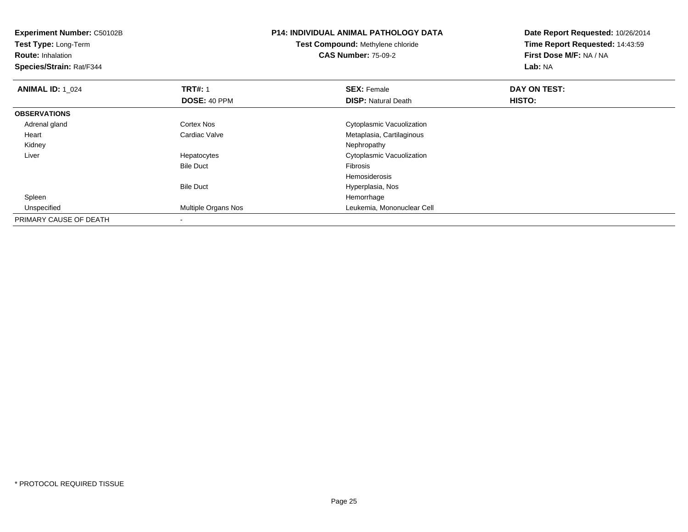| <b>Experiment Number: C50102B</b><br>Test Type: Long-Term<br><b>Route: Inhalation</b><br>Species/Strain: Rat/F344 |                     | <b>P14: INDIVIDUAL ANIMAL PATHOLOGY DATA</b><br>Test Compound: Methylene chloride<br><b>CAS Number: 75-09-2</b> | Date Report Requested: 10/26/2014<br>Time Report Requested: 14:43:59<br>First Dose M/F: NA / NA<br>Lab: NA |
|-------------------------------------------------------------------------------------------------------------------|---------------------|-----------------------------------------------------------------------------------------------------------------|------------------------------------------------------------------------------------------------------------|
| <b>ANIMAL ID: 1 024</b>                                                                                           | <b>TRT#: 1</b>      | <b>SEX: Female</b>                                                                                              | DAY ON TEST:                                                                                               |
|                                                                                                                   | DOSE: 40 PPM        | <b>DISP:</b> Natural Death                                                                                      | <b>HISTO:</b>                                                                                              |
| <b>OBSERVATIONS</b>                                                                                               |                     |                                                                                                                 |                                                                                                            |
| Adrenal gland                                                                                                     | Cortex Nos          | Cytoplasmic Vacuolization                                                                                       |                                                                                                            |
| Heart                                                                                                             | Cardiac Valve       | Metaplasia, Cartilaginous                                                                                       |                                                                                                            |
| Kidney                                                                                                            |                     | Nephropathy                                                                                                     |                                                                                                            |
| Liver                                                                                                             | Hepatocytes         | Cytoplasmic Vacuolization                                                                                       |                                                                                                            |
|                                                                                                                   | <b>Bile Duct</b>    | Fibrosis                                                                                                        |                                                                                                            |
|                                                                                                                   |                     | Hemosiderosis                                                                                                   |                                                                                                            |
|                                                                                                                   | <b>Bile Duct</b>    | Hyperplasia, Nos                                                                                                |                                                                                                            |
| Spleen                                                                                                            |                     | Hemorrhage                                                                                                      |                                                                                                            |
| Unspecified                                                                                                       | Multiple Organs Nos | Leukemia, Mononuclear Cell                                                                                      |                                                                                                            |
| PRIMARY CAUSE OF DEATH                                                                                            |                     |                                                                                                                 |                                                                                                            |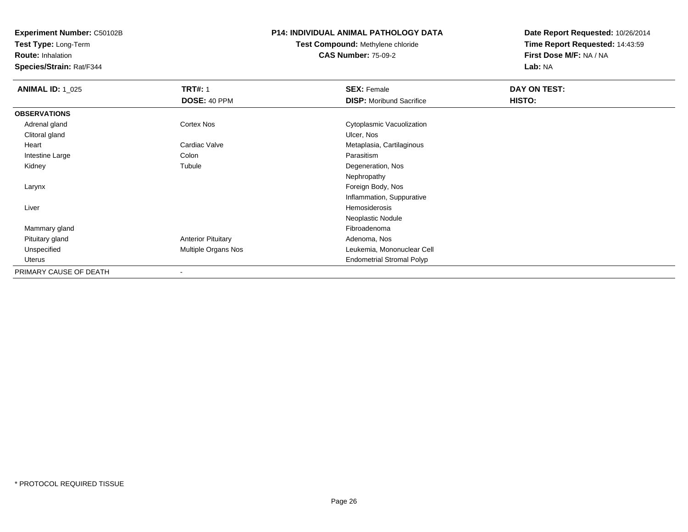**Test Type:** Long-Term

**Route:** Inhalation

**Species/Strain:** Rat/F344

### **P14: INDIVIDUAL ANIMAL PATHOLOGY DATA**

**Test Compound:** Methylene chloride**CAS Number:** 75-09-2

| <b>ANIMAL ID: 1_025</b> | <b>TRT#: 1</b>            | <b>SEX: Female</b>               | DAY ON TEST: |  |
|-------------------------|---------------------------|----------------------------------|--------------|--|
|                         | DOSE: 40 PPM              | <b>DISP:</b> Moribund Sacrifice  | HISTO:       |  |
| <b>OBSERVATIONS</b>     |                           |                                  |              |  |
| Adrenal gland           | Cortex Nos                | Cytoplasmic Vacuolization        |              |  |
| Clitoral gland          |                           | Ulcer, Nos                       |              |  |
| Heart                   | Cardiac Valve             | Metaplasia, Cartilaginous        |              |  |
| Intestine Large         | Colon                     | Parasitism                       |              |  |
| Kidney                  | Tubule                    | Degeneration, Nos                |              |  |
|                         |                           | Nephropathy                      |              |  |
| Larynx                  |                           | Foreign Body, Nos                |              |  |
|                         |                           | Inflammation, Suppurative        |              |  |
| Liver                   |                           | Hemosiderosis                    |              |  |
|                         |                           | Neoplastic Nodule                |              |  |
| Mammary gland           |                           | Fibroadenoma                     |              |  |
| Pituitary gland         | <b>Anterior Pituitary</b> | Adenoma, Nos                     |              |  |
| Unspecified             | Multiple Organs Nos       | Leukemia, Mononuclear Cell       |              |  |
| Uterus                  |                           | <b>Endometrial Stromal Polyp</b> |              |  |
| PRIMARY CAUSE OF DEATH  | $\blacksquare$            |                                  |              |  |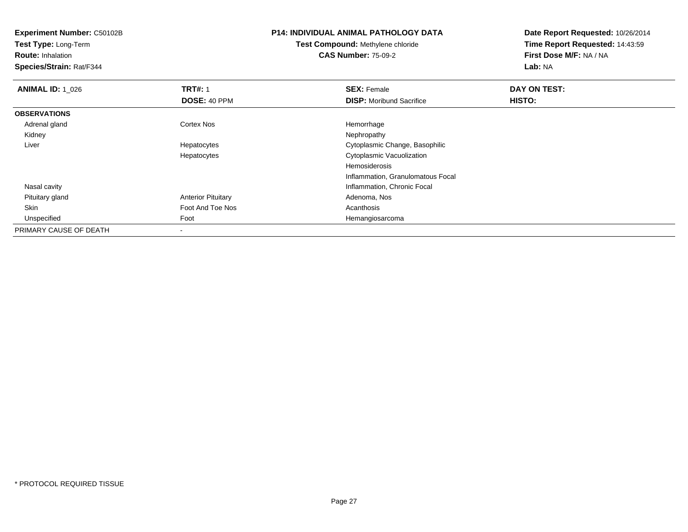**Experiment Number:** C50102B**Test Type:** Long-Term**Route:** Inhalation **Species/Strain:** Rat/F344**P14: INDIVIDUAL ANIMAL PATHOLOGY DATATest Compound:** Methylene chloride**CAS Number:** 75-09-2**Date Report Requested:** 10/26/2014**Time Report Requested:** 14:43:59**First Dose M/F:** NA / NA**Lab:** NA**ANIMAL ID: 1\_026 6 DAY ON TEST:** 1 **SEX:** Female **SEX: Female DAY ON TEST: DOSE:** 40 PPM**DISP:** Moribund Sacrifice **HISTO: OBSERVATIONS** Adrenal glandd cortex Nos extended the Cortex Nos extended the Hemorrhage Kidneyy the control of the control of the control of the control of the control of the control of the control of the control of the control of the control of the control of the control of the control of the control of the contro Liver Hepatocytes Cytoplasmic Change, Basophilic Hepatocytes Cytoplasmic VacuolizationHemosiderosis Inflammation, Granulomatous Focal Nasal cavity Inflammation, Chronic Focal Pituitary glandAnterior Pituitary **Adenoma, Nos** Adenoma, Nos SkinFoot And Toe Nos Acanthosis<br>Foot And Toe Nos Acanthosis<br>Foot Acanthosis Acanthosis UnspecifiedHemangiosarcoma PRIMARY CAUSE OF DEATH-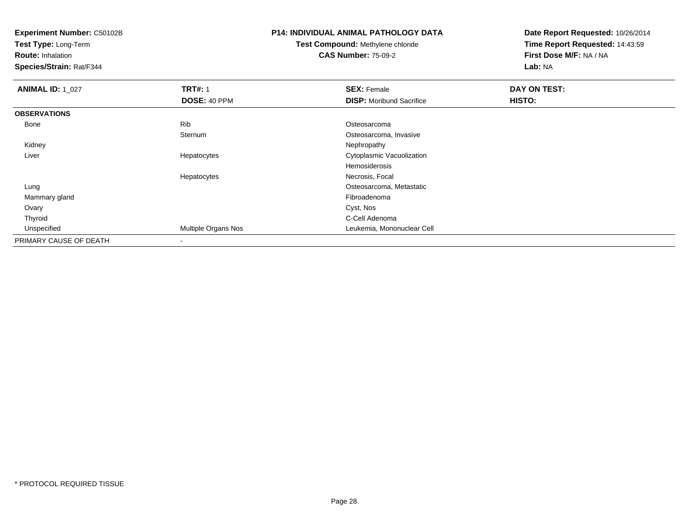**Test Type:** Long-Term

**Route:** Inhalation

**Species/Strain:** Rat/F344

# **P14: INDIVIDUAL ANIMAL PATHOLOGY DATA**

# **Test Compound:** Methylene chloride**CAS Number:** 75-09-2

| <b>ANIMAL ID: 1_027</b> | <b>TRT#: 1</b>      | <b>SEX: Female</b>              | DAY ON TEST: |  |
|-------------------------|---------------------|---------------------------------|--------------|--|
|                         | DOSE: 40 PPM        | <b>DISP:</b> Moribund Sacrifice | HISTO:       |  |
| <b>OBSERVATIONS</b>     |                     |                                 |              |  |
| Bone                    | Rib                 | Osteosarcoma                    |              |  |
|                         | Sternum             | Osteosarcoma, Invasive          |              |  |
| Kidney                  |                     | Nephropathy                     |              |  |
| Liver                   | Hepatocytes         | Cytoplasmic Vacuolization       |              |  |
|                         |                     | Hemosiderosis                   |              |  |
|                         | Hepatocytes         | Necrosis, Focal                 |              |  |
| Lung                    |                     | Osteosarcoma, Metastatic        |              |  |
| Mammary gland           |                     | Fibroadenoma                    |              |  |
| Ovary                   |                     | Cyst, Nos                       |              |  |
| Thyroid                 |                     | C-Cell Adenoma                  |              |  |
| Unspecified             | Multiple Organs Nos | Leukemia, Mononuclear Cell      |              |  |
| PRIMARY CAUSE OF DEATH  | $\,$                |                                 |              |  |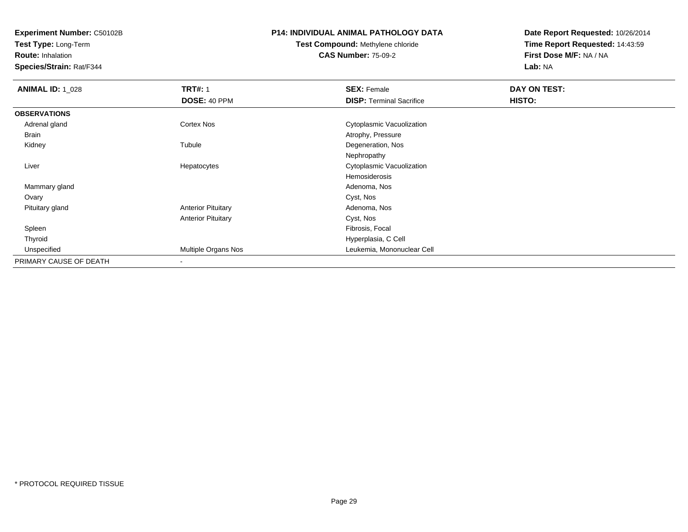**Test Type:** Long-Term

**Route:** Inhalation

**Species/Strain:** Rat/F344

### **P14: INDIVIDUAL ANIMAL PATHOLOGY DATA**

# **Test Compound:** Methylene chloride**CAS Number:** 75-09-2

| <b>ANIMAL ID: 1_028</b> | <b>TRT#: 1</b>            | <b>SEX: Female</b>              | DAY ON TEST: |  |
|-------------------------|---------------------------|---------------------------------|--------------|--|
|                         | DOSE: 40 PPM              | <b>DISP: Terminal Sacrifice</b> | HISTO:       |  |
| <b>OBSERVATIONS</b>     |                           |                                 |              |  |
| Adrenal gland           | <b>Cortex Nos</b>         | Cytoplasmic Vacuolization       |              |  |
| Brain                   |                           | Atrophy, Pressure               |              |  |
| Kidney                  | Tubule                    | Degeneration, Nos               |              |  |
|                         |                           | Nephropathy                     |              |  |
| Liver                   | Hepatocytes               | Cytoplasmic Vacuolization       |              |  |
|                         |                           | Hemosiderosis                   |              |  |
| Mammary gland           |                           | Adenoma, Nos                    |              |  |
| Ovary                   |                           | Cyst, Nos                       |              |  |
| Pituitary gland         | <b>Anterior Pituitary</b> | Adenoma, Nos                    |              |  |
|                         | <b>Anterior Pituitary</b> | Cyst, Nos                       |              |  |
| Spleen                  |                           | Fibrosis, Focal                 |              |  |
| Thyroid                 |                           | Hyperplasia, C Cell             |              |  |
| Unspecified             | Multiple Organs Nos       | Leukemia, Mononuclear Cell      |              |  |
| PRIMARY CAUSE OF DEATH  |                           |                                 |              |  |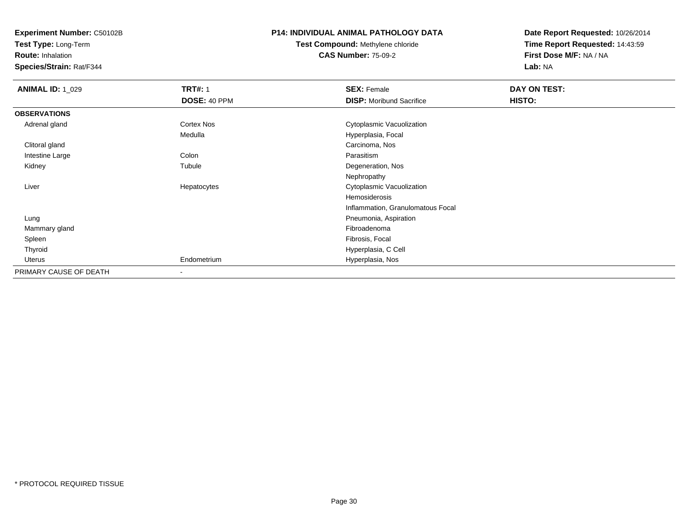**Test Type:** Long-Term

**Route:** Inhalation

**Species/Strain:** Rat/F344

### **P14: INDIVIDUAL ANIMAL PATHOLOGY DATA**

**Test Compound:** Methylene chloride**CAS Number:** 75-09-2

| <b>ANIMAL ID: 1_029</b> | <b>TRT#: 1</b> | <b>SEX: Female</b>                | DAY ON TEST: |  |
|-------------------------|----------------|-----------------------------------|--------------|--|
|                         | DOSE: 40 PPM   | <b>DISP:</b> Moribund Sacrifice   | HISTO:       |  |
| <b>OBSERVATIONS</b>     |                |                                   |              |  |
| Adrenal gland           | Cortex Nos     | Cytoplasmic Vacuolization         |              |  |
|                         | Medulla        | Hyperplasia, Focal                |              |  |
| Clitoral gland          |                | Carcinoma, Nos                    |              |  |
| Intestine Large         | Colon          | Parasitism                        |              |  |
| Kidney                  | Tubule         | Degeneration, Nos                 |              |  |
|                         |                | Nephropathy                       |              |  |
| Liver                   | Hepatocytes    | Cytoplasmic Vacuolization         |              |  |
|                         |                | Hemosiderosis                     |              |  |
|                         |                | Inflammation, Granulomatous Focal |              |  |
| Lung                    |                | Pneumonia, Aspiration             |              |  |
| Mammary gland           |                | Fibroadenoma                      |              |  |
| Spleen                  |                | Fibrosis, Focal                   |              |  |
| Thyroid                 |                | Hyperplasia, C Cell               |              |  |
| Uterus                  | Endometrium    | Hyperplasia, Nos                  |              |  |
| PRIMARY CAUSE OF DEATH  | $\blacksquare$ |                                   |              |  |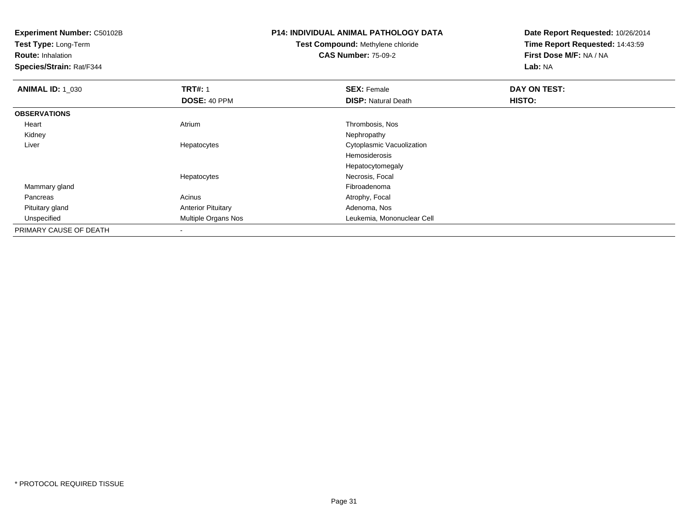**Test Type:** Long-Term

**Route:** Inhalation

**Species/Strain:** Rat/F344

# **P14: INDIVIDUAL ANIMAL PATHOLOGY DATA**

# **Test Compound:** Methylene chloride**CAS Number:** 75-09-2

| <b>ANIMAL ID: 1_030</b> | <b>TRT#: 1</b>            | <b>SEX: Female</b>         | DAY ON TEST: |
|-------------------------|---------------------------|----------------------------|--------------|
|                         | DOSE: 40 PPM              | <b>DISP: Natural Death</b> | HISTO:       |
| <b>OBSERVATIONS</b>     |                           |                            |              |
| Heart                   | Atrium                    | Thrombosis, Nos            |              |
| Kidney                  |                           | Nephropathy                |              |
| Liver                   | Hepatocytes               | Cytoplasmic Vacuolization  |              |
|                         |                           | Hemosiderosis              |              |
|                         |                           | Hepatocytomegaly           |              |
|                         | Hepatocytes               | Necrosis, Focal            |              |
| Mammary gland           |                           | Fibroadenoma               |              |
| Pancreas                | Acinus                    | Atrophy, Focal             |              |
| Pituitary gland         | <b>Anterior Pituitary</b> | Adenoma, Nos               |              |
| Unspecified             | Multiple Organs Nos       | Leukemia, Mononuclear Cell |              |
| PRIMARY CAUSE OF DEATH  | $\overline{\phantom{a}}$  |                            |              |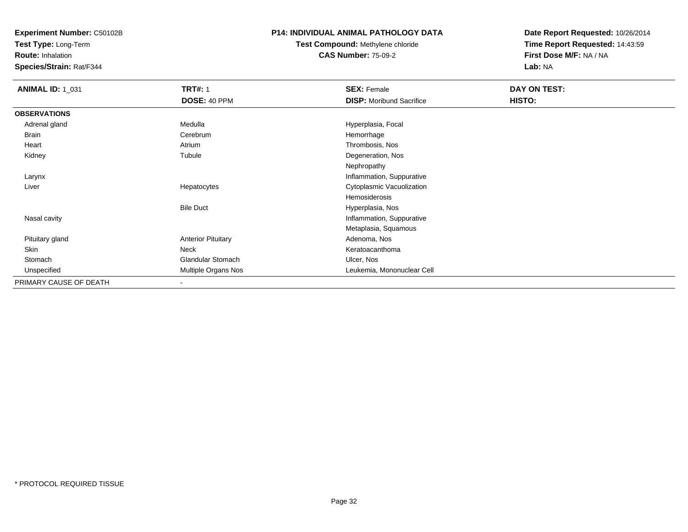**Test Type:** Long-Term

**Route:** Inhalation

**Species/Strain:** Rat/F344

### **P14: INDIVIDUAL ANIMAL PATHOLOGY DATA**

# **Test Compound:** Methylene chloride**CAS Number:** 75-09-2

| <b>ANIMAL ID: 1_031</b> | <b>TRT#: 1</b>             | <b>SEX: Female</b>              | DAY ON TEST:  |  |
|-------------------------|----------------------------|---------------------------------|---------------|--|
|                         | DOSE: 40 PPM               | <b>DISP:</b> Moribund Sacrifice | <b>HISTO:</b> |  |
| <b>OBSERVATIONS</b>     |                            |                                 |               |  |
| Adrenal gland           | Medulla                    | Hyperplasia, Focal              |               |  |
| Brain                   | Cerebrum                   | Hemorrhage                      |               |  |
| Heart                   | Atrium                     | Thrombosis, Nos                 |               |  |
| Kidney                  | Tubule                     | Degeneration, Nos               |               |  |
|                         |                            | Nephropathy                     |               |  |
| Larynx                  |                            | Inflammation, Suppurative       |               |  |
| Liver                   | Hepatocytes                | Cytoplasmic Vacuolization       |               |  |
|                         |                            | Hemosiderosis                   |               |  |
|                         | <b>Bile Duct</b>           | Hyperplasia, Nos                |               |  |
| Nasal cavity            |                            | Inflammation, Suppurative       |               |  |
|                         |                            | Metaplasia, Squamous            |               |  |
| Pituitary gland         | <b>Anterior Pituitary</b>  | Adenoma, Nos                    |               |  |
| Skin                    | Neck                       | Keratoacanthoma                 |               |  |
| Stomach                 | <b>Glandular Stomach</b>   | Ulcer, Nos                      |               |  |
| Unspecified             | <b>Multiple Organs Nos</b> | Leukemia, Mononuclear Cell      |               |  |
| PRIMARY CAUSE OF DEATH  |                            |                                 |               |  |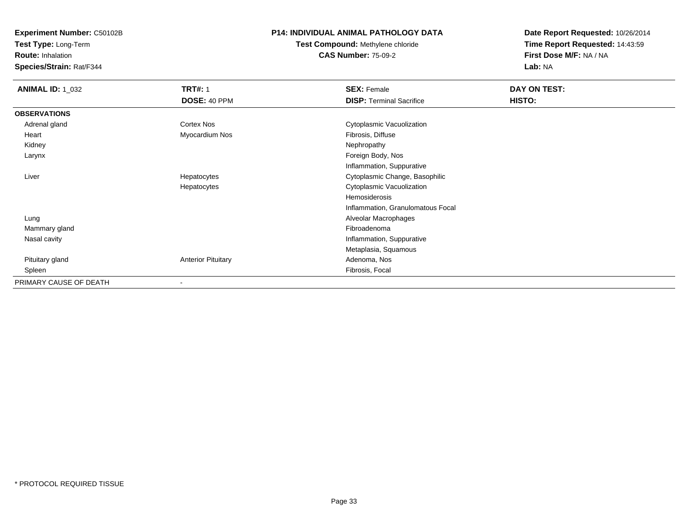**Test Type:** Long-Term

**Route:** Inhalation

**Species/Strain:** Rat/F344

### **P14: INDIVIDUAL ANIMAL PATHOLOGY DATA**

**Test Compound:** Methylene chloride**CAS Number:** 75-09-2

| <b>ANIMAL ID: 1_032</b> | <b>TRT#: 1</b>            | <b>SEX: Female</b>                | DAY ON TEST: |  |
|-------------------------|---------------------------|-----------------------------------|--------------|--|
|                         | DOSE: 40 PPM              | <b>DISP: Terminal Sacrifice</b>   | HISTO:       |  |
| <b>OBSERVATIONS</b>     |                           |                                   |              |  |
| Adrenal gland           | Cortex Nos                | Cytoplasmic Vacuolization         |              |  |
| Heart                   | Myocardium Nos            | Fibrosis, Diffuse                 |              |  |
| Kidney                  |                           | Nephropathy                       |              |  |
| Larynx                  |                           | Foreign Body, Nos                 |              |  |
|                         |                           | Inflammation, Suppurative         |              |  |
| Liver                   | Hepatocytes               | Cytoplasmic Change, Basophilic    |              |  |
|                         | Hepatocytes               | Cytoplasmic Vacuolization         |              |  |
|                         |                           | Hemosiderosis                     |              |  |
|                         |                           | Inflammation, Granulomatous Focal |              |  |
| Lung                    |                           | Alveolar Macrophages              |              |  |
| Mammary gland           |                           | Fibroadenoma                      |              |  |
| Nasal cavity            |                           | Inflammation, Suppurative         |              |  |
|                         |                           | Metaplasia, Squamous              |              |  |
| Pituitary gland         | <b>Anterior Pituitary</b> | Adenoma, Nos                      |              |  |
| Spleen                  |                           | Fibrosis, Focal                   |              |  |
| PRIMARY CAUSE OF DEATH  |                           |                                   |              |  |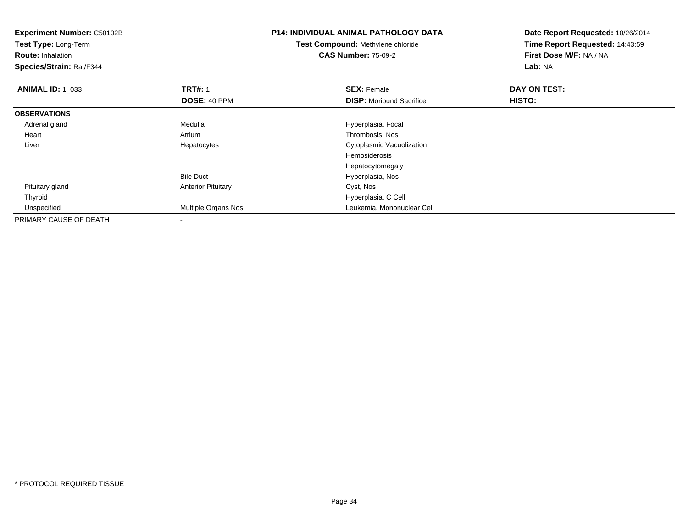| <b>Experiment Number: C50102B</b><br>Test Type: Long-Term<br><b>Route: Inhalation</b><br>Species/Strain: Rat/F344 |                           | <b>P14: INDIVIDUAL ANIMAL PATHOLOGY DATA</b><br>Test Compound: Methylene chloride<br><b>CAS Number: 75-09-2</b> | Date Report Requested: 10/26/2014<br>Time Report Requested: 14:43:59<br>First Dose M/F: NA / NA<br>Lab: NA |  |
|-------------------------------------------------------------------------------------------------------------------|---------------------------|-----------------------------------------------------------------------------------------------------------------|------------------------------------------------------------------------------------------------------------|--|
| <b>ANIMAL ID: 1 033</b>                                                                                           | <b>TRT#: 1</b>            | <b>SEX: Female</b>                                                                                              | DAY ON TEST:                                                                                               |  |
|                                                                                                                   | DOSE: 40 PPM              | <b>DISP:</b> Moribund Sacrifice                                                                                 | <b>HISTO:</b>                                                                                              |  |
| <b>OBSERVATIONS</b>                                                                                               |                           |                                                                                                                 |                                                                                                            |  |
| Adrenal gland                                                                                                     | Medulla                   | Hyperplasia, Focal                                                                                              |                                                                                                            |  |
| Heart                                                                                                             | Atrium                    | Thrombosis, Nos                                                                                                 |                                                                                                            |  |
| Liver                                                                                                             | Hepatocytes               | Cytoplasmic Vacuolization                                                                                       |                                                                                                            |  |
|                                                                                                                   |                           | Hemosiderosis                                                                                                   |                                                                                                            |  |
|                                                                                                                   |                           | Hepatocytomegaly                                                                                                |                                                                                                            |  |
|                                                                                                                   | <b>Bile Duct</b>          | Hyperplasia, Nos                                                                                                |                                                                                                            |  |
| Pituitary gland                                                                                                   | <b>Anterior Pituitary</b> | Cyst, Nos                                                                                                       |                                                                                                            |  |
| Thyroid                                                                                                           |                           | Hyperplasia, C Cell                                                                                             |                                                                                                            |  |
| Unspecified                                                                                                       | Multiple Organs Nos       | Leukemia, Mononuclear Cell                                                                                      |                                                                                                            |  |
| PRIMARY CAUSE OF DEATH                                                                                            |                           |                                                                                                                 |                                                                                                            |  |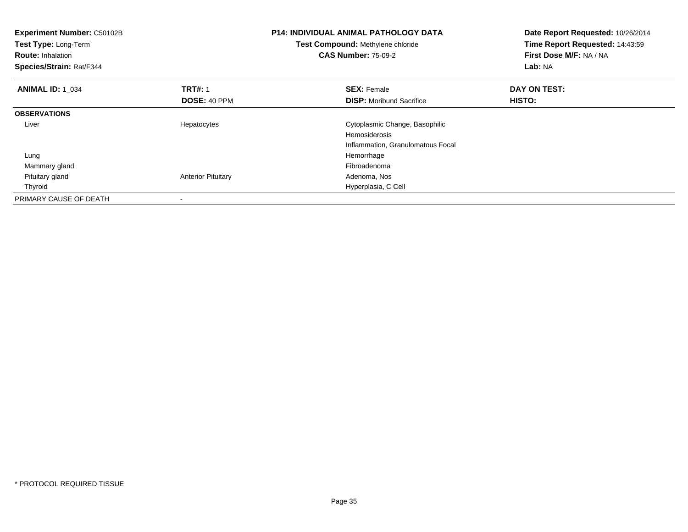| <b>Experiment Number: C50102B</b><br>Test Type: Long-Term<br><b>Route: Inhalation</b><br>Species/Strain: Rat/F344 |                           | <b>P14: INDIVIDUAL ANIMAL PATHOLOGY DATA</b><br>Test Compound: Methylene chloride<br><b>CAS Number: 75-09-2</b> | Date Report Requested: 10/26/2014<br>Time Report Requested: 14:43:59<br>First Dose M/F: NA / NA<br>Lab: NA |  |
|-------------------------------------------------------------------------------------------------------------------|---------------------------|-----------------------------------------------------------------------------------------------------------------|------------------------------------------------------------------------------------------------------------|--|
| <b>ANIMAL ID: 1 034</b>                                                                                           | <b>TRT#: 1</b>            | <b>SEX: Female</b>                                                                                              | DAY ON TEST:                                                                                               |  |
|                                                                                                                   | DOSE: 40 PPM              | <b>DISP:</b> Moribund Sacrifice                                                                                 | HISTO:                                                                                                     |  |
| <b>OBSERVATIONS</b>                                                                                               |                           |                                                                                                                 |                                                                                                            |  |
| Liver                                                                                                             | Hepatocytes               | Cytoplasmic Change, Basophilic                                                                                  |                                                                                                            |  |
|                                                                                                                   |                           | <b>Hemosiderosis</b>                                                                                            |                                                                                                            |  |
|                                                                                                                   |                           | Inflammation, Granulomatous Focal                                                                               |                                                                                                            |  |
| Lung                                                                                                              |                           | Hemorrhage                                                                                                      |                                                                                                            |  |
| Mammary gland                                                                                                     |                           | Fibroadenoma                                                                                                    |                                                                                                            |  |
| Pituitary gland                                                                                                   | <b>Anterior Pituitary</b> | Adenoma, Nos                                                                                                    |                                                                                                            |  |
| Thyroid                                                                                                           |                           | Hyperplasia, C Cell                                                                                             |                                                                                                            |  |
| PRIMARY CAUSE OF DEATH                                                                                            |                           |                                                                                                                 |                                                                                                            |  |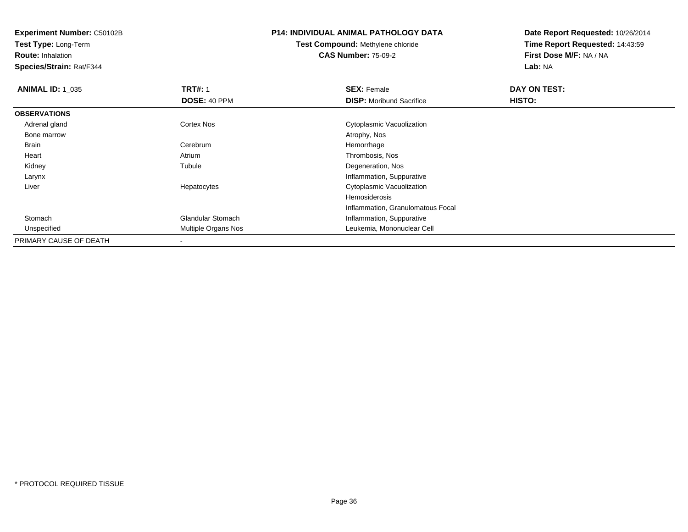**Test Type:** Long-Term

**Route:** Inhalation

**Species/Strain:** Rat/F344

### **P14: INDIVIDUAL ANIMAL PATHOLOGY DATA**

# **Test Compound:** Methylene chloride**CAS Number:** 75-09-2

| <b>ANIMAL ID: 1 035</b> | <b>TRT#: 1</b>      | <b>SEX: Female</b>                | DAY ON TEST: |  |
|-------------------------|---------------------|-----------------------------------|--------------|--|
|                         | <b>DOSE: 40 PPM</b> | <b>DISP:</b> Moribund Sacrifice   | HISTO:       |  |
| <b>OBSERVATIONS</b>     |                     |                                   |              |  |
| Adrenal gland           | <b>Cortex Nos</b>   | Cytoplasmic Vacuolization         |              |  |
| Bone marrow             |                     | Atrophy, Nos                      |              |  |
| Brain                   | Cerebrum            | Hemorrhage                        |              |  |
| Heart                   | Atrium              | Thrombosis, Nos                   |              |  |
| Kidney                  | Tubule              | Degeneration, Nos                 |              |  |
| Larynx                  |                     | Inflammation, Suppurative         |              |  |
| Liver                   | Hepatocytes         | Cytoplasmic Vacuolization         |              |  |
|                         |                     | Hemosiderosis                     |              |  |
|                         |                     | Inflammation, Granulomatous Focal |              |  |
| Stomach                 | Glandular Stomach   | Inflammation, Suppurative         |              |  |
| Unspecified             | Multiple Organs Nos | Leukemia, Mononuclear Cell        |              |  |
| PRIMARY CAUSE OF DEATH  |                     |                                   |              |  |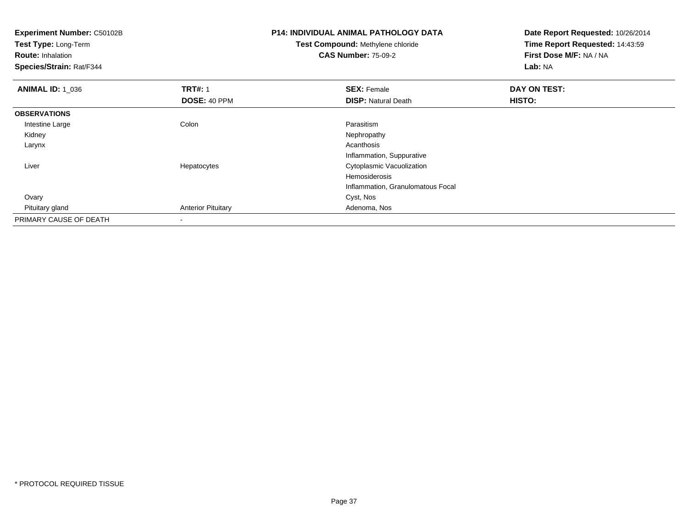| <b>Experiment Number: C50102B</b><br>Test Type: Long-Term<br><b>Route: Inhalation</b><br>Species/Strain: Rat/F344 |                           | <b>P14: INDIVIDUAL ANIMAL PATHOLOGY DATA</b><br><b>Test Compound: Methylene chloride</b><br><b>CAS Number: 75-09-2</b> | Date Report Requested: 10/26/2014<br>Time Report Requested: 14:43:59<br>First Dose M/F: NA / NA<br>Lab: NA |
|-------------------------------------------------------------------------------------------------------------------|---------------------------|------------------------------------------------------------------------------------------------------------------------|------------------------------------------------------------------------------------------------------------|
| <b>ANIMAL ID: 1_036</b>                                                                                           | <b>TRT#: 1</b>            | <b>SEX: Female</b>                                                                                                     | DAY ON TEST:                                                                                               |
|                                                                                                                   | DOSE: 40 PPM              | <b>DISP: Natural Death</b>                                                                                             | HISTO:                                                                                                     |
| <b>OBSERVATIONS</b>                                                                                               |                           |                                                                                                                        |                                                                                                            |
| Intestine Large                                                                                                   | Colon                     | Parasitism                                                                                                             |                                                                                                            |
| Kidney                                                                                                            |                           | Nephropathy                                                                                                            |                                                                                                            |
| Larynx                                                                                                            |                           | Acanthosis                                                                                                             |                                                                                                            |
|                                                                                                                   |                           | Inflammation, Suppurative                                                                                              |                                                                                                            |
| Liver                                                                                                             | Hepatocytes               | Cytoplasmic Vacuolization                                                                                              |                                                                                                            |
|                                                                                                                   |                           | Hemosiderosis                                                                                                          |                                                                                                            |
|                                                                                                                   |                           | Inflammation, Granulomatous Focal                                                                                      |                                                                                                            |
| Ovary                                                                                                             |                           | Cyst, Nos                                                                                                              |                                                                                                            |
| Pituitary gland                                                                                                   | <b>Anterior Pituitary</b> | Adenoma, Nos                                                                                                           |                                                                                                            |
| PRIMARY CAUSE OF DEATH                                                                                            |                           |                                                                                                                        |                                                                                                            |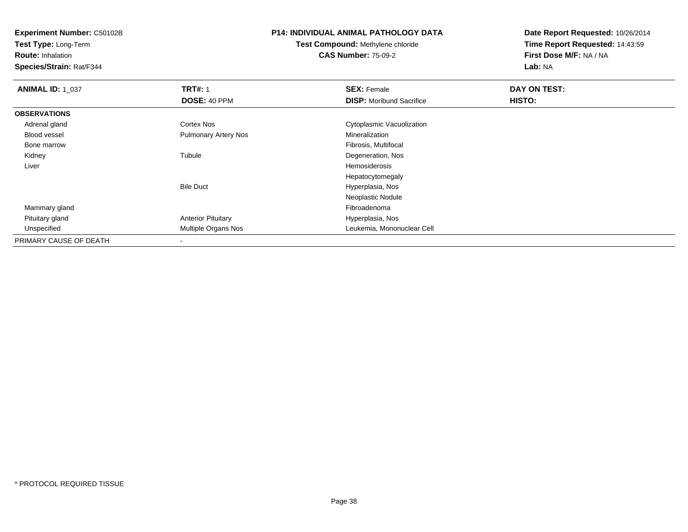**Test Type:** Long-Term

**Route:** Inhalation

**Species/Strain:** Rat/F344

# **P14: INDIVIDUAL ANIMAL PATHOLOGY DATA**

**Test Compound:** Methylene chloride**CAS Number:** 75-09-2

| <b>ANIMAL ID: 1_037</b> | <b>TRT#: 1</b>              | <b>SEX: Female</b>              | DAY ON TEST: |
|-------------------------|-----------------------------|---------------------------------|--------------|
|                         | DOSE: 40 PPM                | <b>DISP:</b> Moribund Sacrifice | HISTO:       |
| <b>OBSERVATIONS</b>     |                             |                                 |              |
| Adrenal gland           | Cortex Nos                  | Cytoplasmic Vacuolization       |              |
| <b>Blood vessel</b>     | <b>Pulmonary Artery Nos</b> | Mineralization                  |              |
| Bone marrow             |                             | Fibrosis, Multifocal            |              |
| Kidney                  | Tubule                      | Degeneration, Nos               |              |
| Liver                   |                             | Hemosiderosis                   |              |
|                         |                             | Hepatocytomegaly                |              |
|                         | <b>Bile Duct</b>            | Hyperplasia, Nos                |              |
|                         |                             | Neoplastic Nodule               |              |
| Mammary gland           |                             | Fibroadenoma                    |              |
| Pituitary gland         | <b>Anterior Pituitary</b>   | Hyperplasia, Nos                |              |
| Unspecified             | Multiple Organs Nos         | Leukemia, Mononuclear Cell      |              |
| PRIMARY CAUSE OF DEATH  |                             |                                 |              |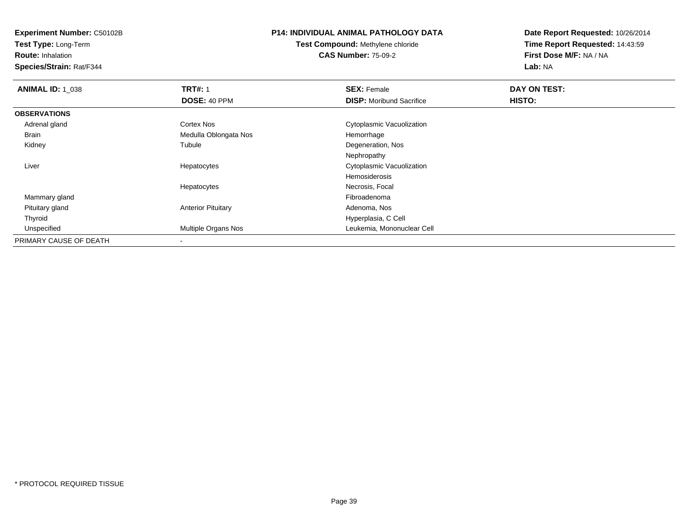**Test Type:** Long-Term

**Route:** Inhalation

**Species/Strain:** Rat/F344

### **P14: INDIVIDUAL ANIMAL PATHOLOGY DATA**

**Test Compound:** Methylene chloride**CAS Number:** 75-09-2

| <b>ANIMAL ID: 1_038</b> | <b>TRT#: 1</b>            | <b>SEX: Female</b>              | DAY ON TEST: |  |
|-------------------------|---------------------------|---------------------------------|--------------|--|
|                         | DOSE: 40 PPM              | <b>DISP:</b> Moribund Sacrifice | HISTO:       |  |
| <b>OBSERVATIONS</b>     |                           |                                 |              |  |
| Adrenal gland           | Cortex Nos                | Cytoplasmic Vacuolization       |              |  |
| Brain                   | Medulla Oblongata Nos     | Hemorrhage                      |              |  |
| Kidney                  | Tubule                    | Degeneration, Nos               |              |  |
|                         |                           | Nephropathy                     |              |  |
| Liver                   | Hepatocytes               | Cytoplasmic Vacuolization       |              |  |
|                         |                           | Hemosiderosis                   |              |  |
|                         | Hepatocytes               | Necrosis, Focal                 |              |  |
| Mammary gland           |                           | Fibroadenoma                    |              |  |
| Pituitary gland         | <b>Anterior Pituitary</b> | Adenoma, Nos                    |              |  |
| Thyroid                 |                           | Hyperplasia, C Cell             |              |  |
| Unspecified             | Multiple Organs Nos       | Leukemia, Mononuclear Cell      |              |  |
| PRIMARY CAUSE OF DEATH  |                           |                                 |              |  |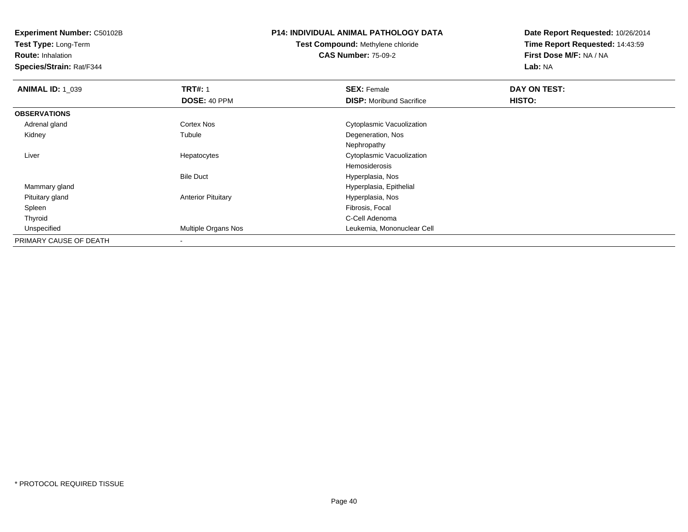**Test Type:** Long-Term

**Route:** Inhalation

**Species/Strain:** Rat/F344

# **P14: INDIVIDUAL ANIMAL PATHOLOGY DATA**

**Test Compound:** Methylene chloride**CAS Number:** 75-09-2

| <b>ANIMAL ID: 1_039</b> | <b>TRT#: 1</b>            | <b>SEX: Female</b>              | DAY ON TEST: |  |
|-------------------------|---------------------------|---------------------------------|--------------|--|
|                         | DOSE: 40 PPM              | <b>DISP:</b> Moribund Sacrifice | HISTO:       |  |
| <b>OBSERVATIONS</b>     |                           |                                 |              |  |
| Adrenal gland           | Cortex Nos                | Cytoplasmic Vacuolization       |              |  |
| Kidney                  | Tubule                    | Degeneration, Nos               |              |  |
|                         |                           | Nephropathy                     |              |  |
| Liver                   | Hepatocytes               | Cytoplasmic Vacuolization       |              |  |
|                         |                           | Hemosiderosis                   |              |  |
|                         | <b>Bile Duct</b>          | Hyperplasia, Nos                |              |  |
| Mammary gland           |                           | Hyperplasia, Epithelial         |              |  |
| Pituitary gland         | <b>Anterior Pituitary</b> | Hyperplasia, Nos                |              |  |
| Spleen                  |                           | Fibrosis, Focal                 |              |  |
| Thyroid                 |                           | C-Cell Adenoma                  |              |  |
| Unspecified             | Multiple Organs Nos       | Leukemia, Mononuclear Cell      |              |  |
| PRIMARY CAUSE OF DEATH  |                           |                                 |              |  |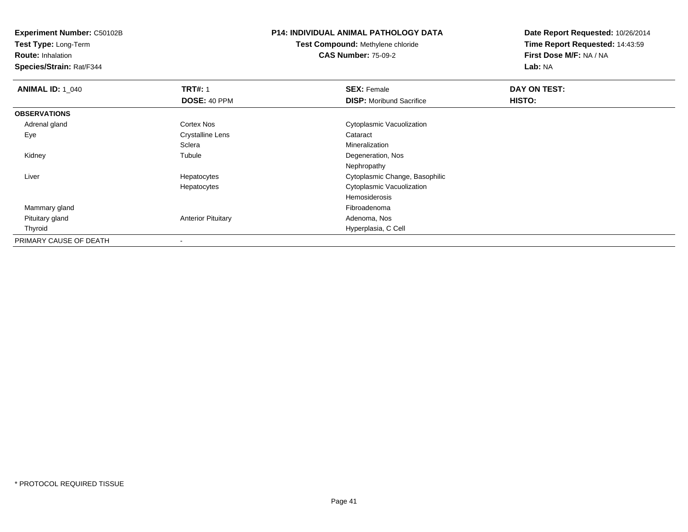**Test Type:** Long-Term

**Route:** Inhalation

**Species/Strain:** Rat/F344

# **P14: INDIVIDUAL ANIMAL PATHOLOGY DATA**

**Test Compound:** Methylene chloride**CAS Number:** 75-09-2

| <b>ANIMAL ID: 1_040</b> | <b>TRT#: 1</b>            | <b>SEX: Female</b>              | DAY ON TEST: |  |
|-------------------------|---------------------------|---------------------------------|--------------|--|
|                         | DOSE: 40 PPM              | <b>DISP:</b> Moribund Sacrifice | HISTO:       |  |
| <b>OBSERVATIONS</b>     |                           |                                 |              |  |
| Adrenal gland           | <b>Cortex Nos</b>         | Cytoplasmic Vacuolization       |              |  |
| Eye                     | <b>Crystalline Lens</b>   | Cataract                        |              |  |
|                         | Sclera                    | Mineralization                  |              |  |
| Kidney                  | Tubule                    | Degeneration, Nos               |              |  |
|                         |                           | Nephropathy                     |              |  |
| Liver                   | Hepatocytes               | Cytoplasmic Change, Basophilic  |              |  |
|                         | Hepatocytes               | Cytoplasmic Vacuolization       |              |  |
|                         |                           | Hemosiderosis                   |              |  |
| Mammary gland           |                           | Fibroadenoma                    |              |  |
| Pituitary gland         | <b>Anterior Pituitary</b> | Adenoma, Nos                    |              |  |
| Thyroid                 |                           | Hyperplasia, C Cell             |              |  |
| PRIMARY CAUSE OF DEATH  |                           |                                 |              |  |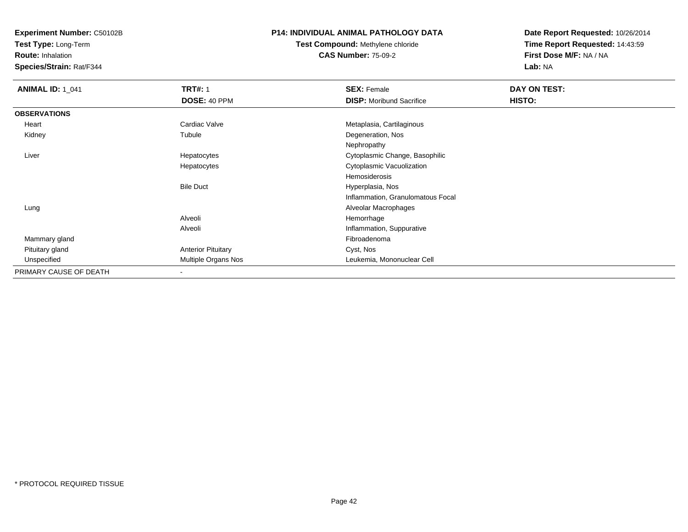**Test Type:** Long-Term

**Route:** Inhalation

**Species/Strain:** Rat/F344

### **P14: INDIVIDUAL ANIMAL PATHOLOGY DATA**

# **Test Compound:** Methylene chloride**CAS Number:** 75-09-2

| <b>ANIMAL ID: 1_041</b> | <b>TRT#: 1</b>            | <b>SEX: Female</b>                | DAY ON TEST:  |  |
|-------------------------|---------------------------|-----------------------------------|---------------|--|
|                         | DOSE: 40 PPM              | <b>DISP:</b> Moribund Sacrifice   | <b>HISTO:</b> |  |
| <b>OBSERVATIONS</b>     |                           |                                   |               |  |
| Heart                   | Cardiac Valve             | Metaplasia, Cartilaginous         |               |  |
| Kidney                  | Tubule                    | Degeneration, Nos                 |               |  |
|                         |                           | Nephropathy                       |               |  |
| Liver                   | Hepatocytes               | Cytoplasmic Change, Basophilic    |               |  |
|                         | Hepatocytes               | Cytoplasmic Vacuolization         |               |  |
|                         |                           | Hemosiderosis                     |               |  |
|                         | <b>Bile Duct</b>          | Hyperplasia, Nos                  |               |  |
|                         |                           | Inflammation, Granulomatous Focal |               |  |
| Lung                    |                           | Alveolar Macrophages              |               |  |
|                         | Alveoli                   | Hemorrhage                        |               |  |
|                         | Alveoli                   | Inflammation, Suppurative         |               |  |
| Mammary gland           |                           | Fibroadenoma                      |               |  |
| Pituitary gland         | <b>Anterior Pituitary</b> | Cyst, Nos                         |               |  |
| Unspecified             | Multiple Organs Nos       | Leukemia, Mononuclear Cell        |               |  |
| PRIMARY CAUSE OF DEATH  | $\overline{\phantom{a}}$  |                                   |               |  |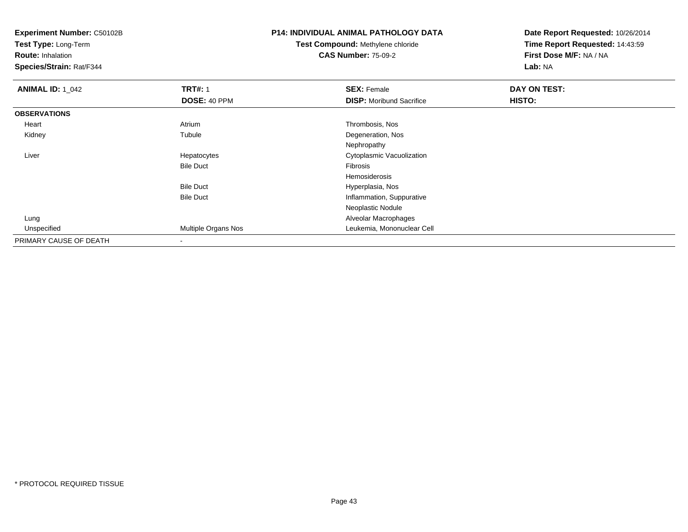**Test Type:** Long-Term

**Route:** Inhalation

**Species/Strain:** Rat/F344

### **P14: INDIVIDUAL ANIMAL PATHOLOGY DATA**

# **Test Compound:** Methylene chloride**CAS Number:** 75-09-2

| <b>ANIMAL ID: 1_042</b> | <b>TRT#: 1</b>           | <b>SEX: Female</b>              | DAY ON TEST: |  |
|-------------------------|--------------------------|---------------------------------|--------------|--|
|                         | DOSE: 40 PPM             | <b>DISP:</b> Moribund Sacrifice | HISTO:       |  |
| <b>OBSERVATIONS</b>     |                          |                                 |              |  |
| Heart                   | Atrium                   | Thrombosis, Nos                 |              |  |
| Kidney                  | Tubule                   | Degeneration, Nos               |              |  |
|                         |                          | Nephropathy                     |              |  |
| Liver                   | Hepatocytes              | Cytoplasmic Vacuolization       |              |  |
|                         | <b>Bile Duct</b>         | Fibrosis                        |              |  |
|                         |                          | Hemosiderosis                   |              |  |
|                         | <b>Bile Duct</b>         | Hyperplasia, Nos                |              |  |
|                         | <b>Bile Duct</b>         | Inflammation, Suppurative       |              |  |
|                         |                          | Neoplastic Nodule               |              |  |
| Lung                    |                          | Alveolar Macrophages            |              |  |
| Unspecified             | Multiple Organs Nos      | Leukemia, Mononuclear Cell      |              |  |
| PRIMARY CAUSE OF DEATH  | $\overline{\phantom{a}}$ |                                 |              |  |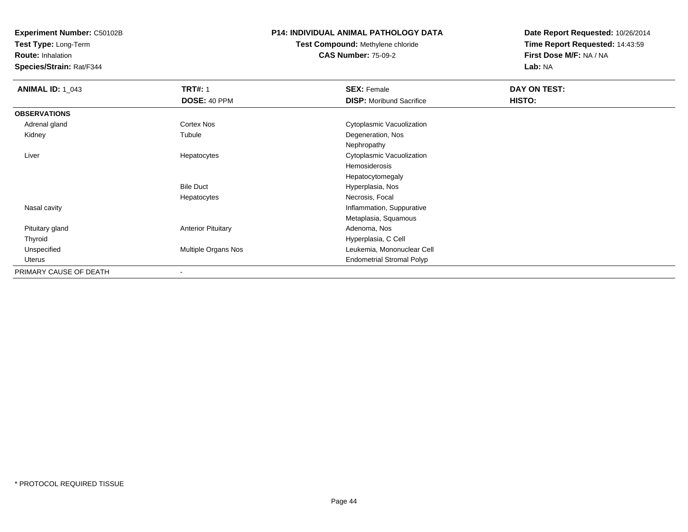**Test Type:** Long-Term

**Route:** Inhalation

**Species/Strain:** Rat/F344

### **P14: INDIVIDUAL ANIMAL PATHOLOGY DATA**

# **Test Compound:** Methylene chloride**CAS Number:** 75-09-2

| <b>ANIMAL ID: 1_043</b> | <b>TRT#: 1</b>            | <b>SEX: Female</b>               | DAY ON TEST: |  |
|-------------------------|---------------------------|----------------------------------|--------------|--|
|                         | DOSE: 40 PPM              | <b>DISP:</b> Moribund Sacrifice  | HISTO:       |  |
| <b>OBSERVATIONS</b>     |                           |                                  |              |  |
| Adrenal gland           | <b>Cortex Nos</b>         | Cytoplasmic Vacuolization        |              |  |
| Kidney                  | Tubule                    | Degeneration, Nos                |              |  |
|                         |                           | Nephropathy                      |              |  |
| Liver                   | Hepatocytes               | Cytoplasmic Vacuolization        |              |  |
|                         |                           | Hemosiderosis                    |              |  |
|                         |                           | Hepatocytomegaly                 |              |  |
|                         | <b>Bile Duct</b>          | Hyperplasia, Nos                 |              |  |
|                         | Hepatocytes               | Necrosis, Focal                  |              |  |
| Nasal cavity            |                           | Inflammation, Suppurative        |              |  |
|                         |                           | Metaplasia, Squamous             |              |  |
| Pituitary gland         | <b>Anterior Pituitary</b> | Adenoma, Nos                     |              |  |
| Thyroid                 |                           | Hyperplasia, C Cell              |              |  |
| Unspecified             | Multiple Organs Nos       | Leukemia, Mononuclear Cell       |              |  |
| Uterus                  |                           | <b>Endometrial Stromal Polyp</b> |              |  |
| PRIMARY CAUSE OF DEATH  | $\blacksquare$            |                                  |              |  |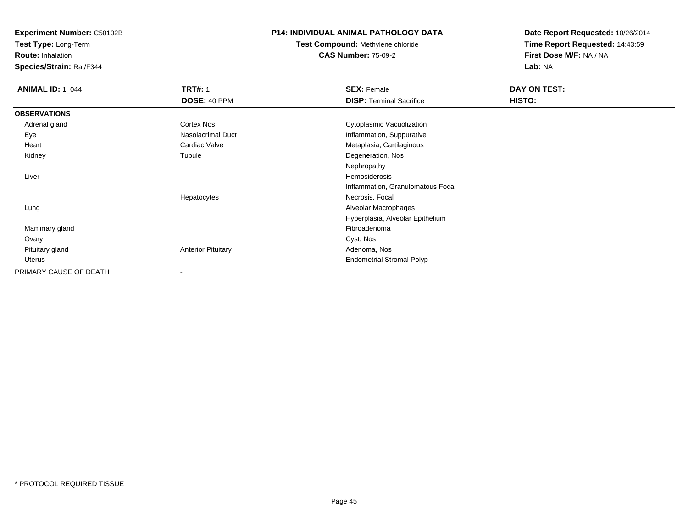**Test Type:** Long-Term

**Route:** Inhalation

**Species/Strain:** Rat/F344

### **P14: INDIVIDUAL ANIMAL PATHOLOGY DATA**

# **Test Compound:** Methylene chloride**CAS Number:** 75-09-2

| <b>ANIMAL ID: 1_044</b> | <b>TRT#: 1</b>            | <b>SEX: Female</b>                | DAY ON TEST: |  |
|-------------------------|---------------------------|-----------------------------------|--------------|--|
|                         | DOSE: 40 PPM              | <b>DISP: Terminal Sacrifice</b>   | HISTO:       |  |
| <b>OBSERVATIONS</b>     |                           |                                   |              |  |
| Adrenal gland           | Cortex Nos                | Cytoplasmic Vacuolization         |              |  |
| Eye                     | Nasolacrimal Duct         | Inflammation, Suppurative         |              |  |
| Heart                   | Cardiac Valve             | Metaplasia, Cartilaginous         |              |  |
| Kidney                  | Tubule                    | Degeneration, Nos                 |              |  |
|                         |                           | Nephropathy                       |              |  |
| Liver                   |                           | Hemosiderosis                     |              |  |
|                         |                           | Inflammation, Granulomatous Focal |              |  |
|                         | Hepatocytes               | Necrosis, Focal                   |              |  |
| Lung                    |                           | Alveolar Macrophages              |              |  |
|                         |                           | Hyperplasia, Alveolar Epithelium  |              |  |
| Mammary gland           |                           | Fibroadenoma                      |              |  |
| Ovary                   |                           | Cyst, Nos                         |              |  |
| Pituitary gland         | <b>Anterior Pituitary</b> | Adenoma, Nos                      |              |  |
| Uterus                  |                           | <b>Endometrial Stromal Polyp</b>  |              |  |
| PRIMARY CAUSE OF DEATH  | $\overline{\phantom{a}}$  |                                   |              |  |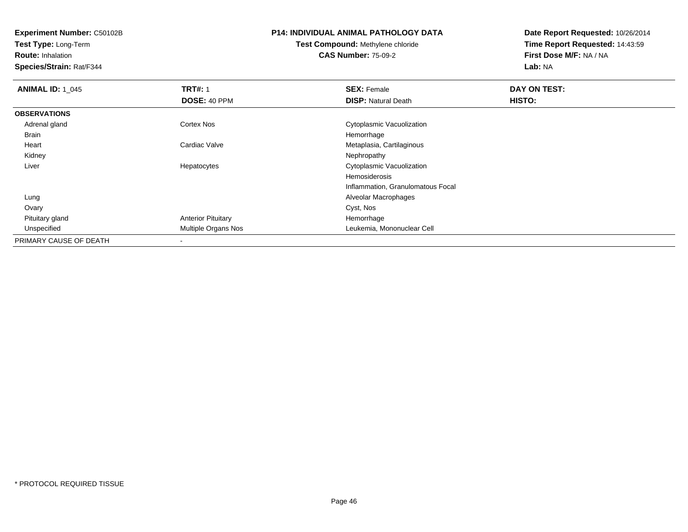**Test Type:** Long-Term

**Route:** Inhalation

**Species/Strain:** Rat/F344

### **P14: INDIVIDUAL ANIMAL PATHOLOGY DATA**

# **Test Compound:** Methylene chloride**CAS Number:** 75-09-2

| <b>ANIMAL ID: 1_045</b> | <b>TRT#: 1</b>             | <b>SEX: Female</b>                | DAY ON TEST:  |  |
|-------------------------|----------------------------|-----------------------------------|---------------|--|
|                         | <b>DOSE: 40 PPM</b>        | <b>DISP: Natural Death</b>        | <b>HISTO:</b> |  |
| <b>OBSERVATIONS</b>     |                            |                                   |               |  |
| Adrenal gland           | Cortex Nos                 | Cytoplasmic Vacuolization         |               |  |
| Brain                   |                            | Hemorrhage                        |               |  |
| Heart                   | Cardiac Valve              | Metaplasia, Cartilaginous         |               |  |
| Kidney                  |                            | Nephropathy                       |               |  |
| Liver                   | Hepatocytes                | Cytoplasmic Vacuolization         |               |  |
|                         |                            | Hemosiderosis                     |               |  |
|                         |                            | Inflammation, Granulomatous Focal |               |  |
| Lung                    |                            | Alveolar Macrophages              |               |  |
| Ovary                   |                            | Cyst, Nos                         |               |  |
| Pituitary gland         | <b>Anterior Pituitary</b>  | Hemorrhage                        |               |  |
| Unspecified             | <b>Multiple Organs Nos</b> | Leukemia, Mononuclear Cell        |               |  |
| PRIMARY CAUSE OF DEATH  | $\blacksquare$             |                                   |               |  |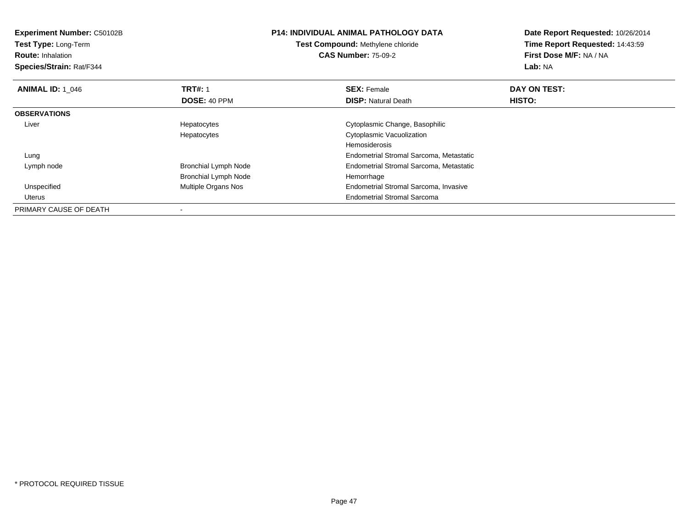**Experiment Number:** C50102B**Test Type:** Long-Term**Route:** Inhalation **Species/Strain:** Rat/F344**P14: INDIVIDUAL ANIMAL PATHOLOGY DATATest Compound:** Methylene chloride**CAS Number:** 75-09-2**Date Report Requested:** 10/26/2014**Time Report Requested:** 14:43:59**First Dose M/F:** NA / NA**Lab:** NA**ANIMAL ID: 1\_046 6 DAY ON TEST:** 1 **SEX:** Female **SEX: Female DAY ON TEST: DOSE:** 40 PPM**DISP:** Natural Death **HISTO: OBSERVATIONS** Liver Hepatocytes Cytoplasmic Change, Basophilic Hepatocytes Cytoplasmic VacuolizationHemosiderosis Endometrial Stromal Sarcoma, Metastatic Lung Lymph node Bronchial Lymph Node Endometrial Stromal Sarcoma, Metastatic Bronchial Lymph Node Hemorrhage UnspecifiedMultiple Organs Nos **Endometrial Stromal Sarcoma, Invasive**  Uterus Endometrial Stromal SarcomaPRIMARY CAUSE OF DEATH-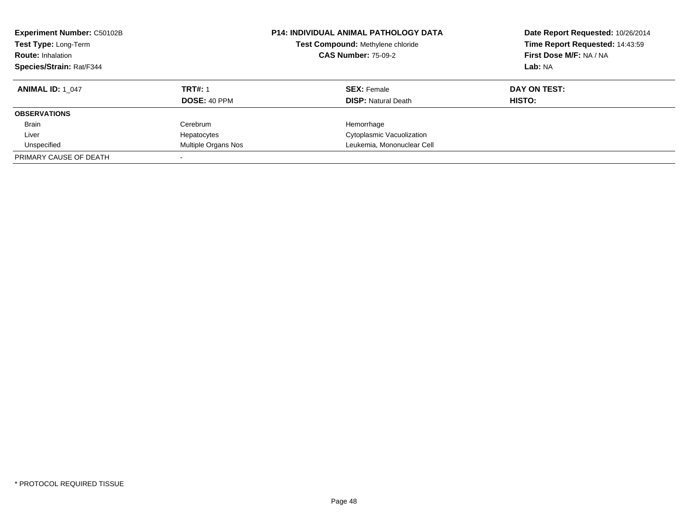| <b>Experiment Number: C50102B</b><br>Test Type: Long-Term<br><b>Route: Inhalation</b><br>Species/Strain: Rat/F344 | P14: INDIVIDUAL ANIMAL PATHOLOGY DATA<br>Test Compound: Methylene chloride<br><b>CAS Number: 75-09-2</b><br>Lab: NA |                                                  | Date Report Requested: 10/26/2014<br>Time Report Requested: 14:43:59<br>First Dose M/F: NA / NA |
|-------------------------------------------------------------------------------------------------------------------|---------------------------------------------------------------------------------------------------------------------|--------------------------------------------------|-------------------------------------------------------------------------------------------------|
| <b>ANIMAL ID: 1 047</b>                                                                                           | <b>TRT#: 1</b><br><b>DOSE: 40 PPM</b>                                                                               | <b>SEX: Female</b><br><b>DISP:</b> Natural Death | DAY ON TEST:<br>HISTO:                                                                          |
| <b>OBSERVATIONS</b>                                                                                               |                                                                                                                     |                                                  |                                                                                                 |
| <b>Brain</b>                                                                                                      | Cerebrum                                                                                                            | Hemorrhage                                       |                                                                                                 |
| Liver                                                                                                             | Hepatocytes                                                                                                         | Cytoplasmic Vacuolization                        |                                                                                                 |
| Unspecified                                                                                                       | <b>Multiple Organs Nos</b>                                                                                          | Leukemia, Mononuclear Cell                       |                                                                                                 |
| PRIMARY CAUSE OF DEATH                                                                                            |                                                                                                                     |                                                  |                                                                                                 |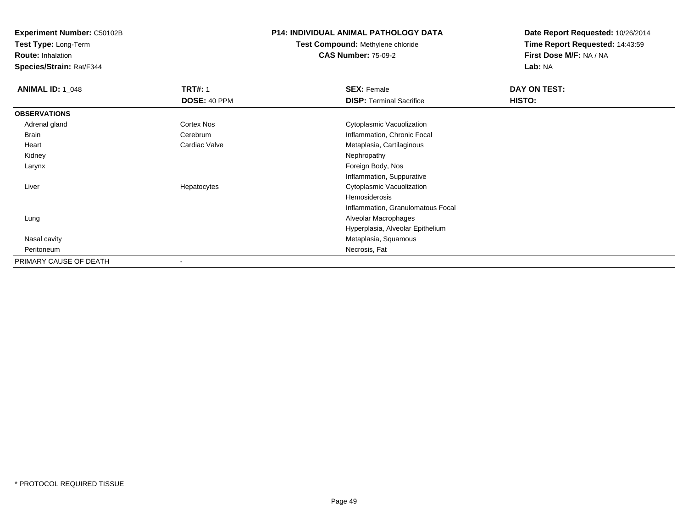**Test Type:** Long-Term

**Route:** Inhalation

**Species/Strain:** Rat/F344

#### **P14: INDIVIDUAL ANIMAL PATHOLOGY DATA**

# **Test Compound:** Methylene chloride**CAS Number:** 75-09-2

| <b>ANIMAL ID: 1_048</b> | <b>TRT#: 1</b>    | <b>SEX: Female</b>                | DAY ON TEST: |  |
|-------------------------|-------------------|-----------------------------------|--------------|--|
|                         | DOSE: 40 PPM      | <b>DISP: Terminal Sacrifice</b>   | HISTO:       |  |
| <b>OBSERVATIONS</b>     |                   |                                   |              |  |
| Adrenal gland           | <b>Cortex Nos</b> | Cytoplasmic Vacuolization         |              |  |
| Brain                   | Cerebrum          | Inflammation, Chronic Focal       |              |  |
| Heart                   | Cardiac Valve     | Metaplasia, Cartilaginous         |              |  |
| Kidney                  |                   | Nephropathy                       |              |  |
| Larynx                  |                   | Foreign Body, Nos                 |              |  |
|                         |                   | Inflammation, Suppurative         |              |  |
| Liver                   | Hepatocytes       | Cytoplasmic Vacuolization         |              |  |
|                         |                   | Hemosiderosis                     |              |  |
|                         |                   | Inflammation, Granulomatous Focal |              |  |
| Lung                    |                   | Alveolar Macrophages              |              |  |
|                         |                   | Hyperplasia, Alveolar Epithelium  |              |  |
| Nasal cavity            |                   | Metaplasia, Squamous              |              |  |
| Peritoneum              |                   | Necrosis, Fat                     |              |  |
| PRIMARY CAUSE OF DEATH  |                   |                                   |              |  |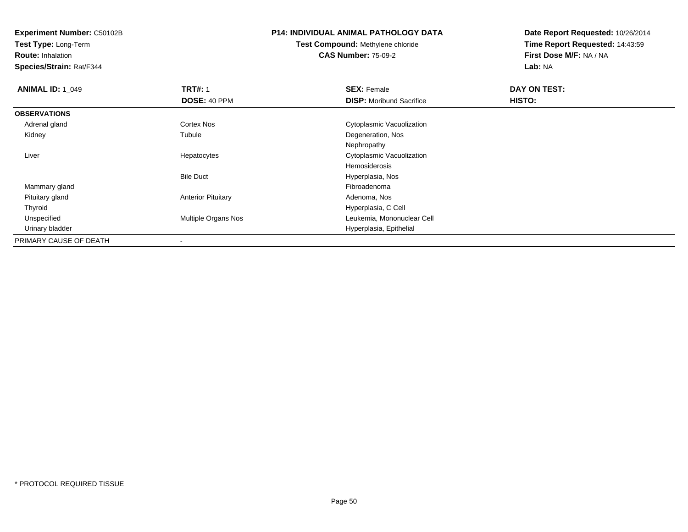**Test Type:** Long-Term

**Route:** Inhalation

**Species/Strain:** Rat/F344

# **P14: INDIVIDUAL ANIMAL PATHOLOGY DATA**

# **Test Compound:** Methylene chloride**CAS Number:** 75-09-2

| <b>ANIMAL ID: 1_049</b> | <b>TRT#: 1</b>             | <b>SEX: Female</b>              | DAY ON TEST: |  |
|-------------------------|----------------------------|---------------------------------|--------------|--|
|                         | DOSE: 40 PPM               | <b>DISP:</b> Moribund Sacrifice | HISTO:       |  |
| <b>OBSERVATIONS</b>     |                            |                                 |              |  |
| Adrenal gland           | <b>Cortex Nos</b>          | Cytoplasmic Vacuolization       |              |  |
| Kidney                  | Tubule                     | Degeneration, Nos               |              |  |
|                         |                            | Nephropathy                     |              |  |
| Liver                   | Hepatocytes                | Cytoplasmic Vacuolization       |              |  |
|                         |                            | Hemosiderosis                   |              |  |
|                         | <b>Bile Duct</b>           | Hyperplasia, Nos                |              |  |
| Mammary gland           |                            | Fibroadenoma                    |              |  |
| Pituitary gland         | <b>Anterior Pituitary</b>  | Adenoma, Nos                    |              |  |
| Thyroid                 |                            | Hyperplasia, C Cell             |              |  |
| Unspecified             | <b>Multiple Organs Nos</b> | Leukemia, Mononuclear Cell      |              |  |
| Urinary bladder         |                            | Hyperplasia, Epithelial         |              |  |
| PRIMARY CAUSE OF DEATH  |                            |                                 |              |  |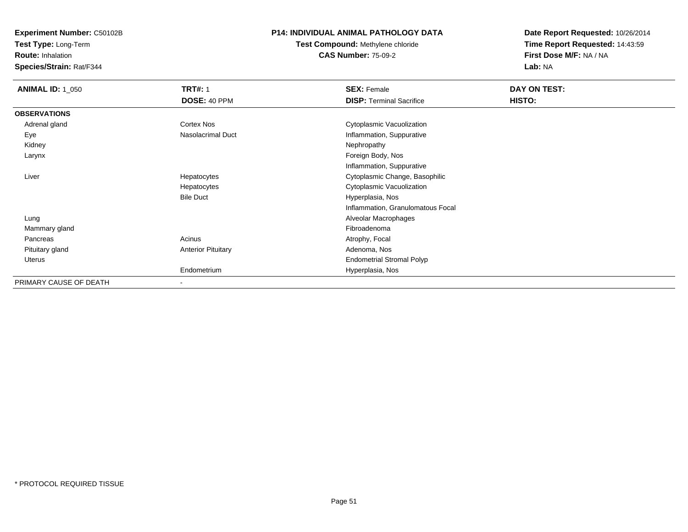**Test Type:** Long-Term

**Route:** Inhalation

**Species/Strain:** Rat/F344

#### **P14: INDIVIDUAL ANIMAL PATHOLOGY DATA**

# **Test Compound:** Methylene chloride**CAS Number:** 75-09-2

| <b>ANIMAL ID: 1_050</b> | <b>TRT#: 1</b>            | <b>SEX: Female</b>                | DAY ON TEST: |  |
|-------------------------|---------------------------|-----------------------------------|--------------|--|
|                         | DOSE: 40 PPM              | <b>DISP: Terminal Sacrifice</b>   | HISTO:       |  |
| <b>OBSERVATIONS</b>     |                           |                                   |              |  |
| Adrenal gland           | Cortex Nos                | Cytoplasmic Vacuolization         |              |  |
| Eye                     | Nasolacrimal Duct         | Inflammation, Suppurative         |              |  |
| Kidney                  |                           | Nephropathy                       |              |  |
| Larynx                  |                           | Foreign Body, Nos                 |              |  |
|                         |                           | Inflammation, Suppurative         |              |  |
| Liver                   | Hepatocytes               | Cytoplasmic Change, Basophilic    |              |  |
|                         | Hepatocytes               | Cytoplasmic Vacuolization         |              |  |
|                         | <b>Bile Duct</b>          | Hyperplasia, Nos                  |              |  |
|                         |                           | Inflammation, Granulomatous Focal |              |  |
| Lung                    |                           | Alveolar Macrophages              |              |  |
| Mammary gland           |                           | Fibroadenoma                      |              |  |
| Pancreas                | Acinus                    | Atrophy, Focal                    |              |  |
| Pituitary gland         | <b>Anterior Pituitary</b> | Adenoma, Nos                      |              |  |
| Uterus                  |                           | <b>Endometrial Stromal Polyp</b>  |              |  |
|                         | Endometrium               | Hyperplasia, Nos                  |              |  |
| PRIMARY CAUSE OF DEATH  |                           |                                   |              |  |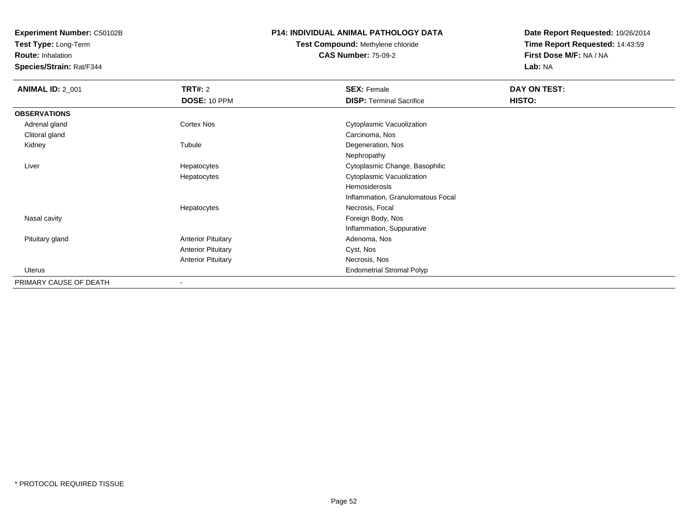**Test Type:** Long-Term

**Route:** Inhalation

**Species/Strain:** Rat/F344

### **P14: INDIVIDUAL ANIMAL PATHOLOGY DATA**

# **Test Compound:** Methylene chloride**CAS Number:** 75-09-2

| <b>ANIMAL ID: 2_001</b> | <b>TRT#: 2</b>            | <b>SEX: Female</b>                | DAY ON TEST:  |  |
|-------------------------|---------------------------|-----------------------------------|---------------|--|
|                         | DOSE: 10 PPM              | <b>DISP: Terminal Sacrifice</b>   | <b>HISTO:</b> |  |
| <b>OBSERVATIONS</b>     |                           |                                   |               |  |
| Adrenal gland           | Cortex Nos                | Cytoplasmic Vacuolization         |               |  |
| Clitoral gland          |                           | Carcinoma, Nos                    |               |  |
| Kidney                  | Tubule                    | Degeneration, Nos                 |               |  |
|                         |                           | Nephropathy                       |               |  |
| Liver                   | Hepatocytes               | Cytoplasmic Change, Basophilic    |               |  |
|                         | Hepatocytes               | Cytoplasmic Vacuolization         |               |  |
|                         |                           | Hemosiderosis                     |               |  |
|                         |                           | Inflammation, Granulomatous Focal |               |  |
|                         | Hepatocytes               | Necrosis, Focal                   |               |  |
| Nasal cavity            |                           | Foreign Body, Nos                 |               |  |
|                         |                           | Inflammation, Suppurative         |               |  |
| Pituitary gland         | <b>Anterior Pituitary</b> | Adenoma, Nos                      |               |  |
|                         | <b>Anterior Pituitary</b> | Cyst, Nos                         |               |  |
|                         | <b>Anterior Pituitary</b> | Necrosis, Nos                     |               |  |
| <b>Uterus</b>           |                           | <b>Endometrial Stromal Polyp</b>  |               |  |
| PRIMARY CAUSE OF DEATH  |                           |                                   |               |  |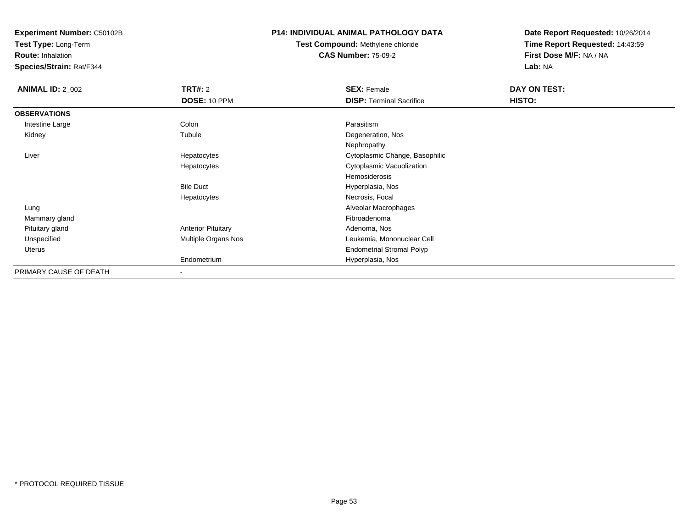**Test Type:** Long-Term

**Route:** Inhalation

**Species/Strain:** Rat/F344

#### **P14: INDIVIDUAL ANIMAL PATHOLOGY DATA**

**Test Compound:** Methylene chloride**CAS Number:** 75-09-2

| <b>ANIMAL ID: 2_002</b> | <b>TRT#:</b> 2            | <b>SEX: Female</b>               | DAY ON TEST: |  |
|-------------------------|---------------------------|----------------------------------|--------------|--|
|                         | DOSE: 10 PPM              | <b>DISP: Terminal Sacrifice</b>  | HISTO:       |  |
| <b>OBSERVATIONS</b>     |                           |                                  |              |  |
| Intestine Large         | Colon                     | Parasitism                       |              |  |
| Kidney                  | Tubule                    | Degeneration, Nos                |              |  |
|                         |                           | Nephropathy                      |              |  |
| Liver                   | Hepatocytes               | Cytoplasmic Change, Basophilic   |              |  |
|                         | Hepatocytes               | Cytoplasmic Vacuolization        |              |  |
|                         |                           | Hemosiderosis                    |              |  |
|                         | <b>Bile Duct</b>          | Hyperplasia, Nos                 |              |  |
|                         | Hepatocytes               | Necrosis, Focal                  |              |  |
| Lung                    |                           | Alveolar Macrophages             |              |  |
| Mammary gland           |                           | Fibroadenoma                     |              |  |
| Pituitary gland         | <b>Anterior Pituitary</b> | Adenoma, Nos                     |              |  |
| Unspecified             | Multiple Organs Nos       | Leukemia, Mononuclear Cell       |              |  |
| Uterus                  |                           | <b>Endometrial Stromal Polyp</b> |              |  |
|                         | Endometrium               | Hyperplasia, Nos                 |              |  |
| PRIMARY CAUSE OF DEATH  | ٠                         |                                  |              |  |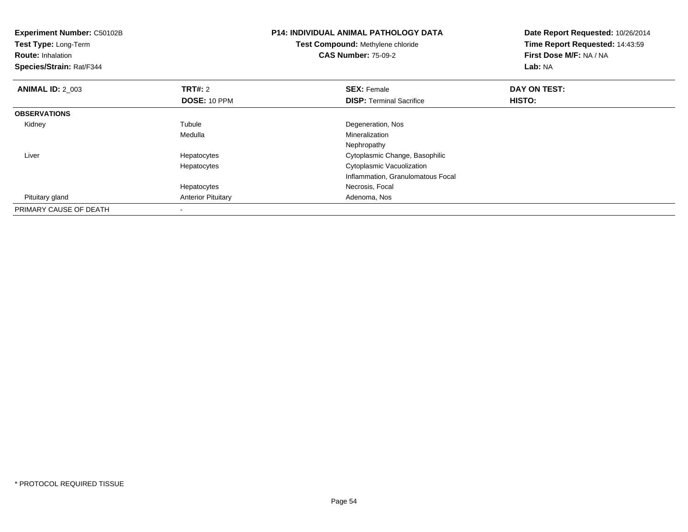| <b>Experiment Number: C50102B</b><br>Test Type: Long-Term<br><b>Route: Inhalation</b><br>Species/Strain: Rat/F344 |                           | <b>P14: INDIVIDUAL ANIMAL PATHOLOGY DATA</b><br>Test Compound: Methylene chloride<br><b>CAS Number: 75-09-2</b> | Date Report Requested: 10/26/2014<br>Time Report Requested: 14:43:59<br>First Dose M/F: NA / NA<br>Lab: NA |
|-------------------------------------------------------------------------------------------------------------------|---------------------------|-----------------------------------------------------------------------------------------------------------------|------------------------------------------------------------------------------------------------------------|
| <b>ANIMAL ID: 2_003</b>                                                                                           | <b>TRT#: 2</b>            | <b>SEX: Female</b>                                                                                              | DAY ON TEST:                                                                                               |
|                                                                                                                   | DOSE: 10 PPM              | <b>DISP: Terminal Sacrifice</b>                                                                                 | HISTO:                                                                                                     |
| <b>OBSERVATIONS</b>                                                                                               |                           |                                                                                                                 |                                                                                                            |
| Kidney                                                                                                            | Tubule                    | Degeneration, Nos                                                                                               |                                                                                                            |
|                                                                                                                   | Medulla                   | Mineralization                                                                                                  |                                                                                                            |
|                                                                                                                   |                           | Nephropathy                                                                                                     |                                                                                                            |
| Liver                                                                                                             | Hepatocytes               | Cytoplasmic Change, Basophilic                                                                                  |                                                                                                            |
|                                                                                                                   | Hepatocytes               | Cytoplasmic Vacuolization                                                                                       |                                                                                                            |
|                                                                                                                   |                           | Inflammation, Granulomatous Focal                                                                               |                                                                                                            |
|                                                                                                                   | Hepatocytes               | Necrosis, Focal                                                                                                 |                                                                                                            |
| Pituitary gland                                                                                                   | <b>Anterior Pituitary</b> | Adenoma, Nos                                                                                                    |                                                                                                            |
| PRIMARY CAUSE OF DEATH                                                                                            |                           |                                                                                                                 |                                                                                                            |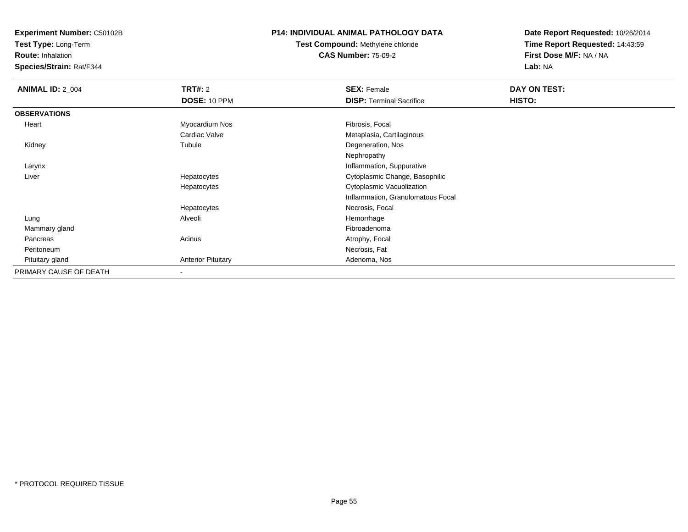**Test Type:** Long-Term

**Route:** Inhalation

**Species/Strain:** Rat/F344

#### **P14: INDIVIDUAL ANIMAL PATHOLOGY DATA**

# **Test Compound:** Methylene chloride**CAS Number:** 75-09-2

| <b>ANIMAL ID: 2_004</b> | <b>TRT#: 2</b>            | <b>SEX: Female</b>                | <b>DAY ON TEST:</b> |  |
|-------------------------|---------------------------|-----------------------------------|---------------------|--|
|                         | DOSE: 10 PPM              | <b>DISP: Terminal Sacrifice</b>   | <b>HISTO:</b>       |  |
| <b>OBSERVATIONS</b>     |                           |                                   |                     |  |
| Heart                   | Myocardium Nos            | Fibrosis, Focal                   |                     |  |
|                         | Cardiac Valve             | Metaplasia, Cartilaginous         |                     |  |
| Kidney                  | Tubule                    | Degeneration, Nos                 |                     |  |
|                         |                           | Nephropathy                       |                     |  |
| Larynx                  |                           | Inflammation, Suppurative         |                     |  |
| Liver                   | Hepatocytes               | Cytoplasmic Change, Basophilic    |                     |  |
|                         | Hepatocytes               | Cytoplasmic Vacuolization         |                     |  |
|                         |                           | Inflammation, Granulomatous Focal |                     |  |
|                         | Hepatocytes               | Necrosis, Focal                   |                     |  |
| Lung                    | Alveoli                   | Hemorrhage                        |                     |  |
| Mammary gland           |                           | Fibroadenoma                      |                     |  |
| Pancreas                | Acinus                    | Atrophy, Focal                    |                     |  |
| Peritoneum              |                           | Necrosis, Fat                     |                     |  |
| Pituitary gland         | <b>Anterior Pituitary</b> | Adenoma, Nos                      |                     |  |
| PRIMARY CAUSE OF DEATH  | $\blacksquare$            |                                   |                     |  |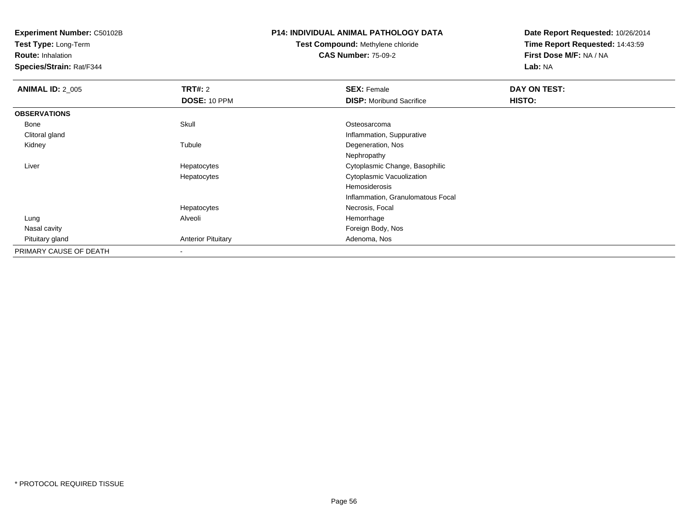**Test Type:** Long-Term

**Route:** Inhalation

**Species/Strain:** Rat/F344

#### **P14: INDIVIDUAL ANIMAL PATHOLOGY DATA**

# **Test Compound:** Methylene chloride**CAS Number:** 75-09-2

| <b>ANIMAL ID: 2_005</b> | TRT#: 2                   | <b>SEX: Female</b>                | DAY ON TEST: |  |
|-------------------------|---------------------------|-----------------------------------|--------------|--|
|                         | DOSE: 10 PPM              | <b>DISP:</b> Moribund Sacrifice   | HISTO:       |  |
| <b>OBSERVATIONS</b>     |                           |                                   |              |  |
| Bone                    | Skull                     | Osteosarcoma                      |              |  |
| Clitoral gland          |                           | Inflammation, Suppurative         |              |  |
| Kidney                  | Tubule                    | Degeneration, Nos                 |              |  |
|                         |                           | Nephropathy                       |              |  |
| Liver                   | Hepatocytes               | Cytoplasmic Change, Basophilic    |              |  |
|                         | Hepatocytes               | Cytoplasmic Vacuolization         |              |  |
|                         |                           | Hemosiderosis                     |              |  |
|                         |                           | Inflammation, Granulomatous Focal |              |  |
|                         | Hepatocytes               | Necrosis, Focal                   |              |  |
| Lung                    | Alveoli                   | Hemorrhage                        |              |  |
| Nasal cavity            |                           | Foreign Body, Nos                 |              |  |
| Pituitary gland         | <b>Anterior Pituitary</b> | Adenoma, Nos                      |              |  |
| PRIMARY CAUSE OF DEATH  |                           |                                   |              |  |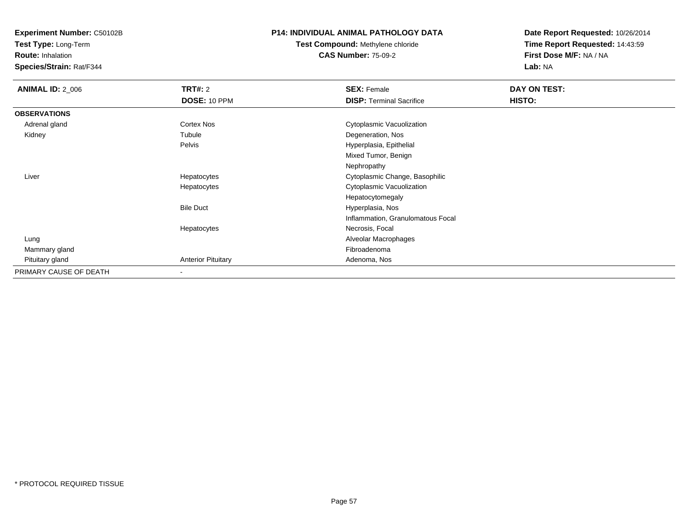**Test Type:** Long-Term

**Route:** Inhalation

**Species/Strain:** Rat/F344

#### **P14: INDIVIDUAL ANIMAL PATHOLOGY DATA**

# **Test Compound:** Methylene chloride**CAS Number:** 75-09-2

| <b>ANIMAL ID: 2_006</b> | <b>TRT#: 2</b>            | <b>SEX: Female</b>                | <b>DAY ON TEST:</b> |  |
|-------------------------|---------------------------|-----------------------------------|---------------------|--|
|                         | DOSE: 10 PPM              | <b>DISP: Terminal Sacrifice</b>   | <b>HISTO:</b>       |  |
| <b>OBSERVATIONS</b>     |                           |                                   |                     |  |
| Adrenal gland           | Cortex Nos                | Cytoplasmic Vacuolization         |                     |  |
| Kidney                  | Tubule                    | Degeneration, Nos                 |                     |  |
|                         | Pelvis                    | Hyperplasia, Epithelial           |                     |  |
|                         |                           | Mixed Tumor, Benign               |                     |  |
|                         |                           | Nephropathy                       |                     |  |
| Liver                   | Hepatocytes               | Cytoplasmic Change, Basophilic    |                     |  |
|                         | Hepatocytes               | Cytoplasmic Vacuolization         |                     |  |
|                         |                           | Hepatocytomegaly                  |                     |  |
|                         | <b>Bile Duct</b>          | Hyperplasia, Nos                  |                     |  |
|                         |                           | Inflammation, Granulomatous Focal |                     |  |
|                         | Hepatocytes               | Necrosis, Focal                   |                     |  |
| Lung                    |                           | Alveolar Macrophages              |                     |  |
| Mammary gland           |                           | Fibroadenoma                      |                     |  |
| Pituitary gland         | <b>Anterior Pituitary</b> | Adenoma, Nos                      |                     |  |
| PRIMARY CAUSE OF DEATH  | $\blacksquare$            |                                   |                     |  |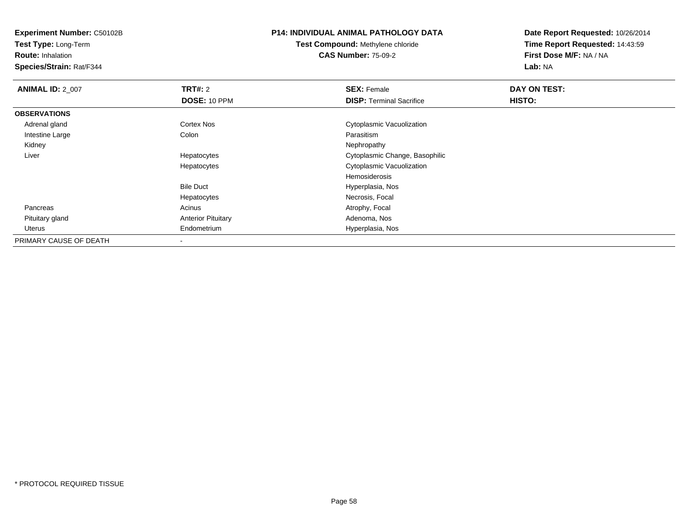**Test Type:** Long-Term

**Route:** Inhalation

**Species/Strain:** Rat/F344

### **P14: INDIVIDUAL ANIMAL PATHOLOGY DATA**

**Test Compound:** Methylene chloride**CAS Number:** 75-09-2

| <b>ANIMAL ID: 2_007</b> | TRT#: 2                   | <b>SEX: Female</b>              | DAY ON TEST: |
|-------------------------|---------------------------|---------------------------------|--------------|
|                         | DOSE: 10 PPM              | <b>DISP: Terminal Sacrifice</b> | HISTO:       |
| <b>OBSERVATIONS</b>     |                           |                                 |              |
| Adrenal gland           | Cortex Nos                | Cytoplasmic Vacuolization       |              |
| Intestine Large         | Colon                     | Parasitism                      |              |
| Kidney                  |                           | Nephropathy                     |              |
| Liver                   | Hepatocytes               | Cytoplasmic Change, Basophilic  |              |
|                         | Hepatocytes               | Cytoplasmic Vacuolization       |              |
|                         |                           | Hemosiderosis                   |              |
|                         | <b>Bile Duct</b>          | Hyperplasia, Nos                |              |
|                         | Hepatocytes               | Necrosis, Focal                 |              |
| Pancreas                | Acinus                    | Atrophy, Focal                  |              |
| Pituitary gland         | <b>Anterior Pituitary</b> | Adenoma, Nos                    |              |
| Uterus                  | Endometrium               | Hyperplasia, Nos                |              |
| PRIMARY CAUSE OF DEATH  |                           |                                 |              |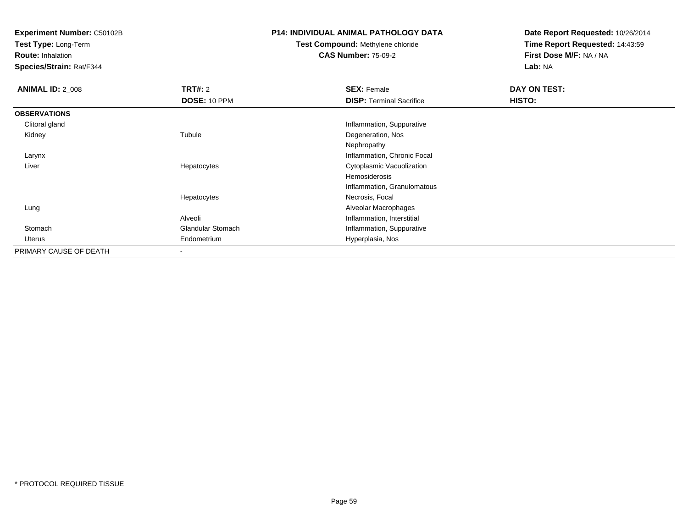**Test Type:** Long-Term

**Route:** Inhalation

**Species/Strain:** Rat/F344

#### **P14: INDIVIDUAL ANIMAL PATHOLOGY DATA**

**Test Compound:** Methylene chloride**CAS Number:** 75-09-2

| <b>ANIMAL ID: 2_008</b> | TRT#: 2                  | <b>SEX: Female</b>              | DAY ON TEST: |  |
|-------------------------|--------------------------|---------------------------------|--------------|--|
|                         | <b>DOSE: 10 PPM</b>      | <b>DISP: Terminal Sacrifice</b> | HISTO:       |  |
| <b>OBSERVATIONS</b>     |                          |                                 |              |  |
| Clitoral gland          |                          | Inflammation, Suppurative       |              |  |
| Kidney                  | Tubule                   | Degeneration, Nos               |              |  |
|                         |                          | Nephropathy                     |              |  |
| Larynx                  |                          | Inflammation, Chronic Focal     |              |  |
| Liver                   | Hepatocytes              | Cytoplasmic Vacuolization       |              |  |
|                         |                          | Hemosiderosis                   |              |  |
|                         |                          | Inflammation, Granulomatous     |              |  |
|                         | Hepatocytes              | Necrosis, Focal                 |              |  |
| Lung                    |                          | Alveolar Macrophages            |              |  |
|                         | Alveoli                  | Inflammation, Interstitial      |              |  |
| Stomach                 | <b>Glandular Stomach</b> | Inflammation, Suppurative       |              |  |
| Uterus                  | Endometrium              | Hyperplasia, Nos                |              |  |
| PRIMARY CAUSE OF DEATH  |                          |                                 |              |  |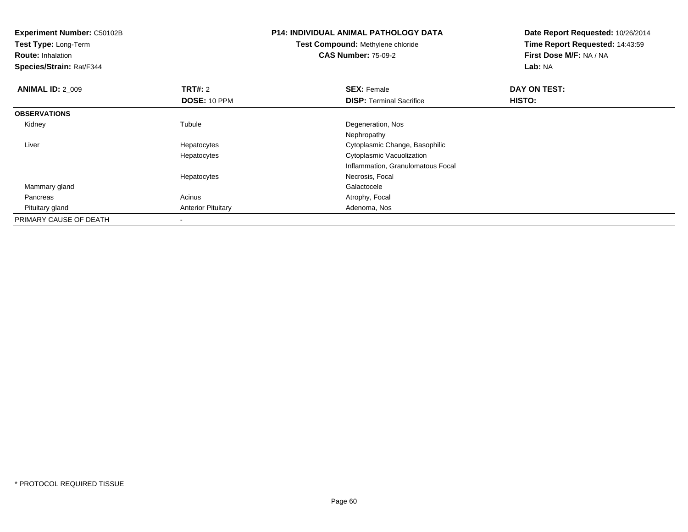**Experiment Number:** C50102B**Test Type:** Long-Term**Route:** Inhalation **Species/Strain:** Rat/F344**P14: INDIVIDUAL ANIMAL PATHOLOGY DATATest Compound:** Methylene chloride**CAS Number:** 75-09-2**Date Report Requested:** 10/26/2014**Time Report Requested:** 14:43:59**First Dose M/F:** NA / NA**Lab:** NA**ANIMAL ID: 2 009 TRT#:** 2 **SEX:** Female **DAY ON TEST: DOSE:** 10 PPM**DISP:** Terminal Sacrifice **HISTO: OBSERVATIONS** Kidneyy the contract of the contract of the contract of the contract of the contract of the contract of the contract of the contract of the contract of the contract of the contract of the contract of the contract of the contract Tubule **Degeneration**, Nos NephropathyS<br>
Secret Cytoplasmic Change, Basophilic Liver HepatocytesHepatocytes Cytoplasmic Vacuolization Inflammation, Granulomatous FocalHepatocytes Necrosis, Focal Mammary glandd Galactocele and the control of the control of the control of the Galactocele and the Galactocele PancreasAcinus **Acinus** Atrophy, Focal Pituitary glandAnterior Pituitary **Adenoma, Nos** Adenoma, Nos PRIMARY CAUSE OF DEATH-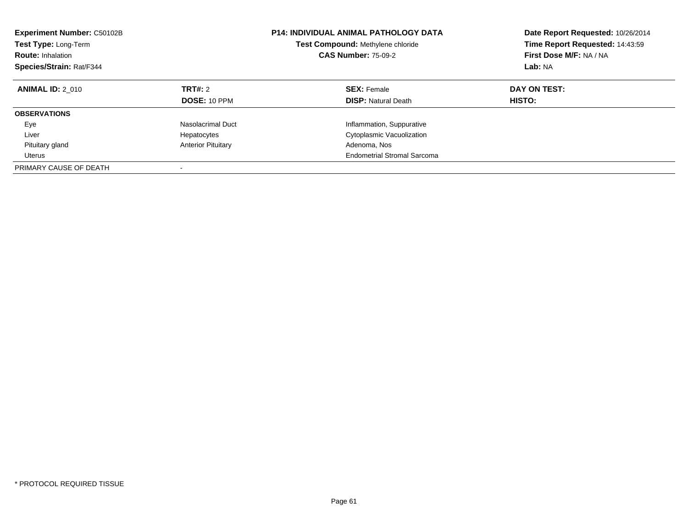| <b>Experiment Number: C50102B</b><br>Test Type: Long-Term<br><b>Route: Inhalation</b><br>Species/Strain: Rat/F344 |                                | <b>P14: INDIVIDUAL ANIMAL PATHOLOGY DATA</b><br>Test Compound: Methylene chloride<br><b>CAS Number: 75-09-2</b> | Date Report Requested: 10/26/2014<br>Time Report Requested: 14:43:59<br>First Dose M/F: NA / NA<br>Lab: NA |
|-------------------------------------------------------------------------------------------------------------------|--------------------------------|-----------------------------------------------------------------------------------------------------------------|------------------------------------------------------------------------------------------------------------|
| <b>ANIMAL ID: 2 010</b>                                                                                           | <b>TRT#: 2</b><br>DOSE: 10 PPM | <b>SEX: Female</b><br><b>DISP: Natural Death</b>                                                                | DAY ON TEST:<br>HISTO:                                                                                     |
| <b>OBSERVATIONS</b>                                                                                               |                                |                                                                                                                 |                                                                                                            |
| Eye                                                                                                               | Nasolacrimal Duct              | Inflammation, Suppurative                                                                                       |                                                                                                            |
| Liver                                                                                                             | Hepatocytes                    | Cytoplasmic Vacuolization                                                                                       |                                                                                                            |
| Pituitary gland                                                                                                   | <b>Anterior Pituitary</b>      | Adenoma, Nos                                                                                                    |                                                                                                            |
| Uterus                                                                                                            |                                | Endometrial Stromal Sarcoma                                                                                     |                                                                                                            |
| PRIMARY CAUSE OF DEATH                                                                                            |                                |                                                                                                                 |                                                                                                            |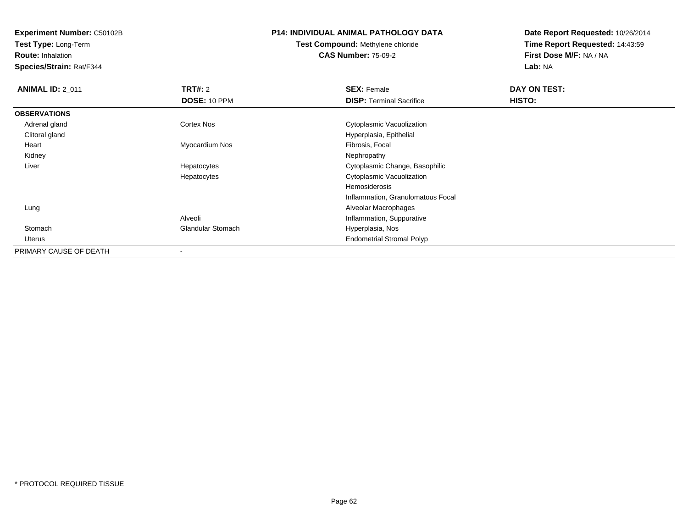**Test Type:** Long-Term

**Route:** Inhalation

**Species/Strain:** Rat/F344

### **P14: INDIVIDUAL ANIMAL PATHOLOGY DATA**

**Test Compound:** Methylene chloride**CAS Number:** 75-09-2

| <b>ANIMAL ID: 2_011</b> | <b>TRT#: 2</b>           | <b>SEX: Female</b>                | DAY ON TEST: |  |
|-------------------------|--------------------------|-----------------------------------|--------------|--|
|                         | DOSE: 10 PPM             | <b>DISP: Terminal Sacrifice</b>   | HISTO:       |  |
| <b>OBSERVATIONS</b>     |                          |                                   |              |  |
| Adrenal gland           | <b>Cortex Nos</b>        | Cytoplasmic Vacuolization         |              |  |
| Clitoral gland          |                          | Hyperplasia, Epithelial           |              |  |
| Heart                   | Myocardium Nos           | Fibrosis, Focal                   |              |  |
| Kidney                  |                          | Nephropathy                       |              |  |
| Liver                   | Hepatocytes              | Cytoplasmic Change, Basophilic    |              |  |
|                         | Hepatocytes              | Cytoplasmic Vacuolization         |              |  |
|                         |                          | Hemosiderosis                     |              |  |
|                         |                          | Inflammation, Granulomatous Focal |              |  |
| Lung                    |                          | Alveolar Macrophages              |              |  |
|                         | Alveoli                  | Inflammation, Suppurative         |              |  |
| Stomach                 | <b>Glandular Stomach</b> | Hyperplasia, Nos                  |              |  |
| Uterus                  |                          | <b>Endometrial Stromal Polyp</b>  |              |  |
| PRIMARY CAUSE OF DEATH  |                          |                                   |              |  |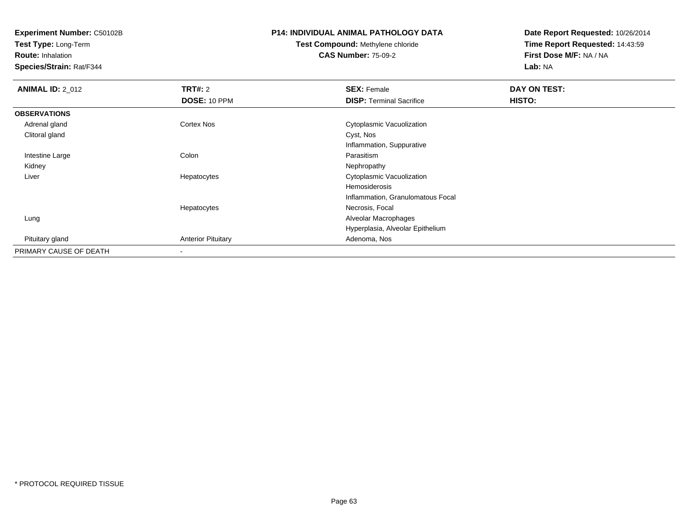**Test Type:** Long-Term

**Route:** Inhalation

**Species/Strain:** Rat/F344

# **P14: INDIVIDUAL ANIMAL PATHOLOGY DATA**

**Test Compound:** Methylene chloride**CAS Number:** 75-09-2

| <b>ANIMAL ID: 2_012</b> | TRT#: 2                   | <b>SEX: Female</b>                | DAY ON TEST: |  |
|-------------------------|---------------------------|-----------------------------------|--------------|--|
|                         | DOSE: 10 PPM              | <b>DISP: Terminal Sacrifice</b>   | HISTO:       |  |
| <b>OBSERVATIONS</b>     |                           |                                   |              |  |
| Adrenal gland           | <b>Cortex Nos</b>         | Cytoplasmic Vacuolization         |              |  |
| Clitoral gland          |                           | Cyst, Nos                         |              |  |
|                         |                           | Inflammation, Suppurative         |              |  |
| Intestine Large         | Colon                     | Parasitism                        |              |  |
| Kidney                  |                           | Nephropathy                       |              |  |
| Liver                   | Hepatocytes               | Cytoplasmic Vacuolization         |              |  |
|                         |                           | Hemosiderosis                     |              |  |
|                         |                           | Inflammation, Granulomatous Focal |              |  |
|                         | Hepatocytes               | Necrosis, Focal                   |              |  |
| Lung                    |                           | Alveolar Macrophages              |              |  |
|                         |                           | Hyperplasia, Alveolar Epithelium  |              |  |
| Pituitary gland         | <b>Anterior Pituitary</b> | Adenoma, Nos                      |              |  |
| PRIMARY CAUSE OF DEATH  | $\,$                      |                                   |              |  |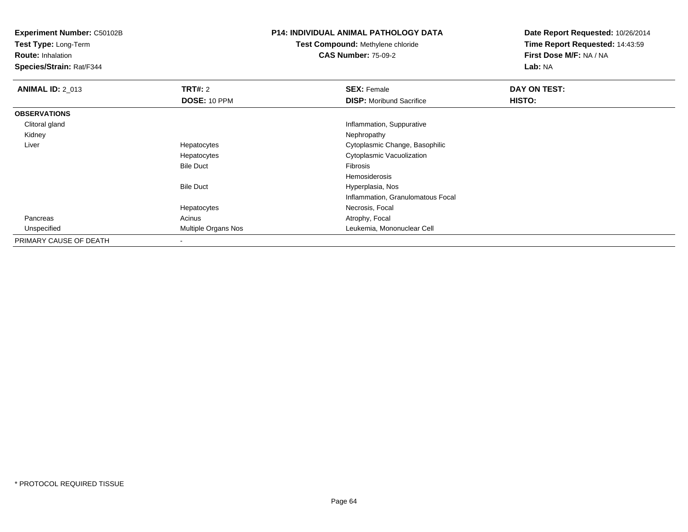**Test Type:** Long-Term

**Route:** Inhalation

**Species/Strain:** Rat/F344

# **P14: INDIVIDUAL ANIMAL PATHOLOGY DATA**

**Test Compound:** Methylene chloride**CAS Number:** 75-09-2

| <b>ANIMAL ID: 2_013</b> | TRT#: 2             | <b>SEX: Female</b>                | DAY ON TEST:  |  |
|-------------------------|---------------------|-----------------------------------|---------------|--|
|                         | DOSE: 10 PPM        | <b>DISP:</b> Moribund Sacrifice   | <b>HISTO:</b> |  |
| <b>OBSERVATIONS</b>     |                     |                                   |               |  |
| Clitoral gland          |                     | Inflammation, Suppurative         |               |  |
| Kidney                  |                     | Nephropathy                       |               |  |
| Liver                   | Hepatocytes         | Cytoplasmic Change, Basophilic    |               |  |
|                         | Hepatocytes         | Cytoplasmic Vacuolization         |               |  |
|                         | <b>Bile Duct</b>    | Fibrosis                          |               |  |
|                         |                     | Hemosiderosis                     |               |  |
|                         | <b>Bile Duct</b>    | Hyperplasia, Nos                  |               |  |
|                         |                     | Inflammation, Granulomatous Focal |               |  |
|                         | Hepatocytes         | Necrosis, Focal                   |               |  |
| Pancreas                | Acinus              | Atrophy, Focal                    |               |  |
| Unspecified             | Multiple Organs Nos | Leukemia, Mononuclear Cell        |               |  |
| PRIMARY CAUSE OF DEATH  |                     |                                   |               |  |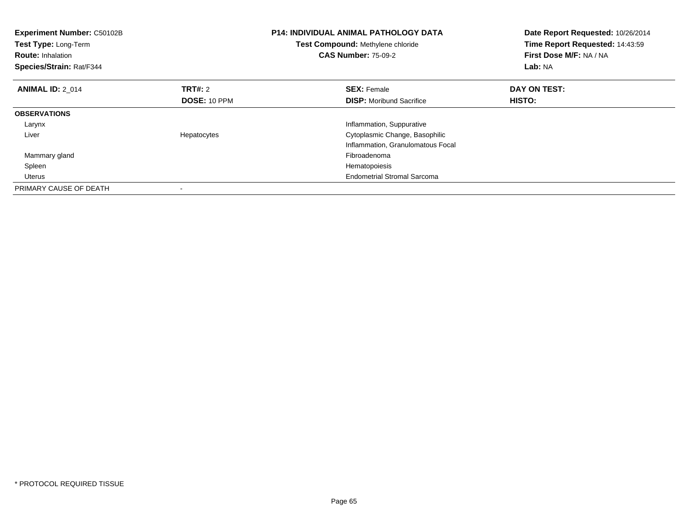| <b>Experiment Number: C50102B</b><br>Test Type: Long-Term<br><b>Route: Inhalation</b><br>Species/Strain: Rat/F344 |              | <b>P14: INDIVIDUAL ANIMAL PATHOLOGY DATA</b><br>Test Compound: Methylene chloride<br><b>CAS Number: 75-09-2</b> | Date Report Requested: 10/26/2014<br>Time Report Requested: 14:43:59<br>First Dose M/F: NA / NA<br>Lab: NA |  |
|-------------------------------------------------------------------------------------------------------------------|--------------|-----------------------------------------------------------------------------------------------------------------|------------------------------------------------------------------------------------------------------------|--|
| <b>ANIMAL ID: 2 014</b>                                                                                           | TRT#: 2      | <b>SEX: Female</b>                                                                                              | DAY ON TEST:                                                                                               |  |
|                                                                                                                   | DOSE: 10 PPM | <b>DISP:</b> Moribund Sacrifice                                                                                 | HISTO:                                                                                                     |  |
| <b>OBSERVATIONS</b>                                                                                               |              |                                                                                                                 |                                                                                                            |  |
| Larynx                                                                                                            |              | Inflammation, Suppurative                                                                                       |                                                                                                            |  |
| Liver                                                                                                             | Hepatocytes  | Cytoplasmic Change, Basophilic                                                                                  |                                                                                                            |  |
|                                                                                                                   |              | Inflammation, Granulomatous Focal                                                                               |                                                                                                            |  |
| Mammary gland                                                                                                     |              | Fibroadenoma                                                                                                    |                                                                                                            |  |
| Spleen                                                                                                            |              | Hematopoiesis                                                                                                   |                                                                                                            |  |
| Uterus                                                                                                            |              | <b>Endometrial Stromal Sarcoma</b>                                                                              |                                                                                                            |  |
| PRIMARY CAUSE OF DEATH                                                                                            |              |                                                                                                                 |                                                                                                            |  |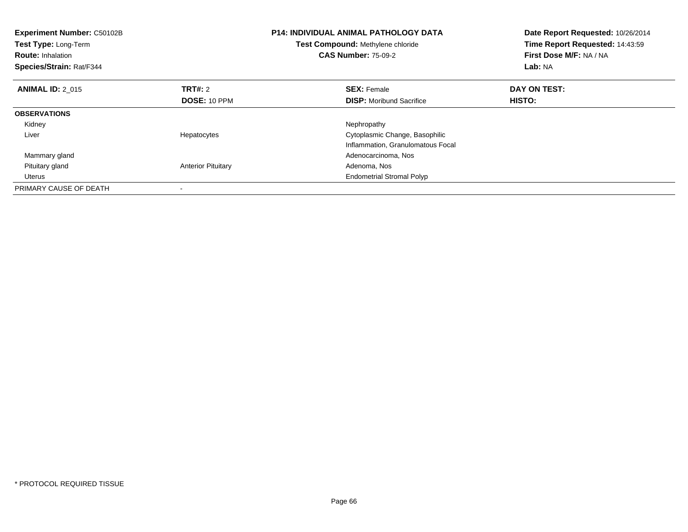| <b>Experiment Number: C50102B</b><br>Test Type: Long-Term<br><b>Route: Inhalation</b><br>Species/Strain: Rat/F344 |                           | <b>P14: INDIVIDUAL ANIMAL PATHOLOGY DATA</b><br>Test Compound: Methylene chloride<br><b>CAS Number: 75-09-2</b> | Date Report Requested: 10/26/2014<br>Time Report Requested: 14:43:59<br>First Dose M/F: NA / NA<br>Lab: NA |  |
|-------------------------------------------------------------------------------------------------------------------|---------------------------|-----------------------------------------------------------------------------------------------------------------|------------------------------------------------------------------------------------------------------------|--|
| <b>ANIMAL ID: 2 015</b>                                                                                           | <b>TRT#: 2</b>            | <b>SEX: Female</b>                                                                                              | DAY ON TEST:                                                                                               |  |
|                                                                                                                   | <b>DOSE: 10 PPM</b>       | <b>DISP:</b> Moribund Sacrifice                                                                                 | HISTO:                                                                                                     |  |
| <b>OBSERVATIONS</b>                                                                                               |                           |                                                                                                                 |                                                                                                            |  |
| Kidney                                                                                                            |                           | Nephropathy                                                                                                     |                                                                                                            |  |
| Liver                                                                                                             | Hepatocytes               | Cytoplasmic Change, Basophilic                                                                                  |                                                                                                            |  |
|                                                                                                                   |                           | Inflammation, Granulomatous Focal                                                                               |                                                                                                            |  |
| Mammary gland                                                                                                     |                           | Adenocarcinoma, Nos                                                                                             |                                                                                                            |  |
| Pituitary gland                                                                                                   | <b>Anterior Pituitary</b> | Adenoma, Nos                                                                                                    |                                                                                                            |  |
| Uterus                                                                                                            |                           | <b>Endometrial Stromal Polyp</b>                                                                                |                                                                                                            |  |
| PRIMARY CAUSE OF DEATH                                                                                            |                           |                                                                                                                 |                                                                                                            |  |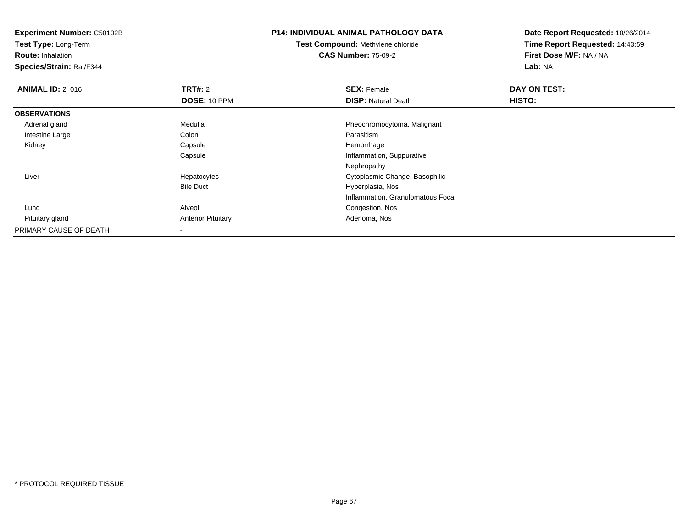**Experiment Number:** C50102B**Test Type:** Long-Term**Route:** Inhalation **Species/Strain:** Rat/F344**P14: INDIVIDUAL ANIMAL PATHOLOGY DATATest Compound:** Methylene chloride**CAS Number:** 75-09-2**Date Report Requested:** 10/26/2014**Time Report Requested:** 14:43:59**First Dose M/F:** NA / NA**Lab:** NA**ANIMAL ID: 2 016 6 DAY ON TEST: TRT#:** 2 **SEX:** Female **SEX:** Female **DOSE:** 10 PPM**DISP:** Natural Death **HISTO: OBSERVATIONS** Adrenal gland Medulla Pheochromocytoma, Malignant Intestine Largee and the Colon Colon Colon Colon and the Parasitism Hemorrhage Kidney CapsuleCapsule Inflammation, Suppurative NephropathyS<br>
Secret Cytoplasmic Change, Basophilic Liver HepatocytesBile Duct Hyperplasia, Nos Inflammation, Granulomatous Focal LungAlveoli Congestion, Nos<br>
Anterior Pituitary Congestion, Nos<br>
Adenoma, Nos Pituitary gland**Anterior Pituitary** PRIMARY CAUSE OF DEATH-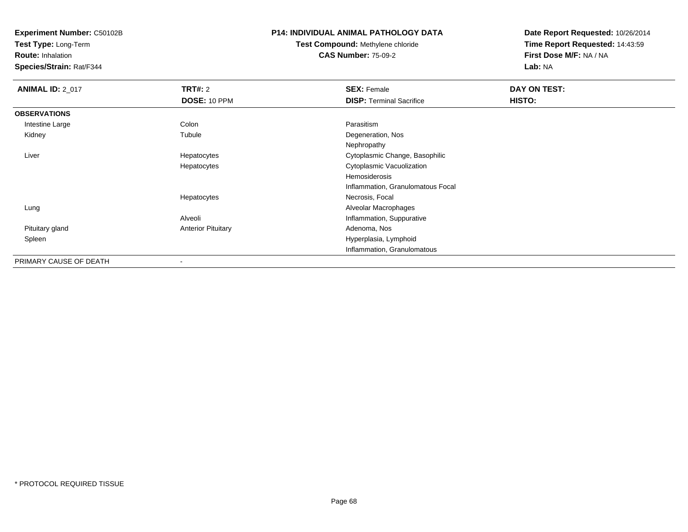**Test Type:** Long-Term

**Route:** Inhalation

**Species/Strain:** Rat/F344

### **P14: INDIVIDUAL ANIMAL PATHOLOGY DATA**

# **Test Compound:** Methylene chloride**CAS Number:** 75-09-2

| <b>ANIMAL ID: 2_017</b> | <b>TRT#: 2</b><br>DOSE: 10 PPM | <b>SEX: Female</b><br><b>DISP: Terminal Sacrifice</b> | DAY ON TEST:<br>HISTO: |
|-------------------------|--------------------------------|-------------------------------------------------------|------------------------|
| <b>OBSERVATIONS</b>     |                                |                                                       |                        |
| Intestine Large         | Colon                          | Parasitism                                            |                        |
| Kidney                  | Tubule                         | Degeneration, Nos                                     |                        |
|                         |                                | Nephropathy                                           |                        |
| Liver                   | Hepatocytes                    | Cytoplasmic Change, Basophilic                        |                        |
|                         | Hepatocytes                    | Cytoplasmic Vacuolization                             |                        |
|                         |                                | Hemosiderosis                                         |                        |
|                         |                                | Inflammation, Granulomatous Focal                     |                        |
|                         | Hepatocytes                    | Necrosis, Focal                                       |                        |
| Lung                    |                                | Alveolar Macrophages                                  |                        |
|                         | Alveoli                        | Inflammation, Suppurative                             |                        |
| Pituitary gland         | <b>Anterior Pituitary</b>      | Adenoma, Nos                                          |                        |
| Spleen                  |                                | Hyperplasia, Lymphoid                                 |                        |
|                         |                                | Inflammation, Granulomatous                           |                        |
| PRIMARY CAUSE OF DEATH  |                                |                                                       |                        |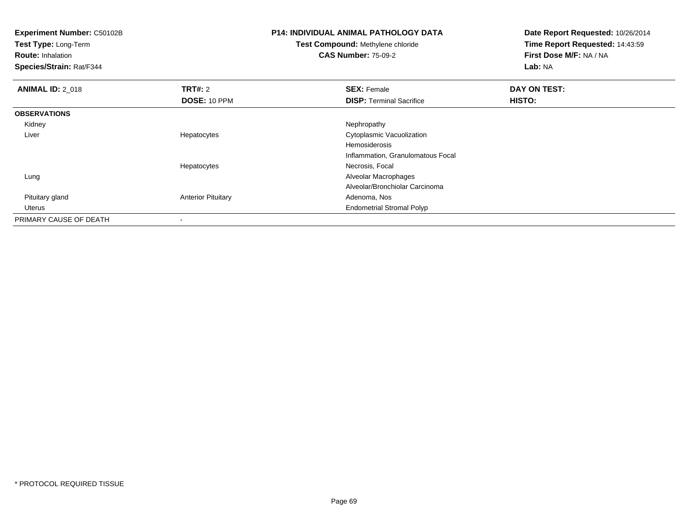| <b>Experiment Number: C50102B</b><br>Test Type: Long-Term<br><b>Route: Inhalation</b><br>Species/Strain: Rat/F344 |                           | <b>P14: INDIVIDUAL ANIMAL PATHOLOGY DATA</b><br>Test Compound: Methylene chloride<br><b>CAS Number: 75-09-2</b> | Date Report Requested: 10/26/2014<br>Time Report Requested: 14:43:59<br>First Dose M/F: NA / NA<br>Lab: NA |  |
|-------------------------------------------------------------------------------------------------------------------|---------------------------|-----------------------------------------------------------------------------------------------------------------|------------------------------------------------------------------------------------------------------------|--|
| <b>ANIMAL ID: 2 018</b>                                                                                           | <b>TRT#:</b> 2            | <b>SEX: Female</b>                                                                                              | DAY ON TEST:                                                                                               |  |
|                                                                                                                   | DOSE: 10 PPM              | <b>DISP:</b> Terminal Sacrifice                                                                                 | HISTO:                                                                                                     |  |
| <b>OBSERVATIONS</b>                                                                                               |                           |                                                                                                                 |                                                                                                            |  |
| Kidney                                                                                                            |                           | Nephropathy                                                                                                     |                                                                                                            |  |
| Liver                                                                                                             | Hepatocytes               | Cytoplasmic Vacuolization                                                                                       |                                                                                                            |  |
|                                                                                                                   |                           | Hemosiderosis                                                                                                   |                                                                                                            |  |
|                                                                                                                   |                           | Inflammation, Granulomatous Focal                                                                               |                                                                                                            |  |
|                                                                                                                   | Hepatocytes               | Necrosis, Focal                                                                                                 |                                                                                                            |  |
| Lung                                                                                                              |                           | Alveolar Macrophages                                                                                            |                                                                                                            |  |
|                                                                                                                   |                           | Alveolar/Bronchiolar Carcinoma                                                                                  |                                                                                                            |  |
| Pituitary gland                                                                                                   | <b>Anterior Pituitary</b> | Adenoma, Nos                                                                                                    |                                                                                                            |  |
| Uterus                                                                                                            |                           | <b>Endometrial Stromal Polyp</b>                                                                                |                                                                                                            |  |
| PRIMARY CAUSE OF DEATH                                                                                            |                           |                                                                                                                 |                                                                                                            |  |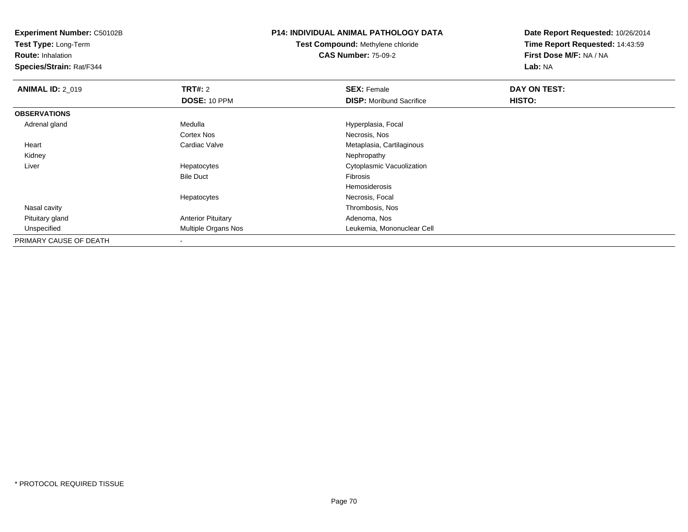**Test Type:** Long-Term

**Route:** Inhalation

**Species/Strain:** Rat/F344

#### **P14: INDIVIDUAL ANIMAL PATHOLOGY DATA**

**Test Compound:** Methylene chloride**CAS Number:** 75-09-2

| <b>ANIMAL ID: 2_019</b> | <b>TRT#: 2</b>             | <b>SEX: Female</b>              | DAY ON TEST: |  |
|-------------------------|----------------------------|---------------------------------|--------------|--|
|                         | DOSE: 10 PPM               | <b>DISP:</b> Moribund Sacrifice | HISTO:       |  |
| <b>OBSERVATIONS</b>     |                            |                                 |              |  |
| Adrenal gland           | Medulla                    | Hyperplasia, Focal              |              |  |
|                         | Cortex Nos                 | Necrosis, Nos                   |              |  |
| Heart                   | Cardiac Valve              | Metaplasia, Cartilaginous       |              |  |
| Kidney                  |                            | Nephropathy                     |              |  |
| Liver                   | Hepatocytes                | Cytoplasmic Vacuolization       |              |  |
|                         | <b>Bile Duct</b>           | Fibrosis                        |              |  |
|                         |                            | Hemosiderosis                   |              |  |
|                         | Hepatocytes                | Necrosis, Focal                 |              |  |
| Nasal cavity            |                            | Thrombosis, Nos                 |              |  |
| Pituitary gland         | <b>Anterior Pituitary</b>  | Adenoma, Nos                    |              |  |
| Unspecified             | <b>Multiple Organs Nos</b> | Leukemia, Mononuclear Cell      |              |  |
| PRIMARY CAUSE OF DEATH  |                            |                                 |              |  |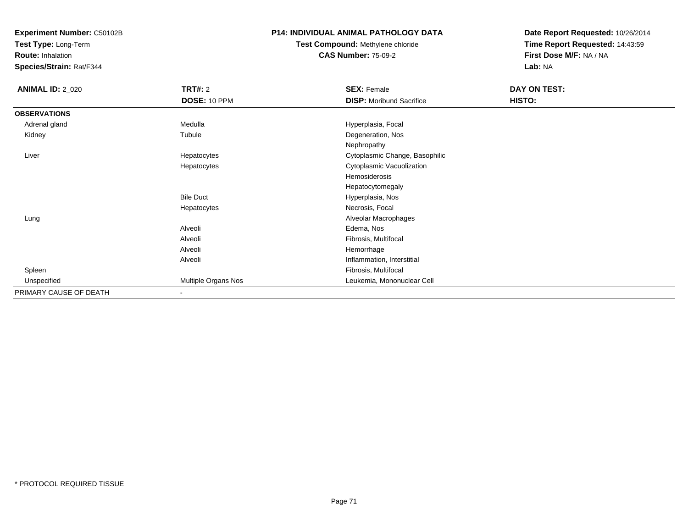**Test Type:** Long-Term

**Route:** Inhalation

**Species/Strain:** Rat/F344

#### **P14: INDIVIDUAL ANIMAL PATHOLOGY DATA**

# **Test Compound:** Methylene chloride**CAS Number:** 75-09-2

| <b>ANIMAL ID: 2_020</b> | <b>TRT#: 2</b>           | <b>SEX: Female</b>              | <b>DAY ON TEST:</b> |
|-------------------------|--------------------------|---------------------------------|---------------------|
|                         | DOSE: 10 PPM             | <b>DISP:</b> Moribund Sacrifice | HISTO:              |
| <b>OBSERVATIONS</b>     |                          |                                 |                     |
| Adrenal gland           | Medulla                  | Hyperplasia, Focal              |                     |
| Kidney                  | Tubule                   | Degeneration, Nos               |                     |
|                         |                          | Nephropathy                     |                     |
| Liver                   | Hepatocytes              | Cytoplasmic Change, Basophilic  |                     |
|                         | Hepatocytes              | Cytoplasmic Vacuolization       |                     |
|                         |                          | Hemosiderosis                   |                     |
|                         |                          | Hepatocytomegaly                |                     |
|                         | <b>Bile Duct</b>         | Hyperplasia, Nos                |                     |
|                         | Hepatocytes              | Necrosis, Focal                 |                     |
| Lung                    |                          | Alveolar Macrophages            |                     |
|                         | Alveoli                  | Edema, Nos                      |                     |
|                         | Alveoli                  | Fibrosis, Multifocal            |                     |
|                         | Alveoli                  | Hemorrhage                      |                     |
|                         | Alveoli                  | Inflammation, Interstitial      |                     |
| Spleen                  |                          | Fibrosis, Multifocal            |                     |
| Unspecified             | Multiple Organs Nos      | Leukemia, Mononuclear Cell      |                     |
| PRIMARY CAUSE OF DEATH  | $\overline{\phantom{a}}$ |                                 |                     |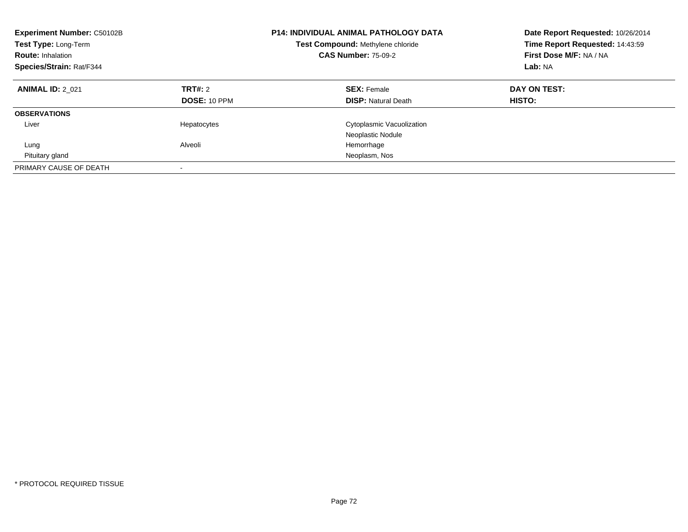| <b>Experiment Number: C50102B</b><br>Test Type: Long-Term<br><b>Route: Inhalation</b><br>Species/Strain: Rat/F344 |                          | <b>P14: INDIVIDUAL ANIMAL PATHOLOGY DATA</b><br>Test Compound: Methylene chloride<br><b>CAS Number: 75-09-2</b> | Date Report Requested: 10/26/2014<br>Time Report Requested: 14:43:59<br>First Dose M/F: NA / NA<br>Lab: NA |  |
|-------------------------------------------------------------------------------------------------------------------|--------------------------|-----------------------------------------------------------------------------------------------------------------|------------------------------------------------------------------------------------------------------------|--|
| <b>ANIMAL ID: 2 021</b>                                                                                           | TRT#: 2<br>DOSE: 10 PPM  | <b>SEX: Female</b><br><b>DISP:</b> Natural Death                                                                | DAY ON TEST:<br>HISTO:                                                                                     |  |
| <b>OBSERVATIONS</b>                                                                                               |                          |                                                                                                                 |                                                                                                            |  |
| Liver                                                                                                             | Hepatocytes              | Cytoplasmic Vacuolization<br>Neoplastic Nodule                                                                  |                                                                                                            |  |
| Lung                                                                                                              | Alveoli                  | Hemorrhage                                                                                                      |                                                                                                            |  |
| Pituitary gland                                                                                                   |                          | Neoplasm, Nos                                                                                                   |                                                                                                            |  |
| PRIMARY CAUSE OF DEATH                                                                                            | $\overline{\phantom{a}}$ |                                                                                                                 |                                                                                                            |  |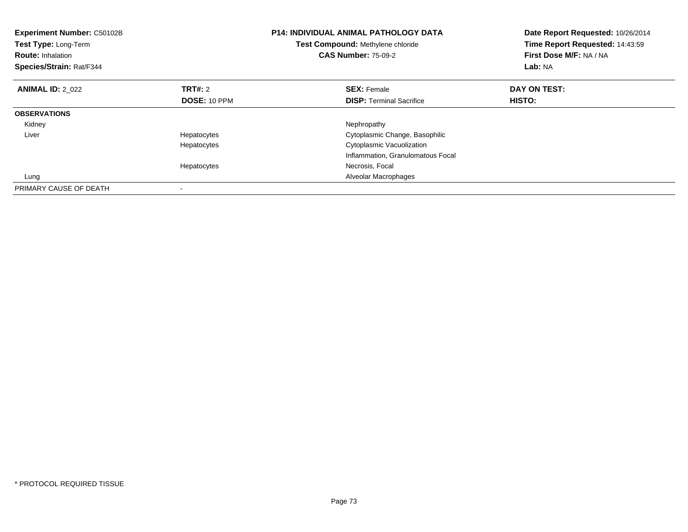| <b>Experiment Number: C50102B</b><br>Test Type: Long-Term<br><b>Route:</b> Inhalation<br>Species/Strain: Rat/F344 |                     | <b>P14: INDIVIDUAL ANIMAL PATHOLOGY DATA</b><br>Test Compound: Methylene chloride<br><b>CAS Number: 75-09-2</b> | Date Report Requested: 10/26/2014<br>Time Report Requested: 14:43:59<br>First Dose M/F: NA / NA<br>Lab: NA |
|-------------------------------------------------------------------------------------------------------------------|---------------------|-----------------------------------------------------------------------------------------------------------------|------------------------------------------------------------------------------------------------------------|
| <b>ANIMAL ID: 2 022</b>                                                                                           | TRT#: 2             | <b>SEX: Female</b>                                                                                              | DAY ON TEST:                                                                                               |
|                                                                                                                   | <b>DOSE: 10 PPM</b> | <b>DISP:</b> Terminal Sacrifice                                                                                 | <b>HISTO:</b>                                                                                              |
| <b>OBSERVATIONS</b>                                                                                               |                     |                                                                                                                 |                                                                                                            |
| Kidney                                                                                                            |                     | Nephropathy                                                                                                     |                                                                                                            |
| Liver                                                                                                             | Hepatocytes         | Cytoplasmic Change, Basophilic                                                                                  |                                                                                                            |
|                                                                                                                   | Hepatocytes         | Cytoplasmic Vacuolization                                                                                       |                                                                                                            |
|                                                                                                                   |                     | Inflammation, Granulomatous Focal                                                                               |                                                                                                            |
|                                                                                                                   | Hepatocytes         | Necrosis, Focal                                                                                                 |                                                                                                            |
| Lung                                                                                                              |                     | Alveolar Macrophages                                                                                            |                                                                                                            |
| PRIMARY CAUSE OF DEATH                                                                                            |                     |                                                                                                                 |                                                                                                            |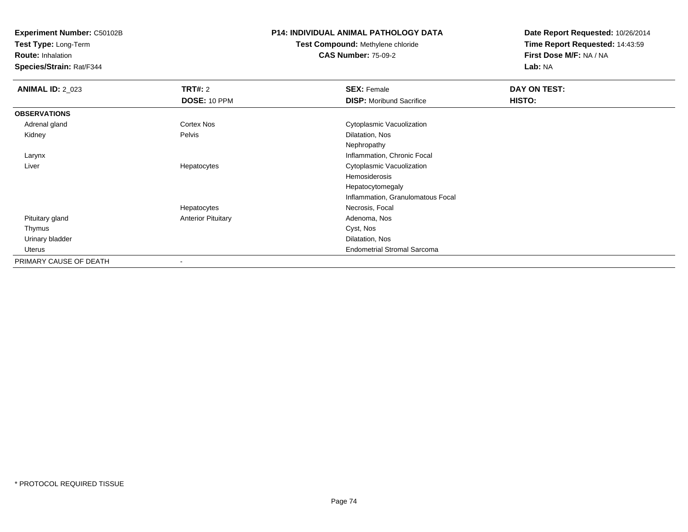**Test Type:** Long-Term

**Route:** Inhalation

**Species/Strain:** Rat/F344

#### **P14: INDIVIDUAL ANIMAL PATHOLOGY DATA**

# **Test Compound:** Methylene chloride**CAS Number:** 75-09-2

| <b>ANIMAL ID: 2_023</b> | TRT#: 2                   | <b>SEX: Female</b>                 | DAY ON TEST:  |  |
|-------------------------|---------------------------|------------------------------------|---------------|--|
|                         | DOSE: 10 PPM              | <b>DISP:</b> Moribund Sacrifice    | <b>HISTO:</b> |  |
| <b>OBSERVATIONS</b>     |                           |                                    |               |  |
| Adrenal gland           | <b>Cortex Nos</b>         | Cytoplasmic Vacuolization          |               |  |
| Kidney                  | Pelvis                    | Dilatation, Nos                    |               |  |
|                         |                           | Nephropathy                        |               |  |
| Larynx                  |                           | Inflammation, Chronic Focal        |               |  |
| Liver                   | Hepatocytes               | Cytoplasmic Vacuolization          |               |  |
|                         |                           | Hemosiderosis                      |               |  |
|                         |                           | Hepatocytomegaly                   |               |  |
|                         |                           | Inflammation, Granulomatous Focal  |               |  |
|                         | Hepatocytes               | Necrosis, Focal                    |               |  |
| Pituitary gland         | <b>Anterior Pituitary</b> | Adenoma, Nos                       |               |  |
| Thymus                  |                           | Cyst, Nos                          |               |  |
| Urinary bladder         |                           | Dilatation, Nos                    |               |  |
| Uterus                  |                           | <b>Endometrial Stromal Sarcoma</b> |               |  |
| PRIMARY CAUSE OF DEATH  |                           |                                    |               |  |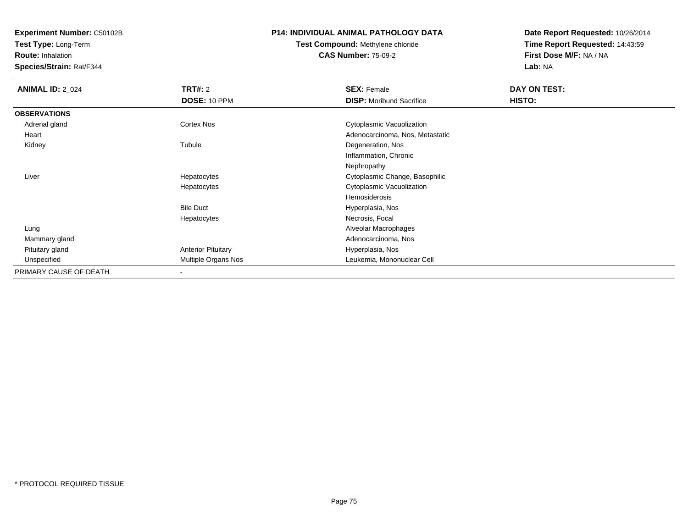**Test Type:** Long-Term

**Route:** Inhalation

**Species/Strain:** Rat/F344

### **P14: INDIVIDUAL ANIMAL PATHOLOGY DATA**

# **Test Compound:** Methylene chloride**CAS Number:** 75-09-2

| <b>ANIMAL ID: 2_024</b> | <b>TRT#: 2</b>            | <b>SEX: Female</b>              | DAY ON TEST: |  |
|-------------------------|---------------------------|---------------------------------|--------------|--|
|                         | DOSE: 10 PPM              | <b>DISP:</b> Moribund Sacrifice | HISTO:       |  |
| <b>OBSERVATIONS</b>     |                           |                                 |              |  |
| Adrenal gland           | Cortex Nos                | Cytoplasmic Vacuolization       |              |  |
| Heart                   |                           | Adenocarcinoma, Nos, Metastatic |              |  |
| Kidney                  | Tubule                    | Degeneration, Nos               |              |  |
|                         |                           | Inflammation, Chronic           |              |  |
|                         |                           | Nephropathy                     |              |  |
| Liver                   | Hepatocytes               | Cytoplasmic Change, Basophilic  |              |  |
|                         | Hepatocytes               | Cytoplasmic Vacuolization       |              |  |
|                         |                           | Hemosiderosis                   |              |  |
|                         | <b>Bile Duct</b>          | Hyperplasia, Nos                |              |  |
|                         | Hepatocytes               | Necrosis, Focal                 |              |  |
| Lung                    |                           | Alveolar Macrophages            |              |  |
| Mammary gland           |                           | Adenocarcinoma, Nos             |              |  |
| Pituitary gland         | <b>Anterior Pituitary</b> | Hyperplasia, Nos                |              |  |
| Unspecified             | Multiple Organs Nos       | Leukemia, Mononuclear Cell      |              |  |
| PRIMARY CAUSE OF DEATH  | $\blacksquare$            |                                 |              |  |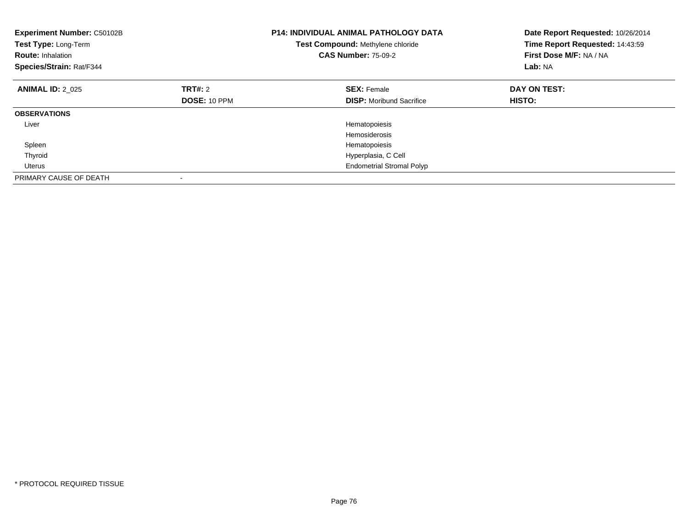| Experiment Number: C50102B<br>Test Type: Long-Term<br><b>Route: Inhalation</b><br>Species/Strain: Rat/F344 |              | <b>P14: INDIVIDUAL ANIMAL PATHOLOGY DATA</b><br>Test Compound: Methylene chloride<br><b>CAS Number: 75-09-2</b> | Date Report Requested: 10/26/2014<br>Time Report Requested: 14:43:59<br>First Dose M/F: NA / NA<br>Lab: NA |
|------------------------------------------------------------------------------------------------------------|--------------|-----------------------------------------------------------------------------------------------------------------|------------------------------------------------------------------------------------------------------------|
| <b>ANIMAL ID: 2_025</b>                                                                                    | TRT#: 2      | <b>SEX: Female</b>                                                                                              | DAY ON TEST:                                                                                               |
|                                                                                                            | DOSE: 10 PPM | <b>DISP:</b> Moribund Sacrifice                                                                                 | HISTO:                                                                                                     |
| <b>OBSERVATIONS</b>                                                                                        |              |                                                                                                                 |                                                                                                            |
| Liver                                                                                                      |              | Hematopoiesis                                                                                                   |                                                                                                            |
|                                                                                                            |              | <b>Hemosiderosis</b>                                                                                            |                                                                                                            |
| Spleen                                                                                                     |              | Hematopoiesis                                                                                                   |                                                                                                            |
| Thyroid                                                                                                    |              | Hyperplasia, C Cell                                                                                             |                                                                                                            |
| Uterus                                                                                                     |              | <b>Endometrial Stromal Polyp</b>                                                                                |                                                                                                            |
| PRIMARY CAUSE OF DEATH                                                                                     |              |                                                                                                                 |                                                                                                            |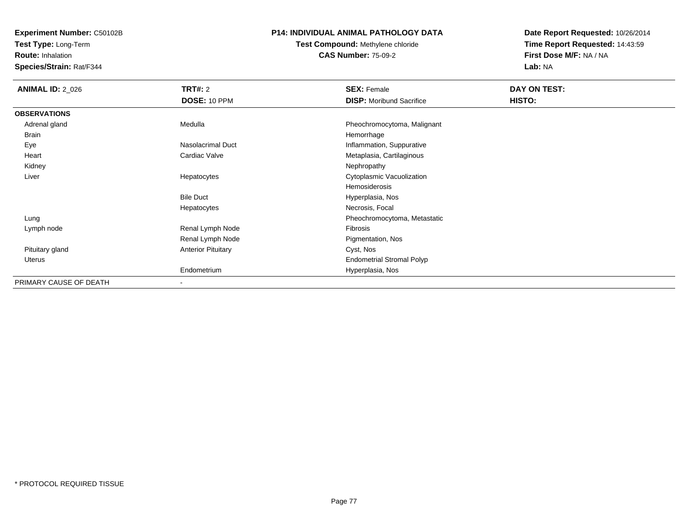**Test Type:** Long-Term

**Route:** Inhalation

**Species/Strain:** Rat/F344

### **P14: INDIVIDUAL ANIMAL PATHOLOGY DATA**

**Test Compound:** Methylene chloride**CAS Number:** 75-09-2

| <b>ANIMAL ID: 2_026</b> | <b>TRT#: 2</b>            | <b>SEX: Female</b>               | DAY ON TEST:  |  |
|-------------------------|---------------------------|----------------------------------|---------------|--|
|                         | DOSE: 10 PPM              | <b>DISP:</b> Moribund Sacrifice  | <b>HISTO:</b> |  |
| <b>OBSERVATIONS</b>     |                           |                                  |               |  |
| Adrenal gland           | Medulla                   | Pheochromocytoma, Malignant      |               |  |
| Brain                   |                           | Hemorrhage                       |               |  |
| Eye                     | Nasolacrimal Duct         | Inflammation, Suppurative        |               |  |
| Heart                   | Cardiac Valve             | Metaplasia, Cartilaginous        |               |  |
| Kidney                  |                           | Nephropathy                      |               |  |
| Liver                   | Hepatocytes               | Cytoplasmic Vacuolization        |               |  |
|                         |                           | Hemosiderosis                    |               |  |
|                         | <b>Bile Duct</b>          | Hyperplasia, Nos                 |               |  |
|                         | Hepatocytes               | Necrosis, Focal                  |               |  |
| Lung                    |                           | Pheochromocytoma, Metastatic     |               |  |
| Lymph node              | Renal Lymph Node          | Fibrosis                         |               |  |
|                         | Renal Lymph Node          | Pigmentation, Nos                |               |  |
| Pituitary gland         | <b>Anterior Pituitary</b> | Cyst, Nos                        |               |  |
| Uterus                  |                           | <b>Endometrial Stromal Polyp</b> |               |  |
|                         | Endometrium               | Hyperplasia, Nos                 |               |  |
| PRIMARY CAUSE OF DEATH  | $\overline{\phantom{a}}$  |                                  |               |  |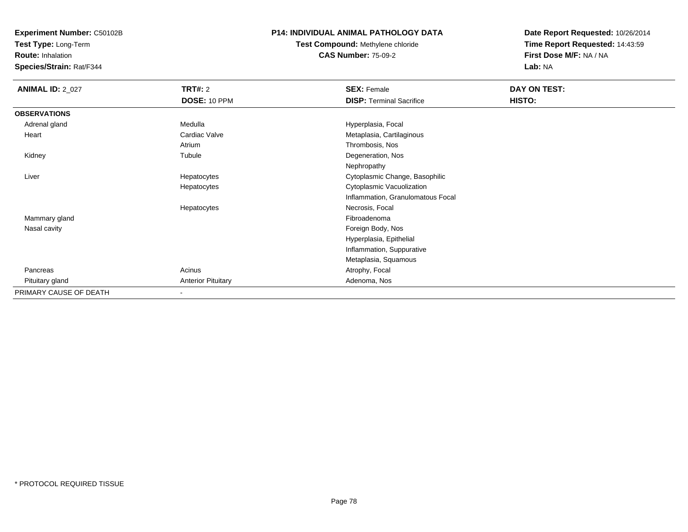**Test Type:** Long-Term

**Route:** Inhalation

**Species/Strain:** Rat/F344

#### **P14: INDIVIDUAL ANIMAL PATHOLOGY DATA**

**Test Compound:** Methylene chloride**CAS Number:** 75-09-2

| <b>ANIMAL ID: 2_027</b> | <b>TRT#: 2</b>            | <b>SEX: Female</b>                | DAY ON TEST: |  |
|-------------------------|---------------------------|-----------------------------------|--------------|--|
|                         | DOSE: 10 PPM              | <b>DISP: Terminal Sacrifice</b>   | HISTO:       |  |
| <b>OBSERVATIONS</b>     |                           |                                   |              |  |
| Adrenal gland           | Medulla                   | Hyperplasia, Focal                |              |  |
| Heart                   | Cardiac Valve             | Metaplasia, Cartilaginous         |              |  |
|                         | Atrium                    | Thrombosis, Nos                   |              |  |
| Kidney                  | Tubule                    | Degeneration, Nos                 |              |  |
|                         |                           | Nephropathy                       |              |  |
| Liver                   | Hepatocytes               | Cytoplasmic Change, Basophilic    |              |  |
|                         | Hepatocytes               | Cytoplasmic Vacuolization         |              |  |
|                         |                           | Inflammation, Granulomatous Focal |              |  |
|                         | Hepatocytes               | Necrosis, Focal                   |              |  |
| Mammary gland           |                           | Fibroadenoma                      |              |  |
| Nasal cavity            |                           | Foreign Body, Nos                 |              |  |
|                         |                           | Hyperplasia, Epithelial           |              |  |
|                         |                           | Inflammation, Suppurative         |              |  |
|                         |                           | Metaplasia, Squamous              |              |  |
| Pancreas                | Acinus                    | Atrophy, Focal                    |              |  |
| Pituitary gland         | <b>Anterior Pituitary</b> | Adenoma, Nos                      |              |  |
| PRIMARY CAUSE OF DEATH  | $\overline{\phantom{a}}$  |                                   |              |  |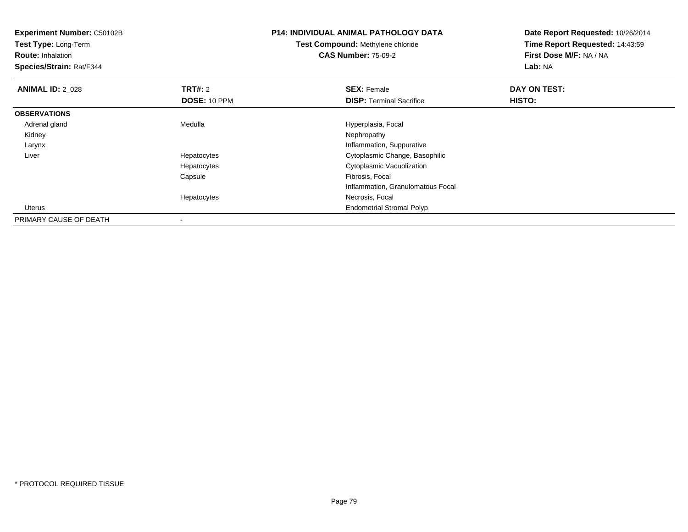| <b>Experiment Number: C50102B</b><br>Test Type: Long-Term<br><b>Route: Inhalation</b><br>Species/Strain: Rat/F344 | <b>P14: INDIVIDUAL ANIMAL PATHOLOGY DATA</b><br><b>Test Compound: Methylene chloride</b><br><b>CAS Number: 75-09-2</b> |                                   |               |  |  |  | Date Report Requested: 10/26/2014<br>Time Report Requested: 14:43:59<br>First Dose M/F: NA / NA<br>Lab: NA |
|-------------------------------------------------------------------------------------------------------------------|------------------------------------------------------------------------------------------------------------------------|-----------------------------------|---------------|--|--|--|------------------------------------------------------------------------------------------------------------|
| <b>ANIMAL ID: 2_028</b>                                                                                           | <b>TRT#: 2</b>                                                                                                         | <b>SEX: Female</b>                | DAY ON TEST:  |  |  |  |                                                                                                            |
|                                                                                                                   | DOSE: 10 PPM                                                                                                           | <b>DISP: Terminal Sacrifice</b>   | <b>HISTO:</b> |  |  |  |                                                                                                            |
| <b>OBSERVATIONS</b>                                                                                               |                                                                                                                        |                                   |               |  |  |  |                                                                                                            |
| Adrenal gland                                                                                                     | Medulla                                                                                                                | Hyperplasia, Focal                |               |  |  |  |                                                                                                            |
| Kidney                                                                                                            |                                                                                                                        | Nephropathy                       |               |  |  |  |                                                                                                            |
| Larynx                                                                                                            |                                                                                                                        | Inflammation, Suppurative         |               |  |  |  |                                                                                                            |
| Liver                                                                                                             | Hepatocytes                                                                                                            | Cytoplasmic Change, Basophilic    |               |  |  |  |                                                                                                            |
|                                                                                                                   | Hepatocytes                                                                                                            | Cytoplasmic Vacuolization         |               |  |  |  |                                                                                                            |
|                                                                                                                   | Capsule                                                                                                                | Fibrosis, Focal                   |               |  |  |  |                                                                                                            |
|                                                                                                                   |                                                                                                                        | Inflammation, Granulomatous Focal |               |  |  |  |                                                                                                            |
|                                                                                                                   | Hepatocytes                                                                                                            | Necrosis, Focal                   |               |  |  |  |                                                                                                            |
| Uterus                                                                                                            |                                                                                                                        | <b>Endometrial Stromal Polyp</b>  |               |  |  |  |                                                                                                            |
| PRIMARY CAUSE OF DEATH                                                                                            |                                                                                                                        |                                   |               |  |  |  |                                                                                                            |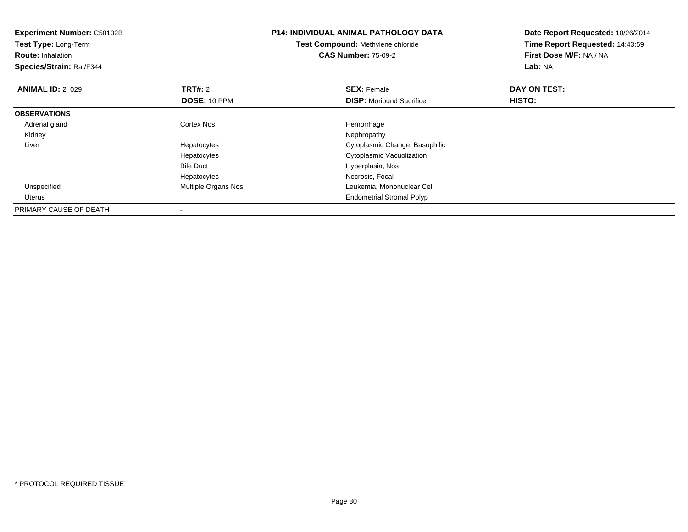| <b>Experiment Number: C50102B</b><br>Test Type: Long-Term<br><b>Route: Inhalation</b><br>Species/Strain: Rat/F344 |                     | <b>P14: INDIVIDUAL ANIMAL PATHOLOGY DATA</b><br>Test Compound: Methylene chloride<br><b>CAS Number: 75-09-2</b> | Date Report Requested: 10/26/2014<br>Time Report Requested: 14:43:59<br>First Dose M/F: NA / NA<br><b>Lab: NA</b> |
|-------------------------------------------------------------------------------------------------------------------|---------------------|-----------------------------------------------------------------------------------------------------------------|-------------------------------------------------------------------------------------------------------------------|
| <b>ANIMAL ID: 2 029</b>                                                                                           | <b>TRT#: 2</b>      | <b>SEX: Female</b>                                                                                              | DAY ON TEST:                                                                                                      |
|                                                                                                                   | DOSE: 10 PPM        | <b>DISP:</b> Moribund Sacrifice                                                                                 | <b>HISTO:</b>                                                                                                     |
| <b>OBSERVATIONS</b>                                                                                               |                     |                                                                                                                 |                                                                                                                   |
| Adrenal gland                                                                                                     | <b>Cortex Nos</b>   | Hemorrhage                                                                                                      |                                                                                                                   |
| Kidney                                                                                                            |                     | Nephropathy                                                                                                     |                                                                                                                   |
| Liver                                                                                                             | Hepatocytes         | Cytoplasmic Change, Basophilic                                                                                  |                                                                                                                   |
|                                                                                                                   | Hepatocytes         | Cytoplasmic Vacuolization                                                                                       |                                                                                                                   |
|                                                                                                                   | <b>Bile Duct</b>    | Hyperplasia, Nos                                                                                                |                                                                                                                   |
|                                                                                                                   | Hepatocytes         | Necrosis, Focal                                                                                                 |                                                                                                                   |
| Unspecified                                                                                                       | Multiple Organs Nos | Leukemia, Mononuclear Cell                                                                                      |                                                                                                                   |
| Uterus                                                                                                            |                     | <b>Endometrial Stromal Polyp</b>                                                                                |                                                                                                                   |
| PRIMARY CAUSE OF DEATH                                                                                            |                     |                                                                                                                 |                                                                                                                   |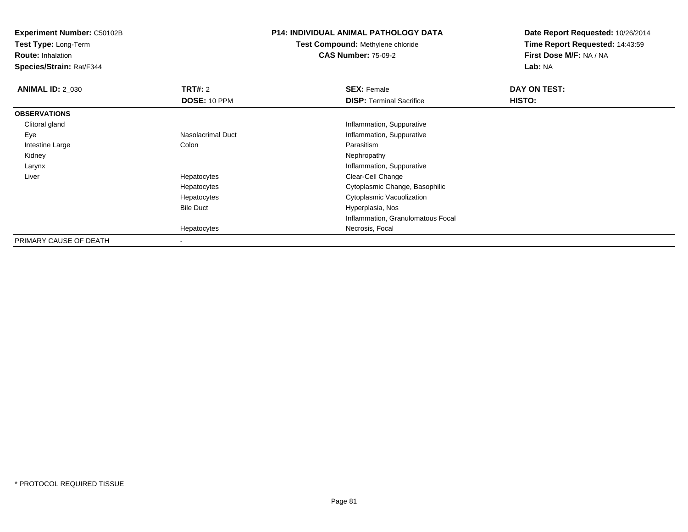**Test Type:** Long-Term

**Route:** Inhalation

**Species/Strain:** Rat/F344

#### **P14: INDIVIDUAL ANIMAL PATHOLOGY DATA**

**Test Compound:** Methylene chloride**CAS Number:** 75-09-2

| <b>ANIMAL ID: 2_030</b> | TRT#: 2             | <b>SEX: Female</b>                | DAY ON TEST: |  |
|-------------------------|---------------------|-----------------------------------|--------------|--|
|                         | <b>DOSE: 10 PPM</b> | <b>DISP: Terminal Sacrifice</b>   | HISTO:       |  |
| <b>OBSERVATIONS</b>     |                     |                                   |              |  |
| Clitoral gland          |                     | Inflammation, Suppurative         |              |  |
| Eye                     | Nasolacrimal Duct   | Inflammation, Suppurative         |              |  |
| Intestine Large         | Colon               | Parasitism                        |              |  |
| Kidney                  |                     | Nephropathy                       |              |  |
| Larynx                  |                     | Inflammation, Suppurative         |              |  |
| Liver                   | Hepatocytes         | Clear-Cell Change                 |              |  |
|                         | Hepatocytes         | Cytoplasmic Change, Basophilic    |              |  |
|                         | Hepatocytes         | Cytoplasmic Vacuolization         |              |  |
|                         | <b>Bile Duct</b>    | Hyperplasia, Nos                  |              |  |
|                         |                     | Inflammation, Granulomatous Focal |              |  |
|                         | Hepatocytes         | Necrosis, Focal                   |              |  |
| PRIMARY CAUSE OF DEATH  |                     |                                   |              |  |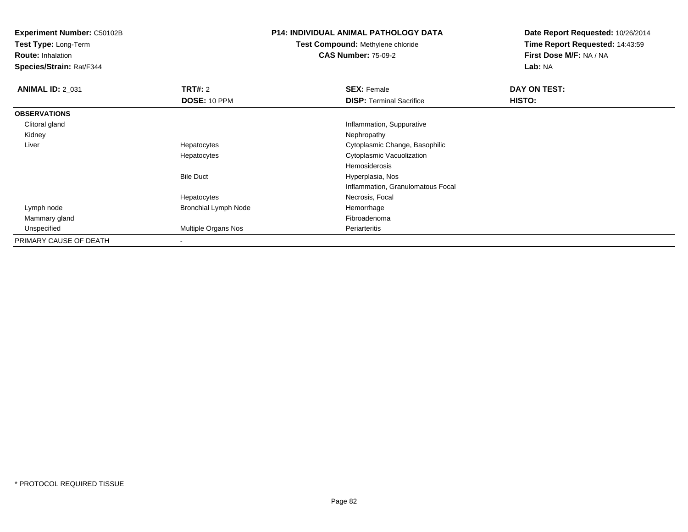**Test Type:** Long-Term

**Route:** Inhalation

**Species/Strain:** Rat/F344

### **P14: INDIVIDUAL ANIMAL PATHOLOGY DATA**

**Test Compound:** Methylene chloride**CAS Number:** 75-09-2

| <b>ANIMAL ID: 2_031</b> | <b>TRT#: 2</b>              | <b>SEX: Female</b>                | DAY ON TEST: |  |
|-------------------------|-----------------------------|-----------------------------------|--------------|--|
|                         | <b>DOSE: 10 PPM</b>         | <b>DISP: Terminal Sacrifice</b>   | HISTO:       |  |
| <b>OBSERVATIONS</b>     |                             |                                   |              |  |
| Clitoral gland          |                             | Inflammation, Suppurative         |              |  |
| Kidney                  |                             | Nephropathy                       |              |  |
| Liver                   | Hepatocytes                 | Cytoplasmic Change, Basophilic    |              |  |
|                         | Hepatocytes                 | Cytoplasmic Vacuolization         |              |  |
|                         |                             | Hemosiderosis                     |              |  |
|                         | <b>Bile Duct</b>            | Hyperplasia, Nos                  |              |  |
|                         |                             | Inflammation, Granulomatous Focal |              |  |
|                         | Hepatocytes                 | Necrosis, Focal                   |              |  |
| Lymph node              | <b>Bronchial Lymph Node</b> | Hemorrhage                        |              |  |
| Mammary gland           |                             | Fibroadenoma                      |              |  |
| Unspecified             | <b>Multiple Organs Nos</b>  | Periarteritis                     |              |  |
| PRIMARY CAUSE OF DEATH  |                             |                                   |              |  |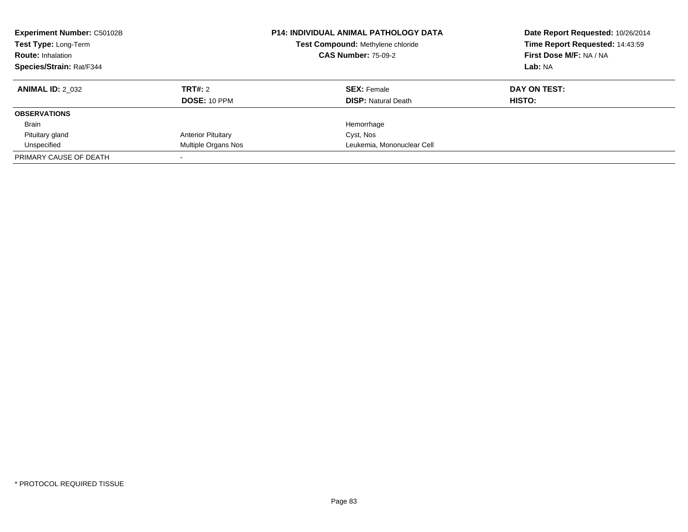| <b>Experiment Number: C50102B</b><br>Test Type: Long-Term<br><b>Route: Inhalation</b><br>Species/Strain: Rat/F344 |                                | <b>P14: INDIVIDUAL ANIMAL PATHOLOGY DATA</b><br>Test Compound: Methylene chloride<br><b>CAS Number: 75-09-2</b> | Date Report Requested: 10/26/2014<br>Time Report Requested: 14:43:59<br>First Dose M/F: NA / NA<br>Lab: NA |  |
|-------------------------------------------------------------------------------------------------------------------|--------------------------------|-----------------------------------------------------------------------------------------------------------------|------------------------------------------------------------------------------------------------------------|--|
| <b>ANIMAL ID: 2 032</b>                                                                                           | TRT#: 2<br><b>DOSE: 10 PPM</b> | <b>SEX: Female</b><br><b>DISP:</b> Natural Death                                                                | DAY ON TEST:<br>HISTO:                                                                                     |  |
| <b>OBSERVATIONS</b>                                                                                               |                                |                                                                                                                 |                                                                                                            |  |
| <b>Brain</b>                                                                                                      |                                | Hemorrhage                                                                                                      |                                                                                                            |  |
| Pituitary gland                                                                                                   | <b>Anterior Pituitary</b>      | Cyst, Nos                                                                                                       |                                                                                                            |  |
| Unspecified                                                                                                       | Multiple Organs Nos            | Leukemia, Mononuclear Cell                                                                                      |                                                                                                            |  |
| PRIMARY CAUSE OF DEATH                                                                                            |                                |                                                                                                                 |                                                                                                            |  |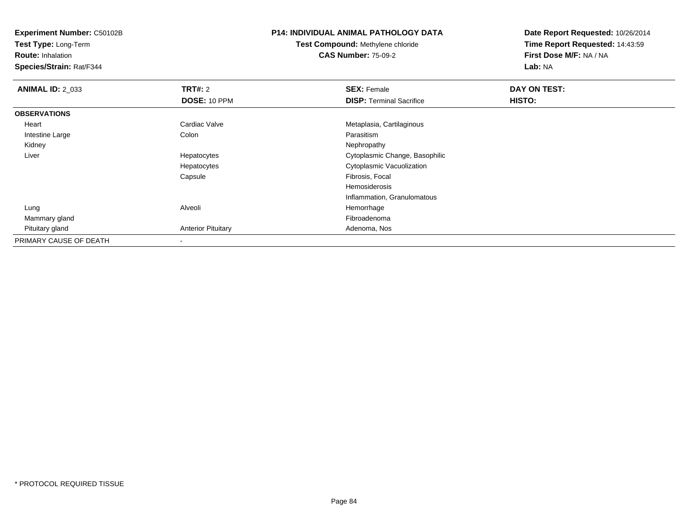**Test Type:** Long-Term

**Route:** Inhalation

**Species/Strain:** Rat/F344

# **P14: INDIVIDUAL ANIMAL PATHOLOGY DATA**

**Test Compound:** Methylene chloride**CAS Number:** 75-09-2

| <b>ANIMAL ID: 2_033</b> | <b>TRT#: 2</b>            | <b>SEX: Female</b>              | DAY ON TEST: |  |
|-------------------------|---------------------------|---------------------------------|--------------|--|
|                         | DOSE: 10 PPM              | <b>DISP: Terminal Sacrifice</b> | HISTO:       |  |
| <b>OBSERVATIONS</b>     |                           |                                 |              |  |
| Heart                   | Cardiac Valve             | Metaplasia, Cartilaginous       |              |  |
| Intestine Large         | Colon                     | Parasitism                      |              |  |
| Kidney                  |                           | Nephropathy                     |              |  |
| Liver                   | Hepatocytes               | Cytoplasmic Change, Basophilic  |              |  |
|                         | Hepatocytes               | Cytoplasmic Vacuolization       |              |  |
|                         | Capsule                   | Fibrosis, Focal                 |              |  |
|                         |                           | Hemosiderosis                   |              |  |
|                         |                           | Inflammation, Granulomatous     |              |  |
| Lung                    | Alveoli                   | Hemorrhage                      |              |  |
| Mammary gland           |                           | Fibroadenoma                    |              |  |
| Pituitary gland         | <b>Anterior Pituitary</b> | Adenoma, Nos                    |              |  |
| PRIMARY CAUSE OF DEATH  |                           |                                 |              |  |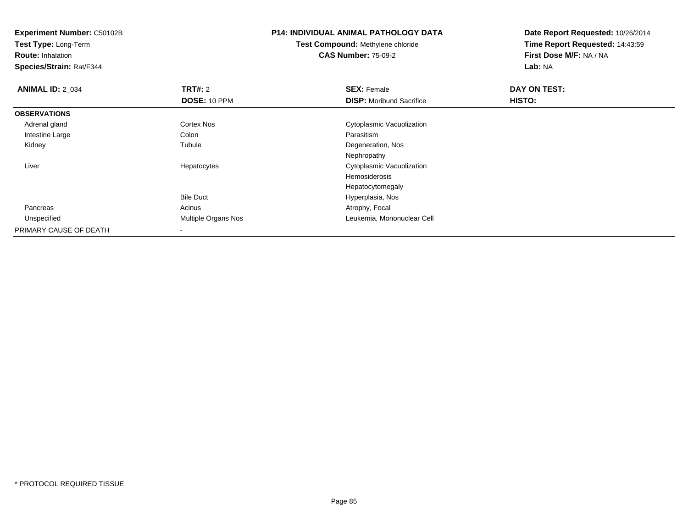**Test Type:** Long-Term

**Route:** Inhalation

**Species/Strain:** Rat/F344

# **P14: INDIVIDUAL ANIMAL PATHOLOGY DATA**

**Test Compound:** Methylene chloride**CAS Number:** 75-09-2

| <b>ANIMAL ID: 2_034</b> | <b>TRT#: 2</b>           | <b>SEX: Female</b>              | DAY ON TEST: |  |
|-------------------------|--------------------------|---------------------------------|--------------|--|
|                         | DOSE: 10 PPM             | <b>DISP:</b> Moribund Sacrifice | HISTO:       |  |
| <b>OBSERVATIONS</b>     |                          |                                 |              |  |
| Adrenal gland           | <b>Cortex Nos</b>        | Cytoplasmic Vacuolization       |              |  |
| Intestine Large         | Colon                    | Parasitism                      |              |  |
| Kidney                  | Tubule                   | Degeneration, Nos               |              |  |
|                         |                          | Nephropathy                     |              |  |
| Liver                   | Hepatocytes              | Cytoplasmic Vacuolization       |              |  |
|                         |                          | Hemosiderosis                   |              |  |
|                         |                          | Hepatocytomegaly                |              |  |
|                         | <b>Bile Duct</b>         | Hyperplasia, Nos                |              |  |
| Pancreas                | Acinus                   | Atrophy, Focal                  |              |  |
| Unspecified             | Multiple Organs Nos      | Leukemia, Mononuclear Cell      |              |  |
| PRIMARY CAUSE OF DEATH  | $\overline{\phantom{a}}$ |                                 |              |  |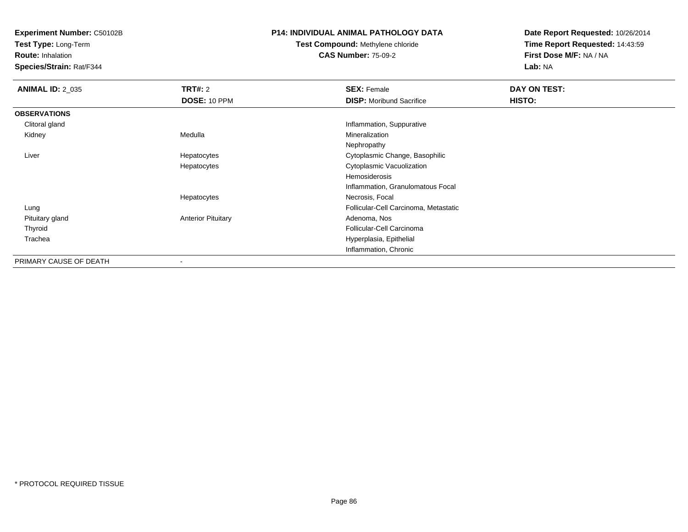**Test Type:** Long-Term

**Route:** Inhalation

**Species/Strain:** Rat/F344

#### **P14: INDIVIDUAL ANIMAL PATHOLOGY DATA**

**Test Compound:** Methylene chloride**CAS Number:** 75-09-2

| <b>ANIMAL ID: 2_035</b> | TRT#: 2                   | <b>SEX: Female</b>                    | DAY ON TEST: |  |
|-------------------------|---------------------------|---------------------------------------|--------------|--|
|                         | DOSE: 10 PPM              | <b>DISP:</b> Moribund Sacrifice       | HISTO:       |  |
| <b>OBSERVATIONS</b>     |                           |                                       |              |  |
| Clitoral gland          |                           | Inflammation, Suppurative             |              |  |
| Kidney                  | Medulla                   | Mineralization                        |              |  |
|                         |                           | Nephropathy                           |              |  |
| Liver                   | Hepatocytes               | Cytoplasmic Change, Basophilic        |              |  |
|                         | Hepatocytes               | Cytoplasmic Vacuolization             |              |  |
|                         |                           | Hemosiderosis                         |              |  |
|                         |                           | Inflammation, Granulomatous Focal     |              |  |
|                         | Hepatocytes               | Necrosis, Focal                       |              |  |
| Lung                    |                           | Follicular-Cell Carcinoma, Metastatic |              |  |
| Pituitary gland         | <b>Anterior Pituitary</b> | Adenoma, Nos                          |              |  |
| Thyroid                 |                           | Follicular-Cell Carcinoma             |              |  |
| Trachea                 |                           | Hyperplasia, Epithelial               |              |  |
|                         |                           | Inflammation, Chronic                 |              |  |
| PRIMARY CAUSE OF DEATH  |                           |                                       |              |  |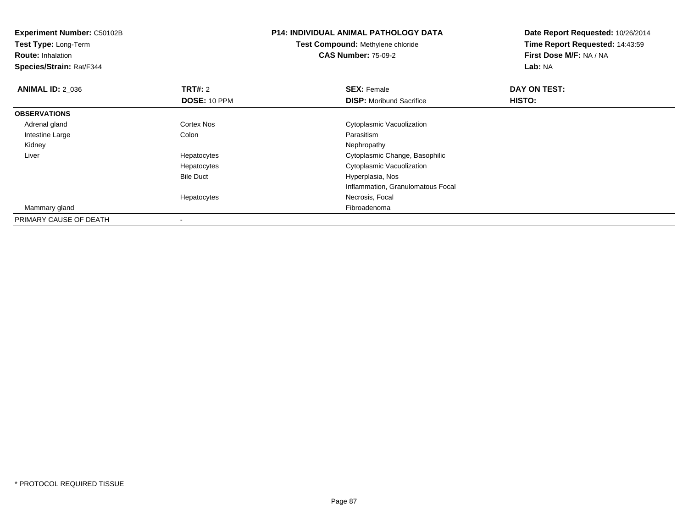| <b>Experiment Number: C50102B</b><br>Test Type: Long-Term<br><b>Route: Inhalation</b><br>Species/Strain: Rat/F344 |                     | <b>P14: INDIVIDUAL ANIMAL PATHOLOGY DATA</b><br>Test Compound: Methylene chloride<br><b>CAS Number: 75-09-2</b> | Date Report Requested: 10/26/2014<br>Time Report Requested: 14:43:59<br>First Dose M/F: NA / NA<br>Lab: NA |
|-------------------------------------------------------------------------------------------------------------------|---------------------|-----------------------------------------------------------------------------------------------------------------|------------------------------------------------------------------------------------------------------------|
| <b>ANIMAL ID: 2 036</b>                                                                                           | <b>TRT#: 2</b>      | <b>SEX: Female</b>                                                                                              | DAY ON TEST:                                                                                               |
|                                                                                                                   | <b>DOSE: 10 PPM</b> | <b>DISP:</b> Moribund Sacrifice                                                                                 | <b>HISTO:</b>                                                                                              |
| <b>OBSERVATIONS</b>                                                                                               |                     |                                                                                                                 |                                                                                                            |
| Adrenal gland                                                                                                     | Cortex Nos          | Cytoplasmic Vacuolization                                                                                       |                                                                                                            |
| Intestine Large                                                                                                   | Colon               | Parasitism                                                                                                      |                                                                                                            |
| Kidney                                                                                                            |                     | Nephropathy                                                                                                     |                                                                                                            |
| Liver                                                                                                             | Hepatocytes         | Cytoplasmic Change, Basophilic                                                                                  |                                                                                                            |
|                                                                                                                   | Hepatocytes         | Cytoplasmic Vacuolization                                                                                       |                                                                                                            |
|                                                                                                                   | <b>Bile Duct</b>    | Hyperplasia, Nos                                                                                                |                                                                                                            |
|                                                                                                                   |                     | Inflammation, Granulomatous Focal                                                                               |                                                                                                            |
|                                                                                                                   | Hepatocytes         | Necrosis, Focal                                                                                                 |                                                                                                            |
| Mammary gland                                                                                                     |                     | Fibroadenoma                                                                                                    |                                                                                                            |
| PRIMARY CAUSE OF DEATH                                                                                            |                     |                                                                                                                 |                                                                                                            |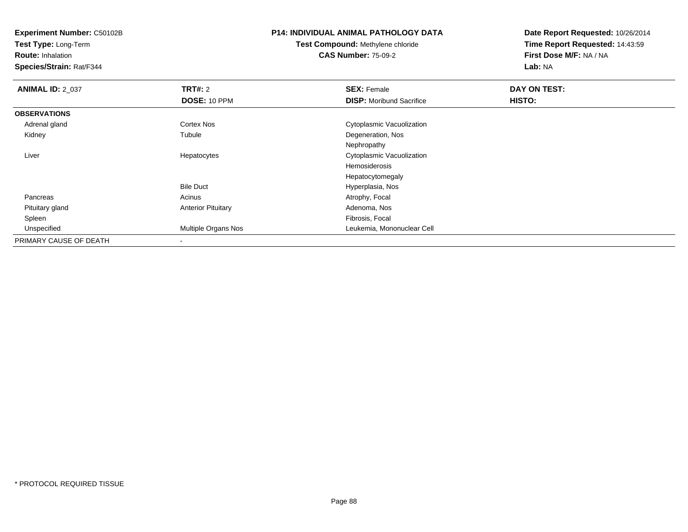**Test Type:** Long-Term

**Route:** Inhalation

**Species/Strain:** Rat/F344

### **P14: INDIVIDUAL ANIMAL PATHOLOGY DATA**

# **Test Compound:** Methylene chloride**CAS Number:** 75-09-2

| <b>ANIMAL ID: 2_037</b> | <b>TRT#: 2</b>             | <b>SEX: Female</b>              | DAY ON TEST: |  |
|-------------------------|----------------------------|---------------------------------|--------------|--|
|                         | DOSE: 10 PPM               | <b>DISP:</b> Moribund Sacrifice | HISTO:       |  |
| <b>OBSERVATIONS</b>     |                            |                                 |              |  |
| Adrenal gland           | <b>Cortex Nos</b>          | Cytoplasmic Vacuolization       |              |  |
| Kidney                  | Tubule                     | Degeneration, Nos               |              |  |
|                         |                            | Nephropathy                     |              |  |
| Liver                   | Hepatocytes                | Cytoplasmic Vacuolization       |              |  |
|                         |                            | Hemosiderosis                   |              |  |
|                         |                            | Hepatocytomegaly                |              |  |
|                         | <b>Bile Duct</b>           | Hyperplasia, Nos                |              |  |
| Pancreas                | Acinus                     | Atrophy, Focal                  |              |  |
| Pituitary gland         | <b>Anterior Pituitary</b>  | Adenoma, Nos                    |              |  |
| Spleen                  |                            | Fibrosis, Focal                 |              |  |
| Unspecified             | <b>Multiple Organs Nos</b> | Leukemia, Mononuclear Cell      |              |  |
| PRIMARY CAUSE OF DEATH  |                            |                                 |              |  |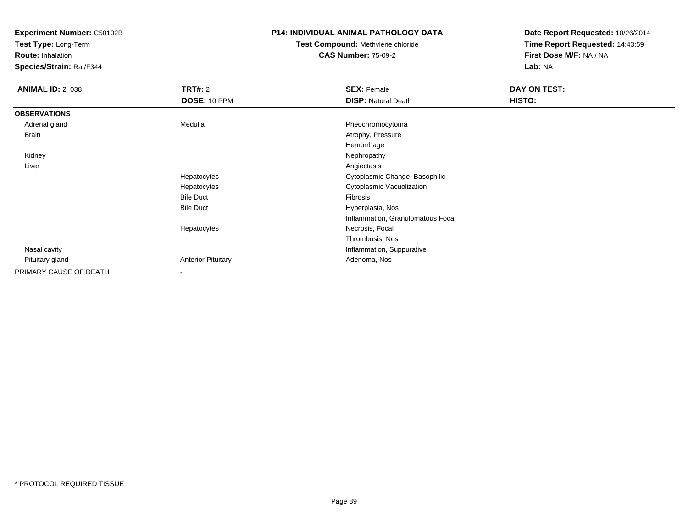**Test Type:** Long-Term

**Route:** Inhalation

**Species/Strain:** Rat/F344

### **P14: INDIVIDUAL ANIMAL PATHOLOGY DATA**

# **Test Compound:** Methylene chloride**CAS Number:** 75-09-2

| <b>ANIMAL ID: 2_038</b> | <b>TRT#: 2</b>            | <b>SEX: Female</b>                | <b>DAY ON TEST:</b> |  |
|-------------------------|---------------------------|-----------------------------------|---------------------|--|
|                         | DOSE: 10 PPM              | <b>DISP: Natural Death</b>        | HISTO:              |  |
| <b>OBSERVATIONS</b>     |                           |                                   |                     |  |
| Adrenal gland           | Medulla                   | Pheochromocytoma                  |                     |  |
| <b>Brain</b>            |                           | Atrophy, Pressure                 |                     |  |
|                         |                           | Hemorrhage                        |                     |  |
| Kidney                  |                           | Nephropathy                       |                     |  |
| Liver                   |                           | Angiectasis                       |                     |  |
|                         | Hepatocytes               | Cytoplasmic Change, Basophilic    |                     |  |
|                         | Hepatocytes               | Cytoplasmic Vacuolization         |                     |  |
|                         | <b>Bile Duct</b>          | Fibrosis                          |                     |  |
|                         | <b>Bile Duct</b>          | Hyperplasia, Nos                  |                     |  |
|                         |                           | Inflammation, Granulomatous Focal |                     |  |
|                         | Hepatocytes               | Necrosis, Focal                   |                     |  |
|                         |                           | Thrombosis, Nos                   |                     |  |
| Nasal cavity            |                           | Inflammation, Suppurative         |                     |  |
| Pituitary gland         | <b>Anterior Pituitary</b> | Adenoma, Nos                      |                     |  |
| PRIMARY CAUSE OF DEATH  | $\overline{\phantom{0}}$  |                                   |                     |  |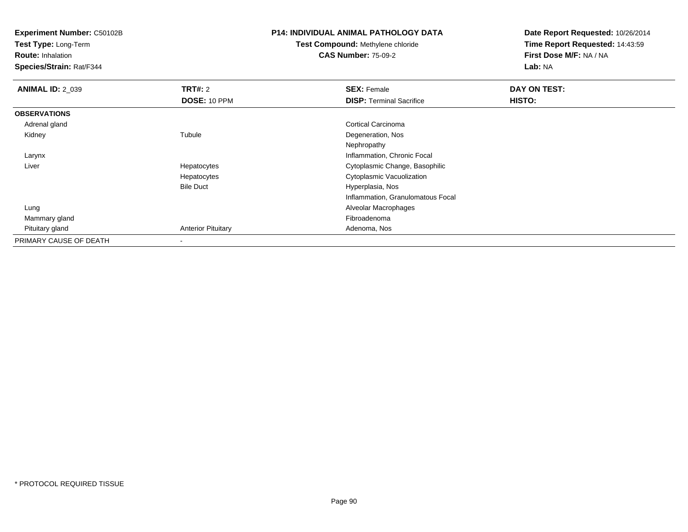**Test Type:** Long-Term

**Route:** Inhalation

**Species/Strain:** Rat/F344

### **P14: INDIVIDUAL ANIMAL PATHOLOGY DATA**

**Test Compound:** Methylene chloride**CAS Number:** 75-09-2

| <b>ANIMAL ID: 2 039</b> | <b>TRT#: 2</b>            | <b>SEX: Female</b>                | DAY ON TEST: |
|-------------------------|---------------------------|-----------------------------------|--------------|
|                         | <b>DOSE: 10 PPM</b>       | <b>DISP: Terminal Sacrifice</b>   | HISTO:       |
| <b>OBSERVATIONS</b>     |                           |                                   |              |
| Adrenal gland           |                           | Cortical Carcinoma                |              |
| Kidney                  | Tubule                    | Degeneration, Nos                 |              |
|                         |                           | Nephropathy                       |              |
| Larynx                  |                           | Inflammation, Chronic Focal       |              |
| Liver                   | Hepatocytes               | Cytoplasmic Change, Basophilic    |              |
|                         | Hepatocytes               | <b>Cytoplasmic Vacuolization</b>  |              |
|                         | <b>Bile Duct</b>          | Hyperplasia, Nos                  |              |
|                         |                           | Inflammation, Granulomatous Focal |              |
| Lung                    |                           | Alveolar Macrophages              |              |
| Mammary gland           |                           | Fibroadenoma                      |              |
| Pituitary gland         | <b>Anterior Pituitary</b> | Adenoma, Nos                      |              |
| PRIMARY CAUSE OF DEATH  |                           |                                   |              |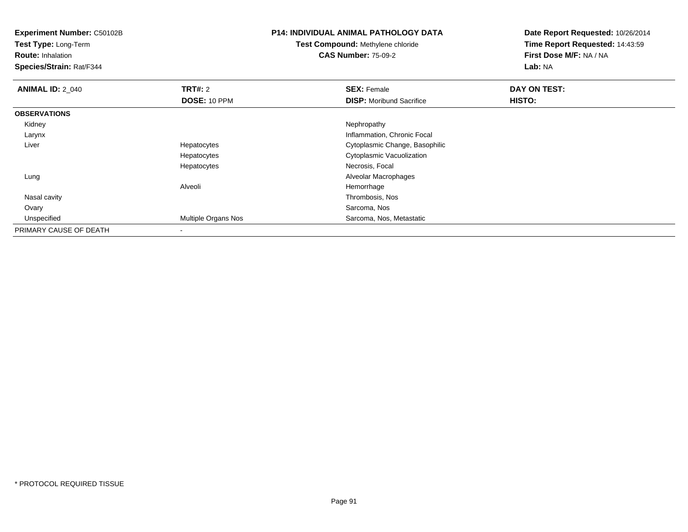**Experiment Number:** C50102B**Test Type:** Long-Term**Route:** Inhalation **Species/Strain:** Rat/F344**P14: INDIVIDUAL ANIMAL PATHOLOGY DATATest Compound:** Methylene chloride**CAS Number:** 75-09-2**Date Report Requested:** 10/26/2014**Time Report Requested:** 14:43:59**First Dose M/F:** NA / NA**Lab:** NA**ANIMAL ID: 2 040 Communist SEX: Female DAY ON TEST: DAY ON TEST: DOSE:** 10 PPM**DISP:** Moribund Sacrifice **HISTO: OBSERVATIONS** Kidneyy the control of the control of the control of the control of the control of the control of the control of the control of the control of the control of the control of the control of the control of the control of the contro Larynx Inflammation, Chronic Focal Liver Hepatocytes Cytoplasmic Change, Basophilic Hepatocytes Cytoplasmic VacuolizationHepatocytes Necrosis, Focal Lung Alveolar Macrophages Alveoli Hemorrhage Thrombosis, Nos Nasal cavity Ovaryy with the state of the state of the state of the state of the state of the Sarcoma, Nos UnspecifiedMultiple Organs Nos **Sarcoma**, Nos, Metastatic PRIMARY CAUSE OF DEATH-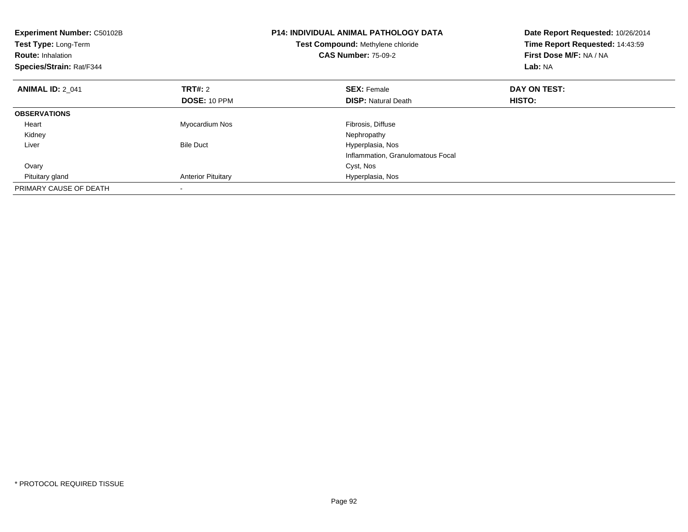| <b>Experiment Number: C50102B</b><br>Test Type: Long-Term<br><b>Route: Inhalation</b><br>Species/Strain: Rat/F344 |                           | <b>P14: INDIVIDUAL ANIMAL PATHOLOGY DATA</b><br>Test Compound: Methylene chloride<br><b>CAS Number: 75-09-2</b> | Date Report Requested: 10/26/2014<br>Time Report Requested: 14:43:59<br>First Dose M/F: NA / NA<br>Lab: NA |  |
|-------------------------------------------------------------------------------------------------------------------|---------------------------|-----------------------------------------------------------------------------------------------------------------|------------------------------------------------------------------------------------------------------------|--|
| <b>ANIMAL ID: 2 041</b>                                                                                           | TRT#: 2                   | <b>SEX: Female</b>                                                                                              | DAY ON TEST:                                                                                               |  |
|                                                                                                                   | DOSE: 10 PPM              | <b>DISP:</b> Natural Death                                                                                      | HISTO:                                                                                                     |  |
| <b>OBSERVATIONS</b>                                                                                               |                           |                                                                                                                 |                                                                                                            |  |
| Heart                                                                                                             | Myocardium Nos            | Fibrosis, Diffuse                                                                                               |                                                                                                            |  |
| Kidney                                                                                                            |                           | Nephropathy                                                                                                     |                                                                                                            |  |
| Liver                                                                                                             | <b>Bile Duct</b>          | Hyperplasia, Nos                                                                                                |                                                                                                            |  |
|                                                                                                                   |                           | Inflammation, Granulomatous Focal                                                                               |                                                                                                            |  |
| Ovary                                                                                                             |                           | Cyst, Nos                                                                                                       |                                                                                                            |  |
| Pituitary gland                                                                                                   | <b>Anterior Pituitary</b> | Hyperplasia, Nos                                                                                                |                                                                                                            |  |
| PRIMARY CAUSE OF DEATH                                                                                            |                           |                                                                                                                 |                                                                                                            |  |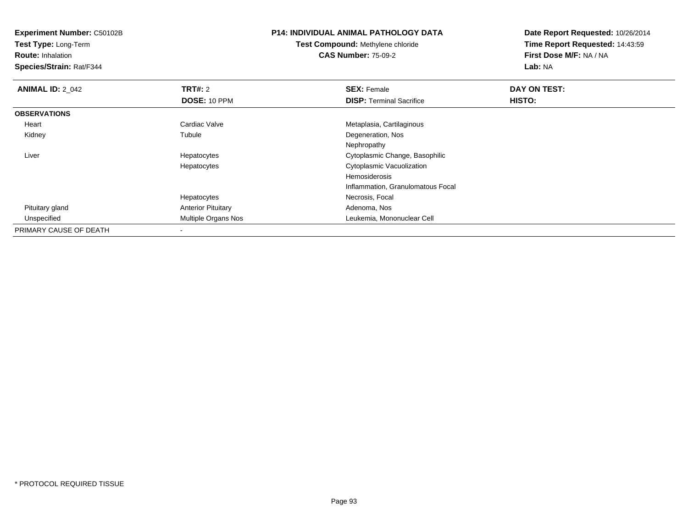**Test Type:** Long-Term

**Route:** Inhalation

**Species/Strain:** Rat/F344

# **P14: INDIVIDUAL ANIMAL PATHOLOGY DATA**

**Test Compound:** Methylene chloride**CAS Number:** 75-09-2

| <b>ANIMAL ID: 2 042</b> | TRT#: 2                   | <b>SEX: Female</b>                | DAY ON TEST: |  |
|-------------------------|---------------------------|-----------------------------------|--------------|--|
|                         | DOSE: 10 PPM              | <b>DISP: Terminal Sacrifice</b>   | HISTO:       |  |
| <b>OBSERVATIONS</b>     |                           |                                   |              |  |
| Heart                   | Cardiac Valve             | Metaplasia, Cartilaginous         |              |  |
| Kidney                  | Tubule                    | Degeneration, Nos                 |              |  |
|                         |                           | Nephropathy                       |              |  |
| Liver                   | Hepatocytes               | Cytoplasmic Change, Basophilic    |              |  |
|                         | Hepatocytes               | Cytoplasmic Vacuolization         |              |  |
|                         |                           | Hemosiderosis                     |              |  |
|                         |                           | Inflammation, Granulomatous Focal |              |  |
|                         | Hepatocytes               | Necrosis, Focal                   |              |  |
| Pituitary gland         | <b>Anterior Pituitary</b> | Adenoma, Nos                      |              |  |
| Unspecified             | Multiple Organs Nos       | Leukemia, Mononuclear Cell        |              |  |
| PRIMARY CAUSE OF DEATH  |                           |                                   |              |  |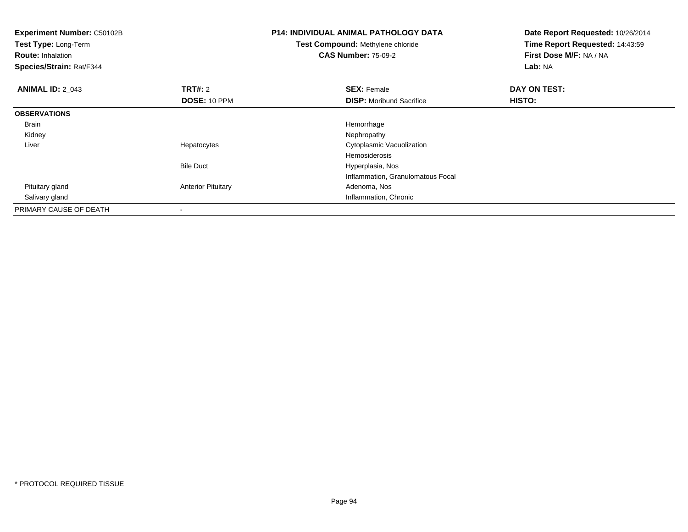| <b>Experiment Number: C50102B</b><br>Test Type: Long-Term<br><b>Route: Inhalation</b><br>Species/Strain: Rat/F344 |                           | <b>P14: INDIVIDUAL ANIMAL PATHOLOGY DATA</b><br>Test Compound: Methylene chloride<br><b>CAS Number: 75-09-2</b> | Date Report Requested: 10/26/2014<br>Time Report Requested: 14:43:59<br>First Dose M/F: NA / NA<br>Lab: NA |  |
|-------------------------------------------------------------------------------------------------------------------|---------------------------|-----------------------------------------------------------------------------------------------------------------|------------------------------------------------------------------------------------------------------------|--|
| <b>ANIMAL ID: 2 043</b>                                                                                           | <b>TRT#: 2</b>            | <b>SEX: Female</b>                                                                                              | DAY ON TEST:                                                                                               |  |
|                                                                                                                   | DOSE: 10 PPM              | <b>DISP:</b> Moribund Sacrifice                                                                                 | HISTO:                                                                                                     |  |
| <b>OBSERVATIONS</b>                                                                                               |                           |                                                                                                                 |                                                                                                            |  |
| Brain                                                                                                             |                           | Hemorrhage                                                                                                      |                                                                                                            |  |
| Kidney                                                                                                            |                           | Nephropathy                                                                                                     |                                                                                                            |  |
| Liver                                                                                                             | Hepatocytes               | Cytoplasmic Vacuolization                                                                                       |                                                                                                            |  |
|                                                                                                                   |                           | <b>Hemosiderosis</b>                                                                                            |                                                                                                            |  |
|                                                                                                                   | <b>Bile Duct</b>          | Hyperplasia, Nos                                                                                                |                                                                                                            |  |
|                                                                                                                   |                           | Inflammation, Granulomatous Focal                                                                               |                                                                                                            |  |
| Pituitary gland                                                                                                   | <b>Anterior Pituitary</b> | Adenoma, Nos                                                                                                    |                                                                                                            |  |
| Salivary gland                                                                                                    |                           | Inflammation, Chronic                                                                                           |                                                                                                            |  |
| PRIMARY CAUSE OF DEATH                                                                                            |                           |                                                                                                                 |                                                                                                            |  |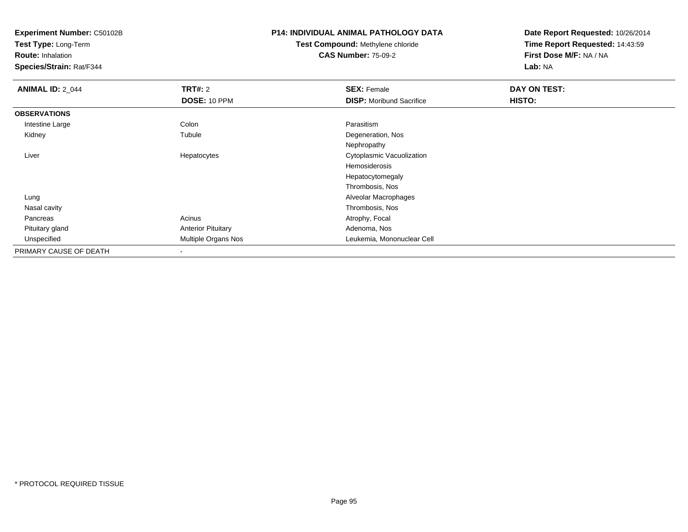**Test Type:** Long-Term

**Route:** Inhalation

**Species/Strain:** Rat/F344

### **P14: INDIVIDUAL ANIMAL PATHOLOGY DATA**

# **Test Compound:** Methylene chloride**CAS Number:** 75-09-2

| <b>ANIMAL ID: 2_044</b> | <b>TRT#: 2</b>             | <b>SEX: Female</b>              | DAY ON TEST: |  |
|-------------------------|----------------------------|---------------------------------|--------------|--|
|                         | DOSE: 10 PPM               | <b>DISP:</b> Moribund Sacrifice | HISTO:       |  |
| <b>OBSERVATIONS</b>     |                            |                                 |              |  |
| Intestine Large         | Colon                      | Parasitism                      |              |  |
| Kidney                  | Tubule                     | Degeneration, Nos               |              |  |
|                         |                            | Nephropathy                     |              |  |
| Liver                   | Hepatocytes                | Cytoplasmic Vacuolization       |              |  |
|                         |                            | Hemosiderosis                   |              |  |
|                         |                            | Hepatocytomegaly                |              |  |
|                         |                            | Thrombosis, Nos                 |              |  |
| Lung                    |                            | Alveolar Macrophages            |              |  |
| Nasal cavity            |                            | Thrombosis, Nos                 |              |  |
| Pancreas                | Acinus                     | Atrophy, Focal                  |              |  |
| Pituitary gland         | <b>Anterior Pituitary</b>  | Adenoma, Nos                    |              |  |
| Unspecified             | <b>Multiple Organs Nos</b> | Leukemia, Mononuclear Cell      |              |  |
| PRIMARY CAUSE OF DEATH  |                            |                                 |              |  |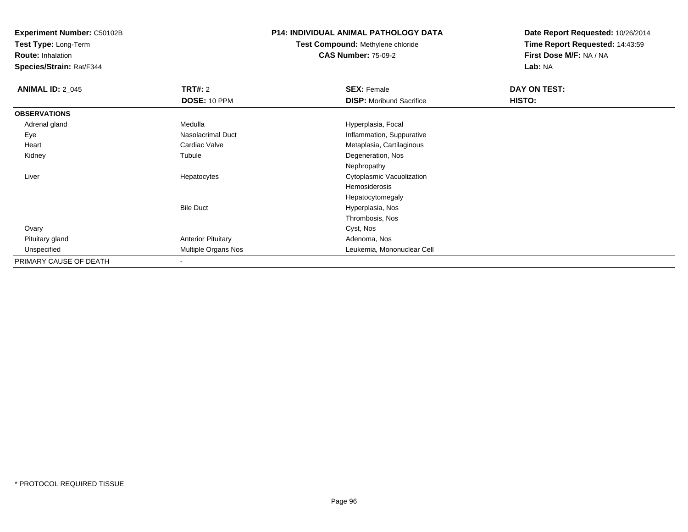**Test Type:** Long-Term

**Route:** Inhalation

**Species/Strain:** Rat/F344

#### **P14: INDIVIDUAL ANIMAL PATHOLOGY DATA**

**Test Compound:** Methylene chloride**CAS Number:** 75-09-2

| <b>ANIMAL ID: 2_045</b> | TRT#: 2                   | <b>SEX: Female</b>              | DAY ON TEST: |  |
|-------------------------|---------------------------|---------------------------------|--------------|--|
|                         | DOSE: 10 PPM              | <b>DISP:</b> Moribund Sacrifice | HISTO:       |  |
| <b>OBSERVATIONS</b>     |                           |                                 |              |  |
| Adrenal gland           | Medulla                   | Hyperplasia, Focal              |              |  |
| Eye                     | Nasolacrimal Duct         | Inflammation, Suppurative       |              |  |
| Heart                   | Cardiac Valve             | Metaplasia, Cartilaginous       |              |  |
| Kidney                  | Tubule                    | Degeneration, Nos               |              |  |
|                         |                           | Nephropathy                     |              |  |
| Liver                   | Hepatocytes               | Cytoplasmic Vacuolization       |              |  |
|                         |                           | Hemosiderosis                   |              |  |
|                         |                           | Hepatocytomegaly                |              |  |
|                         | <b>Bile Duct</b>          | Hyperplasia, Nos                |              |  |
|                         |                           | Thrombosis, Nos                 |              |  |
| Ovary                   |                           | Cyst, Nos                       |              |  |
| Pituitary gland         | <b>Anterior Pituitary</b> | Adenoma, Nos                    |              |  |
| Unspecified             | Multiple Organs Nos       | Leukemia, Mononuclear Cell      |              |  |
| PRIMARY CAUSE OF DEATH  |                           |                                 |              |  |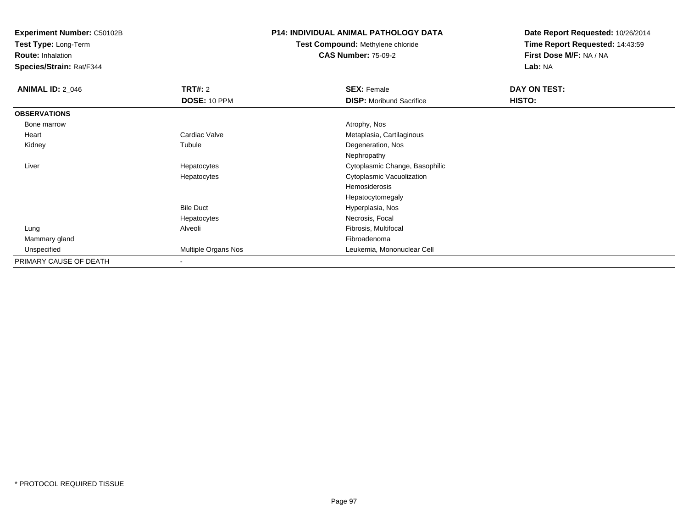**Test Type:** Long-Term

**Route:** Inhalation

**Species/Strain:** Rat/F344

#### **P14: INDIVIDUAL ANIMAL PATHOLOGY DATA**

# **Test Compound:** Methylene chloride**CAS Number:** 75-09-2

| <b>ANIMAL ID: 2_046</b> | TRT#: 2             | <b>SEX: Female</b>              | DAY ON TEST: |  |
|-------------------------|---------------------|---------------------------------|--------------|--|
|                         | DOSE: 10 PPM        | <b>DISP:</b> Moribund Sacrifice | HISTO:       |  |
| <b>OBSERVATIONS</b>     |                     |                                 |              |  |
| Bone marrow             |                     | Atrophy, Nos                    |              |  |
| Heart                   | Cardiac Valve       | Metaplasia, Cartilaginous       |              |  |
| Kidney                  | Tubule              | Degeneration, Nos               |              |  |
|                         |                     | Nephropathy                     |              |  |
| Liver                   | Hepatocytes         | Cytoplasmic Change, Basophilic  |              |  |
|                         | Hepatocytes         | Cytoplasmic Vacuolization       |              |  |
|                         |                     | Hemosiderosis                   |              |  |
|                         |                     | Hepatocytomegaly                |              |  |
|                         | <b>Bile Duct</b>    | Hyperplasia, Nos                |              |  |
|                         | Hepatocytes         | Necrosis, Focal                 |              |  |
| Lung                    | Alveoli             | Fibrosis, Multifocal            |              |  |
| Mammary gland           |                     | Fibroadenoma                    |              |  |
| Unspecified             | Multiple Organs Nos | Leukemia, Mononuclear Cell      |              |  |
| PRIMARY CAUSE OF DEATH  |                     |                                 |              |  |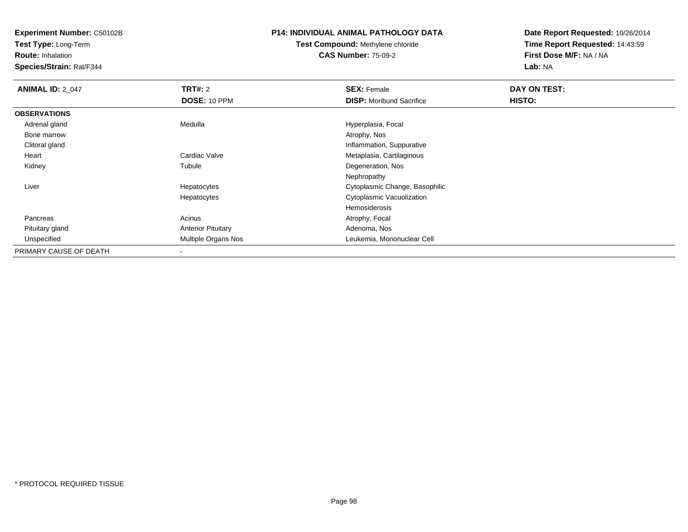**Test Type:** Long-Term

**Route:** Inhalation

**Species/Strain:** Rat/F344

### **P14: INDIVIDUAL ANIMAL PATHOLOGY DATA**

# **Test Compound:** Methylene chloride**CAS Number:** 75-09-2

| <b>ANIMAL ID: 2 047</b> | TRT#: 2                   | <b>SEX: Female</b>              | DAY ON TEST: |  |
|-------------------------|---------------------------|---------------------------------|--------------|--|
|                         | DOSE: 10 PPM              | <b>DISP: Moribund Sacrifice</b> | HISTO:       |  |
| <b>OBSERVATIONS</b>     |                           |                                 |              |  |
| Adrenal gland           | Medulla                   | Hyperplasia, Focal              |              |  |
| Bone marrow             |                           | Atrophy, Nos                    |              |  |
| Clitoral gland          |                           | Inflammation, Suppurative       |              |  |
| Heart                   | Cardiac Valve             | Metaplasia, Cartilaginous       |              |  |
| Kidney                  | Tubule                    | Degeneration, Nos               |              |  |
|                         |                           | Nephropathy                     |              |  |
| Liver                   | Hepatocytes               | Cytoplasmic Change, Basophilic  |              |  |
|                         | Hepatocytes               | Cytoplasmic Vacuolization       |              |  |
|                         |                           | <b>Hemosiderosis</b>            |              |  |
| Pancreas                | Acinus                    | Atrophy, Focal                  |              |  |
| Pituitary gland         | <b>Anterior Pituitary</b> | Adenoma, Nos                    |              |  |
| Unspecified             | Multiple Organs Nos       | Leukemia, Mononuclear Cell      |              |  |
| PRIMARY CAUSE OF DEATH  |                           |                                 |              |  |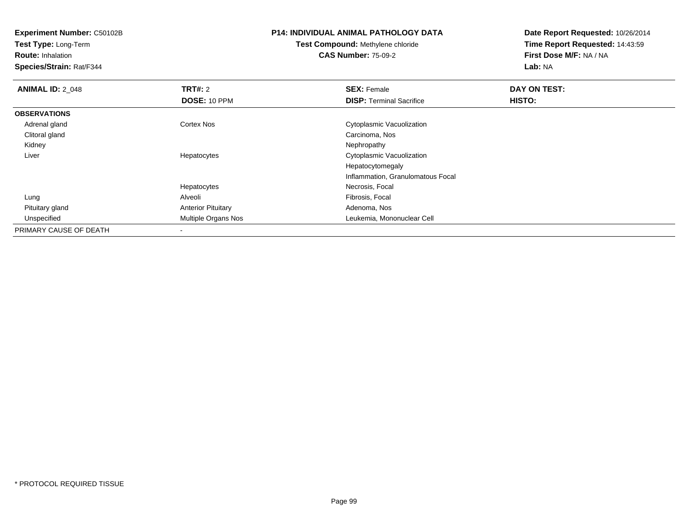**Test Type:** Long-Term

**Route:** Inhalation

**Species/Strain:** Rat/F344

# **P14: INDIVIDUAL ANIMAL PATHOLOGY DATA**

**Test Compound:** Methylene chloride**CAS Number:** 75-09-2

| <b>ANIMAL ID: 2 048</b> | <b>TRT#: 2</b>             | <b>SEX: Female</b>                | DAY ON TEST: |  |
|-------------------------|----------------------------|-----------------------------------|--------------|--|
|                         | DOSE: 10 PPM               | <b>DISP: Terminal Sacrifice</b>   | HISTO:       |  |
| <b>OBSERVATIONS</b>     |                            |                                   |              |  |
| Adrenal gland           | <b>Cortex Nos</b>          | Cytoplasmic Vacuolization         |              |  |
| Clitoral gland          |                            | Carcinoma, Nos                    |              |  |
| Kidney                  |                            | Nephropathy                       |              |  |
| Liver                   | Hepatocytes                | Cytoplasmic Vacuolization         |              |  |
|                         |                            | Hepatocytomegaly                  |              |  |
|                         |                            | Inflammation, Granulomatous Focal |              |  |
|                         | Hepatocytes                | Necrosis, Focal                   |              |  |
| Lung                    | Alveoli                    | Fibrosis, Focal                   |              |  |
| Pituitary gland         | <b>Anterior Pituitary</b>  | Adenoma, Nos                      |              |  |
| Unspecified             | <b>Multiple Organs Nos</b> | Leukemia, Mononuclear Cell        |              |  |
| PRIMARY CAUSE OF DEATH  | $\overline{\phantom{a}}$   |                                   |              |  |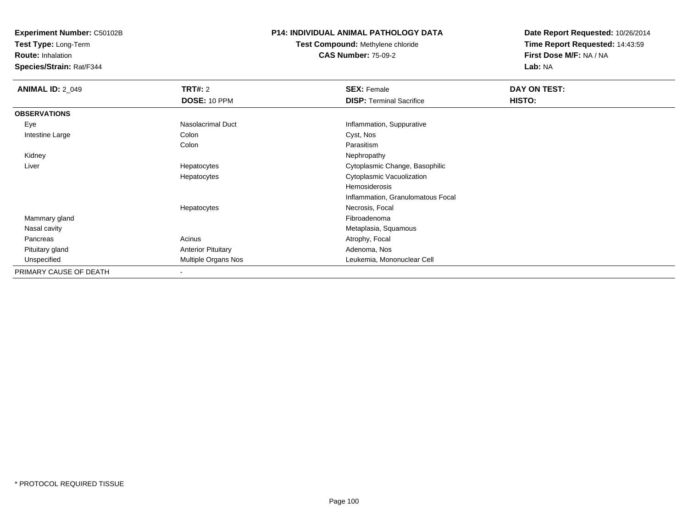**Test Type:** Long-Term

**Route:** Inhalation

**Species/Strain:** Rat/F344

### **P14: INDIVIDUAL ANIMAL PATHOLOGY DATA**

**Test Compound:** Methylene chloride**CAS Number:** 75-09-2

| <b>ANIMAL ID: 2_049</b> | <b>TRT#: 2</b>            | <b>SEX: Female</b>                | DAY ON TEST: |  |
|-------------------------|---------------------------|-----------------------------------|--------------|--|
|                         | DOSE: 10 PPM              | <b>DISP:</b> Terminal Sacrifice   | HISTO:       |  |
| <b>OBSERVATIONS</b>     |                           |                                   |              |  |
| Eye                     | Nasolacrimal Duct         | Inflammation, Suppurative         |              |  |
| Intestine Large         | Colon                     | Cyst, Nos                         |              |  |
|                         | Colon                     | Parasitism                        |              |  |
| Kidney                  |                           | Nephropathy                       |              |  |
| Liver                   | Hepatocytes               | Cytoplasmic Change, Basophilic    |              |  |
|                         | Hepatocytes               | Cytoplasmic Vacuolization         |              |  |
|                         |                           | <b>Hemosiderosis</b>              |              |  |
|                         |                           | Inflammation, Granulomatous Focal |              |  |
|                         | Hepatocytes               | Necrosis, Focal                   |              |  |
| Mammary gland           |                           | Fibroadenoma                      |              |  |
| Nasal cavity            |                           | Metaplasia, Squamous              |              |  |
| Pancreas                | Acinus                    | Atrophy, Focal                    |              |  |
| Pituitary gland         | <b>Anterior Pituitary</b> | Adenoma, Nos                      |              |  |
| Unspecified             | Multiple Organs Nos       | Leukemia, Mononuclear Cell        |              |  |
| PRIMARY CAUSE OF DEATH  | $\,$                      |                                   |              |  |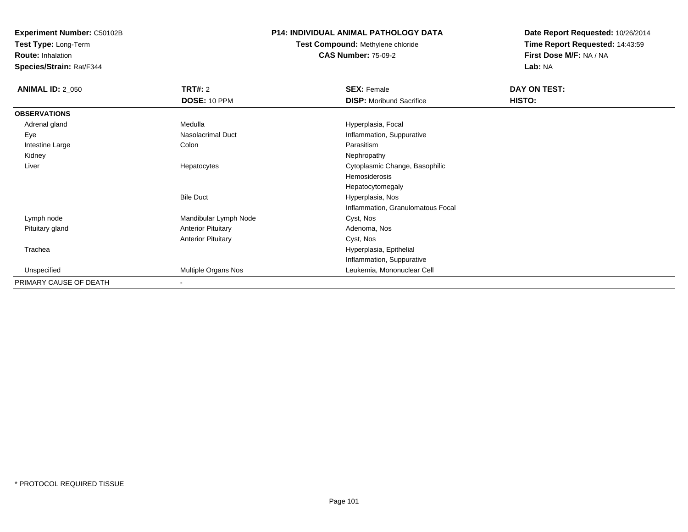**Test Type:** Long-Term

**Route:** Inhalation

**Species/Strain:** Rat/F344

#### **P14: INDIVIDUAL ANIMAL PATHOLOGY DATA**

**Test Compound:** Methylene chloride**CAS Number:** 75-09-2

| <b>ANIMAL ID: 2 050</b> | <b>TRT#: 2</b>            | <b>SEX: Female</b>                | <b>DAY ON TEST:</b> |  |
|-------------------------|---------------------------|-----------------------------------|---------------------|--|
|                         | <b>DOSE: 10 PPM</b>       | <b>DISP:</b> Moribund Sacrifice   | HISTO:              |  |
| <b>OBSERVATIONS</b>     |                           |                                   |                     |  |
| Adrenal gland           | Medulla                   | Hyperplasia, Focal                |                     |  |
| Eye                     | Nasolacrimal Duct         | Inflammation, Suppurative         |                     |  |
| Intestine Large         | Colon                     | Parasitism                        |                     |  |
| Kidney                  |                           | Nephropathy                       |                     |  |
| Liver                   | Hepatocytes               | Cytoplasmic Change, Basophilic    |                     |  |
|                         |                           | Hemosiderosis                     |                     |  |
|                         |                           | Hepatocytomegaly                  |                     |  |
|                         | <b>Bile Duct</b>          | Hyperplasia, Nos                  |                     |  |
|                         |                           | Inflammation, Granulomatous Focal |                     |  |
| Lymph node              | Mandibular Lymph Node     | Cyst, Nos                         |                     |  |
| Pituitary gland         | <b>Anterior Pituitary</b> | Adenoma, Nos                      |                     |  |
|                         | <b>Anterior Pituitary</b> | Cyst, Nos                         |                     |  |
| Trachea                 |                           | Hyperplasia, Epithelial           |                     |  |
|                         |                           | Inflammation, Suppurative         |                     |  |
| Unspecified             | Multiple Organs Nos       | Leukemia, Mononuclear Cell        |                     |  |
| PRIMARY CAUSE OF DEATH  |                           |                                   |                     |  |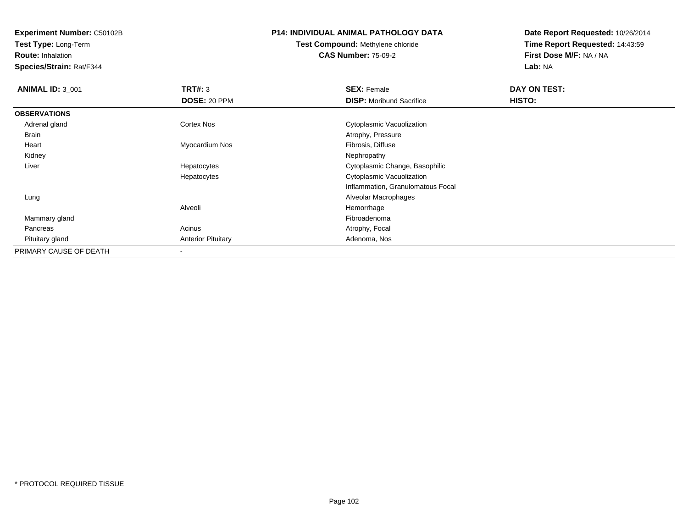**Test Type:** Long-Term

**Route:** Inhalation

**Species/Strain:** Rat/F344

### **P14: INDIVIDUAL ANIMAL PATHOLOGY DATA**

**Test Compound:** Methylene chloride**CAS Number:** 75-09-2

| <b>ANIMAL ID: 3 001</b> | TRT#: 3                   | <b>SEX: Female</b>                | DAY ON TEST: |  |
|-------------------------|---------------------------|-----------------------------------|--------------|--|
|                         | DOSE: 20 PPM              | <b>DISP:</b> Moribund Sacrifice   | HISTO:       |  |
| <b>OBSERVATIONS</b>     |                           |                                   |              |  |
| Adrenal gland           | <b>Cortex Nos</b>         | Cytoplasmic Vacuolization         |              |  |
| Brain                   |                           | Atrophy, Pressure                 |              |  |
| Heart                   | Myocardium Nos            | Fibrosis, Diffuse                 |              |  |
| Kidney                  |                           | Nephropathy                       |              |  |
| Liver                   | Hepatocytes               | Cytoplasmic Change, Basophilic    |              |  |
|                         | Hepatocytes               | Cytoplasmic Vacuolization         |              |  |
|                         |                           | Inflammation, Granulomatous Focal |              |  |
| Lung                    |                           | Alveolar Macrophages              |              |  |
|                         | Alveoli                   | Hemorrhage                        |              |  |
| Mammary gland           |                           | Fibroadenoma                      |              |  |
| Pancreas                | Acinus                    | Atrophy, Focal                    |              |  |
| Pituitary gland         | <b>Anterior Pituitary</b> | Adenoma, Nos                      |              |  |
| PRIMARY CAUSE OF DEATH  |                           |                                   |              |  |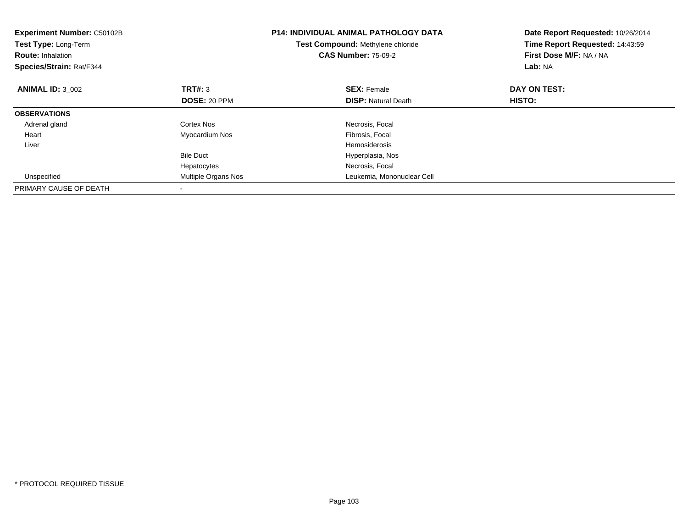| <b>Experiment Number: C50102B</b><br><b>Test Type: Long-Term</b><br><b>Route: Inhalation</b><br>Species/Strain: Rat/F344 |                     | P14: INDIVIDUAL ANIMAL PATHOLOGY DATA<br>Test Compound: Methylene chloride<br><b>CAS Number: 75-09-2</b> | Date Report Requested: 10/26/2014<br>Time Report Requested: 14:43:59<br>First Dose M/F: NA / NA<br>Lab: NA |
|--------------------------------------------------------------------------------------------------------------------------|---------------------|----------------------------------------------------------------------------------------------------------|------------------------------------------------------------------------------------------------------------|
| <b>ANIMAL ID: 3 002</b>                                                                                                  | TRT#: 3             | <b>SEX: Female</b>                                                                                       | DAY ON TEST:                                                                                               |
|                                                                                                                          | DOSE: 20 PPM        | <b>DISP: Natural Death</b>                                                                               | <b>HISTO:</b>                                                                                              |
| <b>OBSERVATIONS</b>                                                                                                      |                     |                                                                                                          |                                                                                                            |
| Adrenal gland                                                                                                            | Cortex Nos          | Necrosis, Focal                                                                                          |                                                                                                            |
| Heart                                                                                                                    | Myocardium Nos      | Fibrosis, Focal                                                                                          |                                                                                                            |
| Liver                                                                                                                    |                     | <b>Hemosiderosis</b>                                                                                     |                                                                                                            |
|                                                                                                                          | <b>Bile Duct</b>    | Hyperplasia, Nos                                                                                         |                                                                                                            |
|                                                                                                                          | Hepatocytes         | Necrosis, Focal                                                                                          |                                                                                                            |
| Unspecified                                                                                                              | Multiple Organs Nos | Leukemia, Mononuclear Cell                                                                               |                                                                                                            |
| PRIMARY CAUSE OF DEATH                                                                                                   |                     |                                                                                                          |                                                                                                            |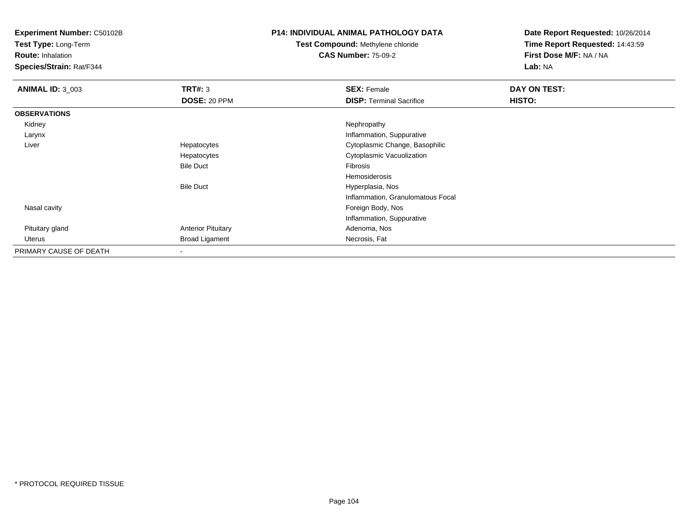**Test Type:** Long-Term

**Route:** Inhalation

**Species/Strain:** Rat/F344

### **P14: INDIVIDUAL ANIMAL PATHOLOGY DATA**

# **Test Compound:** Methylene chloride**CAS Number:** 75-09-2

| <b>ANIMAL ID: 3_003</b> | TRT#: 3                   | <b>SEX: Female</b>                | DAY ON TEST: |  |
|-------------------------|---------------------------|-----------------------------------|--------------|--|
|                         | DOSE: 20 PPM              | <b>DISP: Terminal Sacrifice</b>   | HISTO:       |  |
| <b>OBSERVATIONS</b>     |                           |                                   |              |  |
| Kidney                  |                           | Nephropathy                       |              |  |
| Larynx                  |                           | Inflammation, Suppurative         |              |  |
| Liver                   | Hepatocytes               | Cytoplasmic Change, Basophilic    |              |  |
|                         | Hepatocytes               | Cytoplasmic Vacuolization         |              |  |
|                         | <b>Bile Duct</b>          | Fibrosis                          |              |  |
|                         |                           | Hemosiderosis                     |              |  |
|                         | <b>Bile Duct</b>          | Hyperplasia, Nos                  |              |  |
|                         |                           | Inflammation, Granulomatous Focal |              |  |
| Nasal cavity            |                           | Foreign Body, Nos                 |              |  |
|                         |                           | Inflammation, Suppurative         |              |  |
| Pituitary gland         | <b>Anterior Pituitary</b> | Adenoma, Nos                      |              |  |
| Uterus                  | <b>Broad Ligament</b>     | Necrosis, Fat                     |              |  |
| PRIMARY CAUSE OF DEATH  | $\overline{\phantom{a}}$  |                                   |              |  |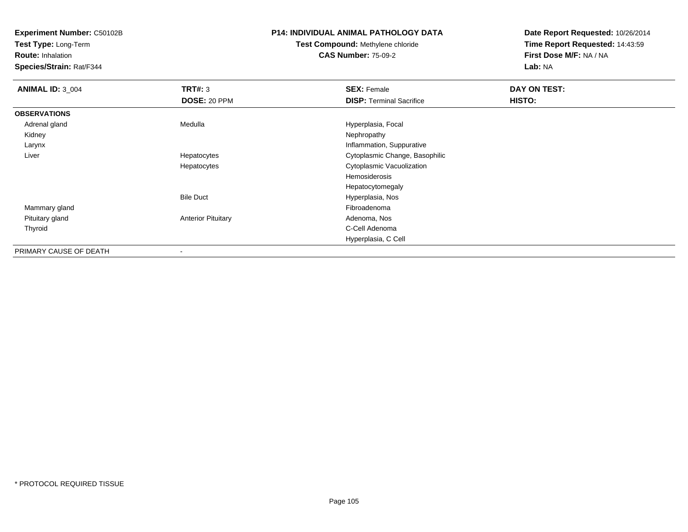**Test Type:** Long-Term

**Route:** Inhalation

**Species/Strain:** Rat/F344

# **P14: INDIVIDUAL ANIMAL PATHOLOGY DATA**

# **Test Compound:** Methylene chloride**CAS Number:** 75-09-2

| <b>ANIMAL ID: 3_004</b> | TRT#: 3                   | <b>SEX: Female</b>              | DAY ON TEST: |  |
|-------------------------|---------------------------|---------------------------------|--------------|--|
|                         | DOSE: 20 PPM              | <b>DISP: Terminal Sacrifice</b> | HISTO:       |  |
| <b>OBSERVATIONS</b>     |                           |                                 |              |  |
| Adrenal gland           | Medulla                   | Hyperplasia, Focal              |              |  |
| Kidney                  |                           | Nephropathy                     |              |  |
| Larynx                  |                           | Inflammation, Suppurative       |              |  |
| Liver                   | Hepatocytes               | Cytoplasmic Change, Basophilic  |              |  |
|                         | Hepatocytes               | Cytoplasmic Vacuolization       |              |  |
|                         |                           | Hemosiderosis                   |              |  |
|                         |                           | Hepatocytomegaly                |              |  |
|                         | <b>Bile Duct</b>          | Hyperplasia, Nos                |              |  |
| Mammary gland           |                           | Fibroadenoma                    |              |  |
| Pituitary gland         | <b>Anterior Pituitary</b> | Adenoma, Nos                    |              |  |
| Thyroid                 |                           | C-Cell Adenoma                  |              |  |
|                         |                           | Hyperplasia, C Cell             |              |  |
| PRIMARY CAUSE OF DEATH  |                           |                                 |              |  |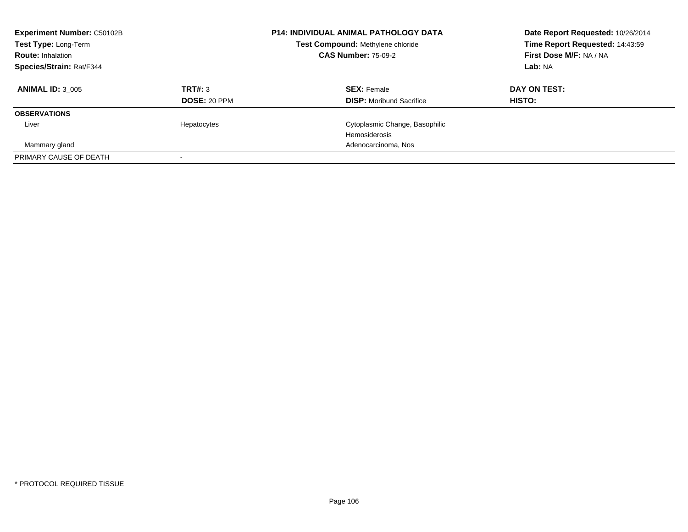| <b>Experiment Number: C50102B</b><br>Test Type: Long-Term<br><b>Route: Inhalation</b><br>Species/Strain: Rat/F344 |                                | <b>P14: INDIVIDUAL ANIMAL PATHOLOGY DATA</b><br>Test Compound: Methylene chloride<br><b>CAS Number: 75-09-2</b> | Date Report Requested: 10/26/2014<br>Time Report Requested: 14:43:59<br>First Dose M/F: NA / NA<br>Lab: NA |
|-------------------------------------------------------------------------------------------------------------------|--------------------------------|-----------------------------------------------------------------------------------------------------------------|------------------------------------------------------------------------------------------------------------|
| <b>ANIMAL ID: 3 005</b>                                                                                           | TRT#: 3<br><b>DOSE: 20 PPM</b> | <b>SEX: Female</b><br><b>DISP:</b> Moribund Sacrifice                                                           | DAY ON TEST:<br><b>HISTO:</b>                                                                              |
| <b>OBSERVATIONS</b>                                                                                               |                                |                                                                                                                 |                                                                                                            |
| Liver                                                                                                             | Hepatocytes                    | Cytoplasmic Change, Basophilic<br>Hemosiderosis                                                                 |                                                                                                            |
| Mammary gland                                                                                                     |                                | Adenocarcinoma, Nos                                                                                             |                                                                                                            |
| PRIMARY CAUSE OF DEATH                                                                                            |                                |                                                                                                                 |                                                                                                            |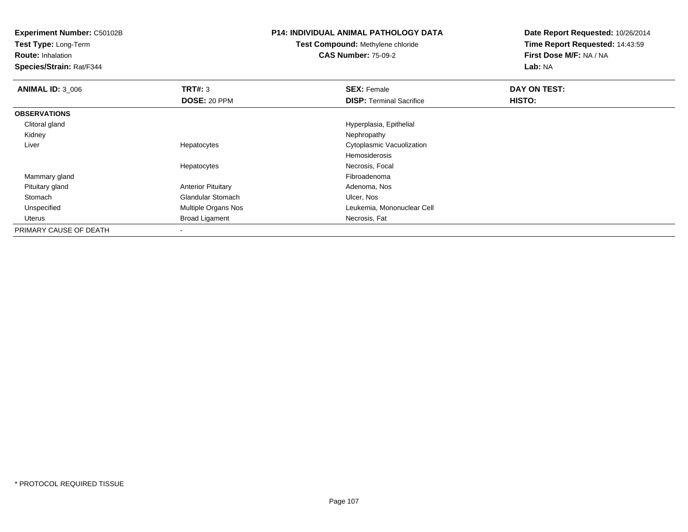**Experiment Number:** C50102B**Test Type:** Long-Term**Route:** Inhalation **Species/Strain:** Rat/F344**P14: INDIVIDUAL ANIMAL PATHOLOGY DATATest Compound:** Methylene chloride**CAS Number:** 75-09-2**Date Report Requested:** 10/26/2014**Time Report Requested:** 14:43:59**First Dose M/F:** NA / NA**Lab:** NA**ANIMAL ID:** 3\_006**6 DAY ON TEST: TRT#:** 3 **SEX: Female SEX: Female DAY ON TEST: DOSE:** 20 PPM**DISP:** Terminal Sacrifice **HISTO: OBSERVATIONS** Clitoral gland Hyperplasia, Epithelial Kidneyy the control of the control of the control of the control of the control of the control of the control of the control of the control of the control of the control of the control of the control of the control of the contro Liver Hepatocytes Cytoplasmic VacuolizationHemosiderosiss **Necrosis, Focal** Hepatocytes Mammary glandd and the control of the control of the control of the control of the control of the control of the control of the control of the control of the control of the control of the control of the control of the control of the co Pituitary glandAnterior Pituitary **Adenoma, Nos Clandular Stomach Adenoma, Nos Adenoma, Nos Adenoma, Nos Adenoma, Nos Adenoma**<br>
Adenoma, Nos **Clandular Stomach**  StomachGlandular Stomach<br>Multiple Organs Nos UnspecifiedLeukemia, Mononuclear Cell<br>Necrosis, Fat UterusBroad Ligament PRIMARY CAUSE OF DEATH

-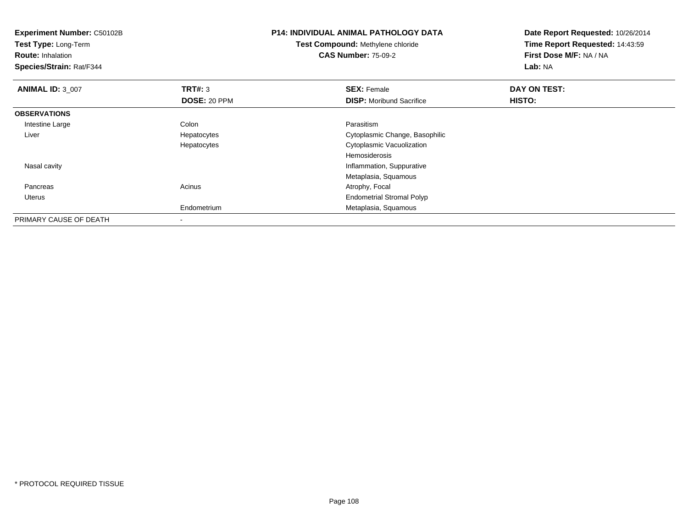| <b>Experiment Number: C50102B</b><br>Test Type: Long-Term<br><b>Route: Inhalation</b><br>Species/Strain: Rat/F344 |                         | <b>P14: INDIVIDUAL ANIMAL PATHOLOGY DATA</b><br>Test Compound: Methylene chloride<br><b>CAS Number: 75-09-2</b> | Date Report Requested: 10/26/2014<br>Time Report Requested: 14:43:59<br>First Dose M/F: NA / NA<br>Lab: NA |  |
|-------------------------------------------------------------------------------------------------------------------|-------------------------|-----------------------------------------------------------------------------------------------------------------|------------------------------------------------------------------------------------------------------------|--|
| <b>ANIMAL ID: 3_007</b>                                                                                           | TRT#: 3<br>DOSE: 20 PPM | <b>SEX: Female</b><br><b>DISP:</b> Moribund Sacrifice                                                           | DAY ON TEST:<br><b>HISTO:</b>                                                                              |  |
| <b>OBSERVATIONS</b>                                                                                               |                         |                                                                                                                 |                                                                                                            |  |
|                                                                                                                   |                         |                                                                                                                 |                                                                                                            |  |
| Intestine Large                                                                                                   | Colon                   | Parasitism                                                                                                      |                                                                                                            |  |
| Liver                                                                                                             | Hepatocytes             | Cytoplasmic Change, Basophilic                                                                                  |                                                                                                            |  |
|                                                                                                                   | Hepatocytes             | Cytoplasmic Vacuolization                                                                                       |                                                                                                            |  |
|                                                                                                                   |                         | Hemosiderosis                                                                                                   |                                                                                                            |  |
| Nasal cavity                                                                                                      |                         | Inflammation, Suppurative                                                                                       |                                                                                                            |  |
|                                                                                                                   |                         | Metaplasia, Squamous                                                                                            |                                                                                                            |  |
| Pancreas                                                                                                          | Acinus                  | Atrophy, Focal                                                                                                  |                                                                                                            |  |
| Uterus                                                                                                            |                         | <b>Endometrial Stromal Polyp</b>                                                                                |                                                                                                            |  |
|                                                                                                                   | Endometrium             | Metaplasia, Squamous                                                                                            |                                                                                                            |  |
| PRIMARY CAUSE OF DEATH                                                                                            | $\,$                    |                                                                                                                 |                                                                                                            |  |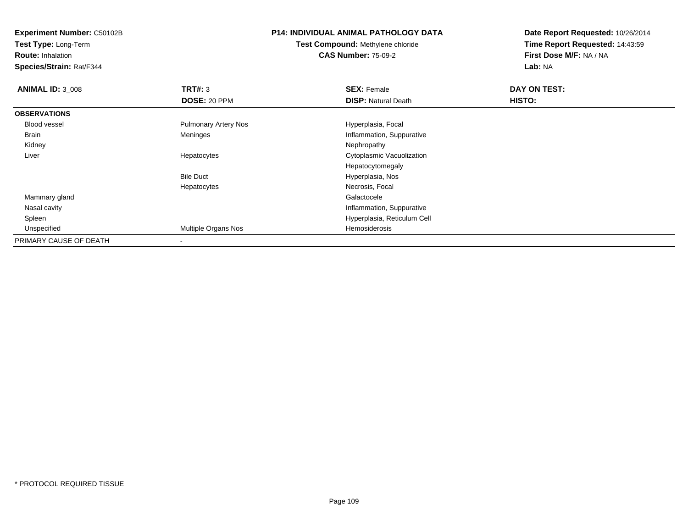**Test Type:** Long-Term

**Route:** Inhalation

**Species/Strain:** Rat/F344

## **P14: INDIVIDUAL ANIMAL PATHOLOGY DATA**

# **Test Compound:** Methylene chloride**CAS Number:** 75-09-2

| <b>ANIMAL ID: 3 008</b> | TRT#: 3                     | <b>SEX: Female</b>          | DAY ON TEST: |  |
|-------------------------|-----------------------------|-----------------------------|--------------|--|
|                         | DOSE: 20 PPM                | <b>DISP: Natural Death</b>  | HISTO:       |  |
| <b>OBSERVATIONS</b>     |                             |                             |              |  |
| <b>Blood vessel</b>     | <b>Pulmonary Artery Nos</b> | Hyperplasia, Focal          |              |  |
| Brain                   | Meninges                    | Inflammation, Suppurative   |              |  |
| Kidney                  |                             | Nephropathy                 |              |  |
| Liver                   | Hepatocytes                 | Cytoplasmic Vacuolization   |              |  |
|                         |                             | Hepatocytomegaly            |              |  |
|                         | <b>Bile Duct</b>            | Hyperplasia, Nos            |              |  |
|                         | Hepatocytes                 | Necrosis, Focal             |              |  |
| Mammary gland           |                             | Galactocele                 |              |  |
| Nasal cavity            |                             | Inflammation, Suppurative   |              |  |
| Spleen                  |                             | Hyperplasia, Reticulum Cell |              |  |
| Unspecified             | Multiple Organs Nos         | Hemosiderosis               |              |  |
| PRIMARY CAUSE OF DEATH  |                             |                             |              |  |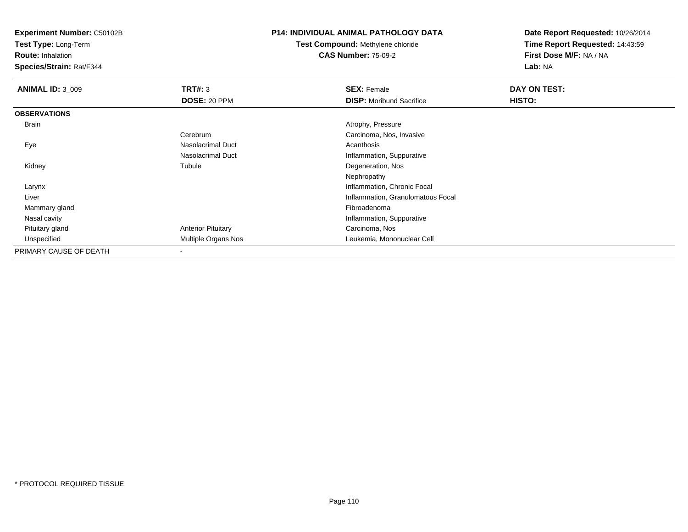**Test Type:** Long-Term

**Route:** Inhalation

**Species/Strain:** Rat/F344

## **P14: INDIVIDUAL ANIMAL PATHOLOGY DATA**

**Test Compound:** Methylene chloride**CAS Number:** 75-09-2

| <b>ANIMAL ID: 3 009</b> | TRT#: 3                   | <b>SEX: Female</b>                | DAY ON TEST: |  |
|-------------------------|---------------------------|-----------------------------------|--------------|--|
|                         | DOSE: 20 PPM              | <b>DISP:</b> Moribund Sacrifice   | HISTO:       |  |
| <b>OBSERVATIONS</b>     |                           |                                   |              |  |
| Brain                   |                           | Atrophy, Pressure                 |              |  |
|                         | Cerebrum                  | Carcinoma, Nos, Invasive          |              |  |
| Eye                     | Nasolacrimal Duct         | Acanthosis                        |              |  |
|                         | Nasolacrimal Duct         | Inflammation, Suppurative         |              |  |
| Kidney                  | Tubule                    | Degeneration, Nos                 |              |  |
|                         |                           | Nephropathy                       |              |  |
| Larynx                  |                           | Inflammation, Chronic Focal       |              |  |
| Liver                   |                           | Inflammation, Granulomatous Focal |              |  |
| Mammary gland           |                           | Fibroadenoma                      |              |  |
| Nasal cavity            |                           | Inflammation, Suppurative         |              |  |
| Pituitary gland         | <b>Anterior Pituitary</b> | Carcinoma, Nos                    |              |  |
| Unspecified             | Multiple Organs Nos       | Leukemia, Mononuclear Cell        |              |  |
| PRIMARY CAUSE OF DEATH  |                           |                                   |              |  |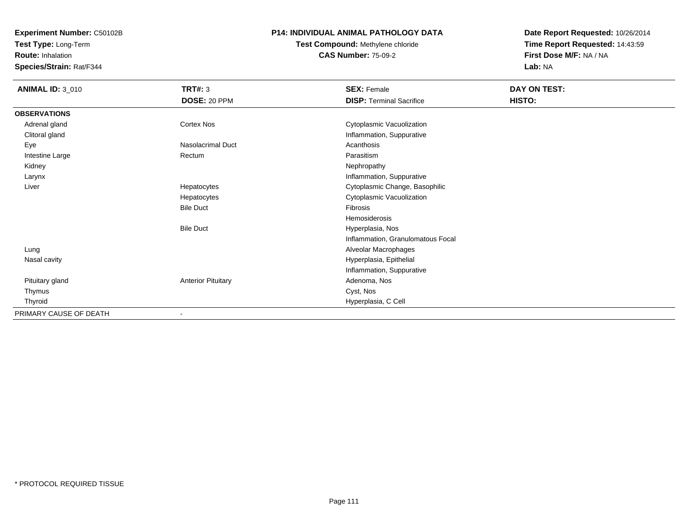**Test Type:** Long-Term

**Route:** Inhalation

**Species/Strain:** Rat/F344

## **P14: INDIVIDUAL ANIMAL PATHOLOGY DATA**

**Test Compound:** Methylene chloride**CAS Number:** 75-09-2

| <b>ANIMAL ID: 3_010</b> | <b>TRT#: 3</b><br>DOSE: 20 PPM | <b>SEX: Female</b><br><b>DISP: Terminal Sacrifice</b> | <b>DAY ON TEST:</b><br>HISTO: |
|-------------------------|--------------------------------|-------------------------------------------------------|-------------------------------|
| <b>OBSERVATIONS</b>     |                                |                                                       |                               |
| Adrenal gland           | <b>Cortex Nos</b>              | Cytoplasmic Vacuolization                             |                               |
| Clitoral gland          |                                | Inflammation, Suppurative                             |                               |
| Eye                     | Nasolacrimal Duct              | Acanthosis                                            |                               |
| Intestine Large         | Rectum                         | Parasitism                                            |                               |
| Kidney                  |                                | Nephropathy                                           |                               |
| Larynx                  |                                | Inflammation, Suppurative                             |                               |
| Liver                   | Hepatocytes                    | Cytoplasmic Change, Basophilic                        |                               |
|                         | Hepatocytes                    | Cytoplasmic Vacuolization                             |                               |
|                         | <b>Bile Duct</b>               | Fibrosis                                              |                               |
|                         |                                | Hemosiderosis                                         |                               |
|                         | <b>Bile Duct</b>               | Hyperplasia, Nos                                      |                               |
|                         |                                | Inflammation, Granulomatous Focal                     |                               |
| Lung                    |                                | Alveolar Macrophages                                  |                               |
| Nasal cavity            |                                | Hyperplasia, Epithelial                               |                               |
|                         |                                | Inflammation, Suppurative                             |                               |
| Pituitary gland         | <b>Anterior Pituitary</b>      | Adenoma, Nos                                          |                               |
| Thymus                  |                                | Cyst, Nos                                             |                               |
| Thyroid                 |                                | Hyperplasia, C Cell                                   |                               |
| PRIMARY CAUSE OF DEATH  | $\overline{\phantom{a}}$       |                                                       |                               |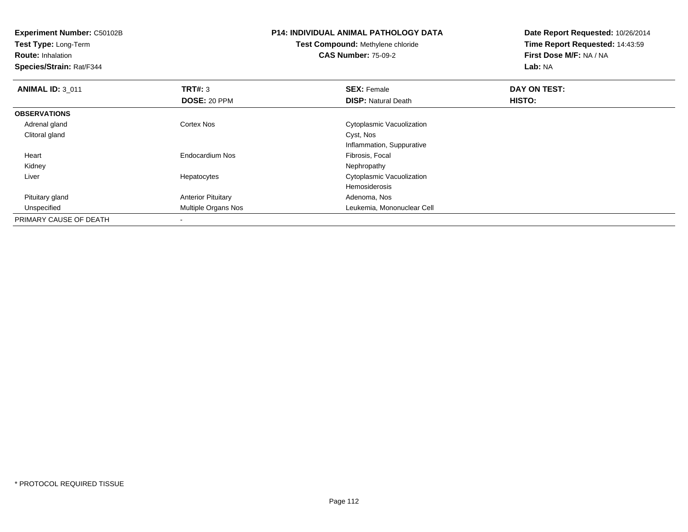**Experiment Number:** C50102B**Test Type:** Long-Term**Route:** Inhalation **Species/Strain:** Rat/F344**P14: INDIVIDUAL ANIMAL PATHOLOGY DATATest Compound:** Methylene chloride**CAS Number:** 75-09-2**Date Report Requested:** 10/26/2014**Time Report Requested:** 14:43:59**First Dose M/F:** NA / NA**Lab:** NA**ANIMAL ID:** 3\_011**TRT#:** 3 **SEX:** Female **DAY ON TEST: DOSE:** 20 PPM**DISP:** Natural Death **HISTO: OBSERVATIONS** Adrenal gland Cortex Nos Cytoplasmic Vacuolization Clitoral gland Cyst, Nos Inflammation, Suppurative Heart Endocardium Nos Fibrosis, Focal Kidneyy the control of the control of the control of the control of the control of the control of the control of the control of the control of the control of the control of the control of the control of the control of the contro Liver Hepatocytes Cytoplasmic VacuolizationHemosiderosisAdenoma, Nos Pituitary glandAnterior Pituitary<br>Multiple Organs Nos UnspecifiedLeukemia, Mononuclear Cell PRIMARY CAUSE OF DEATH-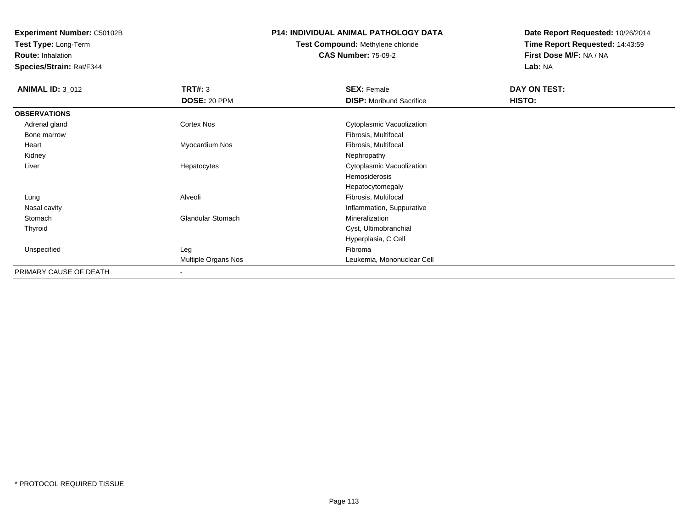**Test Type:** Long-Term

**Route:** Inhalation

**Species/Strain:** Rat/F344

## **P14: INDIVIDUAL ANIMAL PATHOLOGY DATA**

# **Test Compound:** Methylene chloride**CAS Number:** 75-09-2

| <b>ANIMAL ID: 3_012</b> | <b>TRT#: 3</b>           | <b>SEX: Female</b>              | DAY ON TEST: |  |
|-------------------------|--------------------------|---------------------------------|--------------|--|
|                         | DOSE: 20 PPM             | <b>DISP:</b> Moribund Sacrifice | HISTO:       |  |
| <b>OBSERVATIONS</b>     |                          |                                 |              |  |
| Adrenal gland           | Cortex Nos               | Cytoplasmic Vacuolization       |              |  |
| Bone marrow             |                          | Fibrosis, Multifocal            |              |  |
| Heart                   | Myocardium Nos           | Fibrosis, Multifocal            |              |  |
| Kidney                  |                          | Nephropathy                     |              |  |
| Liver                   | Hepatocytes              | Cytoplasmic Vacuolization       |              |  |
|                         |                          | Hemosiderosis                   |              |  |
|                         |                          | Hepatocytomegaly                |              |  |
| Lung                    | Alveoli                  | Fibrosis, Multifocal            |              |  |
| Nasal cavity            |                          | Inflammation, Suppurative       |              |  |
| Stomach                 | <b>Glandular Stomach</b> | Mineralization                  |              |  |
| Thyroid                 |                          | Cyst, Ultimobranchial           |              |  |
|                         |                          | Hyperplasia, C Cell             |              |  |
| Unspecified             | Leg                      | Fibroma                         |              |  |
|                         | Multiple Organs Nos      | Leukemia, Mononuclear Cell      |              |  |
| PRIMARY CAUSE OF DEATH  | $\,$                     |                                 |              |  |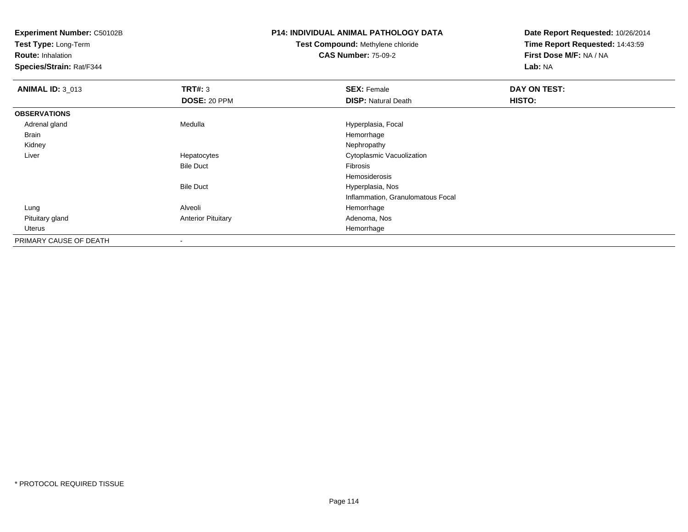**Test Type:** Long-Term

**Route:** Inhalation

**Species/Strain:** Rat/F344

### **P14: INDIVIDUAL ANIMAL PATHOLOGY DATA**

**Test Compound:** Methylene chloride**CAS Number:** 75-09-2

| <b>ANIMAL ID: 3_013</b> | TRT#: 3                   | <b>SEX: Female</b>                | DAY ON TEST: |  |
|-------------------------|---------------------------|-----------------------------------|--------------|--|
|                         | DOSE: 20 PPM              | <b>DISP: Natural Death</b>        | HISTO:       |  |
| <b>OBSERVATIONS</b>     |                           |                                   |              |  |
| Adrenal gland           | Medulla                   | Hyperplasia, Focal                |              |  |
| <b>Brain</b>            |                           | Hemorrhage                        |              |  |
| Kidney                  |                           | Nephropathy                       |              |  |
| Liver                   | Hepatocytes               | Cytoplasmic Vacuolization         |              |  |
|                         | <b>Bile Duct</b>          | <b>Fibrosis</b>                   |              |  |
|                         |                           | Hemosiderosis                     |              |  |
|                         | <b>Bile Duct</b>          | Hyperplasia, Nos                  |              |  |
|                         |                           | Inflammation, Granulomatous Focal |              |  |
| Lung                    | Alveoli                   | Hemorrhage                        |              |  |
| Pituitary gland         | <b>Anterior Pituitary</b> | Adenoma, Nos                      |              |  |
| Uterus                  |                           | Hemorrhage                        |              |  |
| PRIMARY CAUSE OF DEATH  | $\overline{\phantom{a}}$  |                                   |              |  |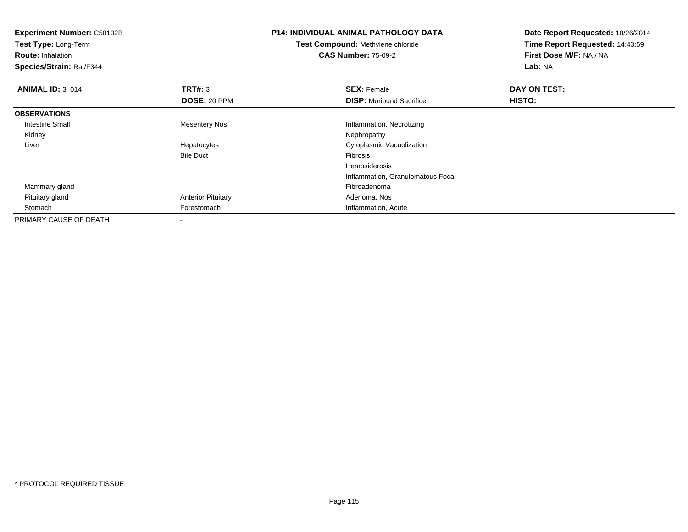| <b>Experiment Number: C50102B</b><br>Test Type: Long-Term<br><b>Route: Inhalation</b><br>Species/Strain: Rat/F344 |                           | <b>P14: INDIVIDUAL ANIMAL PATHOLOGY DATA</b><br>Test Compound: Methylene chloride<br><b>CAS Number: 75-09-2</b> | Date Report Requested: 10/26/2014<br>Time Report Requested: 14:43:59<br>First Dose M/F: NA / NA<br>Lab: NA |  |
|-------------------------------------------------------------------------------------------------------------------|---------------------------|-----------------------------------------------------------------------------------------------------------------|------------------------------------------------------------------------------------------------------------|--|
| <b>ANIMAL ID: 3 014</b>                                                                                           | TRT#: 3                   | <b>SEX: Female</b>                                                                                              | DAY ON TEST:                                                                                               |  |
|                                                                                                                   | DOSE: 20 PPM              | <b>DISP:</b> Moribund Sacrifice                                                                                 | <b>HISTO:</b>                                                                                              |  |
| <b>OBSERVATIONS</b>                                                                                               |                           |                                                                                                                 |                                                                                                            |  |
| <b>Intestine Small</b>                                                                                            | <b>Mesentery Nos</b>      | Inflammation, Necrotizing                                                                                       |                                                                                                            |  |
| Kidney                                                                                                            |                           | Nephropathy                                                                                                     |                                                                                                            |  |
| Liver                                                                                                             | Hepatocytes               | Cytoplasmic Vacuolization                                                                                       |                                                                                                            |  |
|                                                                                                                   | <b>Bile Duct</b>          | <b>Fibrosis</b>                                                                                                 |                                                                                                            |  |
|                                                                                                                   |                           | Hemosiderosis                                                                                                   |                                                                                                            |  |
|                                                                                                                   |                           | Inflammation, Granulomatous Focal                                                                               |                                                                                                            |  |
| Mammary gland                                                                                                     |                           | Fibroadenoma                                                                                                    |                                                                                                            |  |
| Pituitary gland                                                                                                   | <b>Anterior Pituitary</b> | Adenoma, Nos                                                                                                    |                                                                                                            |  |
| Stomach                                                                                                           | Forestomach               | Inflammation, Acute                                                                                             |                                                                                                            |  |
| PRIMARY CAUSE OF DEATH                                                                                            |                           |                                                                                                                 |                                                                                                            |  |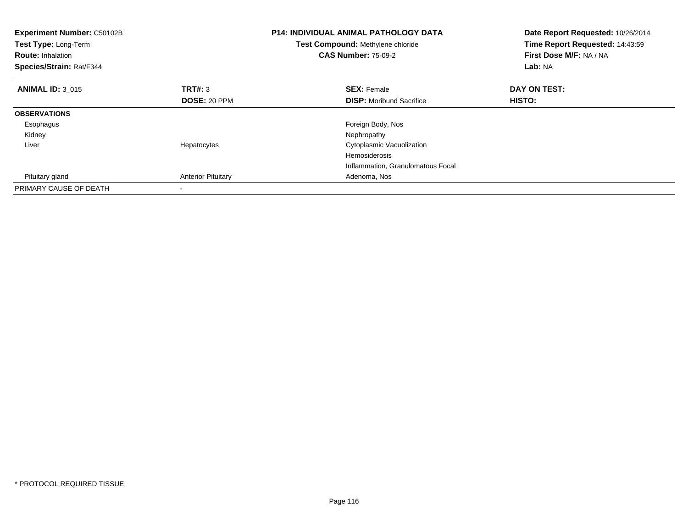| <b>Experiment Number: C50102B</b><br>Test Type: Long-Term<br><b>Route:</b> Inhalation<br>Species/Strain: Rat/F344 |                           | <b>P14: INDIVIDUAL ANIMAL PATHOLOGY DATA</b><br>Test Compound: Methylene chloride<br><b>CAS Number: 75-09-2</b> | Date Report Requested: 10/26/2014<br>Time Report Requested: 14:43:59<br>First Dose M/F: NA / NA<br>Lab: NA |
|-------------------------------------------------------------------------------------------------------------------|---------------------------|-----------------------------------------------------------------------------------------------------------------|------------------------------------------------------------------------------------------------------------|
| <b>ANIMAL ID: 3 015</b>                                                                                           | TRT#: 3                   | <b>SEX: Female</b>                                                                                              | DAY ON TEST:                                                                                               |
|                                                                                                                   | <b>DOSE: 20 PPM</b>       | <b>DISP:</b> Moribund Sacrifice                                                                                 | HISTO:                                                                                                     |
| <b>OBSERVATIONS</b>                                                                                               |                           |                                                                                                                 |                                                                                                            |
| Esophagus                                                                                                         |                           | Foreign Body, Nos                                                                                               |                                                                                                            |
| Kidney                                                                                                            |                           | Nephropathy                                                                                                     |                                                                                                            |
| Liver                                                                                                             | Hepatocytes               | Cytoplasmic Vacuolization                                                                                       |                                                                                                            |
|                                                                                                                   |                           | Hemosiderosis                                                                                                   |                                                                                                            |
|                                                                                                                   |                           | Inflammation, Granulomatous Focal                                                                               |                                                                                                            |
| Pituitary gland                                                                                                   | <b>Anterior Pituitary</b> | Adenoma, Nos                                                                                                    |                                                                                                            |
| PRIMARY CAUSE OF DEATH                                                                                            |                           |                                                                                                                 |                                                                                                            |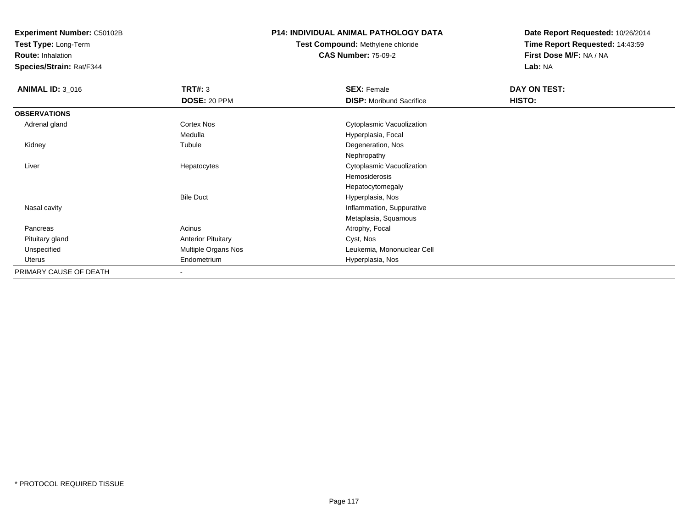**Test Type:** Long-Term

**Route:** Inhalation

**Species/Strain:** Rat/F344

## **P14: INDIVIDUAL ANIMAL PATHOLOGY DATA**

# **Test Compound:** Methylene chloride**CAS Number:** 75-09-2

| <b>ANIMAL ID: 3_016</b> | <b>TRT#: 3</b>            | <b>SEX: Female</b>              | DAY ON TEST: |  |
|-------------------------|---------------------------|---------------------------------|--------------|--|
|                         | DOSE: 20 PPM              | <b>DISP:</b> Moribund Sacrifice | HISTO:       |  |
| <b>OBSERVATIONS</b>     |                           |                                 |              |  |
| Adrenal gland           | Cortex Nos                | Cytoplasmic Vacuolization       |              |  |
|                         | Medulla                   | Hyperplasia, Focal              |              |  |
| Kidney                  | Tubule                    | Degeneration, Nos               |              |  |
|                         |                           | Nephropathy                     |              |  |
| Liver                   | Hepatocytes               | Cytoplasmic Vacuolization       |              |  |
|                         |                           | Hemosiderosis                   |              |  |
|                         |                           | Hepatocytomegaly                |              |  |
|                         | <b>Bile Duct</b>          | Hyperplasia, Nos                |              |  |
| Nasal cavity            |                           | Inflammation, Suppurative       |              |  |
|                         |                           | Metaplasia, Squamous            |              |  |
| Pancreas                | Acinus                    | Atrophy, Focal                  |              |  |
| Pituitary gland         | <b>Anterior Pituitary</b> | Cyst, Nos                       |              |  |
| Unspecified             | Multiple Organs Nos       | Leukemia, Mononuclear Cell      |              |  |
| Uterus                  | Endometrium               | Hyperplasia, Nos                |              |  |
| PRIMARY CAUSE OF DEATH  | $\overline{\phantom{a}}$  |                                 |              |  |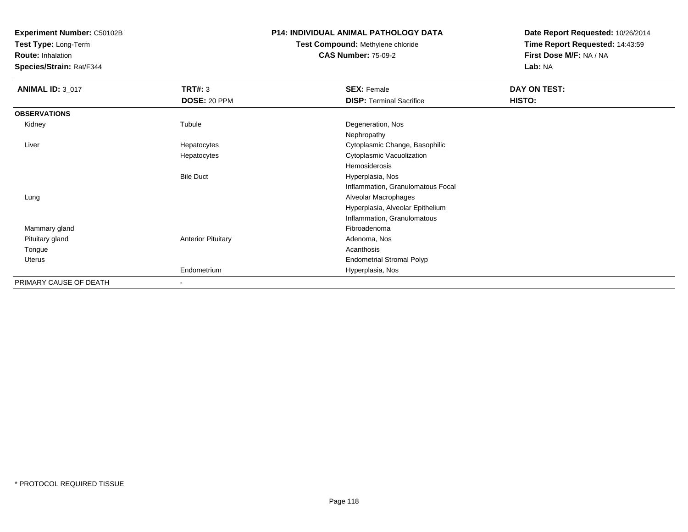**Test Type:** Long-Term

**Route:** Inhalation

**Species/Strain:** Rat/F344

# **P14: INDIVIDUAL ANIMAL PATHOLOGY DATA**

# **Test Compound:** Methylene chloride**CAS Number:** 75-09-2

| <b>ANIMAL ID: 3_017</b> | <b>TRT#: 3</b>            | <b>SEX: Female</b>                | DAY ON TEST: |  |
|-------------------------|---------------------------|-----------------------------------|--------------|--|
|                         | DOSE: 20 PPM              | <b>DISP: Terminal Sacrifice</b>   | HISTO:       |  |
| <b>OBSERVATIONS</b>     |                           |                                   |              |  |
| Kidney                  | Tubule                    | Degeneration, Nos                 |              |  |
|                         |                           | Nephropathy                       |              |  |
| Liver                   | Hepatocytes               | Cytoplasmic Change, Basophilic    |              |  |
|                         | Hepatocytes               | Cytoplasmic Vacuolization         |              |  |
|                         |                           | Hemosiderosis                     |              |  |
|                         | <b>Bile Duct</b>          | Hyperplasia, Nos                  |              |  |
|                         |                           | Inflammation, Granulomatous Focal |              |  |
| Lung                    |                           | Alveolar Macrophages              |              |  |
|                         |                           | Hyperplasia, Alveolar Epithelium  |              |  |
|                         |                           | Inflammation, Granulomatous       |              |  |
| Mammary gland           |                           | Fibroadenoma                      |              |  |
| Pituitary gland         | <b>Anterior Pituitary</b> | Adenoma, Nos                      |              |  |
| Tongue                  |                           | Acanthosis                        |              |  |
| Uterus                  |                           | <b>Endometrial Stromal Polyp</b>  |              |  |
|                         | Endometrium               | Hyperplasia, Nos                  |              |  |
| PRIMARY CAUSE OF DEATH  | $\overline{\phantom{a}}$  |                                   |              |  |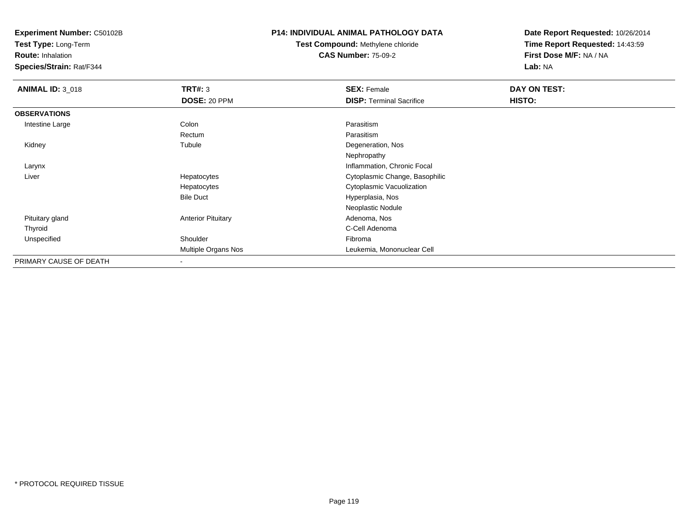**Test Type:** Long-Term

**Route:** Inhalation

**Species/Strain:** Rat/F344

### **P14: INDIVIDUAL ANIMAL PATHOLOGY DATA**

**Test Compound:** Methylene chloride**CAS Number:** 75-09-2

| <b>ANIMAL ID: 3_018</b> | TRT#: 3                   | <b>SEX: Female</b>              | DAY ON TEST: |
|-------------------------|---------------------------|---------------------------------|--------------|
|                         | <b>DOSE: 20 PPM</b>       | <b>DISP: Terminal Sacrifice</b> | HISTO:       |
| <b>OBSERVATIONS</b>     |                           |                                 |              |
| Intestine Large         | Colon                     | Parasitism                      |              |
|                         | Rectum                    | Parasitism                      |              |
| Kidney                  | Tubule                    | Degeneration, Nos               |              |
|                         |                           | Nephropathy                     |              |
| Larynx                  |                           | Inflammation, Chronic Focal     |              |
| Liver                   | Hepatocytes               | Cytoplasmic Change, Basophilic  |              |
|                         | Hepatocytes               | Cytoplasmic Vacuolization       |              |
|                         | <b>Bile Duct</b>          | Hyperplasia, Nos                |              |
|                         |                           | Neoplastic Nodule               |              |
| Pituitary gland         | <b>Anterior Pituitary</b> | Adenoma, Nos                    |              |
| Thyroid                 |                           | C-Cell Adenoma                  |              |
| Unspecified             | Shoulder                  | Fibroma                         |              |
|                         | Multiple Organs Nos       | Leukemia, Mononuclear Cell      |              |
| PRIMARY CAUSE OF DEATH  |                           |                                 |              |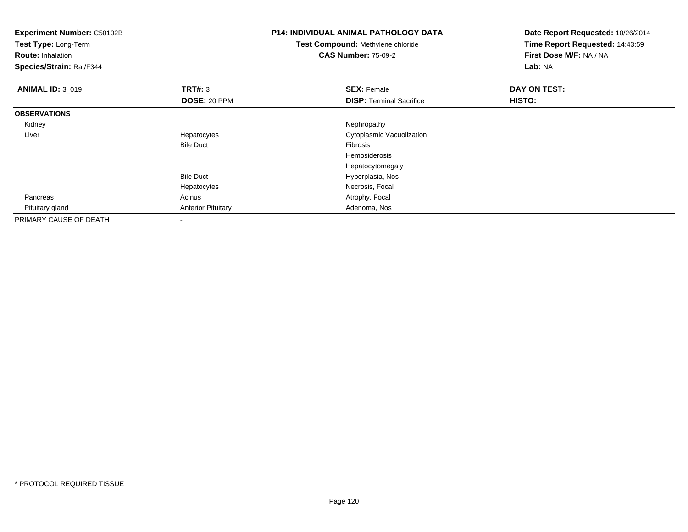| <b>Experiment Number: C50102B</b><br>Test Type: Long-Term<br><b>Route: Inhalation</b><br>Species/Strain: Rat/F344 |                           | <b>P14: INDIVIDUAL ANIMAL PATHOLOGY DATA</b><br>Test Compound: Methylene chloride<br><b>CAS Number: 75-09-2</b> | Date Report Requested: 10/26/2014<br>Time Report Requested: 14:43:59<br>First Dose M/F: NA / NA<br>Lab: NA |
|-------------------------------------------------------------------------------------------------------------------|---------------------------|-----------------------------------------------------------------------------------------------------------------|------------------------------------------------------------------------------------------------------------|
| <b>ANIMAL ID: 3_019</b>                                                                                           | TRT#: 3                   | <b>SEX: Female</b>                                                                                              | DAY ON TEST:                                                                                               |
|                                                                                                                   | DOSE: 20 PPM              | <b>DISP: Terminal Sacrifice</b>                                                                                 | <b>HISTO:</b>                                                                                              |
| <b>OBSERVATIONS</b>                                                                                               |                           |                                                                                                                 |                                                                                                            |
| Kidney                                                                                                            |                           | Nephropathy                                                                                                     |                                                                                                            |
| Liver                                                                                                             | Hepatocytes               | Cytoplasmic Vacuolization                                                                                       |                                                                                                            |
|                                                                                                                   | <b>Bile Duct</b>          | Fibrosis                                                                                                        |                                                                                                            |
|                                                                                                                   |                           | <b>Hemosiderosis</b>                                                                                            |                                                                                                            |
|                                                                                                                   |                           | Hepatocytomegaly                                                                                                |                                                                                                            |
|                                                                                                                   | <b>Bile Duct</b>          | Hyperplasia, Nos                                                                                                |                                                                                                            |
|                                                                                                                   | Hepatocytes               | Necrosis, Focal                                                                                                 |                                                                                                            |
| Pancreas                                                                                                          | Acinus                    | Atrophy, Focal                                                                                                  |                                                                                                            |
| Pituitary gland                                                                                                   | <b>Anterior Pituitary</b> | Adenoma, Nos                                                                                                    |                                                                                                            |
| PRIMARY CAUSE OF DEATH                                                                                            |                           |                                                                                                                 |                                                                                                            |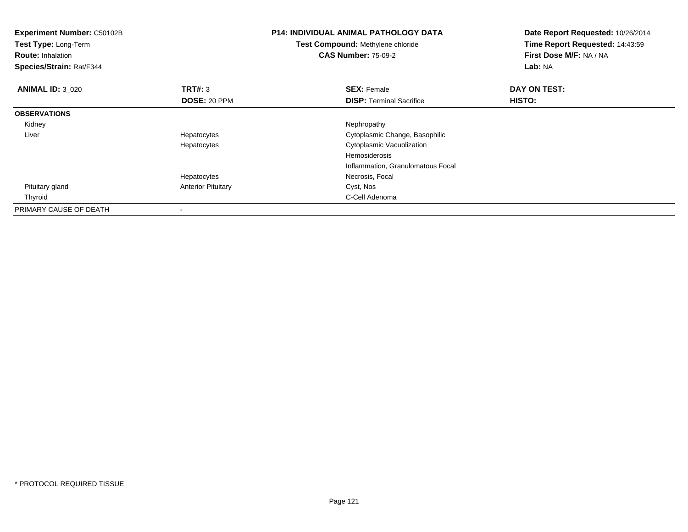| <b>Experiment Number: C50102B</b><br>Test Type: Long-Term<br><b>Route: Inhalation</b><br>Species/Strain: Rat/F344 |                           | <b>P14: INDIVIDUAL ANIMAL PATHOLOGY DATA</b><br>Test Compound: Methylene chloride<br><b>CAS Number: 75-09-2</b> | Date Report Requested: 10/26/2014<br>Time Report Requested: 14:43:59<br>First Dose M/F: NA / NA<br>Lab: NA |
|-------------------------------------------------------------------------------------------------------------------|---------------------------|-----------------------------------------------------------------------------------------------------------------|------------------------------------------------------------------------------------------------------------|
| <b>ANIMAL ID: 3_020</b>                                                                                           | TRT#: 3                   | <b>SEX: Female</b>                                                                                              | DAY ON TEST:                                                                                               |
|                                                                                                                   | DOSE: 20 PPM              | <b>DISP:</b> Terminal Sacrifice                                                                                 | HISTO:                                                                                                     |
| <b>OBSERVATIONS</b>                                                                                               |                           |                                                                                                                 |                                                                                                            |
| Kidney                                                                                                            |                           | Nephropathy                                                                                                     |                                                                                                            |
| Liver                                                                                                             | Hepatocytes               | Cytoplasmic Change, Basophilic                                                                                  |                                                                                                            |
|                                                                                                                   | Hepatocytes               | Cytoplasmic Vacuolization                                                                                       |                                                                                                            |
|                                                                                                                   |                           | <b>Hemosiderosis</b>                                                                                            |                                                                                                            |
|                                                                                                                   |                           | Inflammation, Granulomatous Focal                                                                               |                                                                                                            |
|                                                                                                                   | Hepatocytes               | Necrosis, Focal                                                                                                 |                                                                                                            |
| Pituitary gland                                                                                                   | <b>Anterior Pituitary</b> | Cyst, Nos                                                                                                       |                                                                                                            |
| Thyroid                                                                                                           |                           | C-Cell Adenoma                                                                                                  |                                                                                                            |
| PRIMARY CAUSE OF DEATH                                                                                            |                           |                                                                                                                 |                                                                                                            |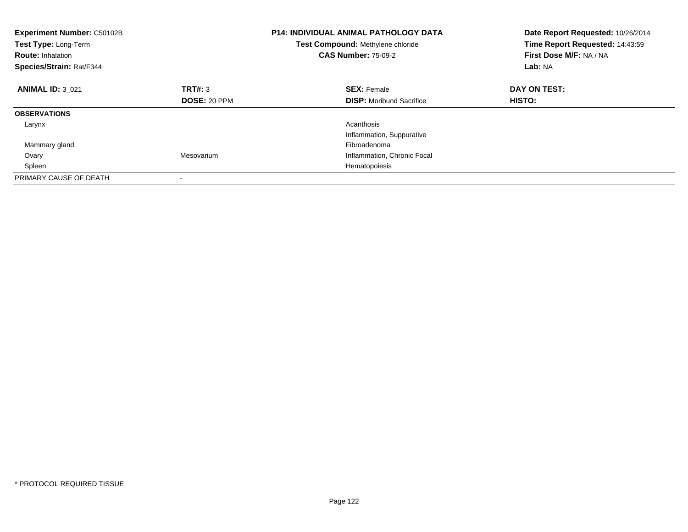| <b>Experiment Number: C50102B</b><br>Test Type: Long-Term<br><b>Route: Inhalation</b><br>Species/Strain: Rat/F344 |                     | <b>P14: INDIVIDUAL ANIMAL PATHOLOGY DATA</b><br>Test Compound: Methylene chloride<br><b>CAS Number: 75-09-2</b> | Date Report Requested: 10/26/2014<br>Time Report Requested: 14:43:59<br>First Dose M/F: NA / NA<br>Lab: NA |
|-------------------------------------------------------------------------------------------------------------------|---------------------|-----------------------------------------------------------------------------------------------------------------|------------------------------------------------------------------------------------------------------------|
| <b>ANIMAL ID: 3 021</b>                                                                                           | TRT#: 3             | <b>SEX: Female</b>                                                                                              | DAY ON TEST:                                                                                               |
|                                                                                                                   | <b>DOSE: 20 PPM</b> | <b>DISP:</b> Moribund Sacrifice                                                                                 | HISTO:                                                                                                     |
| <b>OBSERVATIONS</b>                                                                                               |                     |                                                                                                                 |                                                                                                            |
| Larynx                                                                                                            |                     | Acanthosis                                                                                                      |                                                                                                            |
|                                                                                                                   |                     | Inflammation, Suppurative                                                                                       |                                                                                                            |
| Mammary gland                                                                                                     |                     | Fibroadenoma                                                                                                    |                                                                                                            |
| Ovary                                                                                                             | Mesovarium          | Inflammation, Chronic Focal                                                                                     |                                                                                                            |
| Spleen                                                                                                            |                     | Hematopoiesis                                                                                                   |                                                                                                            |
| PRIMARY CAUSE OF DEATH                                                                                            |                     |                                                                                                                 |                                                                                                            |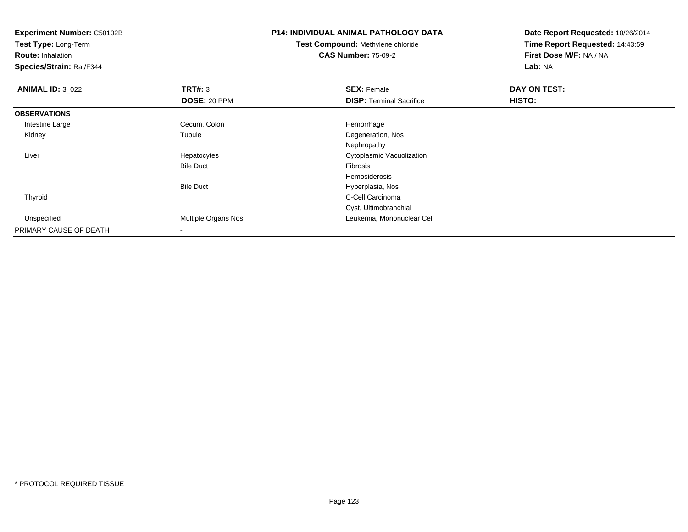**Experiment Number:** C50102B**Test Type:** Long-Term**Route:** Inhalation **Species/Strain:** Rat/F344**P14: INDIVIDUAL ANIMAL PATHOLOGY DATATest Compound:** Methylene chloride**CAS Number:** 75-09-2**Date Report Requested:** 10/26/2014**Time Report Requested:** 14:43:59**First Dose M/F:** NA / NA**Lab:** NA**ANIMAL ID:** 3\_022 **TRT#:** <sup>3</sup> **SEX:** Female **DAY ON TEST: DOSE:** 20 PPM**DISP:** Terminal Sacrifice **HISTO: OBSERVATIONS** Intestine Largee and the Cecum, Colon and the Hemorrhage entity of the Cecum, Colon and the Hemorrhage Kidneyy the contract of the contract of the contract of the contract of the contract of the contract of the contract of the contract of the contract of the contract of the contract of the contract of the contract of the contract Tubule **Degeneration**, Nos Nephropathys **Subset Constructs** Cytoplasmic Vacuolization Liver HepatocytesBile Duct Fibrosis Hemosiderosis Hyperplasia, NosBile Ductd<sub>d</sub> C-Cell Carcinoma ThyroidCyst, Ultimobranchial Unspecified Multiple Organs Nos Leukemia, Mononuclear Cell PRIMARY CAUSE OF DEATH-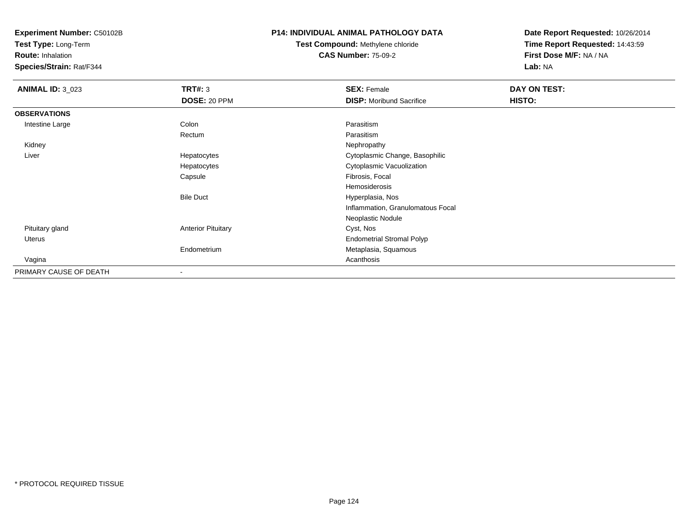**Test Type:** Long-Term

**Route:** Inhalation

**Species/Strain:** Rat/F344

## **P14: INDIVIDUAL ANIMAL PATHOLOGY DATA**

**Test Compound:** Methylene chloride**CAS Number:** 75-09-2

| <b>ANIMAL ID: 3_023</b> | TRT#: 3                   | <b>SEX: Female</b>                | DAY ON TEST: |  |
|-------------------------|---------------------------|-----------------------------------|--------------|--|
|                         | DOSE: 20 PPM              | <b>DISP:</b> Moribund Sacrifice   | HISTO:       |  |
| <b>OBSERVATIONS</b>     |                           |                                   |              |  |
| Intestine Large         | Colon                     | Parasitism                        |              |  |
|                         | Rectum                    | Parasitism                        |              |  |
| Kidney                  |                           | Nephropathy                       |              |  |
| Liver                   | Hepatocytes               | Cytoplasmic Change, Basophilic    |              |  |
|                         | Hepatocytes               | Cytoplasmic Vacuolization         |              |  |
|                         | Capsule                   | Fibrosis, Focal                   |              |  |
|                         |                           | Hemosiderosis                     |              |  |
|                         | <b>Bile Duct</b>          | Hyperplasia, Nos                  |              |  |
|                         |                           | Inflammation, Granulomatous Focal |              |  |
|                         |                           | Neoplastic Nodule                 |              |  |
| Pituitary gland         | <b>Anterior Pituitary</b> | Cyst, Nos                         |              |  |
| Uterus                  |                           | <b>Endometrial Stromal Polyp</b>  |              |  |
|                         | Endometrium               | Metaplasia, Squamous              |              |  |
| Vagina                  |                           | Acanthosis                        |              |  |
| PRIMARY CAUSE OF DEATH  | $\overline{\phantom{a}}$  |                                   |              |  |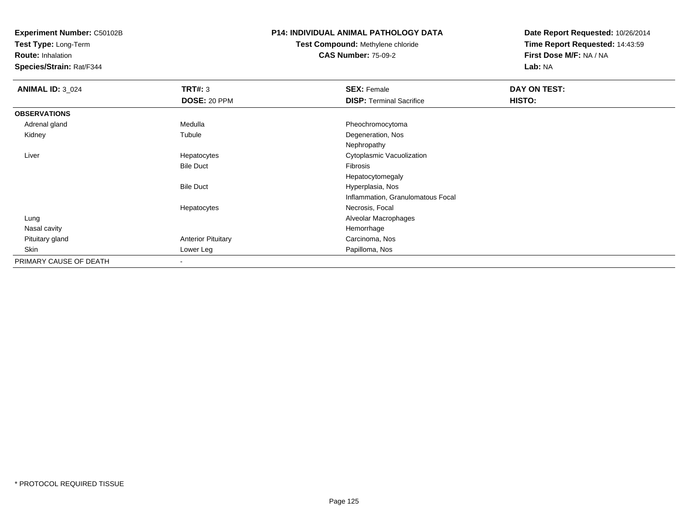**Test Type:** Long-Term

**Route:** Inhalation

**Species/Strain:** Rat/F344

### **P14: INDIVIDUAL ANIMAL PATHOLOGY DATA**

# **Test Compound:** Methylene chloride**CAS Number:** 75-09-2

| <b>ANIMAL ID: 3_024</b> | <b>TRT#: 3</b>            | <b>SEX: Female</b>                | DAY ON TEST: |  |
|-------------------------|---------------------------|-----------------------------------|--------------|--|
|                         | DOSE: 20 PPM              | <b>DISP: Terminal Sacrifice</b>   | HISTO:       |  |
| <b>OBSERVATIONS</b>     |                           |                                   |              |  |
| Adrenal gland           | Medulla                   | Pheochromocytoma                  |              |  |
| Kidney                  | Tubule                    | Degeneration, Nos                 |              |  |
|                         |                           | Nephropathy                       |              |  |
| Liver                   | Hepatocytes               | Cytoplasmic Vacuolization         |              |  |
|                         | <b>Bile Duct</b>          | Fibrosis                          |              |  |
|                         |                           | Hepatocytomegaly                  |              |  |
|                         | <b>Bile Duct</b>          | Hyperplasia, Nos                  |              |  |
|                         |                           | Inflammation, Granulomatous Focal |              |  |
|                         | Hepatocytes               | Necrosis, Focal                   |              |  |
| Lung                    |                           | Alveolar Macrophages              |              |  |
| Nasal cavity            |                           | Hemorrhage                        |              |  |
| Pituitary gland         | <b>Anterior Pituitary</b> | Carcinoma, Nos                    |              |  |
| Skin                    | Lower Leg                 | Papilloma, Nos                    |              |  |
| PRIMARY CAUSE OF DEATH  |                           |                                   |              |  |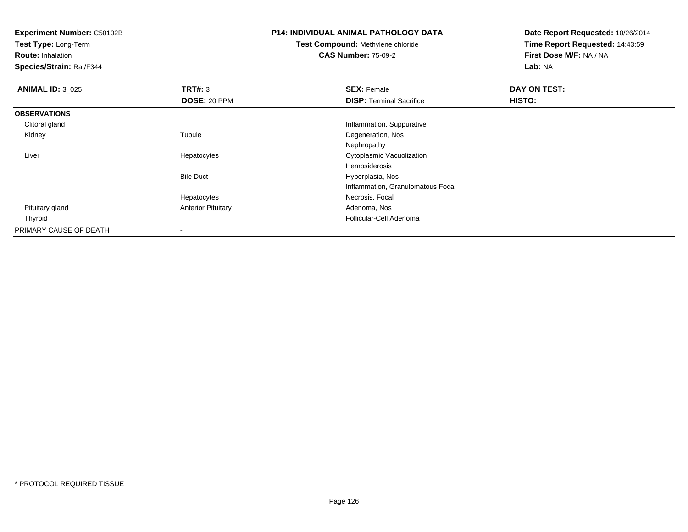**Test Type:** Long-Term

**Route:** Inhalation

**Species/Strain:** Rat/F344

# **P14: INDIVIDUAL ANIMAL PATHOLOGY DATA**

**Test Compound:** Methylene chloride**CAS Number:** 75-09-2

| <b>ANIMAL ID: 3_025</b> | TRT#: 3                   | <b>SEX: Female</b>                | DAY ON TEST: |  |
|-------------------------|---------------------------|-----------------------------------|--------------|--|
|                         | DOSE: 20 PPM              | <b>DISP: Terminal Sacrifice</b>   | HISTO:       |  |
| <b>OBSERVATIONS</b>     |                           |                                   |              |  |
| Clitoral gland          |                           | Inflammation, Suppurative         |              |  |
| Kidney                  | Tubule                    | Degeneration, Nos                 |              |  |
|                         |                           | Nephropathy                       |              |  |
| Liver                   | Hepatocytes               | <b>Cytoplasmic Vacuolization</b>  |              |  |
|                         |                           | Hemosiderosis                     |              |  |
|                         | <b>Bile Duct</b>          | Hyperplasia, Nos                  |              |  |
|                         |                           | Inflammation, Granulomatous Focal |              |  |
|                         | Hepatocytes               | Necrosis, Focal                   |              |  |
| Pituitary gland         | <b>Anterior Pituitary</b> | Adenoma, Nos                      |              |  |
| Thyroid                 |                           | Follicular-Cell Adenoma           |              |  |
| PRIMARY CAUSE OF DEATH  |                           |                                   |              |  |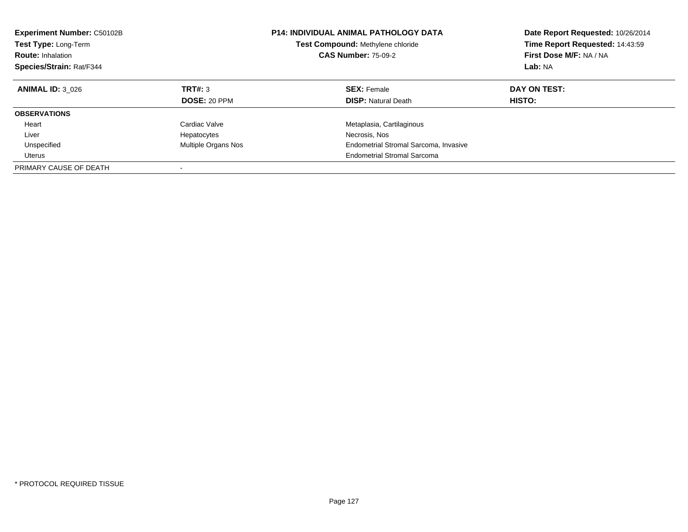| <b>Experiment Number: C50102B</b><br><b>Test Type: Long-Term</b><br><b>Route: Inhalation</b><br>Species/Strain: Rat/F344 |                     | <b>P14: INDIVIDUAL ANIMAL PATHOLOGY DATA</b><br>Test Compound: Methylene chloride<br><b>CAS Number: 75-09-2</b> | Date Report Requested: 10/26/2014<br>Time Report Requested: 14:43:59<br>First Dose M/F: NA / NA<br>Lab: NA |
|--------------------------------------------------------------------------------------------------------------------------|---------------------|-----------------------------------------------------------------------------------------------------------------|------------------------------------------------------------------------------------------------------------|
| <b>ANIMAL ID: 3 026</b>                                                                                                  | TRT#: 3             | <b>SEX: Female</b>                                                                                              | DAY ON TEST:                                                                                               |
|                                                                                                                          | <b>DOSE: 20 PPM</b> | <b>DISP:</b> Natural Death                                                                                      | HISTO:                                                                                                     |
| <b>OBSERVATIONS</b>                                                                                                      |                     |                                                                                                                 |                                                                                                            |
| Heart                                                                                                                    | Cardiac Valve       | Metaplasia, Cartilaginous                                                                                       |                                                                                                            |
| Liver                                                                                                                    | Hepatocytes         | Necrosis, Nos                                                                                                   |                                                                                                            |
| Unspecified                                                                                                              | Multiple Organs Nos | Endometrial Stromal Sarcoma, Invasive                                                                           |                                                                                                            |
| Uterus                                                                                                                   |                     | <b>Endometrial Stromal Sarcoma</b>                                                                              |                                                                                                            |
| PRIMARY CAUSE OF DEATH                                                                                                   |                     |                                                                                                                 |                                                                                                            |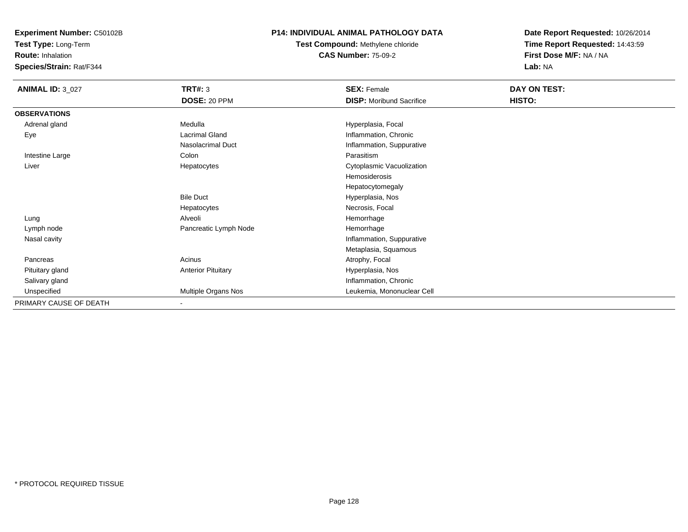**Test Type:** Long-Term

**Route:** Inhalation

**Species/Strain:** Rat/F344

### **P14: INDIVIDUAL ANIMAL PATHOLOGY DATA**

**Test Compound:** Methylene chloride**CAS Number:** 75-09-2

| <b>ANIMAL ID: 3_027</b> | TRT#: 3                   | <b>SEX: Female</b>              | DAY ON TEST: |
|-------------------------|---------------------------|---------------------------------|--------------|
|                         | DOSE: 20 PPM              | <b>DISP:</b> Moribund Sacrifice | HISTO:       |
| <b>OBSERVATIONS</b>     |                           |                                 |              |
| Adrenal gland           | Medulla                   | Hyperplasia, Focal              |              |
| Eye                     | Lacrimal Gland            | Inflammation, Chronic           |              |
|                         | Nasolacrimal Duct         | Inflammation, Suppurative       |              |
| Intestine Large         | Colon                     | Parasitism                      |              |
| Liver                   | Hepatocytes               | Cytoplasmic Vacuolization       |              |
|                         |                           | Hemosiderosis                   |              |
|                         |                           | Hepatocytomegaly                |              |
|                         | <b>Bile Duct</b>          | Hyperplasia, Nos                |              |
|                         | Hepatocytes               | Necrosis, Focal                 |              |
| Lung                    | Alveoli                   | Hemorrhage                      |              |
| Lymph node              | Pancreatic Lymph Node     | Hemorrhage                      |              |
| Nasal cavity            |                           | Inflammation, Suppurative       |              |
|                         |                           | Metaplasia, Squamous            |              |
| Pancreas                | Acinus                    | Atrophy, Focal                  |              |
| Pituitary gland         | <b>Anterior Pituitary</b> | Hyperplasia, Nos                |              |
| Salivary gland          |                           | Inflammation, Chronic           |              |
| Unspecified             | Multiple Organs Nos       | Leukemia, Mononuclear Cell      |              |
| PRIMARY CAUSE OF DEATH  | $\blacksquare$            |                                 |              |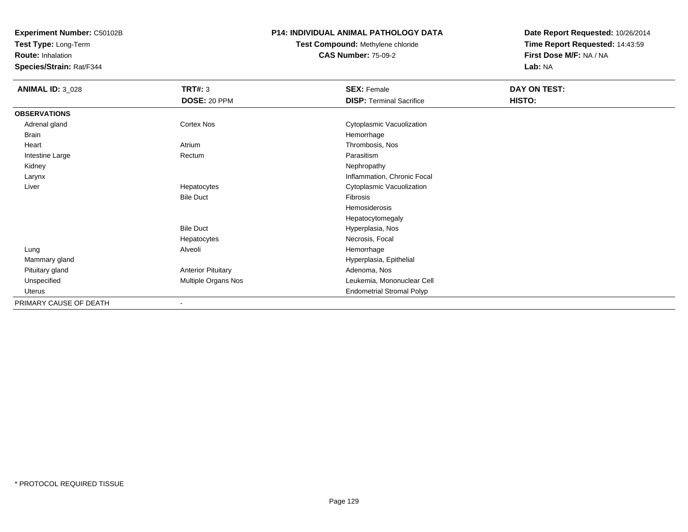**Test Type:** Long-Term

**Route:** Inhalation

**Species/Strain:** Rat/F344

## **P14: INDIVIDUAL ANIMAL PATHOLOGY DATA**

**Test Compound:** Methylene chloride**CAS Number:** 75-09-2

| <b>ANIMAL ID: 3_028</b> | TRT#: 3                    | <b>SEX: Female</b>               | DAY ON TEST: |
|-------------------------|----------------------------|----------------------------------|--------------|
|                         | DOSE: 20 PPM               | <b>DISP: Terminal Sacrifice</b>  | HISTO:       |
| <b>OBSERVATIONS</b>     |                            |                                  |              |
| Adrenal gland           | <b>Cortex Nos</b>          | Cytoplasmic Vacuolization        |              |
| Brain                   |                            | Hemorrhage                       |              |
| Heart                   | Atrium                     | Thrombosis, Nos                  |              |
| Intestine Large         | Rectum                     | Parasitism                       |              |
| Kidney                  |                            | Nephropathy                      |              |
| Larynx                  |                            | Inflammation, Chronic Focal      |              |
| Liver                   | Hepatocytes                | Cytoplasmic Vacuolization        |              |
|                         | <b>Bile Duct</b>           | <b>Fibrosis</b>                  |              |
|                         |                            | Hemosiderosis                    |              |
|                         |                            | Hepatocytomegaly                 |              |
|                         | <b>Bile Duct</b>           | Hyperplasia, Nos                 |              |
|                         | Hepatocytes                | Necrosis, Focal                  |              |
| Lung                    | Alveoli                    | Hemorrhage                       |              |
| Mammary gland           |                            | Hyperplasia, Epithelial          |              |
| Pituitary gland         | <b>Anterior Pituitary</b>  | Adenoma, Nos                     |              |
| Unspecified             | <b>Multiple Organs Nos</b> | Leukemia, Mononuclear Cell       |              |
| Uterus                  |                            | <b>Endometrial Stromal Polyp</b> |              |
| PRIMARY CAUSE OF DEATH  |                            |                                  |              |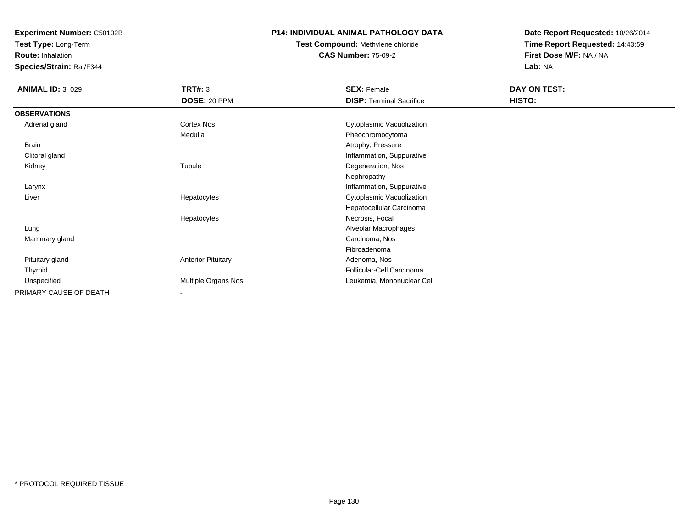**Test Type:** Long-Term

**Route:** Inhalation

**Species/Strain:** Rat/F344

## **P14: INDIVIDUAL ANIMAL PATHOLOGY DATA**

# **Test Compound:** Methylene chloride**CAS Number:** 75-09-2

| <b>ANIMAL ID: 3_029</b> | <b>TRT#: 3</b>            | <b>SEX: Female</b>              | DAY ON TEST: |  |
|-------------------------|---------------------------|---------------------------------|--------------|--|
|                         | DOSE: 20 PPM              | <b>DISP: Terminal Sacrifice</b> | HISTO:       |  |
| <b>OBSERVATIONS</b>     |                           |                                 |              |  |
| Adrenal gland           | Cortex Nos                | Cytoplasmic Vacuolization       |              |  |
|                         | Medulla                   | Pheochromocytoma                |              |  |
| <b>Brain</b>            |                           | Atrophy, Pressure               |              |  |
| Clitoral gland          |                           | Inflammation, Suppurative       |              |  |
| Kidney                  | Tubule                    | Degeneration, Nos               |              |  |
|                         |                           | Nephropathy                     |              |  |
| Larynx                  |                           | Inflammation, Suppurative       |              |  |
| Liver                   | Hepatocytes               | Cytoplasmic Vacuolization       |              |  |
|                         |                           | Hepatocellular Carcinoma        |              |  |
|                         | Hepatocytes               | Necrosis, Focal                 |              |  |
| Lung                    |                           | Alveolar Macrophages            |              |  |
| Mammary gland           |                           | Carcinoma, Nos                  |              |  |
|                         |                           | Fibroadenoma                    |              |  |
| Pituitary gland         | <b>Anterior Pituitary</b> | Adenoma, Nos                    |              |  |
| Thyroid                 |                           | Follicular-Cell Carcinoma       |              |  |
| Unspecified             | Multiple Organs Nos       | Leukemia, Mononuclear Cell      |              |  |
| PRIMARY CAUSE OF DEATH  | $\blacksquare$            |                                 |              |  |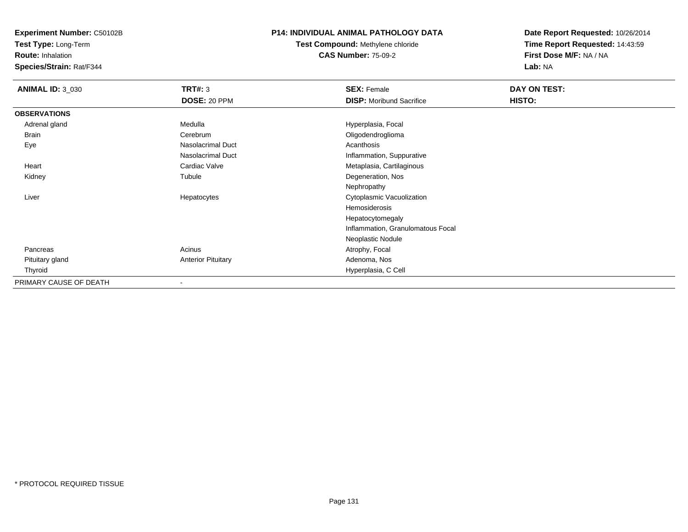**Test Type:** Long-Term

**Route:** Inhalation

**Species/Strain:** Rat/F344

## **P14: INDIVIDUAL ANIMAL PATHOLOGY DATA**

**Test Compound:** Methylene chloride**CAS Number:** 75-09-2

| <b>ANIMAL ID: 3_030</b> | <b>TRT#: 3</b>            | <b>SEX: Female</b>                | DAY ON TEST: |  |
|-------------------------|---------------------------|-----------------------------------|--------------|--|
|                         | DOSE: 20 PPM              | <b>DISP:</b> Moribund Sacrifice   | HISTO:       |  |
| <b>OBSERVATIONS</b>     |                           |                                   |              |  |
| Adrenal gland           | Medulla                   | Hyperplasia, Focal                |              |  |
| Brain                   | Cerebrum                  | Oligodendroglioma                 |              |  |
| Eye                     | Nasolacrimal Duct         | Acanthosis                        |              |  |
|                         | Nasolacrimal Duct         | Inflammation, Suppurative         |              |  |
| Heart                   | Cardiac Valve             | Metaplasia, Cartilaginous         |              |  |
| Kidney                  | Tubule                    | Degeneration, Nos                 |              |  |
|                         |                           | Nephropathy                       |              |  |
| Liver                   | Hepatocytes               | Cytoplasmic Vacuolization         |              |  |
|                         |                           | Hemosiderosis                     |              |  |
|                         |                           | Hepatocytomegaly                  |              |  |
|                         |                           | Inflammation, Granulomatous Focal |              |  |
|                         |                           | Neoplastic Nodule                 |              |  |
| Pancreas                | Acinus                    | Atrophy, Focal                    |              |  |
| Pituitary gland         | <b>Anterior Pituitary</b> | Adenoma, Nos                      |              |  |
| Thyroid                 |                           | Hyperplasia, C Cell               |              |  |
| PRIMARY CAUSE OF DEATH  | $\overline{\phantom{a}}$  |                                   |              |  |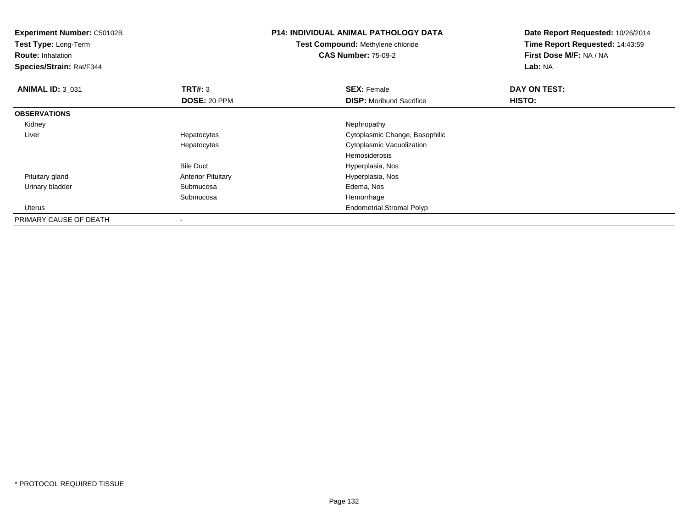| Experiment Number: C50102B<br>Test Type: Long-Term<br><b>Route: Inhalation</b><br>Species/Strain: Rat/F344 |                           | <b>P14: INDIVIDUAL ANIMAL PATHOLOGY DATA</b><br>Test Compound: Methylene chloride<br><b>CAS Number: 75-09-2</b> | Date Report Requested: 10/26/2014<br>Time Report Requested: 14:43:59<br>First Dose M/F: NA / NA<br>Lab: NA |
|------------------------------------------------------------------------------------------------------------|---------------------------|-----------------------------------------------------------------------------------------------------------------|------------------------------------------------------------------------------------------------------------|
| <b>ANIMAL ID: 3 031</b>                                                                                    | <b>TRT#: 3</b>            | <b>SEX: Female</b>                                                                                              | DAY ON TEST:                                                                                               |
|                                                                                                            | DOSE: 20 PPM              | <b>DISP:</b> Moribund Sacrifice                                                                                 | HISTO:                                                                                                     |
| <b>OBSERVATIONS</b>                                                                                        |                           |                                                                                                                 |                                                                                                            |
| Kidney                                                                                                     |                           | Nephropathy                                                                                                     |                                                                                                            |
| Liver                                                                                                      | Hepatocytes               | Cytoplasmic Change, Basophilic                                                                                  |                                                                                                            |
|                                                                                                            | Hepatocytes               | Cytoplasmic Vacuolization                                                                                       |                                                                                                            |
|                                                                                                            |                           | Hemosiderosis                                                                                                   |                                                                                                            |
|                                                                                                            | <b>Bile Duct</b>          | Hyperplasia, Nos                                                                                                |                                                                                                            |
| Pituitary gland                                                                                            | <b>Anterior Pituitary</b> | Hyperplasia, Nos                                                                                                |                                                                                                            |
| Urinary bladder                                                                                            | Submucosa                 | Edema, Nos                                                                                                      |                                                                                                            |
|                                                                                                            | Submucosa                 | Hemorrhage                                                                                                      |                                                                                                            |
| Uterus                                                                                                     |                           | <b>Endometrial Stromal Polyp</b>                                                                                |                                                                                                            |
| PRIMARY CAUSE OF DEATH                                                                                     |                           |                                                                                                                 |                                                                                                            |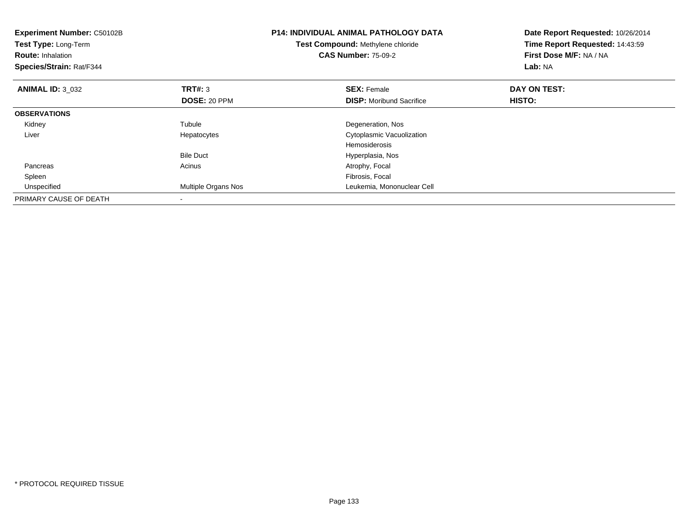| <b>Experiment Number: C50102B</b><br>Test Type: Long-Term<br><b>Route: Inhalation</b><br>Species/Strain: Rat/F344 |                     | <b>P14: INDIVIDUAL ANIMAL PATHOLOGY DATA</b><br>Test Compound: Methylene chloride<br><b>CAS Number: 75-09-2</b> | Date Report Requested: 10/26/2014<br>Time Report Requested: 14:43:59<br>First Dose M/F: NA / NA<br>Lab: NA |
|-------------------------------------------------------------------------------------------------------------------|---------------------|-----------------------------------------------------------------------------------------------------------------|------------------------------------------------------------------------------------------------------------|
| <b>ANIMAL ID: 3 032</b>                                                                                           | <b>TRT#: 3</b>      | <b>SEX: Female</b>                                                                                              | DAY ON TEST:                                                                                               |
|                                                                                                                   | DOSE: 20 PPM        | <b>DISP:</b> Moribund Sacrifice                                                                                 | HISTO:                                                                                                     |
| <b>OBSERVATIONS</b>                                                                                               |                     |                                                                                                                 |                                                                                                            |
| Kidney                                                                                                            | Tubule              | Degeneration, Nos                                                                                               |                                                                                                            |
| Liver                                                                                                             | Hepatocytes         | Cytoplasmic Vacuolization                                                                                       |                                                                                                            |
|                                                                                                                   |                     | Hemosiderosis                                                                                                   |                                                                                                            |
|                                                                                                                   | <b>Bile Duct</b>    | Hyperplasia, Nos                                                                                                |                                                                                                            |
| Pancreas                                                                                                          | Acinus              | Atrophy, Focal                                                                                                  |                                                                                                            |
| Spleen                                                                                                            |                     | Fibrosis, Focal                                                                                                 |                                                                                                            |
| Unspecified                                                                                                       | Multiple Organs Nos | Leukemia, Mononuclear Cell                                                                                      |                                                                                                            |
| PRIMARY CAUSE OF DEATH                                                                                            |                     |                                                                                                                 |                                                                                                            |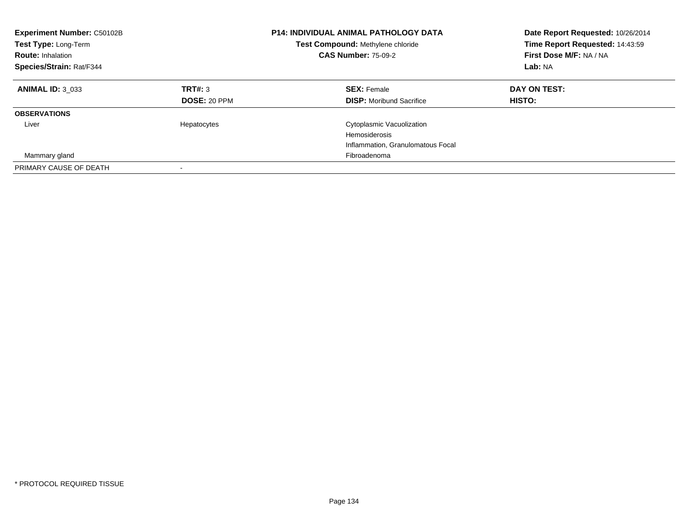| Experiment Number: C50102B<br><b>Test Type: Long-Term</b><br><b>Route: Inhalation</b><br>Species/Strain: Rat/F344 |                                | <b>P14: INDIVIDUAL ANIMAL PATHOLOGY DATA</b><br>Test Compound: Methylene chloride<br><b>CAS Number: 75-09-2</b> | Date Report Requested: 10/26/2014<br>Time Report Requested: 14:43:59<br>First Dose M/F: NA / NA<br>Lab: NA |
|-------------------------------------------------------------------------------------------------------------------|--------------------------------|-----------------------------------------------------------------------------------------------------------------|------------------------------------------------------------------------------------------------------------|
| <b>ANIMAL ID: 3 033</b>                                                                                           | TRT#: 3<br><b>DOSE: 20 PPM</b> | <b>SEX: Female</b><br><b>DISP:</b> Moribund Sacrifice                                                           | DAY ON TEST:<br>HISTO:                                                                                     |
| <b>OBSERVATIONS</b>                                                                                               |                                |                                                                                                                 |                                                                                                            |
| Liver                                                                                                             | Hepatocytes                    | Cytoplasmic Vacuolization<br>Hemosiderosis<br>Inflammation, Granulomatous Focal                                 |                                                                                                            |
| Mammary gland                                                                                                     |                                | Fibroadenoma                                                                                                    |                                                                                                            |
| PRIMARY CAUSE OF DEATH                                                                                            |                                |                                                                                                                 |                                                                                                            |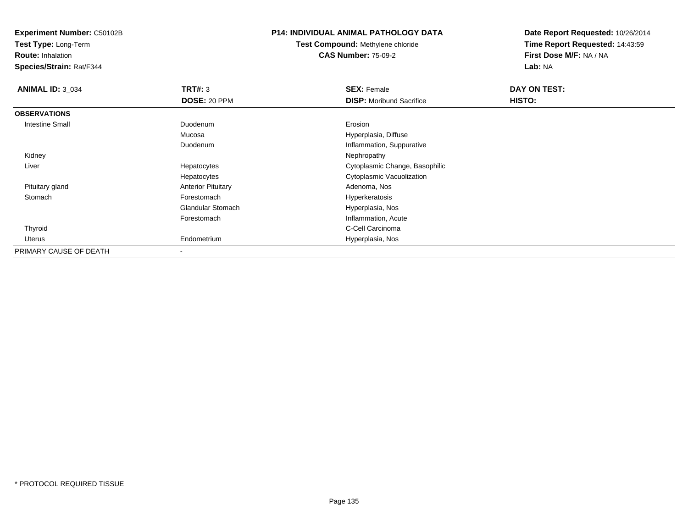**Test Type:** Long-Term

**Route:** Inhalation

**Species/Strain:** Rat/F344

### **P14: INDIVIDUAL ANIMAL PATHOLOGY DATA**

**Test Compound:** Methylene chloride**CAS Number:** 75-09-2

| <b>ANIMAL ID: 3_034</b> | TRT#: 3                   | <b>SEX: Female</b>              | DAY ON TEST: |  |
|-------------------------|---------------------------|---------------------------------|--------------|--|
|                         | DOSE: 20 PPM              | <b>DISP:</b> Moribund Sacrifice | HISTO:       |  |
| <b>OBSERVATIONS</b>     |                           |                                 |              |  |
| <b>Intestine Small</b>  | Duodenum                  | Erosion                         |              |  |
|                         | Mucosa                    | Hyperplasia, Diffuse            |              |  |
|                         | Duodenum                  | Inflammation, Suppurative       |              |  |
| Kidney                  |                           | Nephropathy                     |              |  |
| Liver                   | Hepatocytes               | Cytoplasmic Change, Basophilic  |              |  |
|                         | Hepatocytes               | Cytoplasmic Vacuolization       |              |  |
| Pituitary gland         | <b>Anterior Pituitary</b> | Adenoma, Nos                    |              |  |
| Stomach                 | Forestomach               | Hyperkeratosis                  |              |  |
|                         | <b>Glandular Stomach</b>  | Hyperplasia, Nos                |              |  |
|                         | Forestomach               | Inflammation, Acute             |              |  |
| Thyroid                 |                           | C-Cell Carcinoma                |              |  |
| Uterus                  | Endometrium               | Hyperplasia, Nos                |              |  |
| PRIMARY CAUSE OF DEATH  |                           |                                 |              |  |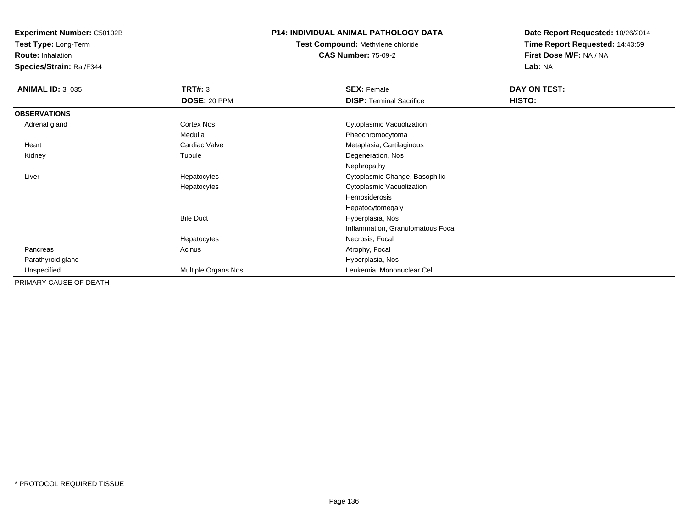**Test Type:** Long-Term

**Route:** Inhalation

**Species/Strain:** Rat/F344

## **P14: INDIVIDUAL ANIMAL PATHOLOGY DATA**

**Test Compound:** Methylene chloride**CAS Number:** 75-09-2

| <b>ANIMAL ID: 3 035</b> | TRT#: 3             | <b>SEX: Female</b>                | DAY ON TEST: |  |
|-------------------------|---------------------|-----------------------------------|--------------|--|
|                         | <b>DOSE: 20 PPM</b> | <b>DISP: Terminal Sacrifice</b>   | HISTO:       |  |
| <b>OBSERVATIONS</b>     |                     |                                   |              |  |
| Adrenal gland           | <b>Cortex Nos</b>   | Cytoplasmic Vacuolization         |              |  |
|                         | Medulla             | Pheochromocytoma                  |              |  |
| Heart                   | Cardiac Valve       | Metaplasia, Cartilaginous         |              |  |
| Kidney                  | Tubule              | Degeneration, Nos                 |              |  |
|                         |                     | Nephropathy                       |              |  |
| Liver                   | Hepatocytes         | Cytoplasmic Change, Basophilic    |              |  |
|                         | Hepatocytes         | Cytoplasmic Vacuolization         |              |  |
|                         |                     | Hemosiderosis                     |              |  |
|                         |                     | Hepatocytomegaly                  |              |  |
|                         | <b>Bile Duct</b>    | Hyperplasia, Nos                  |              |  |
|                         |                     | Inflammation, Granulomatous Focal |              |  |
|                         | Hepatocytes         | Necrosis, Focal                   |              |  |
| Pancreas                | Acinus              | Atrophy, Focal                    |              |  |
| Parathyroid gland       |                     | Hyperplasia, Nos                  |              |  |
| Unspecified             | Multiple Organs Nos | Leukemia, Mononuclear Cell        |              |  |
| PRIMARY CAUSE OF DEATH  |                     |                                   |              |  |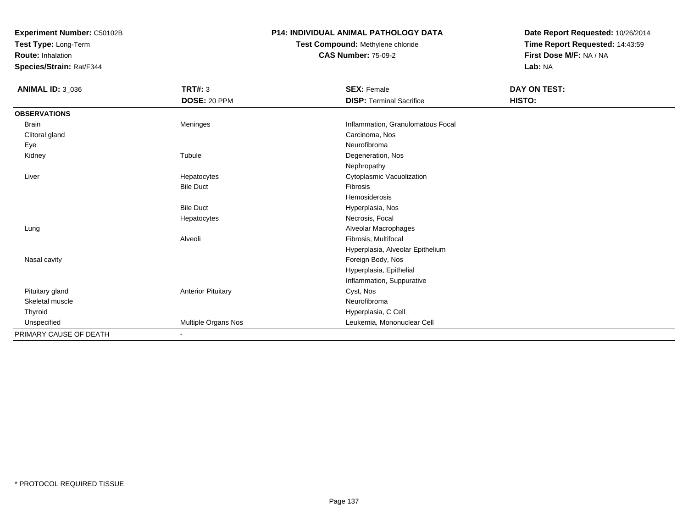**Test Type:** Long-Term

**Route:** Inhalation

**Species/Strain:** Rat/F344

### **P14: INDIVIDUAL ANIMAL PATHOLOGY DATA**

# **Test Compound:** Methylene chloride**CAS Number:** 75-09-2

| <b>ANIMAL ID: 3_036</b> | <b>TRT#: 3</b>            | <b>SEX: Female</b>                | DAY ON TEST: |  |
|-------------------------|---------------------------|-----------------------------------|--------------|--|
|                         | DOSE: 20 PPM              | <b>DISP: Terminal Sacrifice</b>   | HISTO:       |  |
| <b>OBSERVATIONS</b>     |                           |                                   |              |  |
| <b>Brain</b>            | Meninges                  | Inflammation, Granulomatous Focal |              |  |
| Clitoral gland          |                           | Carcinoma, Nos                    |              |  |
| Eye                     |                           | Neurofibroma                      |              |  |
| Kidney                  | Tubule                    | Degeneration, Nos                 |              |  |
|                         |                           | Nephropathy                       |              |  |
| Liver                   | Hepatocytes               | Cytoplasmic Vacuolization         |              |  |
|                         | <b>Bile Duct</b>          | <b>Fibrosis</b>                   |              |  |
|                         |                           | <b>Hemosiderosis</b>              |              |  |
|                         | <b>Bile Duct</b>          | Hyperplasia, Nos                  |              |  |
|                         | Hepatocytes               | Necrosis, Focal                   |              |  |
| Lung                    |                           | Alveolar Macrophages              |              |  |
|                         | Alveoli                   | Fibrosis, Multifocal              |              |  |
|                         |                           | Hyperplasia, Alveolar Epithelium  |              |  |
| Nasal cavity            |                           | Foreign Body, Nos                 |              |  |
|                         |                           | Hyperplasia, Epithelial           |              |  |
|                         |                           | Inflammation, Suppurative         |              |  |
| Pituitary gland         | <b>Anterior Pituitary</b> | Cyst, Nos                         |              |  |
| Skeletal muscle         |                           | Neurofibroma                      |              |  |
| Thyroid                 |                           | Hyperplasia, C Cell               |              |  |
| Unspecified             | Multiple Organs Nos       | Leukemia, Mononuclear Cell        |              |  |
| PRIMARY CAUSE OF DEATH  | $\sim$                    |                                   |              |  |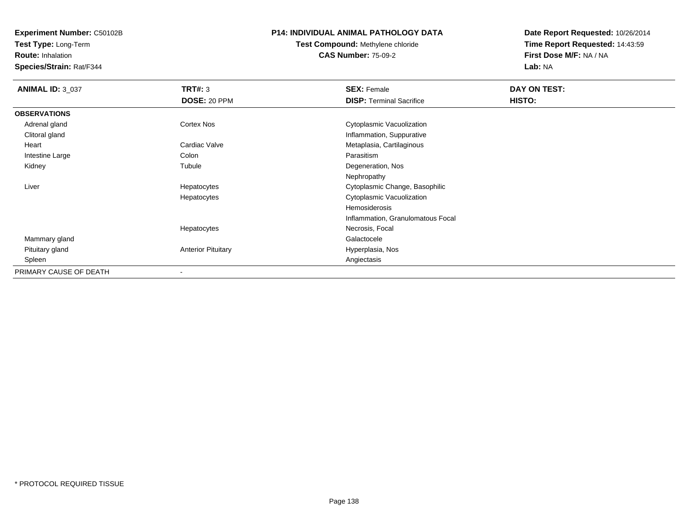**Test Type:** Long-Term

**Route:** Inhalation

**Species/Strain:** Rat/F344

### **P14: INDIVIDUAL ANIMAL PATHOLOGY DATA**

# **Test Compound:** Methylene chloride**CAS Number:** 75-09-2

| <b>ANIMAL ID: 3_037</b> | TRT#: 3                   | <b>SEX: Female</b>                | DAY ON TEST: |  |
|-------------------------|---------------------------|-----------------------------------|--------------|--|
|                         | DOSE: 20 PPM              | <b>DISP: Terminal Sacrifice</b>   | HISTO:       |  |
| <b>OBSERVATIONS</b>     |                           |                                   |              |  |
| Adrenal gland           | Cortex Nos                | Cytoplasmic Vacuolization         |              |  |
| Clitoral gland          |                           | Inflammation, Suppurative         |              |  |
| Heart                   | Cardiac Valve             | Metaplasia, Cartilaginous         |              |  |
| Intestine Large         | Colon                     | Parasitism                        |              |  |
| Kidney                  | Tubule                    | Degeneration, Nos                 |              |  |
|                         |                           | Nephropathy                       |              |  |
| Liver                   | Hepatocytes               | Cytoplasmic Change, Basophilic    |              |  |
|                         | Hepatocytes               | Cytoplasmic Vacuolization         |              |  |
|                         |                           | Hemosiderosis                     |              |  |
|                         |                           | Inflammation, Granulomatous Focal |              |  |
|                         | Hepatocytes               | Necrosis, Focal                   |              |  |
| Mammary gland           |                           | Galactocele                       |              |  |
| Pituitary gland         | <b>Anterior Pituitary</b> | Hyperplasia, Nos                  |              |  |
| Spleen                  |                           | Angiectasis                       |              |  |
| PRIMARY CAUSE OF DEATH  | $\overline{\phantom{a}}$  |                                   |              |  |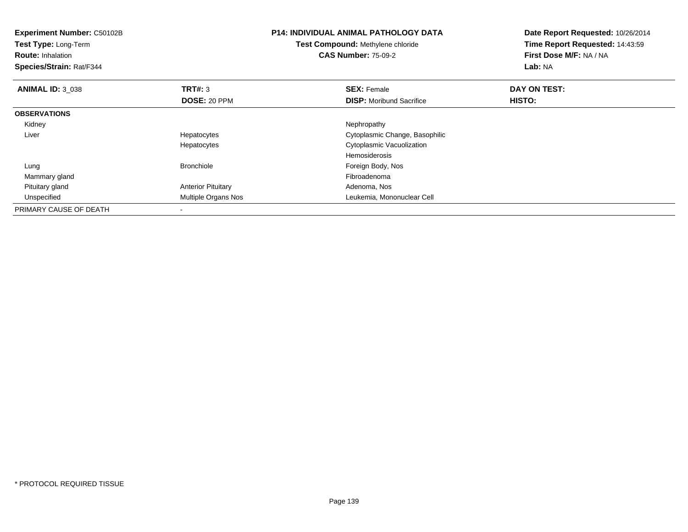| <b>Experiment Number: C50102B</b><br>Test Type: Long-Term<br><b>Route: Inhalation</b><br>Species/Strain: Rat/F344 |                           | <b>P14: INDIVIDUAL ANIMAL PATHOLOGY DATA</b><br>Test Compound: Methylene chloride<br><b>CAS Number: 75-09-2</b> | Date Report Requested: 10/26/2014<br>Time Report Requested: 14:43:59<br>First Dose M/F: NA / NA<br>Lab: NA |
|-------------------------------------------------------------------------------------------------------------------|---------------------------|-----------------------------------------------------------------------------------------------------------------|------------------------------------------------------------------------------------------------------------|
| <b>ANIMAL ID: 3 038</b>                                                                                           | TRT#: 3                   | <b>SEX: Female</b>                                                                                              | DAY ON TEST:                                                                                               |
|                                                                                                                   | <b>DOSE: 20 PPM</b>       | <b>DISP:</b> Moribund Sacrifice                                                                                 | HISTO:                                                                                                     |
| <b>OBSERVATIONS</b>                                                                                               |                           |                                                                                                                 |                                                                                                            |
| Kidney                                                                                                            |                           | Nephropathy                                                                                                     |                                                                                                            |
| Liver                                                                                                             | Hepatocytes               | Cytoplasmic Change, Basophilic                                                                                  |                                                                                                            |
|                                                                                                                   | Hepatocytes               | Cytoplasmic Vacuolization                                                                                       |                                                                                                            |
|                                                                                                                   |                           | <b>Hemosiderosis</b>                                                                                            |                                                                                                            |
| Lung                                                                                                              | <b>Bronchiole</b>         | Foreign Body, Nos                                                                                               |                                                                                                            |
| Mammary gland                                                                                                     |                           | Fibroadenoma                                                                                                    |                                                                                                            |
| Pituitary gland                                                                                                   | <b>Anterior Pituitary</b> | Adenoma, Nos                                                                                                    |                                                                                                            |
| Unspecified                                                                                                       | Multiple Organs Nos       | Leukemia, Mononuclear Cell                                                                                      |                                                                                                            |
| PRIMARY CAUSE OF DEATH                                                                                            |                           |                                                                                                                 |                                                                                                            |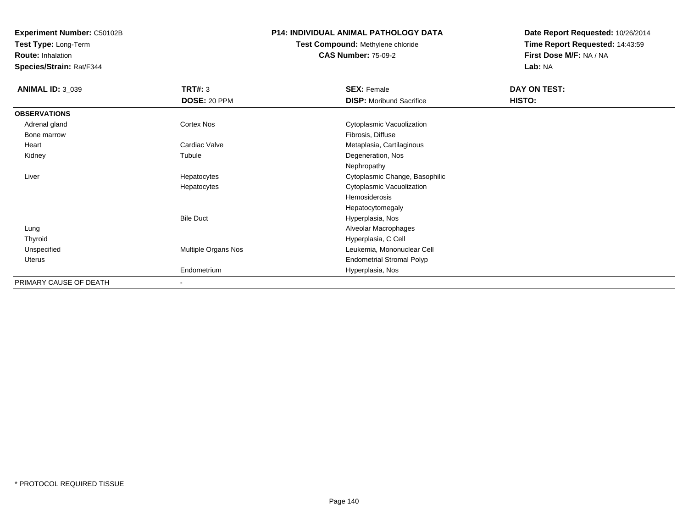**Test Type:** Long-Term

**Route:** Inhalation

**Species/Strain:** Rat/F344

## **P14: INDIVIDUAL ANIMAL PATHOLOGY DATA**

# **Test Compound:** Methylene chloride**CAS Number:** 75-09-2

| <b>ANIMAL ID: 3_039</b> | TRT#: 3             | <b>SEX: Female</b>               | DAY ON TEST: |  |
|-------------------------|---------------------|----------------------------------|--------------|--|
|                         | DOSE: 20 PPM        | <b>DISP:</b> Moribund Sacrifice  | HISTO:       |  |
| <b>OBSERVATIONS</b>     |                     |                                  |              |  |
| Adrenal gland           | <b>Cortex Nos</b>   | Cytoplasmic Vacuolization        |              |  |
| Bone marrow             |                     | Fibrosis, Diffuse                |              |  |
| Heart                   | Cardiac Valve       | Metaplasia, Cartilaginous        |              |  |
| Kidney                  | Tubule              | Degeneration, Nos                |              |  |
|                         |                     | Nephropathy                      |              |  |
| Liver                   | Hepatocytes         | Cytoplasmic Change, Basophilic   |              |  |
|                         | Hepatocytes         | Cytoplasmic Vacuolization        |              |  |
|                         |                     | Hemosiderosis                    |              |  |
|                         |                     | Hepatocytomegaly                 |              |  |
|                         | <b>Bile Duct</b>    | Hyperplasia, Nos                 |              |  |
| Lung                    |                     | Alveolar Macrophages             |              |  |
| Thyroid                 |                     | Hyperplasia, C Cell              |              |  |
| Unspecified             | Multiple Organs Nos | Leukemia, Mononuclear Cell       |              |  |
| Uterus                  |                     | <b>Endometrial Stromal Polyp</b> |              |  |
|                         | Endometrium         | Hyperplasia, Nos                 |              |  |
| PRIMARY CAUSE OF DEATH  |                     |                                  |              |  |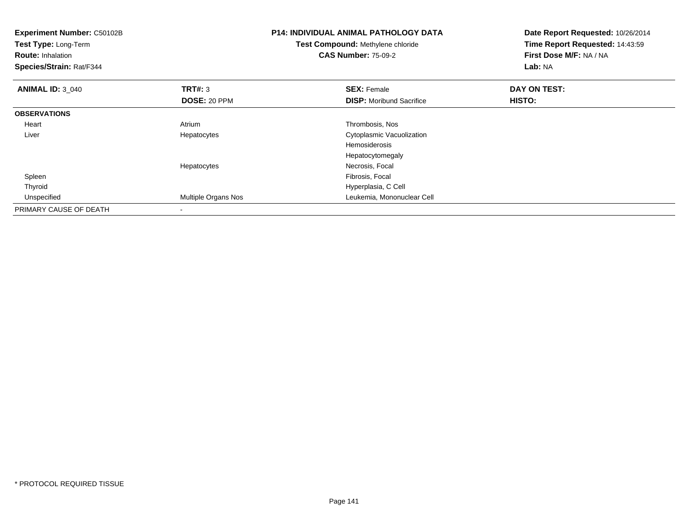| <b>Experiment Number: C50102B</b><br><b>Test Type: Long-Term</b><br><b>Route: Inhalation</b><br>Species/Strain: Rat/F344 |                            | <b>P14: INDIVIDUAL ANIMAL PATHOLOGY DATA</b><br>Test Compound: Methylene chloride<br><b>CAS Number: 75-09-2</b> | Date Report Requested: 10/26/2014<br>Time Report Requested: 14:43:59<br>First Dose M/F: NA / NA<br>Lab: NA |  |
|--------------------------------------------------------------------------------------------------------------------------|----------------------------|-----------------------------------------------------------------------------------------------------------------|------------------------------------------------------------------------------------------------------------|--|
| <b>ANIMAL ID: 3_040</b>                                                                                                  | TRT#: 3<br>DOSE: 20 PPM    | <b>SEX: Female</b><br><b>DISP:</b> Moribund Sacrifice                                                           | DAY ON TEST:<br>HISTO:                                                                                     |  |
| <b>OBSERVATIONS</b>                                                                                                      |                            |                                                                                                                 |                                                                                                            |  |
| Heart                                                                                                                    | Atrium                     | Thrombosis, Nos                                                                                                 |                                                                                                            |  |
| Liver                                                                                                                    | Hepatocytes                | Cytoplasmic Vacuolization                                                                                       |                                                                                                            |  |
|                                                                                                                          |                            | Hemosiderosis                                                                                                   |                                                                                                            |  |
|                                                                                                                          |                            | Hepatocytomegaly                                                                                                |                                                                                                            |  |
|                                                                                                                          | Hepatocytes                | Necrosis, Focal                                                                                                 |                                                                                                            |  |
| Spleen                                                                                                                   |                            | Fibrosis, Focal                                                                                                 |                                                                                                            |  |
| Thyroid                                                                                                                  |                            | Hyperplasia, C Cell                                                                                             |                                                                                                            |  |
| Unspecified                                                                                                              | <b>Multiple Organs Nos</b> | Leukemia, Mononuclear Cell                                                                                      |                                                                                                            |  |
| PRIMARY CAUSE OF DEATH                                                                                                   |                            |                                                                                                                 |                                                                                                            |  |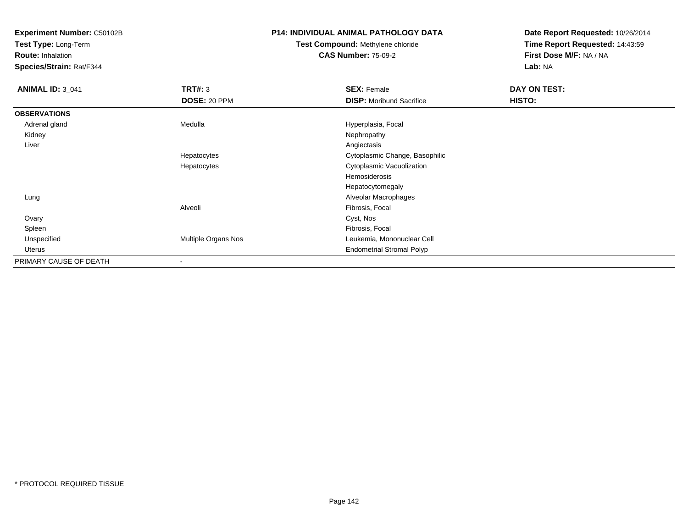**Test Type:** Long-Term

**Route:** Inhalation

**Species/Strain:** Rat/F344

## **P14: INDIVIDUAL ANIMAL PATHOLOGY DATA**

# **Test Compound:** Methylene chloride**CAS Number:** 75-09-2

| <b>ANIMAL ID: 3_041</b> | <b>TRT#: 3</b>      | <b>SEX: Female</b>               | DAY ON TEST: |  |
|-------------------------|---------------------|----------------------------------|--------------|--|
|                         | DOSE: 20 PPM        | <b>DISP:</b> Moribund Sacrifice  | HISTO:       |  |
| <b>OBSERVATIONS</b>     |                     |                                  |              |  |
| Adrenal gland           | Medulla             | Hyperplasia, Focal               |              |  |
| Kidney                  |                     | Nephropathy                      |              |  |
| Liver                   |                     | Angiectasis                      |              |  |
|                         | Hepatocytes         | Cytoplasmic Change, Basophilic   |              |  |
|                         | Hepatocytes         | Cytoplasmic Vacuolization        |              |  |
|                         |                     | Hemosiderosis                    |              |  |
|                         |                     | Hepatocytomegaly                 |              |  |
| Lung                    |                     | Alveolar Macrophages             |              |  |
|                         | Alveoli             | Fibrosis, Focal                  |              |  |
| Ovary                   |                     | Cyst, Nos                        |              |  |
| Spleen                  |                     | Fibrosis, Focal                  |              |  |
| Unspecified             | Multiple Organs Nos | Leukemia, Mononuclear Cell       |              |  |
| Uterus                  |                     | <b>Endometrial Stromal Polyp</b> |              |  |
| PRIMARY CAUSE OF DEATH  |                     |                                  |              |  |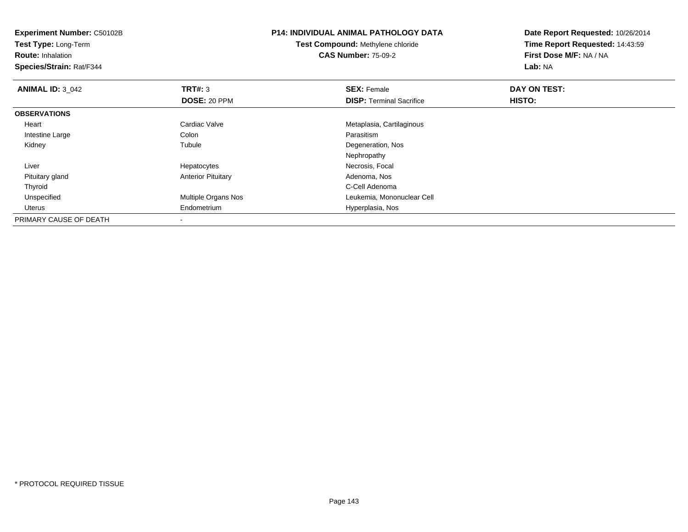| <b>Experiment Number: C50102B</b><br>Test Type: Long-Term<br><b>Route: Inhalation</b><br>Species/Strain: Rat/F344 |                           | <b>P14: INDIVIDUAL ANIMAL PATHOLOGY DATA</b><br><b>Test Compound: Methylene chloride</b><br><b>CAS Number: 75-09-2</b> | Date Report Requested: 10/26/2014<br>Time Report Requested: 14:43:59<br>First Dose M/F: NA / NA<br>Lab: NA |  |
|-------------------------------------------------------------------------------------------------------------------|---------------------------|------------------------------------------------------------------------------------------------------------------------|------------------------------------------------------------------------------------------------------------|--|
| <b>ANIMAL ID: 3_042</b>                                                                                           | TRT#: 3                   | <b>SEX: Female</b>                                                                                                     | DAY ON TEST:                                                                                               |  |
|                                                                                                                   | DOSE: 20 PPM              | <b>DISP:</b> Terminal Sacrifice                                                                                        | HISTO:                                                                                                     |  |
| <b>OBSERVATIONS</b>                                                                                               |                           |                                                                                                                        |                                                                                                            |  |
| Heart                                                                                                             | Cardiac Valve             | Metaplasia, Cartilaginous                                                                                              |                                                                                                            |  |
| Intestine Large                                                                                                   | Colon                     | Parasitism                                                                                                             |                                                                                                            |  |
| Kidney                                                                                                            | Tubule                    | Degeneration, Nos                                                                                                      |                                                                                                            |  |
|                                                                                                                   |                           | Nephropathy                                                                                                            |                                                                                                            |  |
| Liver                                                                                                             | Hepatocytes               | Necrosis, Focal                                                                                                        |                                                                                                            |  |
| Pituitary gland                                                                                                   | <b>Anterior Pituitary</b> | Adenoma, Nos                                                                                                           |                                                                                                            |  |
| Thyroid                                                                                                           |                           | C-Cell Adenoma                                                                                                         |                                                                                                            |  |
| Unspecified                                                                                                       | Multiple Organs Nos       | Leukemia, Mononuclear Cell                                                                                             |                                                                                                            |  |
| Uterus                                                                                                            | Endometrium               | Hyperplasia, Nos                                                                                                       |                                                                                                            |  |
| PRIMARY CAUSE OF DEATH                                                                                            |                           |                                                                                                                        |                                                                                                            |  |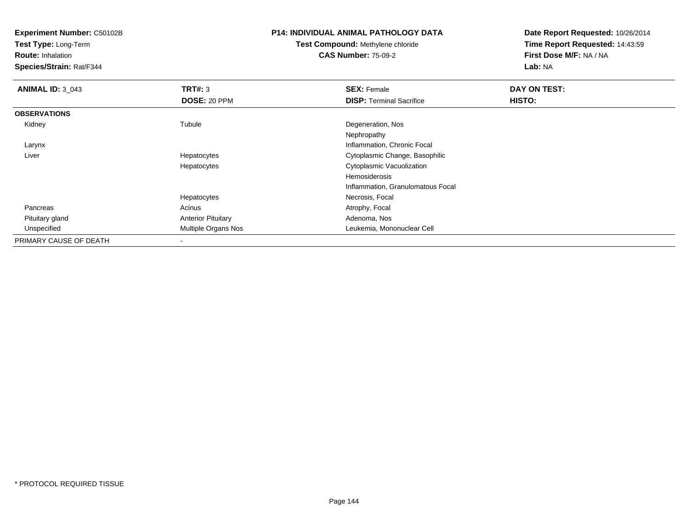**Test Type:** Long-Term

**Route:** Inhalation

**Species/Strain:** Rat/F344

## **P14: INDIVIDUAL ANIMAL PATHOLOGY DATA**

**Test Compound:** Methylene chloride**CAS Number:** 75-09-2

| <b>ANIMAL ID: 3_043</b> | TRT#: 3                    | <b>SEX: Female</b>                | DAY ON TEST: |  |
|-------------------------|----------------------------|-----------------------------------|--------------|--|
|                         | DOSE: 20 PPM               | <b>DISP:</b> Terminal Sacrifice   | HISTO:       |  |
| <b>OBSERVATIONS</b>     |                            |                                   |              |  |
| Kidney                  | Tubule                     | Degeneration, Nos                 |              |  |
|                         |                            | Nephropathy                       |              |  |
| Larynx                  |                            | Inflammation, Chronic Focal       |              |  |
| Liver                   | Hepatocytes                | Cytoplasmic Change, Basophilic    |              |  |
|                         | Hepatocytes                | Cytoplasmic Vacuolization         |              |  |
|                         |                            | Hemosiderosis                     |              |  |
|                         |                            | Inflammation, Granulomatous Focal |              |  |
|                         | Hepatocytes                | Necrosis, Focal                   |              |  |
| Pancreas                | Acinus                     | Atrophy, Focal                    |              |  |
| Pituitary gland         | <b>Anterior Pituitary</b>  | Adenoma, Nos                      |              |  |
| Unspecified             | <b>Multiple Organs Nos</b> | Leukemia, Mononuclear Cell        |              |  |
| PRIMARY CAUSE OF DEATH  |                            |                                   |              |  |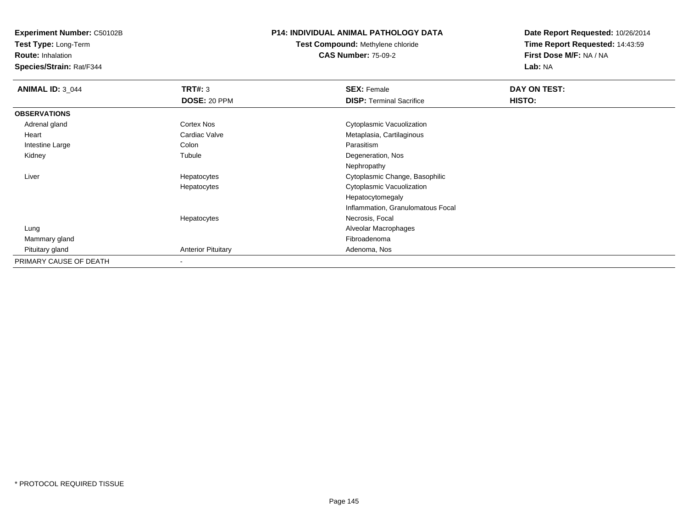**Test Type:** Long-Term

**Route:** Inhalation

**Species/Strain:** Rat/F344

## **P14: INDIVIDUAL ANIMAL PATHOLOGY DATA**

**Test Compound:** Methylene chloride**CAS Number:** 75-09-2

| <b>ANIMAL ID: 3_044</b> | TRT#: 3                   | <b>SEX: Female</b>                | DAY ON TEST: |  |
|-------------------------|---------------------------|-----------------------------------|--------------|--|
|                         | DOSE: 20 PPM              | <b>DISP: Terminal Sacrifice</b>   | HISTO:       |  |
| <b>OBSERVATIONS</b>     |                           |                                   |              |  |
| Adrenal gland           | Cortex Nos                | Cytoplasmic Vacuolization         |              |  |
| Heart                   | Cardiac Valve             | Metaplasia, Cartilaginous         |              |  |
| Intestine Large         | Colon                     | Parasitism                        |              |  |
| Kidney                  | Tubule                    | Degeneration, Nos                 |              |  |
|                         |                           | Nephropathy                       |              |  |
| Liver                   | Hepatocytes               | Cytoplasmic Change, Basophilic    |              |  |
|                         | Hepatocytes               | Cytoplasmic Vacuolization         |              |  |
|                         |                           | Hepatocytomegaly                  |              |  |
|                         |                           | Inflammation, Granulomatous Focal |              |  |
|                         | Hepatocytes               | Necrosis, Focal                   |              |  |
| Lung                    |                           | Alveolar Macrophages              |              |  |
| Mammary gland           |                           | Fibroadenoma                      |              |  |
| Pituitary gland         | <b>Anterior Pituitary</b> | Adenoma, Nos                      |              |  |
| PRIMARY CAUSE OF DEATH  |                           |                                   |              |  |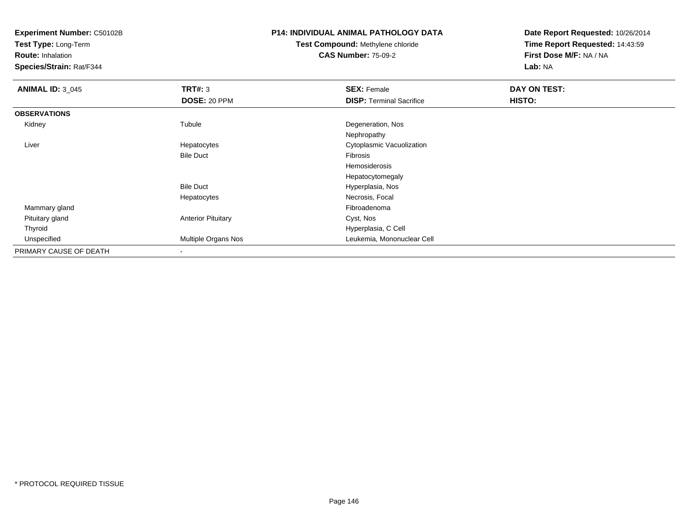**Test Type:** Long-Term

**Route:** Inhalation

**Species/Strain:** Rat/F344

## **P14: INDIVIDUAL ANIMAL PATHOLOGY DATA**

**Test Compound:** Methylene chloride**CAS Number:** 75-09-2

| <b>ANIMAL ID: 3_045</b> | TRT#: 3                   | <b>SEX: Female</b>              | DAY ON TEST: |  |
|-------------------------|---------------------------|---------------------------------|--------------|--|
|                         | DOSE: 20 PPM              | <b>DISP: Terminal Sacrifice</b> | HISTO:       |  |
| <b>OBSERVATIONS</b>     |                           |                                 |              |  |
| Kidney                  | Tubule                    | Degeneration, Nos               |              |  |
|                         |                           | Nephropathy                     |              |  |
| Liver                   | Hepatocytes               | Cytoplasmic Vacuolization       |              |  |
|                         | <b>Bile Duct</b>          | Fibrosis                        |              |  |
|                         |                           | Hemosiderosis                   |              |  |
|                         |                           | Hepatocytomegaly                |              |  |
|                         | <b>Bile Duct</b>          | Hyperplasia, Nos                |              |  |
|                         | Hepatocytes               | Necrosis, Focal                 |              |  |
| Mammary gland           |                           | Fibroadenoma                    |              |  |
| Pituitary gland         | <b>Anterior Pituitary</b> | Cyst, Nos                       |              |  |
| Thyroid                 |                           | Hyperplasia, C Cell             |              |  |
| Unspecified             | Multiple Organs Nos       | Leukemia, Mononuclear Cell      |              |  |
| PRIMARY CAUSE OF DEATH  | $\overline{\phantom{a}}$  |                                 |              |  |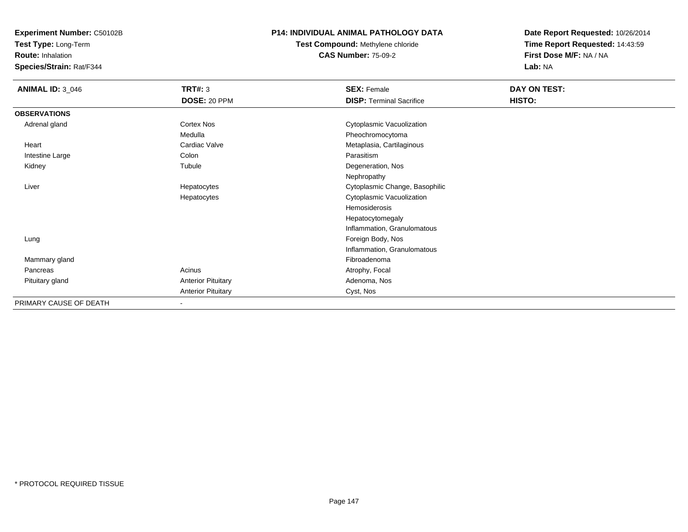**Test Type:** Long-Term

**Route:** Inhalation

**Species/Strain:** Rat/F344

## **P14: INDIVIDUAL ANIMAL PATHOLOGY DATA**

**Test Compound:** Methylene chloride**CAS Number:** 75-09-2

| <b>ANIMAL ID: 3_046</b> | <b>TRT#: 3</b>            | <b>SEX: Female</b>              | DAY ON TEST: |
|-------------------------|---------------------------|---------------------------------|--------------|
|                         | <b>DOSE: 20 PPM</b>       | <b>DISP: Terminal Sacrifice</b> | HISTO:       |
| <b>OBSERVATIONS</b>     |                           |                                 |              |
| Adrenal gland           | Cortex Nos                | Cytoplasmic Vacuolization       |              |
|                         | Medulla                   | Pheochromocytoma                |              |
| Heart                   | Cardiac Valve             | Metaplasia, Cartilaginous       |              |
| Intestine Large         | Colon                     | Parasitism                      |              |
| Kidney                  | Tubule                    | Degeneration, Nos               |              |
|                         |                           | Nephropathy                     |              |
| Liver                   | Hepatocytes               | Cytoplasmic Change, Basophilic  |              |
|                         | Hepatocytes               | Cytoplasmic Vacuolization       |              |
|                         |                           | Hemosiderosis                   |              |
|                         |                           | Hepatocytomegaly                |              |
|                         |                           | Inflammation, Granulomatous     |              |
| Lung                    |                           | Foreign Body, Nos               |              |
|                         |                           | Inflammation, Granulomatous     |              |
| Mammary gland           |                           | Fibroadenoma                    |              |
| Pancreas                | Acinus                    | Atrophy, Focal                  |              |
| Pituitary gland         | <b>Anterior Pituitary</b> | Adenoma, Nos                    |              |
|                         | <b>Anterior Pituitary</b> | Cyst, Nos                       |              |
| PRIMARY CAUSE OF DEATH  |                           |                                 |              |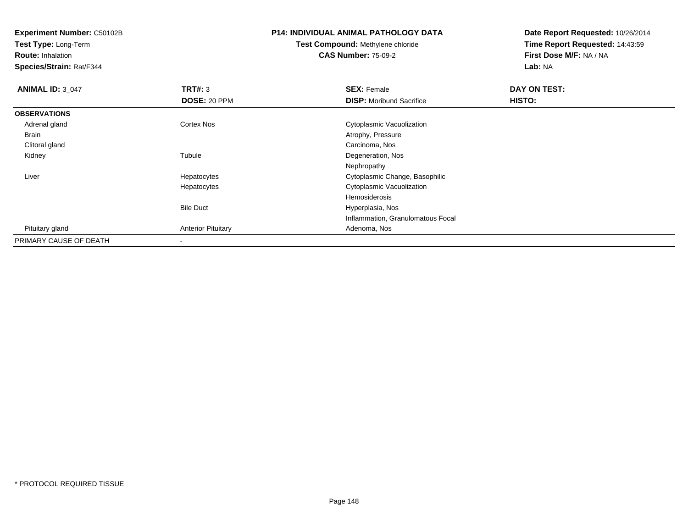**Test Type:** Long-Term

**Route:** Inhalation

**Species/Strain:** Rat/F344

# **P14: INDIVIDUAL ANIMAL PATHOLOGY DATA**

**Test Compound:** Methylene chloride**CAS Number:** 75-09-2

| <b>ANIMAL ID: 3_047</b> | TRT#: 3                   | <b>SEX: Female</b>                | DAY ON TEST: |
|-------------------------|---------------------------|-----------------------------------|--------------|
|                         | DOSE: 20 PPM              | <b>DISP:</b> Moribund Sacrifice   | HISTO:       |
| <b>OBSERVATIONS</b>     |                           |                                   |              |
| Adrenal gland           | <b>Cortex Nos</b>         | Cytoplasmic Vacuolization         |              |
| Brain                   |                           | Atrophy, Pressure                 |              |
| Clitoral gland          |                           | Carcinoma, Nos                    |              |
| Kidney                  | Tubule                    | Degeneration, Nos                 |              |
|                         |                           | Nephropathy                       |              |
| Liver                   | Hepatocytes               | Cytoplasmic Change, Basophilic    |              |
|                         | Hepatocytes               | Cytoplasmic Vacuolization         |              |
|                         |                           | Hemosiderosis                     |              |
|                         | <b>Bile Duct</b>          | Hyperplasia, Nos                  |              |
|                         |                           | Inflammation, Granulomatous Focal |              |
| Pituitary gland         | <b>Anterior Pituitary</b> | Adenoma, Nos                      |              |
| PRIMARY CAUSE OF DEATH  |                           |                                   |              |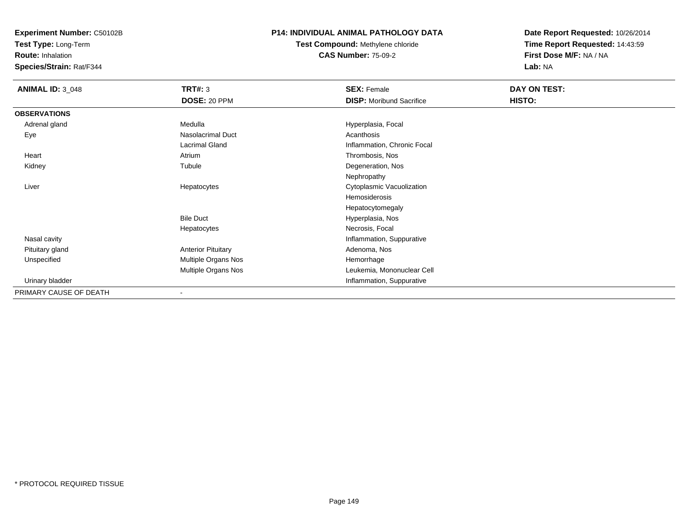**Test Type:** Long-Term

**Route:** Inhalation

**Species/Strain:** Rat/F344

## **P14: INDIVIDUAL ANIMAL PATHOLOGY DATA**

**Test Compound:** Methylene chloride**CAS Number:** 75-09-2

| <b>ANIMAL ID: 3_048</b> | <b>TRT#: 3</b>            | <b>SEX: Female</b>              | DAY ON TEST: |  |
|-------------------------|---------------------------|---------------------------------|--------------|--|
|                         | DOSE: 20 PPM              | <b>DISP:</b> Moribund Sacrifice | HISTO:       |  |
| <b>OBSERVATIONS</b>     |                           |                                 |              |  |
| Adrenal gland           | Medulla                   | Hyperplasia, Focal              |              |  |
| Eye                     | Nasolacrimal Duct         | Acanthosis                      |              |  |
|                         | Lacrimal Gland            | Inflammation, Chronic Focal     |              |  |
| Heart                   | Atrium                    | Thrombosis, Nos                 |              |  |
| Kidney                  | Tubule                    | Degeneration, Nos               |              |  |
|                         |                           | Nephropathy                     |              |  |
| Liver                   | Hepatocytes               | Cytoplasmic Vacuolization       |              |  |
|                         |                           | Hemosiderosis                   |              |  |
|                         |                           | Hepatocytomegaly                |              |  |
|                         | <b>Bile Duct</b>          | Hyperplasia, Nos                |              |  |
|                         | Hepatocytes               | Necrosis, Focal                 |              |  |
| Nasal cavity            |                           | Inflammation, Suppurative       |              |  |
| Pituitary gland         | <b>Anterior Pituitary</b> | Adenoma, Nos                    |              |  |
| Unspecified             | Multiple Organs Nos       | Hemorrhage                      |              |  |
|                         | Multiple Organs Nos       | Leukemia, Mononuclear Cell      |              |  |
| Urinary bladder         |                           | Inflammation, Suppurative       |              |  |
| PRIMARY CAUSE OF DEATH  |                           |                                 |              |  |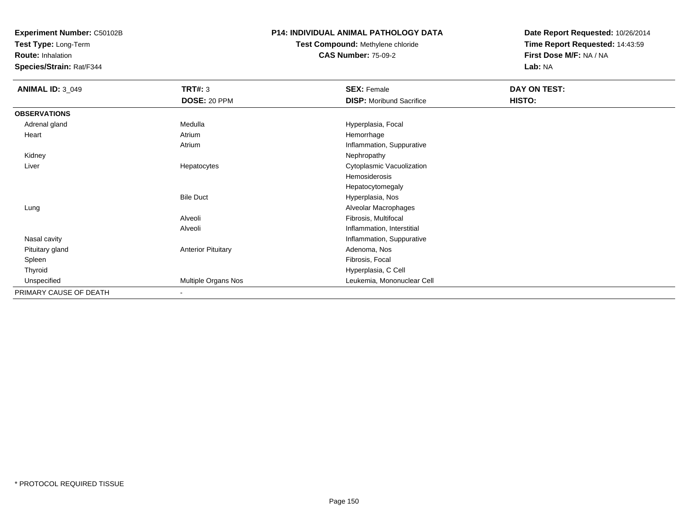**Test Type:** Long-Term

**Route:** Inhalation

**Species/Strain:** Rat/F344

## **P14: INDIVIDUAL ANIMAL PATHOLOGY DATA**

# **Test Compound:** Methylene chloride**CAS Number:** 75-09-2

| <b>ANIMAL ID: 3_049</b> | TRT#: 3                   | <b>SEX: Female</b>              | DAY ON TEST: |
|-------------------------|---------------------------|---------------------------------|--------------|
|                         | DOSE: 20 PPM              | <b>DISP:</b> Moribund Sacrifice | HISTO:       |
| <b>OBSERVATIONS</b>     |                           |                                 |              |
| Adrenal gland           | Medulla                   | Hyperplasia, Focal              |              |
| Heart                   | Atrium                    | Hemorrhage                      |              |
|                         | Atrium                    | Inflammation, Suppurative       |              |
| Kidney                  |                           | Nephropathy                     |              |
| Liver                   | Hepatocytes               | Cytoplasmic Vacuolization       |              |
|                         |                           | Hemosiderosis                   |              |
|                         |                           | Hepatocytomegaly                |              |
|                         | <b>Bile Duct</b>          | Hyperplasia, Nos                |              |
| Lung                    |                           | Alveolar Macrophages            |              |
|                         | Alveoli                   | Fibrosis, Multifocal            |              |
|                         | Alveoli                   | Inflammation, Interstitial      |              |
| Nasal cavity            |                           | Inflammation, Suppurative       |              |
| Pituitary gland         | <b>Anterior Pituitary</b> | Adenoma, Nos                    |              |
| Spleen                  |                           | Fibrosis, Focal                 |              |
| Thyroid                 |                           | Hyperplasia, C Cell             |              |
| Unspecified             | Multiple Organs Nos       | Leukemia, Mononuclear Cell      |              |
| PRIMARY CAUSE OF DEATH  | $\blacksquare$            |                                 |              |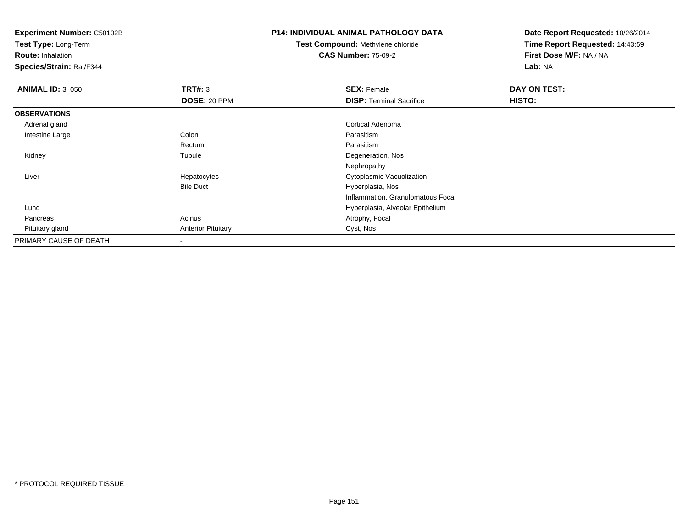**Test Type:** Long-Term

**Route:** Inhalation

**Species/Strain:** Rat/F344

## **P14: INDIVIDUAL ANIMAL PATHOLOGY DATA**

**Test Compound:** Methylene chloride**CAS Number:** 75-09-2

| <b>ANIMAL ID: 3_050</b> | TRT#: 3                   | <b>SEX: Female</b>                | DAY ON TEST: |  |
|-------------------------|---------------------------|-----------------------------------|--------------|--|
|                         | <b>DOSE: 20 PPM</b>       | <b>DISP: Terminal Sacrifice</b>   | HISTO:       |  |
| <b>OBSERVATIONS</b>     |                           |                                   |              |  |
| Adrenal gland           |                           | Cortical Adenoma                  |              |  |
| Intestine Large         | Colon                     | Parasitism                        |              |  |
|                         | Rectum                    | Parasitism                        |              |  |
| Kidney                  | Tubule                    | Degeneration, Nos                 |              |  |
|                         |                           | Nephropathy                       |              |  |
| Liver                   | Hepatocytes               | Cytoplasmic Vacuolization         |              |  |
|                         | <b>Bile Duct</b>          | Hyperplasia, Nos                  |              |  |
|                         |                           | Inflammation, Granulomatous Focal |              |  |
| Lung                    |                           | Hyperplasia, Alveolar Epithelium  |              |  |
| Pancreas                | Acinus                    | Atrophy, Focal                    |              |  |
| Pituitary gland         | <b>Anterior Pituitary</b> | Cyst, Nos                         |              |  |
| PRIMARY CAUSE OF DEATH  | $\,$ $\,$                 |                                   |              |  |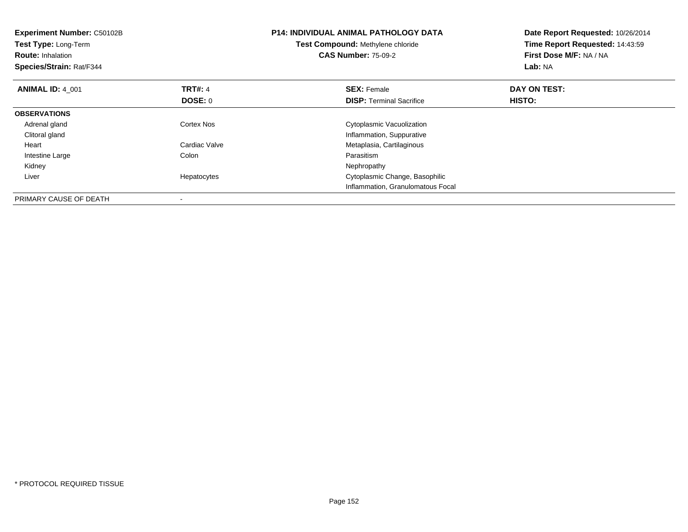| Experiment Number: C50102B<br>Test Type: Long-Term<br><b>Route: Inhalation</b><br>Species/Strain: Rat/F344 |                | <b>P14: INDIVIDUAL ANIMAL PATHOLOGY DATA</b><br>Test Compound: Methylene chloride<br><b>CAS Number: 75-09-2</b> | Date Report Requested: 10/26/2014<br>Time Report Requested: 14:43:59<br>First Dose M/F: NA / NA<br>Lab: NA |
|------------------------------------------------------------------------------------------------------------|----------------|-----------------------------------------------------------------------------------------------------------------|------------------------------------------------------------------------------------------------------------|
| <b>ANIMAL ID: 4 001</b>                                                                                    | <b>TRT#: 4</b> | <b>SEX: Female</b>                                                                                              | DAY ON TEST:                                                                                               |
|                                                                                                            | <b>DOSE: 0</b> | <b>DISP:</b> Terminal Sacrifice                                                                                 | <b>HISTO:</b>                                                                                              |
| <b>OBSERVATIONS</b>                                                                                        |                |                                                                                                                 |                                                                                                            |
| Adrenal gland                                                                                              | Cortex Nos     | Cytoplasmic Vacuolization                                                                                       |                                                                                                            |
| Clitoral gland                                                                                             |                | Inflammation, Suppurative                                                                                       |                                                                                                            |
| Heart                                                                                                      | Cardiac Valve  | Metaplasia, Cartilaginous                                                                                       |                                                                                                            |
| Intestine Large                                                                                            | Colon          | Parasitism                                                                                                      |                                                                                                            |
| Kidney                                                                                                     |                | Nephropathy                                                                                                     |                                                                                                            |
| Liver                                                                                                      | Hepatocytes    | Cytoplasmic Change, Basophilic                                                                                  |                                                                                                            |
|                                                                                                            |                | Inflammation, Granulomatous Focal                                                                               |                                                                                                            |
| PRIMARY CAUSE OF DEATH                                                                                     |                |                                                                                                                 |                                                                                                            |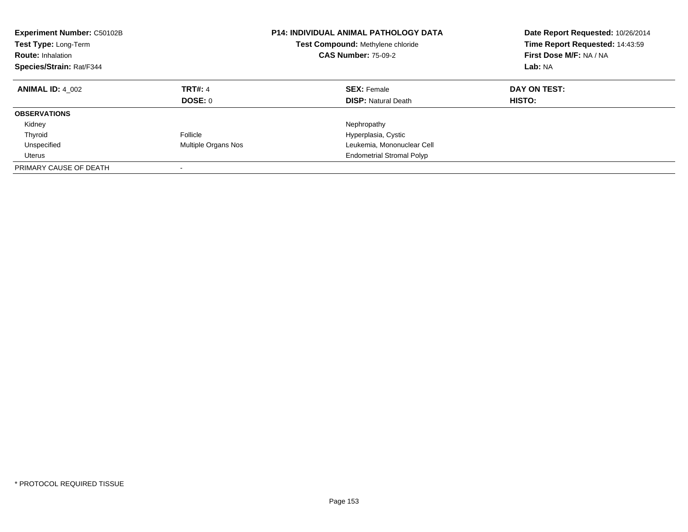| <b>Experiment Number: C50102B</b><br><b>Test Type: Long-Term</b><br><b>Route: Inhalation</b><br>Species/Strain: Rat/F344 |                           | <b>P14: INDIVIDUAL ANIMAL PATHOLOGY DATA</b><br>Test Compound: Methylene chloride<br><b>CAS Number: 75-09-2</b> | Date Report Requested: 10/26/2014<br>Time Report Requested: 14:43:59<br>First Dose M/F: NA / NA<br>Lab: NA |
|--------------------------------------------------------------------------------------------------------------------------|---------------------------|-----------------------------------------------------------------------------------------------------------------|------------------------------------------------------------------------------------------------------------|
| <b>ANIMAL ID: 4 002</b>                                                                                                  | <b>TRT#: 4</b><br>DOSE: 0 | <b>SEX: Female</b><br><b>DISP:</b> Natural Death                                                                | DAY ON TEST:<br>HISTO:                                                                                     |
| <b>OBSERVATIONS</b>                                                                                                      |                           |                                                                                                                 |                                                                                                            |
| Kidney                                                                                                                   |                           | Nephropathy                                                                                                     |                                                                                                            |
| Thyroid                                                                                                                  | Follicle                  | Hyperplasia, Cystic                                                                                             |                                                                                                            |
| Unspecified                                                                                                              | Multiple Organs Nos       | Leukemia, Mononuclear Cell                                                                                      |                                                                                                            |
| Uterus                                                                                                                   |                           | <b>Endometrial Stromal Polyp</b>                                                                                |                                                                                                            |
| PRIMARY CAUSE OF DEATH                                                                                                   |                           |                                                                                                                 |                                                                                                            |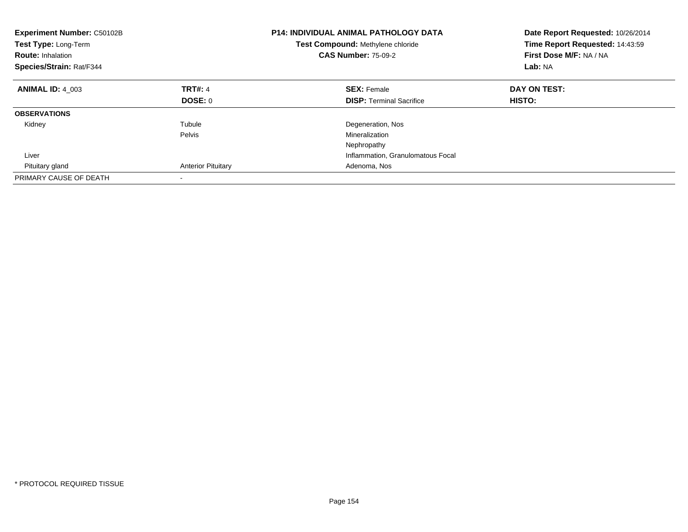| <b>Experiment Number: C50102B</b><br>Test Type: Long-Term<br><b>Route: Inhalation</b><br>Species/Strain: Rat/F344 |                           | <b>P14: INDIVIDUAL ANIMAL PATHOLOGY DATA</b><br>Test Compound: Methylene chloride<br><b>CAS Number: 75-09-2</b> | Date Report Requested: 10/26/2014<br>Time Report Requested: 14:43:59<br>First Dose M/F: NA / NA<br>Lab: NA |
|-------------------------------------------------------------------------------------------------------------------|---------------------------|-----------------------------------------------------------------------------------------------------------------|------------------------------------------------------------------------------------------------------------|
| <b>ANIMAL ID: 4 003</b>                                                                                           | <b>TRT#: 4</b>            | <b>SEX: Female</b>                                                                                              | DAY ON TEST:                                                                                               |
|                                                                                                                   | DOSE: 0                   | <b>DISP:</b> Terminal Sacrifice                                                                                 | HISTO:                                                                                                     |
| <b>OBSERVATIONS</b>                                                                                               |                           |                                                                                                                 |                                                                                                            |
| Kidney                                                                                                            | Tubule                    | Degeneration, Nos                                                                                               |                                                                                                            |
|                                                                                                                   | Pelvis                    | Mineralization                                                                                                  |                                                                                                            |
|                                                                                                                   |                           | Nephropathy                                                                                                     |                                                                                                            |
| Liver                                                                                                             |                           | Inflammation, Granulomatous Focal                                                                               |                                                                                                            |
| Pituitary gland                                                                                                   | <b>Anterior Pituitary</b> | Adenoma, Nos                                                                                                    |                                                                                                            |
| PRIMARY CAUSE OF DEATH                                                                                            |                           |                                                                                                                 |                                                                                                            |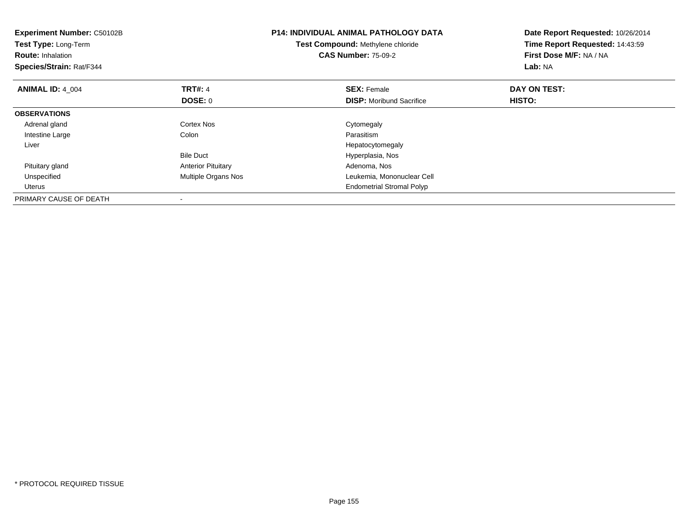| <b>Experiment Number: C50102B</b><br>Test Type: Long-Term<br><b>Route: Inhalation</b><br>Species/Strain: Rat/F344 |                           | <b>P14: INDIVIDUAL ANIMAL PATHOLOGY DATA</b><br>Test Compound: Methylene chloride<br><b>CAS Number: 75-09-2</b> | Date Report Requested: 10/26/2014<br>Time Report Requested: 14:43:59<br>First Dose M/F: NA / NA<br>Lab: NA |
|-------------------------------------------------------------------------------------------------------------------|---------------------------|-----------------------------------------------------------------------------------------------------------------|------------------------------------------------------------------------------------------------------------|
| <b>ANIMAL ID: 4 004</b>                                                                                           | <b>TRT#: 4</b>            | <b>SEX: Female</b>                                                                                              | DAY ON TEST:                                                                                               |
|                                                                                                                   | DOSE: 0                   | <b>DISP:</b> Moribund Sacrifice                                                                                 | HISTO:                                                                                                     |
| <b>OBSERVATIONS</b>                                                                                               |                           |                                                                                                                 |                                                                                                            |
| Adrenal gland                                                                                                     | Cortex Nos                | Cytomegaly                                                                                                      |                                                                                                            |
| Intestine Large                                                                                                   | Colon                     | Parasitism                                                                                                      |                                                                                                            |
| Liver                                                                                                             |                           | Hepatocytomegaly                                                                                                |                                                                                                            |
|                                                                                                                   | <b>Bile Duct</b>          | Hyperplasia, Nos                                                                                                |                                                                                                            |
| Pituitary gland                                                                                                   | <b>Anterior Pituitary</b> | Adenoma, Nos                                                                                                    |                                                                                                            |
| Unspecified                                                                                                       | Multiple Organs Nos       | Leukemia, Mononuclear Cell                                                                                      |                                                                                                            |
| <b>Uterus</b>                                                                                                     |                           | <b>Endometrial Stromal Polyp</b>                                                                                |                                                                                                            |
| PRIMARY CAUSE OF DEATH                                                                                            |                           |                                                                                                                 |                                                                                                            |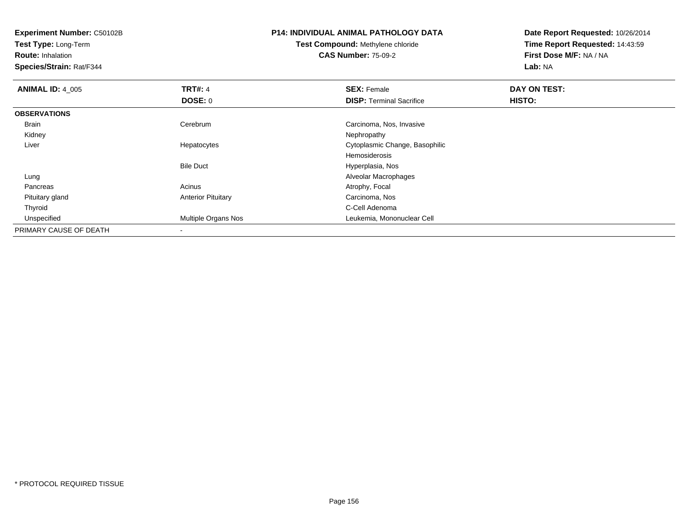**Experiment Number:** C50102B**Test Type:** Long-Term**Route:** Inhalation **Species/Strain:** Rat/F344**P14: INDIVIDUAL ANIMAL PATHOLOGY DATATest Compound:** Methylene chloride**CAS Number:** 75-09-2**Date Report Requested:** 10/26/2014**Time Report Requested:** 14:43:59**First Dose M/F:** NA / NA**Lab:** NA**ANIMAL ID: 4 005 TRT#:** 4 **SEX:** Female **DAY ON TEST: DOSE:** 0**DISP:** Terminal Sacrifice **HISTO: OBSERVATIONS** Brain Cerebrum Carcinoma, Nos, Invasive Kidneyy the control of the control of the control of the control of the control of the control of the control of the control of the control of the control of the control of the control of the control of the control of the contro Liver Hepatocytes Cytoplasmic Change, Basophilic Hemosiderosis Hyperplasia, NosBile Duct Alveolar Macrophages Lung PancreasAcinus **Acinus** Atrophy, Focal Pituitary glandAnterior Pituitary **Carcinoma, Nos**<br>C-Cell Adenoma Thyroidd C-Cell Adenoma and the control of the control of the control of the control of the control of the control of the control of the control of the control of the control of the control of the control of the control of the co Unspecified Multiple Organs Nos Leukemia, Mononuclear Cell PRIMARY CAUSE OF DEATH-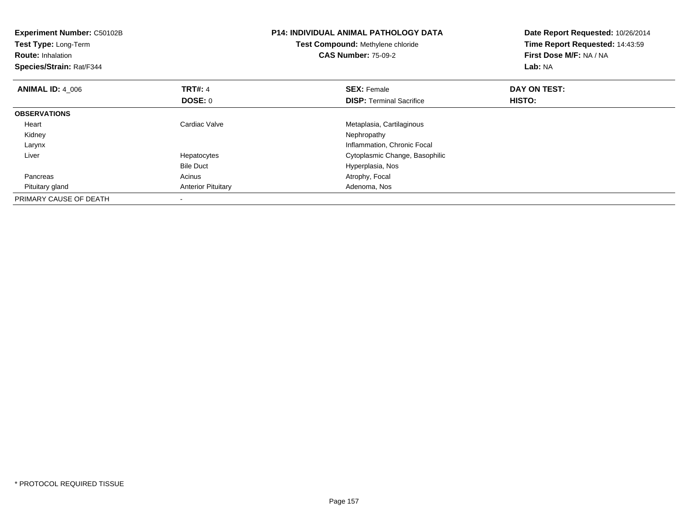| Experiment Number: C50102B<br>Test Type: Long-Term<br><b>Route: Inhalation</b><br>Species/Strain: Rat/F344 |                           | <b>P14: INDIVIDUAL ANIMAL PATHOLOGY DATA</b><br>Test Compound: Methylene chloride<br><b>CAS Number: 75-09-2</b> | Date Report Requested: 10/26/2014<br>Time Report Requested: 14:43:59<br>First Dose M/F: NA / NA<br>Lab: NA |
|------------------------------------------------------------------------------------------------------------|---------------------------|-----------------------------------------------------------------------------------------------------------------|------------------------------------------------------------------------------------------------------------|
| <b>ANIMAL ID: 4 006</b>                                                                                    | <b>TRT#: 4</b>            | <b>SEX: Female</b>                                                                                              | DAY ON TEST:                                                                                               |
|                                                                                                            | DOSE: 0                   | <b>DISP:</b> Terminal Sacrifice                                                                                 | HISTO:                                                                                                     |
| <b>OBSERVATIONS</b>                                                                                        |                           |                                                                                                                 |                                                                                                            |
| Heart                                                                                                      | Cardiac Valve             | Metaplasia, Cartilaginous                                                                                       |                                                                                                            |
| Kidney                                                                                                     |                           | Nephropathy                                                                                                     |                                                                                                            |
| Larynx                                                                                                     |                           | Inflammation, Chronic Focal                                                                                     |                                                                                                            |
| Liver                                                                                                      | Hepatocytes               | Cytoplasmic Change, Basophilic                                                                                  |                                                                                                            |
|                                                                                                            | <b>Bile Duct</b>          | Hyperplasia, Nos                                                                                                |                                                                                                            |
| Pancreas                                                                                                   | Acinus                    | Atrophy, Focal                                                                                                  |                                                                                                            |
| Pituitary gland                                                                                            | <b>Anterior Pituitary</b> | Adenoma, Nos                                                                                                    |                                                                                                            |
| PRIMARY CAUSE OF DEATH                                                                                     |                           |                                                                                                                 |                                                                                                            |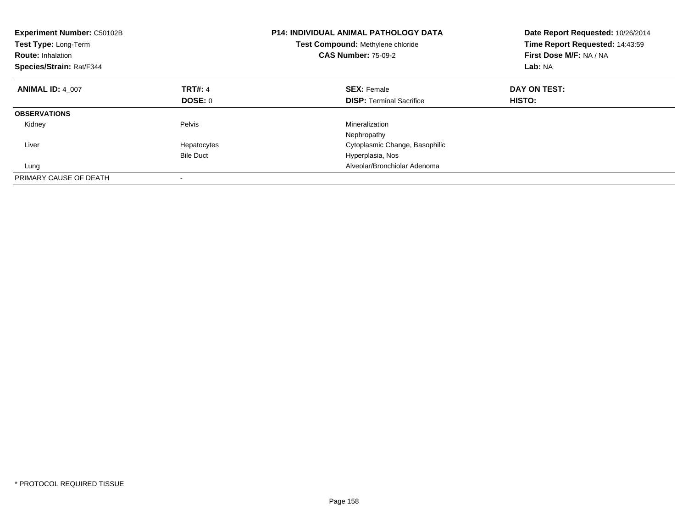| <b>Experiment Number: C50102B</b><br>Test Type: Long-Term<br><b>Route: Inhalation</b><br>Species/Strain: Rat/F344 |                          | <b>P14: INDIVIDUAL ANIMAL PATHOLOGY DATA</b><br>Test Compound: Methylene chloride<br><b>CAS Number: 75-09-2</b> | Date Report Requested: 10/26/2014<br>Time Report Requested: 14:43:59<br>First Dose M/F: NA / NA<br>Lab: NA |
|-------------------------------------------------------------------------------------------------------------------|--------------------------|-----------------------------------------------------------------------------------------------------------------|------------------------------------------------------------------------------------------------------------|
| <b>ANIMAL ID: 4 007</b>                                                                                           | <b>TRT#: 4</b>           | <b>SEX: Female</b>                                                                                              | DAY ON TEST:                                                                                               |
|                                                                                                                   | DOSE: 0                  | <b>DISP:</b> Terminal Sacrifice                                                                                 | HISTO:                                                                                                     |
| <b>OBSERVATIONS</b>                                                                                               |                          |                                                                                                                 |                                                                                                            |
| Kidney                                                                                                            | Pelvis                   | Mineralization                                                                                                  |                                                                                                            |
|                                                                                                                   |                          | Nephropathy                                                                                                     |                                                                                                            |
| Liver                                                                                                             | Hepatocytes              | Cytoplasmic Change, Basophilic                                                                                  |                                                                                                            |
|                                                                                                                   | <b>Bile Duct</b>         | Hyperplasia, Nos                                                                                                |                                                                                                            |
| Lung                                                                                                              |                          | Alveolar/Bronchiolar Adenoma                                                                                    |                                                                                                            |
| PRIMARY CAUSE OF DEATH                                                                                            | $\overline{\phantom{a}}$ |                                                                                                                 |                                                                                                            |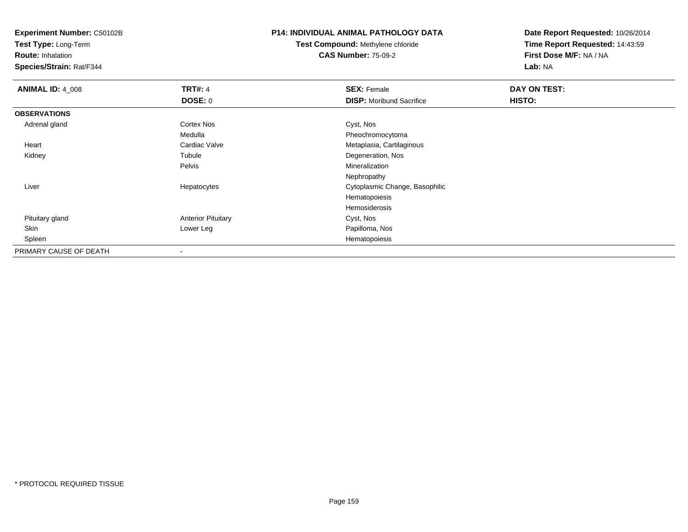**Test Type:** Long-Term

**Route:** Inhalation

**Species/Strain:** Rat/F344

#### **P14: INDIVIDUAL ANIMAL PATHOLOGY DATA**

**Test Compound:** Methylene chloride**CAS Number:** 75-09-2

| <b>ANIMAL ID: 4_008</b> | <b>TRT#: 4</b>            | <b>SEX: Female</b>              | DAY ON TEST: |  |
|-------------------------|---------------------------|---------------------------------|--------------|--|
|                         | DOSE: 0                   | <b>DISP: Moribund Sacrifice</b> | HISTO:       |  |
| <b>OBSERVATIONS</b>     |                           |                                 |              |  |
| Adrenal gland           | Cortex Nos                | Cyst, Nos                       |              |  |
|                         | Medulla                   | Pheochromocytoma                |              |  |
| Heart                   | Cardiac Valve             | Metaplasia, Cartilaginous       |              |  |
| Kidney                  | Tubule                    | Degeneration, Nos               |              |  |
|                         | Pelvis                    | Mineralization                  |              |  |
|                         |                           | Nephropathy                     |              |  |
| Liver                   | Hepatocytes               | Cytoplasmic Change, Basophilic  |              |  |
|                         |                           | Hematopoiesis                   |              |  |
|                         |                           | Hemosiderosis                   |              |  |
| Pituitary gland         | <b>Anterior Pituitary</b> | Cyst, Nos                       |              |  |
| Skin                    | Lower Leg                 | Papilloma, Nos                  |              |  |
| Spleen                  |                           | Hematopoiesis                   |              |  |
| PRIMARY CAUSE OF DEATH  | $\overline{\phantom{a}}$  |                                 |              |  |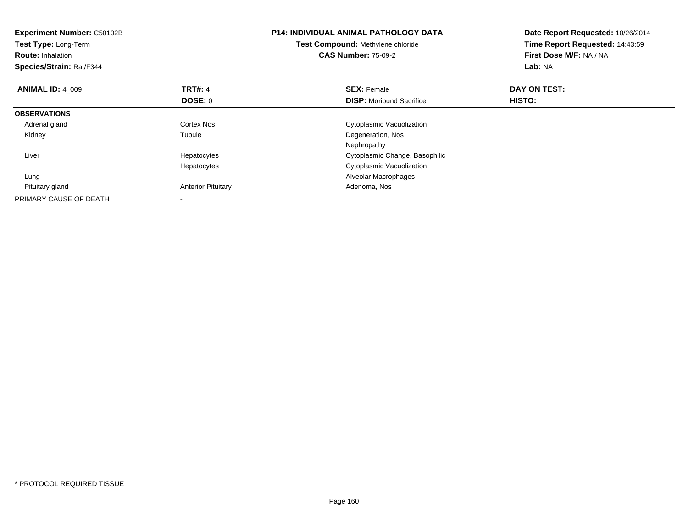| Experiment Number: C50102B<br>Test Type: Long-Term<br><b>Route: Inhalation</b><br>Species/Strain: Rat/F344 |                           | <b>P14: INDIVIDUAL ANIMAL PATHOLOGY DATA</b><br>Test Compound: Methylene chloride<br><b>CAS Number: 75-09-2</b> | Date Report Requested: 10/26/2014<br>Time Report Requested: 14:43:59<br>First Dose M/F: NA / NA<br>Lab: NA |
|------------------------------------------------------------------------------------------------------------|---------------------------|-----------------------------------------------------------------------------------------------------------------|------------------------------------------------------------------------------------------------------------|
| <b>ANIMAL ID: 4 009</b>                                                                                    | <b>TRT#: 4</b>            | <b>SEX: Female</b>                                                                                              | DAY ON TEST:                                                                                               |
|                                                                                                            | DOSE: 0                   | <b>DISP:</b> Moribund Sacrifice                                                                                 | HISTO:                                                                                                     |
| <b>OBSERVATIONS</b>                                                                                        |                           |                                                                                                                 |                                                                                                            |
| Adrenal gland                                                                                              | Cortex Nos                | Cytoplasmic Vacuolization                                                                                       |                                                                                                            |
| Kidney                                                                                                     | Tubule                    | Degeneration, Nos                                                                                               |                                                                                                            |
|                                                                                                            |                           | Nephropathy                                                                                                     |                                                                                                            |
| Liver                                                                                                      | Hepatocytes               | Cytoplasmic Change, Basophilic                                                                                  |                                                                                                            |
|                                                                                                            | Hepatocytes               | Cytoplasmic Vacuolization                                                                                       |                                                                                                            |
| Lung                                                                                                       |                           | Alveolar Macrophages                                                                                            |                                                                                                            |
| Pituitary gland                                                                                            | <b>Anterior Pituitary</b> | Adenoma, Nos                                                                                                    |                                                                                                            |
| PRIMARY CAUSE OF DEATH                                                                                     |                           |                                                                                                                 |                                                                                                            |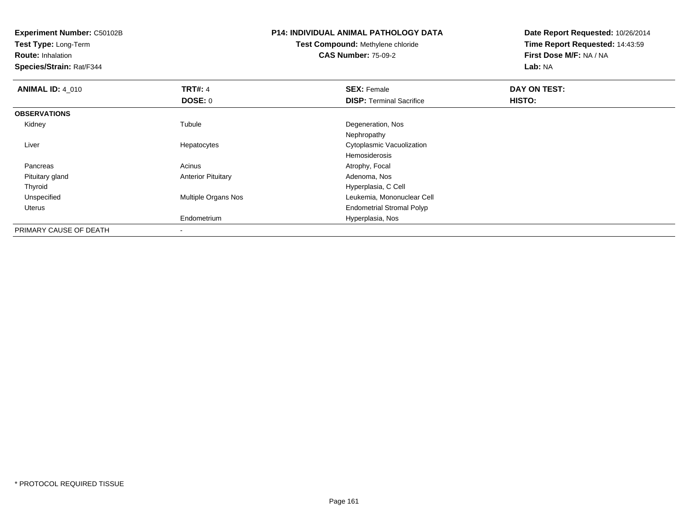**Experiment Number:** C50102B**Test Type:** Long-Term**Route:** Inhalation **Species/Strain:** Rat/F344**P14: INDIVIDUAL ANIMAL PATHOLOGY DATATest Compound:** Methylene chloride**CAS Number:** 75-09-2**Date Report Requested:** 10/26/2014**Time Report Requested:** 14:43:59**First Dose M/F:** NA / NA**Lab:** NA**ANIMAL ID: 4 010 C TRT#:** 4 **SEX:** Female **DAY ON TEST: DOSE:** 0**DISP:** Terminal Sacrifice **HISTO: OBSERVATIONS** Kidneyy the contract of the contract of the contract of the contract of the contract of the contract of the contract of the contract of the contract of the contract of the contract of the contract of the contract of the contract Tubule **Degeneration**, Nos Nephropathys **Subset Constructs** Cytoplasmic Vacuolization Liver HepatocytesHemosiderosiss and the contract of the Acinus Acinus Atrophy, Focal and Atrophy, Focal Pancreas Pituitary glandAnterior Pituitary **Adenoma, Nos** Adenoma, Nos ThyroidHyperplasia, C Cell<br>Multiple Organs Nos<br>Leukemia, Mononu UnspecifiedLeukemia, Mononuclear Cell Uterus Endometrial Stromal PolypEndometrium Hyperplasia, Nos PRIMARY CAUSE OF DEATH-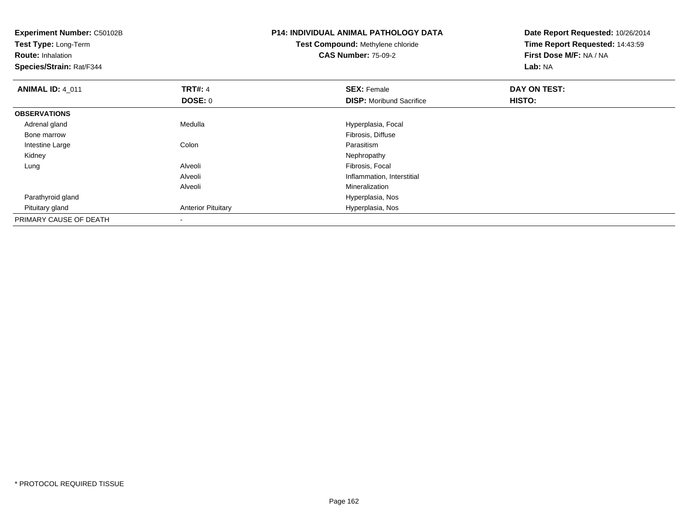| <b>Experiment Number: C50102B</b><br>Test Type: Long-Term<br><b>Route: Inhalation</b><br>Species/Strain: Rat/F344 |                           | <b>P14: INDIVIDUAL ANIMAL PATHOLOGY DATA</b><br><b>Test Compound: Methylene chloride</b><br><b>CAS Number: 75-09-2</b> | Date Report Requested: 10/26/2014<br>Time Report Requested: 14:43:59<br>First Dose M/F: NA / NA<br>Lab: NA |
|-------------------------------------------------------------------------------------------------------------------|---------------------------|------------------------------------------------------------------------------------------------------------------------|------------------------------------------------------------------------------------------------------------|
| <b>ANIMAL ID: 4_011</b>                                                                                           | <b>TRT#: 4</b>            | <b>SEX: Female</b>                                                                                                     | DAY ON TEST:                                                                                               |
|                                                                                                                   | <b>DOSE: 0</b>            | <b>DISP:</b> Moribund Sacrifice                                                                                        | HISTO:                                                                                                     |
| <b>OBSERVATIONS</b>                                                                                               |                           |                                                                                                                        |                                                                                                            |
| Adrenal gland                                                                                                     | Medulla                   | Hyperplasia, Focal                                                                                                     |                                                                                                            |
| Bone marrow                                                                                                       |                           | Fibrosis, Diffuse                                                                                                      |                                                                                                            |
| Intestine Large                                                                                                   | Colon                     | Parasitism                                                                                                             |                                                                                                            |
| Kidney                                                                                                            |                           | Nephropathy                                                                                                            |                                                                                                            |
| Lung                                                                                                              | Alveoli                   | Fibrosis, Focal                                                                                                        |                                                                                                            |
|                                                                                                                   | Alveoli                   | Inflammation, Interstitial                                                                                             |                                                                                                            |
|                                                                                                                   | Alveoli                   | Mineralization                                                                                                         |                                                                                                            |
| Parathyroid gland                                                                                                 |                           | Hyperplasia, Nos                                                                                                       |                                                                                                            |
| Pituitary gland                                                                                                   | <b>Anterior Pituitary</b> | Hyperplasia, Nos                                                                                                       |                                                                                                            |
| PRIMARY CAUSE OF DEATH                                                                                            | $\,$                      |                                                                                                                        |                                                                                                            |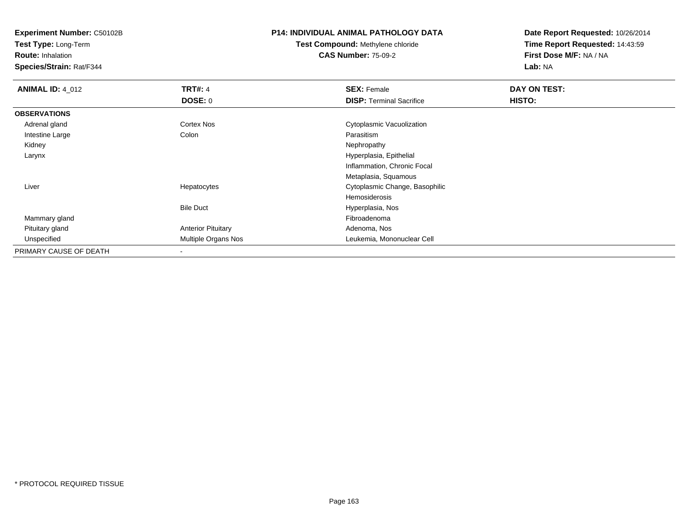**Test Type:** Long-Term

**Route:** Inhalation

**Species/Strain:** Rat/F344

## **P14: INDIVIDUAL ANIMAL PATHOLOGY DATA**

**Test Compound:** Methylene chloride**CAS Number:** 75-09-2

| <b>ANIMAL ID: 4_012</b> | <b>TRT#: 4</b>            | <b>SEX: Female</b>              | DAY ON TEST: |  |
|-------------------------|---------------------------|---------------------------------|--------------|--|
|                         | DOSE: 0                   | <b>DISP: Terminal Sacrifice</b> | HISTO:       |  |
| <b>OBSERVATIONS</b>     |                           |                                 |              |  |
| Adrenal gland           | Cortex Nos                | Cytoplasmic Vacuolization       |              |  |
| Intestine Large         | Colon                     | Parasitism                      |              |  |
| Kidney                  |                           | Nephropathy                     |              |  |
| Larynx                  |                           | Hyperplasia, Epithelial         |              |  |
|                         |                           | Inflammation, Chronic Focal     |              |  |
|                         |                           | Metaplasia, Squamous            |              |  |
| Liver                   | Hepatocytes               | Cytoplasmic Change, Basophilic  |              |  |
|                         |                           | Hemosiderosis                   |              |  |
|                         | <b>Bile Duct</b>          | Hyperplasia, Nos                |              |  |
| Mammary gland           |                           | Fibroadenoma                    |              |  |
| Pituitary gland         | <b>Anterior Pituitary</b> | Adenoma, Nos                    |              |  |
| Unspecified             | Multiple Organs Nos       | Leukemia, Mononuclear Cell      |              |  |
| PRIMARY CAUSE OF DEATH  |                           |                                 |              |  |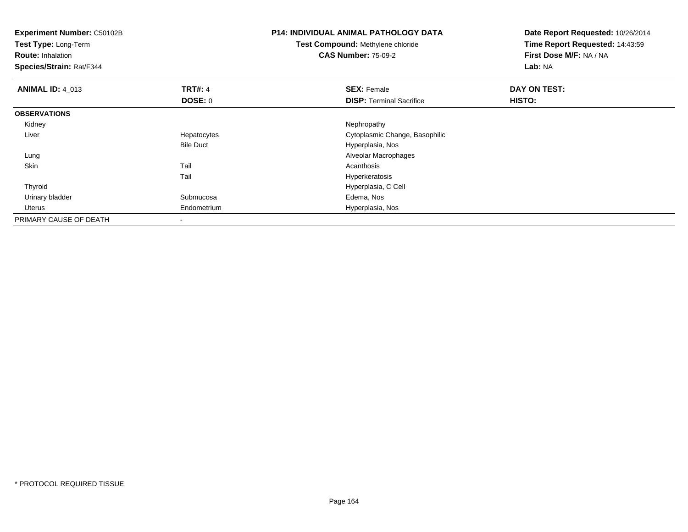| Experiment Number: C50102B<br>Test Type: Long-Term<br><b>Route: Inhalation</b><br>Species/Strain: Rat/F344 |                  | <b>P14: INDIVIDUAL ANIMAL PATHOLOGY DATA</b><br>Test Compound: Methylene chloride<br><b>CAS Number: 75-09-2</b> | Date Report Requested: 10/26/2014<br>Time Report Requested: 14:43:59<br>First Dose M/F: NA / NA<br>Lab: NA |
|------------------------------------------------------------------------------------------------------------|------------------|-----------------------------------------------------------------------------------------------------------------|------------------------------------------------------------------------------------------------------------|
| <b>ANIMAL ID: 4_013</b>                                                                                    | <b>TRT#: 4</b>   | <b>SEX: Female</b>                                                                                              | DAY ON TEST:                                                                                               |
|                                                                                                            | <b>DOSE: 0</b>   | <b>DISP: Terminal Sacrifice</b>                                                                                 | HISTO:                                                                                                     |
| <b>OBSERVATIONS</b>                                                                                        |                  |                                                                                                                 |                                                                                                            |
| Kidney                                                                                                     |                  | Nephropathy                                                                                                     |                                                                                                            |
| Liver                                                                                                      | Hepatocytes      | Cytoplasmic Change, Basophilic                                                                                  |                                                                                                            |
|                                                                                                            | <b>Bile Duct</b> | Hyperplasia, Nos                                                                                                |                                                                                                            |
| Lung                                                                                                       |                  | Alveolar Macrophages                                                                                            |                                                                                                            |
| Skin                                                                                                       | Tail             | Acanthosis                                                                                                      |                                                                                                            |
|                                                                                                            | Tail             | Hyperkeratosis                                                                                                  |                                                                                                            |
| Thyroid                                                                                                    |                  | Hyperplasia, C Cell                                                                                             |                                                                                                            |
| Urinary bladder                                                                                            | Submucosa        | Edema, Nos                                                                                                      |                                                                                                            |
| Uterus                                                                                                     | Endometrium      | Hyperplasia, Nos                                                                                                |                                                                                                            |
| PRIMARY CAUSE OF DEATH                                                                                     | $\,$             |                                                                                                                 |                                                                                                            |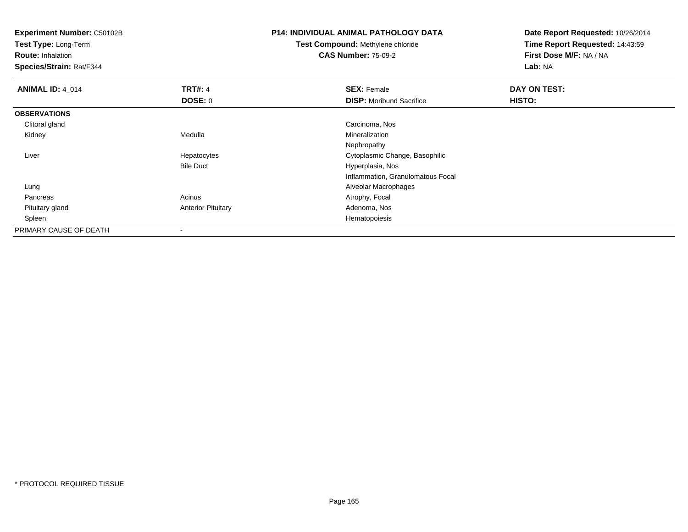**Test Type:** Long-Term

**Route:** Inhalation

**Species/Strain:** Rat/F344

# **P14: INDIVIDUAL ANIMAL PATHOLOGY DATA**

**Test Compound:** Methylene chloride**CAS Number:** 75-09-2

| <b>ANIMAL ID: 4_014</b> | <b>TRT#: 4</b>            | <b>SEX: Female</b>                | <b>DAY ON TEST:</b> |  |
|-------------------------|---------------------------|-----------------------------------|---------------------|--|
|                         | <b>DOSE: 0</b>            | <b>DISP:</b> Moribund Sacrifice   | HISTO:              |  |
| <b>OBSERVATIONS</b>     |                           |                                   |                     |  |
| Clitoral gland          |                           | Carcinoma, Nos                    |                     |  |
| Kidney                  | Medulla                   | Mineralization                    |                     |  |
|                         |                           | Nephropathy                       |                     |  |
| Liver                   | Hepatocytes               | Cytoplasmic Change, Basophilic    |                     |  |
|                         | <b>Bile Duct</b>          | Hyperplasia, Nos                  |                     |  |
|                         |                           | Inflammation, Granulomatous Focal |                     |  |
| Lung                    |                           | Alveolar Macrophages              |                     |  |
| Pancreas                | Acinus                    | Atrophy, Focal                    |                     |  |
| Pituitary gland         | <b>Anterior Pituitary</b> | Adenoma, Nos                      |                     |  |
| Spleen                  |                           | Hematopoiesis                     |                     |  |
| PRIMARY CAUSE OF DEATH  |                           |                                   |                     |  |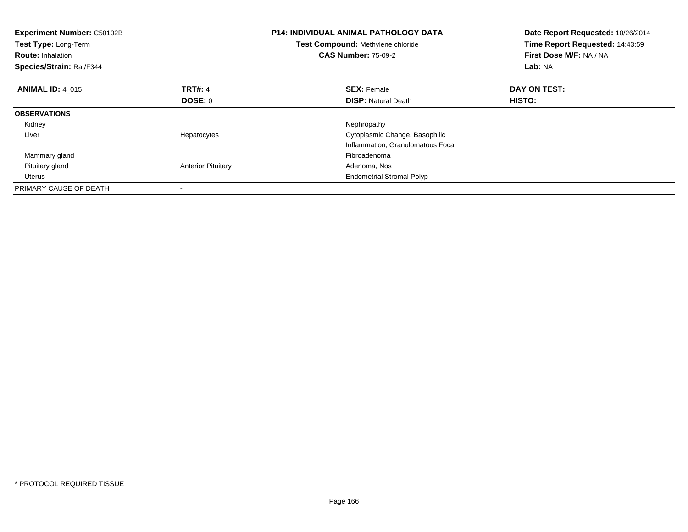| <b>Experiment Number: C50102B</b><br>Test Type: Long-Term<br><b>Route: Inhalation</b><br>Species/Strain: Rat/F344 |                           | <b>P14: INDIVIDUAL ANIMAL PATHOLOGY DATA</b><br>Test Compound: Methylene chloride<br><b>CAS Number: 75-09-2</b> | Date Report Requested: 10/26/2014<br>Time Report Requested: 14:43:59<br>First Dose M/F: NA / NA<br>Lab: NA |
|-------------------------------------------------------------------------------------------------------------------|---------------------------|-----------------------------------------------------------------------------------------------------------------|------------------------------------------------------------------------------------------------------------|
| <b>ANIMAL ID: 4 015</b>                                                                                           | <b>TRT#: 4</b>            | <b>SEX: Female</b>                                                                                              | DAY ON TEST:                                                                                               |
|                                                                                                                   | DOSE: 0                   | <b>DISP:</b> Natural Death                                                                                      | HISTO:                                                                                                     |
| <b>OBSERVATIONS</b>                                                                                               |                           |                                                                                                                 |                                                                                                            |
| Kidney                                                                                                            |                           | Nephropathy                                                                                                     |                                                                                                            |
| Liver                                                                                                             | Hepatocytes               | Cytoplasmic Change, Basophilic                                                                                  |                                                                                                            |
|                                                                                                                   |                           | Inflammation, Granulomatous Focal                                                                               |                                                                                                            |
| Mammary gland                                                                                                     |                           | Fibroadenoma                                                                                                    |                                                                                                            |
| Pituitary gland                                                                                                   | <b>Anterior Pituitary</b> | Adenoma, Nos                                                                                                    |                                                                                                            |
| Uterus                                                                                                            |                           | <b>Endometrial Stromal Polyp</b>                                                                                |                                                                                                            |
| PRIMARY CAUSE OF DEATH                                                                                            |                           |                                                                                                                 |                                                                                                            |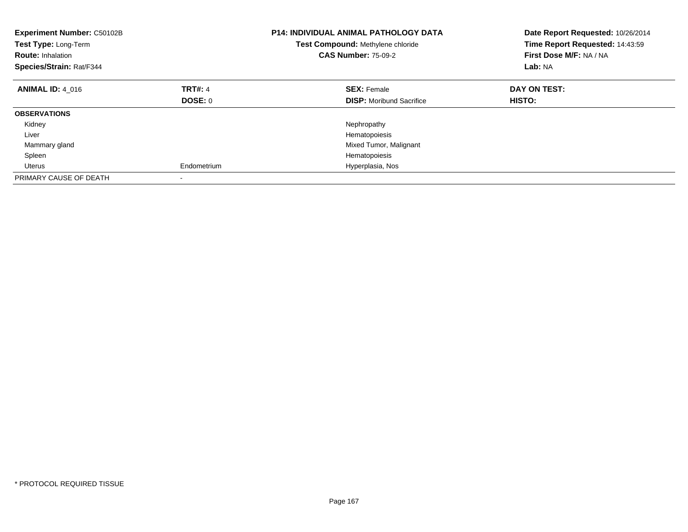| Experiment Number: C50102B<br>Test Type: Long-Term<br><b>Route: Inhalation</b><br>Species/Strain: Rat/F344 |                | <b>P14: INDIVIDUAL ANIMAL PATHOLOGY DATA</b><br>Test Compound: Methylene chloride<br><b>CAS Number: 75-09-2</b> | Date Report Requested: 10/26/2014<br>Time Report Requested: 14:43:59<br>First Dose M/F: NA / NA<br>Lab: NA |
|------------------------------------------------------------------------------------------------------------|----------------|-----------------------------------------------------------------------------------------------------------------|------------------------------------------------------------------------------------------------------------|
| <b>ANIMAL ID: 4 016</b>                                                                                    | <b>TRT#: 4</b> | <b>SEX: Female</b>                                                                                              | DAY ON TEST:                                                                                               |
|                                                                                                            | DOSE: 0        | <b>DISP:</b> Moribund Sacrifice                                                                                 | <b>HISTO:</b>                                                                                              |
| <b>OBSERVATIONS</b>                                                                                        |                |                                                                                                                 |                                                                                                            |
| Kidney                                                                                                     |                | Nephropathy                                                                                                     |                                                                                                            |
| Liver                                                                                                      |                | Hematopoiesis                                                                                                   |                                                                                                            |
| Mammary gland                                                                                              |                | Mixed Tumor, Malignant                                                                                          |                                                                                                            |
| Spleen                                                                                                     |                | Hematopoiesis                                                                                                   |                                                                                                            |
| Uterus                                                                                                     | Endometrium    | Hyperplasia, Nos                                                                                                |                                                                                                            |
| PRIMARY CAUSE OF DEATH                                                                                     |                |                                                                                                                 |                                                                                                            |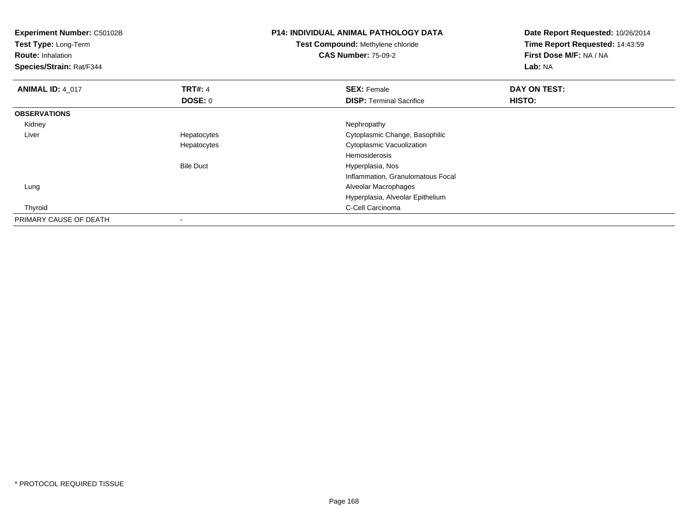| <b>Experiment Number: C50102B</b><br>Test Type: Long-Term<br><b>Route: Inhalation</b><br>Species/Strain: Rat/F344 |                          | <b>P14: INDIVIDUAL ANIMAL PATHOLOGY DATA</b><br>Test Compound: Methylene chloride<br><b>CAS Number: 75-09-2</b> | Date Report Requested: 10/26/2014<br>Time Report Requested: 14:43:59<br>First Dose M/F: NA / NA<br>Lab: NA |  |
|-------------------------------------------------------------------------------------------------------------------|--------------------------|-----------------------------------------------------------------------------------------------------------------|------------------------------------------------------------------------------------------------------------|--|
| <b>ANIMAL ID: 4_017</b>                                                                                           | <b>TRT#: 4</b>           | <b>SEX: Female</b>                                                                                              | DAY ON TEST:                                                                                               |  |
|                                                                                                                   | <b>DOSE: 0</b>           | <b>DISP: Terminal Sacrifice</b>                                                                                 | <b>HISTO:</b>                                                                                              |  |
| <b>OBSERVATIONS</b>                                                                                               |                          |                                                                                                                 |                                                                                                            |  |
| Kidney                                                                                                            |                          | Nephropathy                                                                                                     |                                                                                                            |  |
| Liver                                                                                                             | Hepatocytes              | Cytoplasmic Change, Basophilic                                                                                  |                                                                                                            |  |
|                                                                                                                   | Hepatocytes              | Cytoplasmic Vacuolization                                                                                       |                                                                                                            |  |
|                                                                                                                   |                          | <b>Hemosiderosis</b>                                                                                            |                                                                                                            |  |
|                                                                                                                   | <b>Bile Duct</b>         | Hyperplasia, Nos                                                                                                |                                                                                                            |  |
|                                                                                                                   |                          | Inflammation, Granulomatous Focal                                                                               |                                                                                                            |  |
| Lung                                                                                                              |                          | Alveolar Macrophages                                                                                            |                                                                                                            |  |
|                                                                                                                   |                          | Hyperplasia, Alveolar Epithelium                                                                                |                                                                                                            |  |
| Thyroid                                                                                                           |                          | C-Cell Carcinoma                                                                                                |                                                                                                            |  |
| PRIMARY CAUSE OF DEATH                                                                                            | $\overline{\phantom{a}}$ |                                                                                                                 |                                                                                                            |  |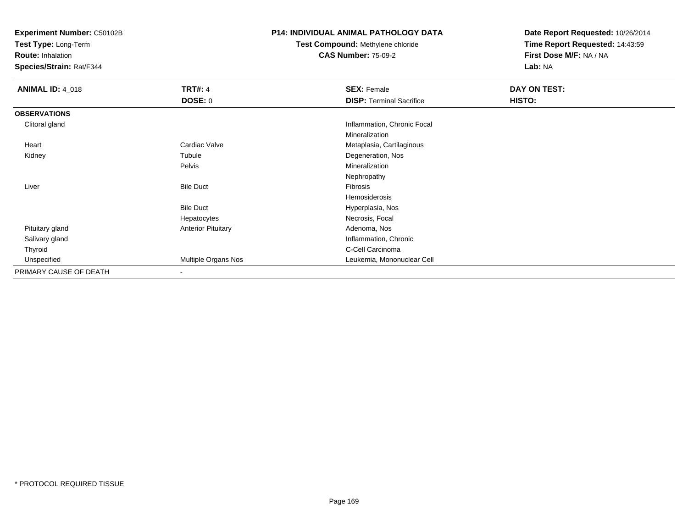**Test Type:** Long-Term

**Route:** Inhalation

**Species/Strain:** Rat/F344

## **P14: INDIVIDUAL ANIMAL PATHOLOGY DATA**

**Test Compound:** Methylene chloride**CAS Number:** 75-09-2

| <b>ANIMAL ID: 4 018</b> | <b>TRT#: 4</b>            | <b>SEX: Female</b>              | DAY ON TEST: |
|-------------------------|---------------------------|---------------------------------|--------------|
|                         | <b>DOSE: 0</b>            | <b>DISP: Terminal Sacrifice</b> | HISTO:       |
| <b>OBSERVATIONS</b>     |                           |                                 |              |
| Clitoral gland          |                           | Inflammation, Chronic Focal     |              |
|                         |                           | Mineralization                  |              |
| Heart                   | Cardiac Valve             | Metaplasia, Cartilaginous       |              |
| Kidney                  | Tubule                    | Degeneration, Nos               |              |
|                         | Pelvis                    | Mineralization                  |              |
|                         |                           | Nephropathy                     |              |
| Liver                   | <b>Bile Duct</b>          | Fibrosis                        |              |
|                         |                           | Hemosiderosis                   |              |
|                         | <b>Bile Duct</b>          | Hyperplasia, Nos                |              |
|                         | Hepatocytes               | Necrosis, Focal                 |              |
| Pituitary gland         | <b>Anterior Pituitary</b> | Adenoma, Nos                    |              |
| Salivary gland          |                           | Inflammation, Chronic           |              |
| Thyroid                 |                           | C-Cell Carcinoma                |              |
| Unspecified             | Multiple Organs Nos       | Leukemia, Mononuclear Cell      |              |
| PRIMARY CAUSE OF DEATH  | $\overline{\phantom{a}}$  |                                 |              |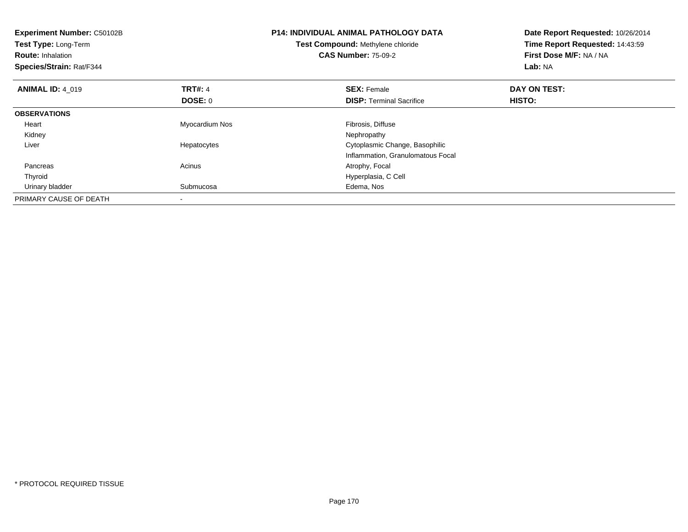| Experiment Number: C50102B<br>Test Type: Long-Term<br><b>Route: Inhalation</b><br>Species/Strain: Rat/F344 |                           | <b>P14: INDIVIDUAL ANIMAL PATHOLOGY DATA</b><br>Test Compound: Methylene chloride<br><b>CAS Number: 75-09-2</b> | Date Report Requested: 10/26/2014<br>Time Report Requested: 14:43:59<br>First Dose M/F: NA / NA<br>Lab: NA |
|------------------------------------------------------------------------------------------------------------|---------------------------|-----------------------------------------------------------------------------------------------------------------|------------------------------------------------------------------------------------------------------------|
| <b>ANIMAL ID: 4 019</b>                                                                                    | <b>TRT#: 4</b><br>DOSE: 0 | <b>SEX: Female</b><br><b>DISP:</b> Terminal Sacrifice                                                           | DAY ON TEST:<br>HISTO:                                                                                     |
| <b>OBSERVATIONS</b>                                                                                        |                           |                                                                                                                 |                                                                                                            |
| Heart                                                                                                      | Myocardium Nos            | Fibrosis, Diffuse                                                                                               |                                                                                                            |
| Kidney                                                                                                     |                           | Nephropathy                                                                                                     |                                                                                                            |
| Liver                                                                                                      | Hepatocytes               | Cytoplasmic Change, Basophilic                                                                                  |                                                                                                            |
|                                                                                                            |                           | Inflammation, Granulomatous Focal                                                                               |                                                                                                            |
| Pancreas                                                                                                   | Acinus                    | Atrophy, Focal                                                                                                  |                                                                                                            |
| Thyroid                                                                                                    |                           | Hyperplasia, C Cell                                                                                             |                                                                                                            |
| Urinary bladder                                                                                            | Submucosa                 | Edema, Nos                                                                                                      |                                                                                                            |
| PRIMARY CAUSE OF DEATH                                                                                     |                           |                                                                                                                 |                                                                                                            |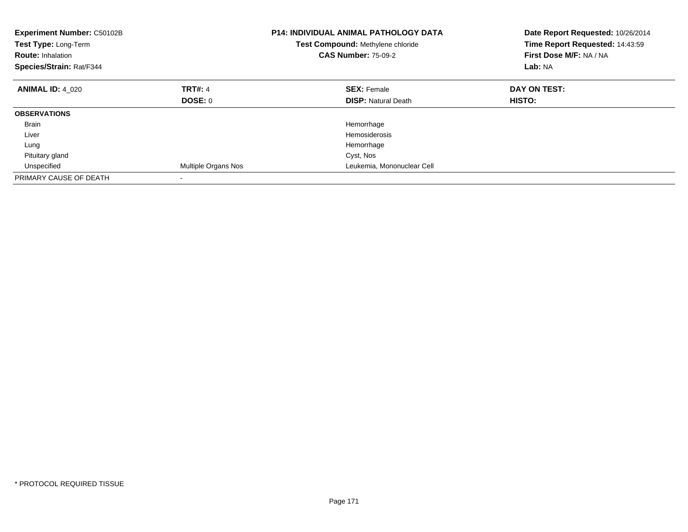| <b>Experiment Number: C50102B</b><br>Test Type: Long-Term<br><b>Route: Inhalation</b><br>Species/Strain: Rat/F344 |                     | <b>P14: INDIVIDUAL ANIMAL PATHOLOGY DATA</b><br>Test Compound: Methylene chloride<br><b>CAS Number: 75-09-2</b> | Date Report Requested: 10/26/2014<br>Time Report Requested: 14:43:59<br>First Dose M/F: NA / NA<br>Lab: NA |
|-------------------------------------------------------------------------------------------------------------------|---------------------|-----------------------------------------------------------------------------------------------------------------|------------------------------------------------------------------------------------------------------------|
| <b>ANIMAL ID: 4 020</b>                                                                                           | <b>TRT#: 4</b>      | <b>SEX: Female</b>                                                                                              | DAY ON TEST:                                                                                               |
|                                                                                                                   | DOSE: 0             | <b>DISP: Natural Death</b>                                                                                      | HISTO:                                                                                                     |
| <b>OBSERVATIONS</b>                                                                                               |                     |                                                                                                                 |                                                                                                            |
| <b>Brain</b>                                                                                                      |                     | Hemorrhage                                                                                                      |                                                                                                            |
| Liver                                                                                                             |                     | Hemosiderosis                                                                                                   |                                                                                                            |
| Lung                                                                                                              |                     | Hemorrhage                                                                                                      |                                                                                                            |
| Pituitary gland                                                                                                   |                     | Cyst, Nos                                                                                                       |                                                                                                            |
| Unspecified                                                                                                       | Multiple Organs Nos | Leukemia, Mononuclear Cell                                                                                      |                                                                                                            |
| PRIMARY CAUSE OF DEATH                                                                                            |                     |                                                                                                                 |                                                                                                            |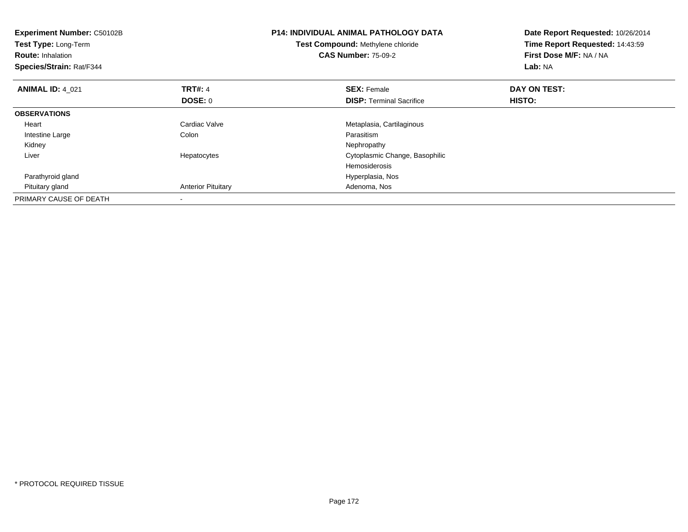| <b>Experiment Number: C50102B</b><br>Test Type: Long-Term<br><b>Route: Inhalation</b><br>Species/Strain: Rat/F344 |                           | <b>P14: INDIVIDUAL ANIMAL PATHOLOGY DATA</b><br>Test Compound: Methylene chloride<br><b>CAS Number: 75-09-2</b> | Date Report Requested: 10/26/2014<br>Time Report Requested: 14:43:59<br>First Dose M/F: NA / NA<br>Lab: NA |  |
|-------------------------------------------------------------------------------------------------------------------|---------------------------|-----------------------------------------------------------------------------------------------------------------|------------------------------------------------------------------------------------------------------------|--|
| <b>ANIMAL ID: 4 021</b>                                                                                           | <b>TRT#: 4</b>            | <b>SEX: Female</b>                                                                                              | DAY ON TEST:                                                                                               |  |
|                                                                                                                   | DOSE: 0                   | <b>DISP:</b> Terminal Sacrifice                                                                                 | HISTO:                                                                                                     |  |
| <b>OBSERVATIONS</b>                                                                                               |                           |                                                                                                                 |                                                                                                            |  |
| Heart                                                                                                             | Cardiac Valve             | Metaplasia, Cartilaginous                                                                                       |                                                                                                            |  |
| Intestine Large                                                                                                   | Colon                     | Parasitism                                                                                                      |                                                                                                            |  |
| Kidney                                                                                                            |                           | Nephropathy                                                                                                     |                                                                                                            |  |
| Liver                                                                                                             | Hepatocytes               | Cytoplasmic Change, Basophilic                                                                                  |                                                                                                            |  |
|                                                                                                                   |                           | <b>Hemosiderosis</b>                                                                                            |                                                                                                            |  |
| Parathyroid gland                                                                                                 |                           | Hyperplasia, Nos                                                                                                |                                                                                                            |  |
| Pituitary gland                                                                                                   | <b>Anterior Pituitary</b> | Adenoma, Nos                                                                                                    |                                                                                                            |  |
| PRIMARY CAUSE OF DEATH                                                                                            |                           |                                                                                                                 |                                                                                                            |  |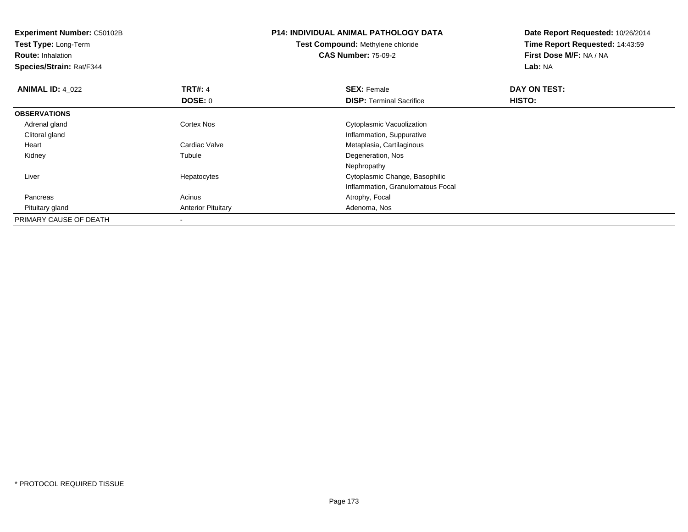| <b>Experiment Number: C50102B</b><br>Test Type: Long-Term<br><b>Route: Inhalation</b><br><b>Species/Strain: Rat/F344</b> |                           | <b>P14: INDIVIDUAL ANIMAL PATHOLOGY DATA</b><br>Test Compound: Methylene chloride<br><b>CAS Number: 75-09-2</b> | Date Report Requested: 10/26/2014<br>Time Report Requested: 14:43:59<br>First Dose M/F: NA / NA<br>Lab: NA |  |
|--------------------------------------------------------------------------------------------------------------------------|---------------------------|-----------------------------------------------------------------------------------------------------------------|------------------------------------------------------------------------------------------------------------|--|
| <b>ANIMAL ID: 4 022</b>                                                                                                  | <b>TRT#: 4</b>            | <b>SEX: Female</b>                                                                                              | DAY ON TEST:                                                                                               |  |
|                                                                                                                          | DOSE: 0                   | <b>DISP:</b> Terminal Sacrifice                                                                                 | HISTO:                                                                                                     |  |
| <b>OBSERVATIONS</b>                                                                                                      |                           |                                                                                                                 |                                                                                                            |  |
| Adrenal gland                                                                                                            | <b>Cortex Nos</b>         | Cytoplasmic Vacuolization                                                                                       |                                                                                                            |  |
| Clitoral gland                                                                                                           |                           | Inflammation, Suppurative                                                                                       |                                                                                                            |  |
| Heart                                                                                                                    | Cardiac Valve             | Metaplasia, Cartilaginous                                                                                       |                                                                                                            |  |
| Kidney                                                                                                                   | Tubule                    | Degeneration, Nos                                                                                               |                                                                                                            |  |
|                                                                                                                          |                           | Nephropathy                                                                                                     |                                                                                                            |  |
| Liver                                                                                                                    | Hepatocytes               | Cytoplasmic Change, Basophilic                                                                                  |                                                                                                            |  |
|                                                                                                                          |                           | Inflammation, Granulomatous Focal                                                                               |                                                                                                            |  |
| Pancreas                                                                                                                 | Acinus                    | Atrophy, Focal                                                                                                  |                                                                                                            |  |
| Pituitary gland                                                                                                          | <b>Anterior Pituitary</b> | Adenoma, Nos                                                                                                    |                                                                                                            |  |
| PRIMARY CAUSE OF DEATH                                                                                                   |                           |                                                                                                                 |                                                                                                            |  |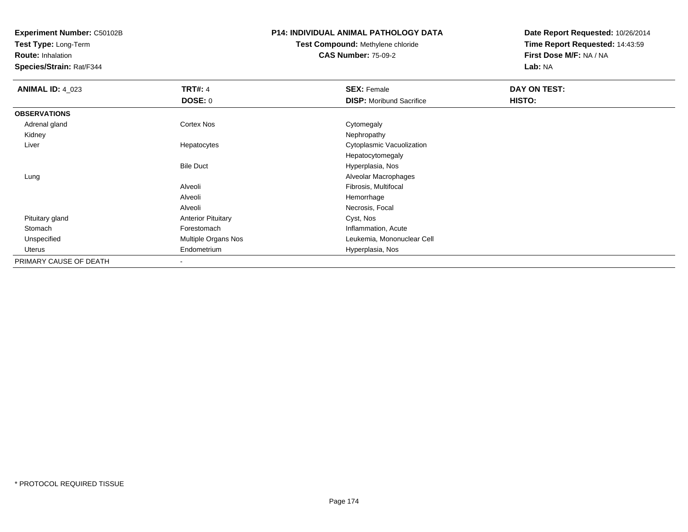**Test Type:** Long-Term

**Route:** Inhalation

**Species/Strain:** Rat/F344

## **P14: INDIVIDUAL ANIMAL PATHOLOGY DATA**

**Test Compound:** Methylene chloride**CAS Number:** 75-09-2

| <b>ANIMAL ID: 4_023</b> | <b>TRT#: 4</b>            | <b>SEX: Female</b>              | DAY ON TEST: |  |
|-------------------------|---------------------------|---------------------------------|--------------|--|
|                         | <b>DOSE: 0</b>            | <b>DISP:</b> Moribund Sacrifice | HISTO:       |  |
| <b>OBSERVATIONS</b>     |                           |                                 |              |  |
| Adrenal gland           | Cortex Nos                | Cytomegaly                      |              |  |
| Kidney                  |                           | Nephropathy                     |              |  |
| Liver                   | Hepatocytes               | Cytoplasmic Vacuolization       |              |  |
|                         |                           | Hepatocytomegaly                |              |  |
|                         | <b>Bile Duct</b>          | Hyperplasia, Nos                |              |  |
| Lung                    |                           | Alveolar Macrophages            |              |  |
|                         | Alveoli                   | Fibrosis, Multifocal            |              |  |
|                         | Alveoli                   | Hemorrhage                      |              |  |
|                         | Alveoli                   | Necrosis, Focal                 |              |  |
| Pituitary gland         | <b>Anterior Pituitary</b> | Cyst, Nos                       |              |  |
| Stomach                 | Forestomach               | Inflammation, Acute             |              |  |
| Unspecified             | Multiple Organs Nos       | Leukemia, Mononuclear Cell      |              |  |
| Uterus                  | Endometrium               | Hyperplasia, Nos                |              |  |
| PRIMARY CAUSE OF DEATH  |                           |                                 |              |  |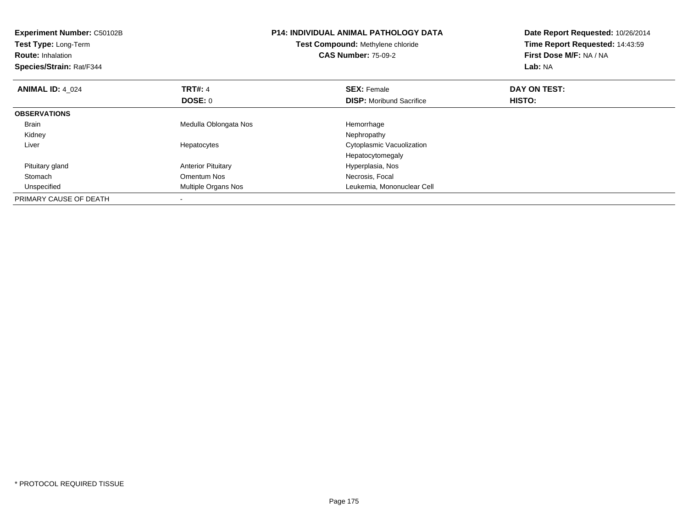| <b>Experiment Number: C50102B</b><br>Test Type: Long-Term<br><b>Route: Inhalation</b><br>Species/Strain: Rat/F344 |                           | <b>P14: INDIVIDUAL ANIMAL PATHOLOGY DATA</b><br>Test Compound: Methylene chloride<br><b>CAS Number: 75-09-2</b> | Date Report Requested: 10/26/2014<br>Time Report Requested: 14:43:59<br>First Dose M/F: NA / NA<br>Lab: NA |
|-------------------------------------------------------------------------------------------------------------------|---------------------------|-----------------------------------------------------------------------------------------------------------------|------------------------------------------------------------------------------------------------------------|
| <b>ANIMAL ID: 4 024</b>                                                                                           | <b>TRT#: 4</b>            | <b>SEX: Female</b>                                                                                              | DAY ON TEST:                                                                                               |
|                                                                                                                   | DOSE: 0                   | <b>DISP:</b> Moribund Sacrifice                                                                                 | HISTO:                                                                                                     |
| <b>OBSERVATIONS</b>                                                                                               |                           |                                                                                                                 |                                                                                                            |
| <b>Brain</b>                                                                                                      | Medulla Oblongata Nos     | Hemorrhage                                                                                                      |                                                                                                            |
| Kidney                                                                                                            |                           | Nephropathy                                                                                                     |                                                                                                            |
| Liver                                                                                                             | Hepatocytes               | Cytoplasmic Vacuolization                                                                                       |                                                                                                            |
|                                                                                                                   |                           | Hepatocytomegaly                                                                                                |                                                                                                            |
| Pituitary gland                                                                                                   | <b>Anterior Pituitary</b> | Hyperplasia, Nos                                                                                                |                                                                                                            |
| Stomach                                                                                                           | Omentum Nos               | Necrosis, Focal                                                                                                 |                                                                                                            |
| Unspecified                                                                                                       | Multiple Organs Nos       | Leukemia, Mononuclear Cell                                                                                      |                                                                                                            |
| PRIMARY CAUSE OF DEATH                                                                                            |                           |                                                                                                                 |                                                                                                            |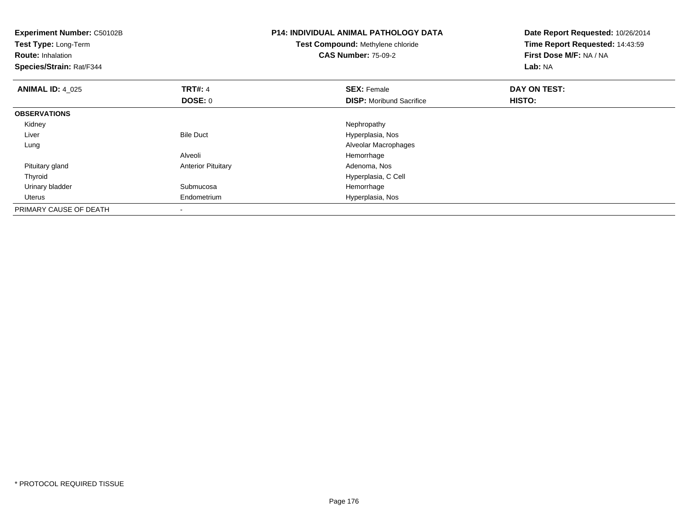| <b>Experiment Number: C50102B</b><br>Test Type: Long-Term<br><b>Route: Inhalation</b><br>Species/Strain: Rat/F344 |                           | <b>P14: INDIVIDUAL ANIMAL PATHOLOGY DATA</b><br>Test Compound: Methylene chloride<br><b>CAS Number: 75-09-2</b> | Date Report Requested: 10/26/2014<br>Time Report Requested: 14:43:59<br>First Dose M/F: NA / NA<br>Lab: NA |
|-------------------------------------------------------------------------------------------------------------------|---------------------------|-----------------------------------------------------------------------------------------------------------------|------------------------------------------------------------------------------------------------------------|
| <b>ANIMAL ID: 4 025</b>                                                                                           | <b>TRT#: 4</b>            | <b>SEX: Female</b>                                                                                              | DAY ON TEST:                                                                                               |
|                                                                                                                   | DOSE: 0                   | <b>DISP:</b> Moribund Sacrifice                                                                                 | HISTO:                                                                                                     |
| <b>OBSERVATIONS</b>                                                                                               |                           |                                                                                                                 |                                                                                                            |
| Kidney                                                                                                            |                           | Nephropathy                                                                                                     |                                                                                                            |
| Liver                                                                                                             | <b>Bile Duct</b>          | Hyperplasia, Nos                                                                                                |                                                                                                            |
| Lung                                                                                                              |                           | Alveolar Macrophages                                                                                            |                                                                                                            |
|                                                                                                                   | Alveoli                   | Hemorrhage                                                                                                      |                                                                                                            |
| Pituitary gland                                                                                                   | <b>Anterior Pituitary</b> | Adenoma, Nos                                                                                                    |                                                                                                            |
| Thyroid                                                                                                           |                           | Hyperplasia, C Cell                                                                                             |                                                                                                            |
| Urinary bladder                                                                                                   | Submucosa                 | Hemorrhage                                                                                                      |                                                                                                            |
| Uterus                                                                                                            | Endometrium               | Hyperplasia, Nos                                                                                                |                                                                                                            |
| PRIMARY CAUSE OF DEATH                                                                                            |                           |                                                                                                                 |                                                                                                            |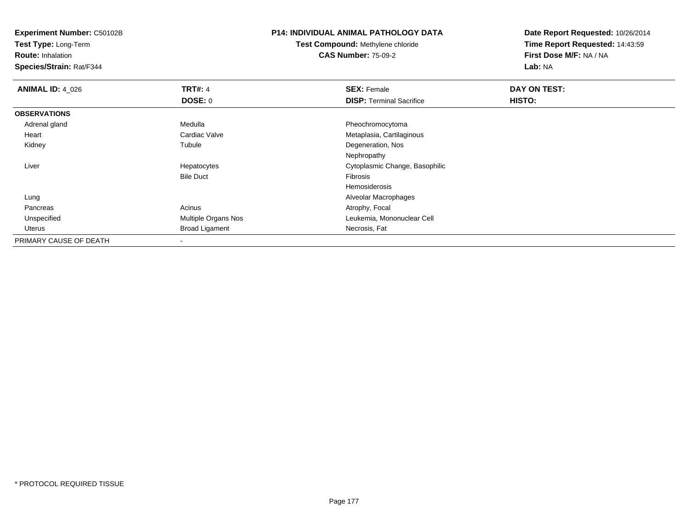**Test Type:** Long-Term

**Route:** Inhalation

**Species/Strain:** Rat/F344

#### **P14: INDIVIDUAL ANIMAL PATHOLOGY DATA**

**Test Compound:** Methylene chloride**CAS Number:** 75-09-2

| <b>ANIMAL ID: 4_026</b> | <b>TRT#: 4</b>        | <b>SEX: Female</b>              | DAY ON TEST: |  |
|-------------------------|-----------------------|---------------------------------|--------------|--|
|                         | <b>DOSE: 0</b>        | <b>DISP: Terminal Sacrifice</b> | HISTO:       |  |
| <b>OBSERVATIONS</b>     |                       |                                 |              |  |
| Adrenal gland           | Medulla               | Pheochromocytoma                |              |  |
| Heart                   | Cardiac Valve         | Metaplasia, Cartilaginous       |              |  |
| Kidney                  | Tubule                | Degeneration, Nos               |              |  |
|                         |                       | Nephropathy                     |              |  |
| Liver                   | Hepatocytes           | Cytoplasmic Change, Basophilic  |              |  |
|                         | <b>Bile Duct</b>      | Fibrosis                        |              |  |
|                         |                       | Hemosiderosis                   |              |  |
| Lung                    |                       | Alveolar Macrophages            |              |  |
| Pancreas                | Acinus                | Atrophy, Focal                  |              |  |
| Unspecified             | Multiple Organs Nos   | Leukemia, Mononuclear Cell      |              |  |
| Uterus                  | <b>Broad Ligament</b> | Necrosis, Fat                   |              |  |
| PRIMARY CAUSE OF DEATH  |                       |                                 |              |  |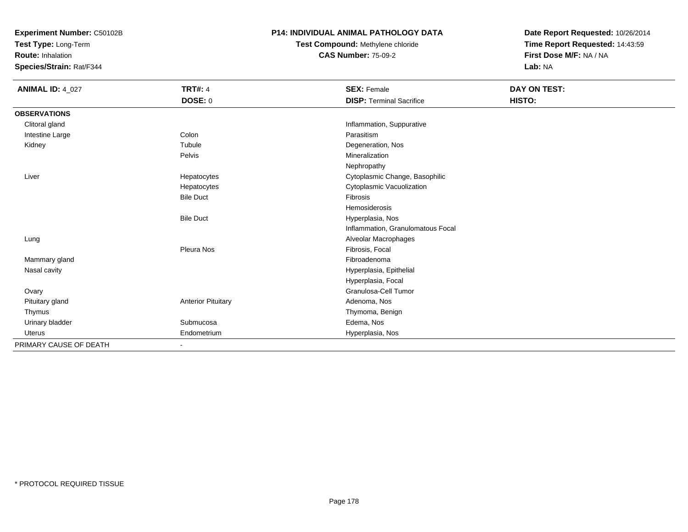**Test Type:** Long-Term

**Route:** Inhalation

**Species/Strain:** Rat/F344

#### **P14: INDIVIDUAL ANIMAL PATHOLOGY DATA**

**Test Compound:** Methylene chloride**CAS Number:** 75-09-2

| <b>ANIMAL ID: 4_027</b> | <b>TRT#: 4</b>            | <b>SEX: Female</b>                | <b>DAY ON TEST:</b> |  |
|-------------------------|---------------------------|-----------------------------------|---------------------|--|
|                         | DOSE: 0                   | <b>DISP: Terminal Sacrifice</b>   | HISTO:              |  |
| <b>OBSERVATIONS</b>     |                           |                                   |                     |  |
| Clitoral gland          |                           | Inflammation, Suppurative         |                     |  |
| Intestine Large         | Colon                     | Parasitism                        |                     |  |
| Kidney                  | Tubule                    | Degeneration, Nos                 |                     |  |
|                         | Pelvis                    | Mineralization                    |                     |  |
|                         |                           | Nephropathy                       |                     |  |
| Liver                   | Hepatocytes               | Cytoplasmic Change, Basophilic    |                     |  |
|                         | Hepatocytes               | Cytoplasmic Vacuolization         |                     |  |
|                         | <b>Bile Duct</b>          | Fibrosis                          |                     |  |
|                         |                           | Hemosiderosis                     |                     |  |
|                         | <b>Bile Duct</b>          | Hyperplasia, Nos                  |                     |  |
|                         |                           | Inflammation, Granulomatous Focal |                     |  |
| Lung                    |                           | Alveolar Macrophages              |                     |  |
|                         | Pleura Nos                | Fibrosis, Focal                   |                     |  |
| Mammary gland           |                           | Fibroadenoma                      |                     |  |
| Nasal cavity            |                           | Hyperplasia, Epithelial           |                     |  |
|                         |                           | Hyperplasia, Focal                |                     |  |
| Ovary                   |                           | Granulosa-Cell Tumor              |                     |  |
| Pituitary gland         | <b>Anterior Pituitary</b> | Adenoma, Nos                      |                     |  |
| Thymus                  |                           | Thymoma, Benign                   |                     |  |
| Urinary bladder         | Submucosa                 | Edema, Nos                        |                     |  |
| Uterus                  | Endometrium               | Hyperplasia, Nos                  |                     |  |
| PRIMARY CAUSE OF DEATH  |                           |                                   |                     |  |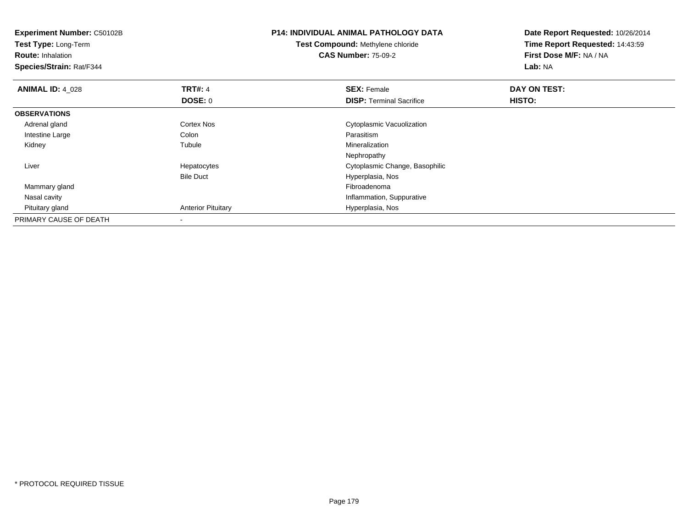| <b>Experiment Number: C50102B</b><br>Test Type: Long-Term<br><b>Route: Inhalation</b><br>Species/Strain: Rat/F344 |                           | <b>P14: INDIVIDUAL ANIMAL PATHOLOGY DATA</b><br>Test Compound: Methylene chloride<br><b>CAS Number: 75-09-2</b> | Date Report Requested: 10/26/2014<br>Time Report Requested: 14:43:59<br>First Dose M/F: NA / NA<br>Lab: NA |  |
|-------------------------------------------------------------------------------------------------------------------|---------------------------|-----------------------------------------------------------------------------------------------------------------|------------------------------------------------------------------------------------------------------------|--|
| <b>ANIMAL ID: 4 028</b>                                                                                           | <b>TRT#: 4</b>            | <b>SEX: Female</b>                                                                                              | DAY ON TEST:                                                                                               |  |
|                                                                                                                   | DOSE: 0                   | <b>DISP: Terminal Sacrifice</b>                                                                                 | HISTO:                                                                                                     |  |
| <b>OBSERVATIONS</b>                                                                                               |                           |                                                                                                                 |                                                                                                            |  |
| Adrenal gland                                                                                                     | Cortex Nos                | Cytoplasmic Vacuolization                                                                                       |                                                                                                            |  |
| Intestine Large                                                                                                   | Colon                     | Parasitism                                                                                                      |                                                                                                            |  |
| Kidney                                                                                                            | Tubule                    | <b>Mineralization</b>                                                                                           |                                                                                                            |  |
|                                                                                                                   |                           | Nephropathy                                                                                                     |                                                                                                            |  |
| Liver                                                                                                             | Hepatocytes               | Cytoplasmic Change, Basophilic                                                                                  |                                                                                                            |  |
|                                                                                                                   | <b>Bile Duct</b>          | Hyperplasia, Nos                                                                                                |                                                                                                            |  |
| Mammary gland                                                                                                     |                           | Fibroadenoma                                                                                                    |                                                                                                            |  |
| Nasal cavity                                                                                                      |                           | Inflammation, Suppurative                                                                                       |                                                                                                            |  |
| Pituitary gland                                                                                                   | <b>Anterior Pituitary</b> | Hyperplasia, Nos                                                                                                |                                                                                                            |  |
| PRIMARY CAUSE OF DEATH                                                                                            |                           |                                                                                                                 |                                                                                                            |  |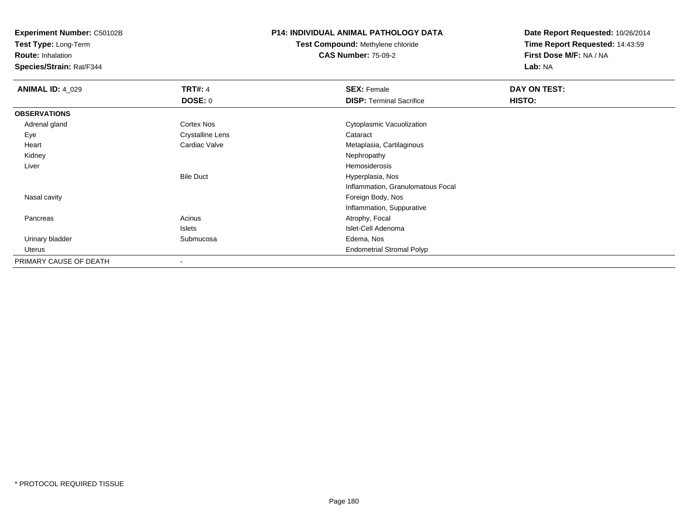**Test Type:** Long-Term

**Route:** Inhalation

**Species/Strain:** Rat/F344

#### **P14: INDIVIDUAL ANIMAL PATHOLOGY DATA**

**Test Compound:** Methylene chloride**CAS Number:** 75-09-2

| <b>ANIMAL ID: 4_029</b> | <b>TRT#: 4</b>          | <b>SEX: Female</b>                | DAY ON TEST: |  |
|-------------------------|-------------------------|-----------------------------------|--------------|--|
|                         | <b>DOSE: 0</b>          | <b>DISP: Terminal Sacrifice</b>   | HISTO:       |  |
| <b>OBSERVATIONS</b>     |                         |                                   |              |  |
| Adrenal gland           | Cortex Nos              | Cytoplasmic Vacuolization         |              |  |
| Eye                     | <b>Crystalline Lens</b> | Cataract                          |              |  |
| Heart                   | Cardiac Valve           | Metaplasia, Cartilaginous         |              |  |
| Kidney                  |                         | Nephropathy                       |              |  |
| Liver                   |                         | Hemosiderosis                     |              |  |
|                         | <b>Bile Duct</b>        | Hyperplasia, Nos                  |              |  |
|                         |                         | Inflammation, Granulomatous Focal |              |  |
| Nasal cavity            |                         | Foreign Body, Nos                 |              |  |
|                         |                         | Inflammation, Suppurative         |              |  |
| Pancreas                | Acinus                  | Atrophy, Focal                    |              |  |
|                         | <b>Islets</b>           | Islet-Cell Adenoma                |              |  |
| Urinary bladder         | Submucosa               | Edema, Nos                        |              |  |
| Uterus                  |                         | <b>Endometrial Stromal Polyp</b>  |              |  |
| PRIMARY CAUSE OF DEATH  |                         |                                   |              |  |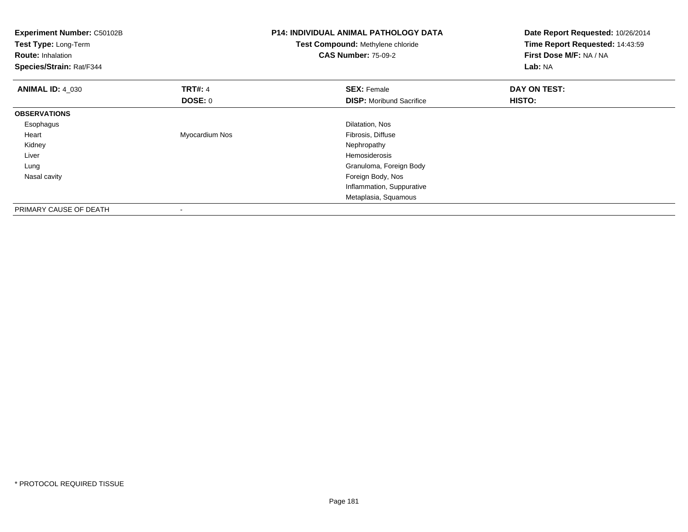| <b>Experiment Number: C50102B</b><br>Test Type: Long-Term<br><b>Route: Inhalation</b><br>Species/Strain: Rat/F344 |                           | <b>P14: INDIVIDUAL ANIMAL PATHOLOGY DATA</b><br>Test Compound: Methylene chloride<br><b>CAS Number: 75-09-2</b> | Date Report Requested: 10/26/2014<br>Time Report Requested: 14:43:59<br>First Dose M/F: NA / NA<br>Lab: NA |
|-------------------------------------------------------------------------------------------------------------------|---------------------------|-----------------------------------------------------------------------------------------------------------------|------------------------------------------------------------------------------------------------------------|
| <b>ANIMAL ID: 4_030</b>                                                                                           | <b>TRT#: 4</b><br>DOSE: 0 | <b>SEX: Female</b><br><b>DISP:</b> Moribund Sacrifice                                                           | DAY ON TEST:<br>HISTO:                                                                                     |
| <b>OBSERVATIONS</b>                                                                                               |                           |                                                                                                                 |                                                                                                            |
| Esophagus                                                                                                         |                           | Dilatation, Nos                                                                                                 |                                                                                                            |
| Heart                                                                                                             | Myocardium Nos            | Fibrosis, Diffuse                                                                                               |                                                                                                            |
| Kidney                                                                                                            |                           | Nephropathy                                                                                                     |                                                                                                            |
| Liver                                                                                                             |                           | Hemosiderosis                                                                                                   |                                                                                                            |
| Lung                                                                                                              |                           | Granuloma, Foreign Body                                                                                         |                                                                                                            |
| Nasal cavity                                                                                                      |                           | Foreign Body, Nos                                                                                               |                                                                                                            |
|                                                                                                                   |                           | Inflammation, Suppurative                                                                                       |                                                                                                            |
|                                                                                                                   |                           | Metaplasia, Squamous                                                                                            |                                                                                                            |
| PRIMARY CAUSE OF DEATH                                                                                            |                           |                                                                                                                 |                                                                                                            |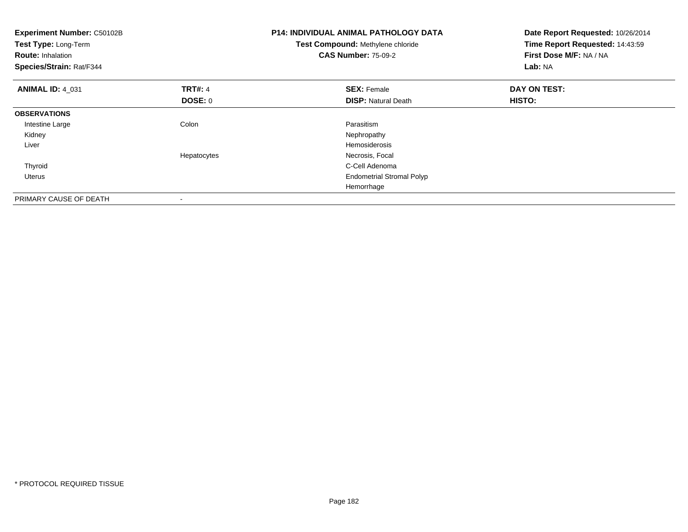| Experiment Number: C50102B<br>Test Type: Long-Term<br><b>Route: Inhalation</b><br>Species/Strain: Rat/F344 |                          | <b>P14: INDIVIDUAL ANIMAL PATHOLOGY DATA</b><br>Test Compound: Methylene chloride<br><b>CAS Number: 75-09-2</b> | Date Report Requested: 10/26/2014<br>Time Report Requested: 14:43:59<br>First Dose M/F: NA / NA<br>Lab: NA |
|------------------------------------------------------------------------------------------------------------|--------------------------|-----------------------------------------------------------------------------------------------------------------|------------------------------------------------------------------------------------------------------------|
| <b>ANIMAL ID: 4 031</b>                                                                                    | <b>TRT#: 4</b>           | <b>SEX: Female</b>                                                                                              | DAY ON TEST:                                                                                               |
|                                                                                                            | DOSE: 0                  | <b>DISP:</b> Natural Death                                                                                      | <b>HISTO:</b>                                                                                              |
| <b>OBSERVATIONS</b>                                                                                        |                          |                                                                                                                 |                                                                                                            |
| Intestine Large                                                                                            | Colon                    | Parasitism                                                                                                      |                                                                                                            |
| Kidney                                                                                                     |                          | Nephropathy                                                                                                     |                                                                                                            |
| Liver                                                                                                      |                          | Hemosiderosis                                                                                                   |                                                                                                            |
|                                                                                                            | Hepatocytes              | Necrosis, Focal                                                                                                 |                                                                                                            |
| Thyroid                                                                                                    |                          | C-Cell Adenoma                                                                                                  |                                                                                                            |
| <b>Uterus</b>                                                                                              |                          | <b>Endometrial Stromal Polyp</b>                                                                                |                                                                                                            |
|                                                                                                            |                          | Hemorrhage                                                                                                      |                                                                                                            |
| PRIMARY CAUSE OF DEATH                                                                                     | $\overline{\phantom{a}}$ |                                                                                                                 |                                                                                                            |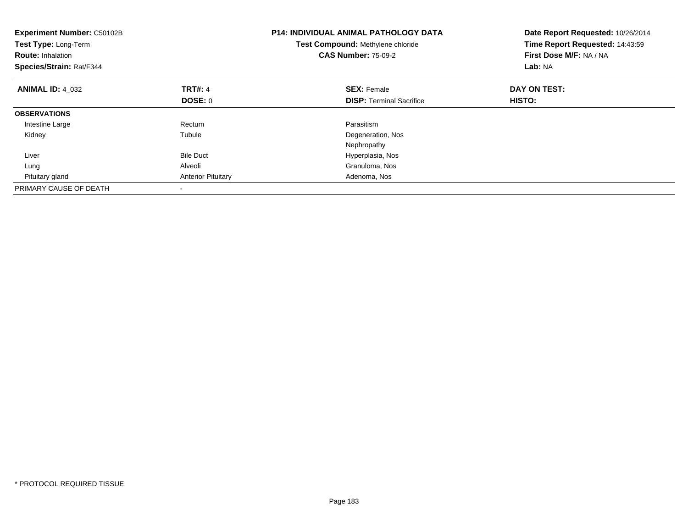| <b>Experiment Number: C50102B</b><br>Test Type: Long-Term<br><b>Route: Inhalation</b><br>Species/Strain: Rat/F344 |                           | <b>P14: INDIVIDUAL ANIMAL PATHOLOGY DATA</b><br>Test Compound: Methylene chloride<br><b>CAS Number: 75-09-2</b> | Date Report Requested: 10/26/2014<br>Time Report Requested: 14:43:59<br>First Dose M/F: NA / NA<br>Lab: NA |
|-------------------------------------------------------------------------------------------------------------------|---------------------------|-----------------------------------------------------------------------------------------------------------------|------------------------------------------------------------------------------------------------------------|
| <b>ANIMAL ID: 4 032</b>                                                                                           | <b>TRT#: 4</b>            | <b>SEX: Female</b>                                                                                              | DAY ON TEST:                                                                                               |
|                                                                                                                   | DOSE: 0                   | <b>DISP:</b> Terminal Sacrifice                                                                                 | HISTO:                                                                                                     |
| <b>OBSERVATIONS</b>                                                                                               |                           |                                                                                                                 |                                                                                                            |
| Intestine Large                                                                                                   | Rectum                    | Parasitism                                                                                                      |                                                                                                            |
| Kidney                                                                                                            | Tubule                    | Degeneration, Nos                                                                                               |                                                                                                            |
|                                                                                                                   |                           | Nephropathy                                                                                                     |                                                                                                            |
| Liver                                                                                                             | <b>Bile Duct</b>          | Hyperplasia, Nos                                                                                                |                                                                                                            |
| Lung                                                                                                              | Alveoli                   | Granuloma, Nos                                                                                                  |                                                                                                            |
| Pituitary gland                                                                                                   | <b>Anterior Pituitary</b> | Adenoma, Nos                                                                                                    |                                                                                                            |
| PRIMARY CAUSE OF DEATH                                                                                            |                           |                                                                                                                 |                                                                                                            |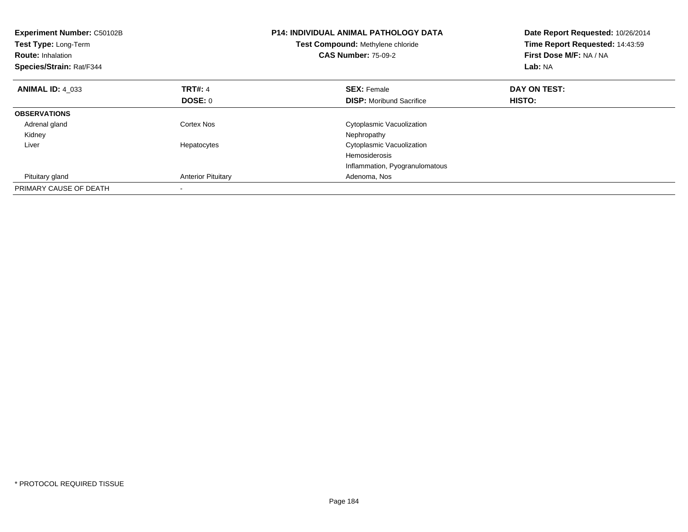| <b>Experiment Number: C50102B</b><br>Test Type: Long-Term<br><b>Route: Inhalation</b><br>Species/Strain: Rat/F344 |                           | <b>P14: INDIVIDUAL ANIMAL PATHOLOGY DATA</b><br>Test Compound: Methylene chloride<br><b>CAS Number: 75-09-2</b> | Date Report Requested: 10/26/2014<br>Time Report Requested: 14:43:59<br>First Dose M/F: NA / NA<br>Lab: NA |
|-------------------------------------------------------------------------------------------------------------------|---------------------------|-----------------------------------------------------------------------------------------------------------------|------------------------------------------------------------------------------------------------------------|
| <b>ANIMAL ID: 4 033</b>                                                                                           | <b>TRT#: 4</b>            | <b>SEX: Female</b>                                                                                              | DAY ON TEST:                                                                                               |
|                                                                                                                   | DOSE: 0                   | <b>DISP:</b> Moribund Sacrifice                                                                                 | HISTO:                                                                                                     |
| <b>OBSERVATIONS</b>                                                                                               |                           |                                                                                                                 |                                                                                                            |
| Adrenal gland                                                                                                     | Cortex Nos                | Cytoplasmic Vacuolization                                                                                       |                                                                                                            |
| Kidney                                                                                                            |                           | Nephropathy                                                                                                     |                                                                                                            |
| Liver                                                                                                             | Hepatocytes               | Cytoplasmic Vacuolization                                                                                       |                                                                                                            |
|                                                                                                                   |                           | Hemosiderosis                                                                                                   |                                                                                                            |
|                                                                                                                   |                           | Inflammation, Pyogranulomatous                                                                                  |                                                                                                            |
| Pituitary gland                                                                                                   | <b>Anterior Pituitary</b> | Adenoma, Nos                                                                                                    |                                                                                                            |
| PRIMARY CAUSE OF DEATH                                                                                            |                           |                                                                                                                 |                                                                                                            |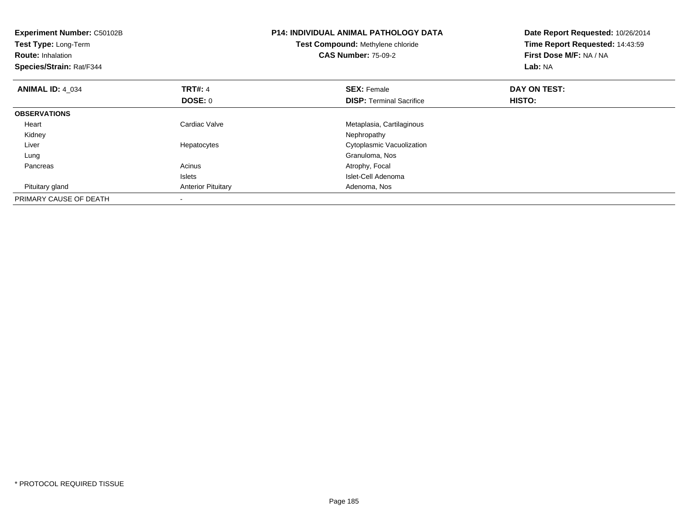| <b>Experiment Number: C50102B</b><br>Test Type: Long-Term<br><b>Route: Inhalation</b><br>Species/Strain: Rat/F344 |                           | <b>P14: INDIVIDUAL ANIMAL PATHOLOGY DATA</b><br>Test Compound: Methylene chloride<br><b>CAS Number: 75-09-2</b> | Date Report Requested: 10/26/2014<br>Time Report Requested: 14:43:59<br>First Dose M/F: NA / NA<br>Lab: NA |
|-------------------------------------------------------------------------------------------------------------------|---------------------------|-----------------------------------------------------------------------------------------------------------------|------------------------------------------------------------------------------------------------------------|
| <b>ANIMAL ID: 4 034</b>                                                                                           | <b>TRT#: 4</b>            | <b>SEX: Female</b>                                                                                              | DAY ON TEST:                                                                                               |
|                                                                                                                   | DOSE: 0                   | <b>DISP:</b> Terminal Sacrifice                                                                                 | HISTO:                                                                                                     |
| <b>OBSERVATIONS</b>                                                                                               |                           |                                                                                                                 |                                                                                                            |
| Heart                                                                                                             | Cardiac Valve             | Metaplasia, Cartilaginous                                                                                       |                                                                                                            |
| Kidney                                                                                                            |                           | Nephropathy                                                                                                     |                                                                                                            |
| Liver                                                                                                             | Hepatocytes               | Cytoplasmic Vacuolization                                                                                       |                                                                                                            |
| Lung                                                                                                              |                           | Granuloma, Nos                                                                                                  |                                                                                                            |
| Pancreas                                                                                                          | Acinus                    | Atrophy, Focal                                                                                                  |                                                                                                            |
|                                                                                                                   | <b>Islets</b>             | Islet-Cell Adenoma                                                                                              |                                                                                                            |
| Pituitary gland                                                                                                   | <b>Anterior Pituitary</b> | Adenoma, Nos                                                                                                    |                                                                                                            |
| PRIMARY CAUSE OF DEATH                                                                                            |                           |                                                                                                                 |                                                                                                            |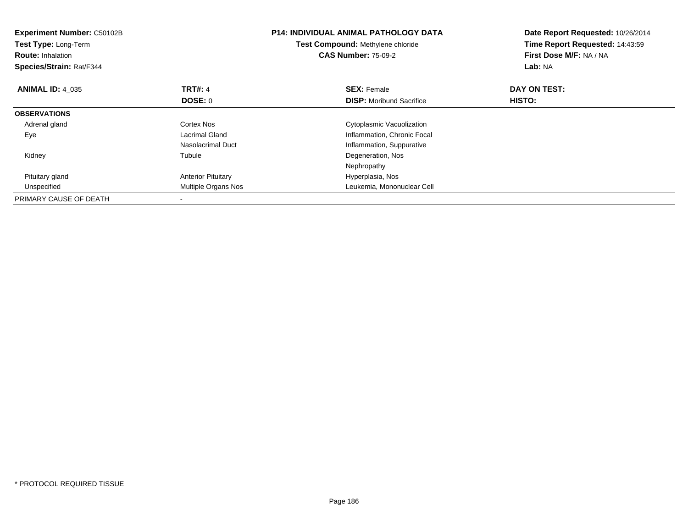| Experiment Number: C50102B<br>Test Type: Long-Term<br><b>Route: Inhalation</b><br>Species/Strain: Rat/F344 |                           | <b>P14: INDIVIDUAL ANIMAL PATHOLOGY DATA</b><br>Test Compound: Methylene chloride<br><b>CAS Number: 75-09-2</b> | Date Report Requested: 10/26/2014<br>Time Report Requested: 14:43:59<br>First Dose M/F: NA / NA<br>Lab: NA |
|------------------------------------------------------------------------------------------------------------|---------------------------|-----------------------------------------------------------------------------------------------------------------|------------------------------------------------------------------------------------------------------------|
| <b>ANIMAL ID: 4 035</b>                                                                                    | <b>TRT#: 4</b>            | <b>SEX: Female</b>                                                                                              | DAY ON TEST:                                                                                               |
|                                                                                                            | DOSE: 0                   | <b>DISP:</b> Moribund Sacrifice                                                                                 | HISTO:                                                                                                     |
| <b>OBSERVATIONS</b>                                                                                        |                           |                                                                                                                 |                                                                                                            |
| Adrenal gland                                                                                              | Cortex Nos                | Cytoplasmic Vacuolization                                                                                       |                                                                                                            |
| Eye                                                                                                        | Lacrimal Gland            | Inflammation, Chronic Focal                                                                                     |                                                                                                            |
|                                                                                                            | Nasolacrimal Duct         | Inflammation, Suppurative                                                                                       |                                                                                                            |
| Kidney                                                                                                     | Tubule                    | Degeneration, Nos                                                                                               |                                                                                                            |
|                                                                                                            |                           | Nephropathy                                                                                                     |                                                                                                            |
| Pituitary gland                                                                                            | <b>Anterior Pituitary</b> | Hyperplasia, Nos                                                                                                |                                                                                                            |
| Unspecified                                                                                                | Multiple Organs Nos       | Leukemia, Mononuclear Cell                                                                                      |                                                                                                            |
| PRIMARY CAUSE OF DEATH                                                                                     |                           |                                                                                                                 |                                                                                                            |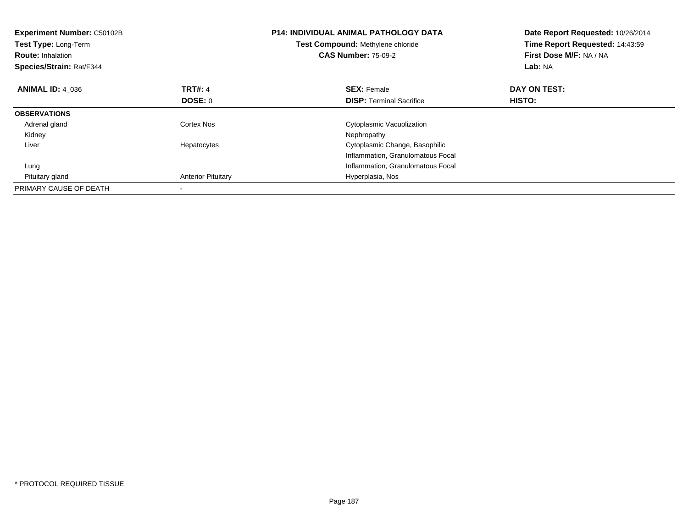| <b>Experiment Number: C50102B</b><br>Test Type: Long-Term<br><b>Route: Inhalation</b><br>Species/Strain: Rat/F344 |                           | <b>P14: INDIVIDUAL ANIMAL PATHOLOGY DATA</b><br><b>Test Compound: Methylene chloride</b><br><b>CAS Number: 75-09-2</b> | Date Report Requested: 10/26/2014<br>Time Report Requested: 14:43:59<br>First Dose M/F: NA / NA<br>Lab: NA |
|-------------------------------------------------------------------------------------------------------------------|---------------------------|------------------------------------------------------------------------------------------------------------------------|------------------------------------------------------------------------------------------------------------|
| <b>ANIMAL ID: 4 036</b>                                                                                           | <b>TRT#: 4</b>            | <b>SEX: Female</b>                                                                                                     | DAY ON TEST:                                                                                               |
|                                                                                                                   | <b>DOSE: 0</b>            | <b>DISP:</b> Terminal Sacrifice                                                                                        | HISTO:                                                                                                     |
| <b>OBSERVATIONS</b>                                                                                               |                           |                                                                                                                        |                                                                                                            |
| Adrenal gland                                                                                                     | Cortex Nos                | Cytoplasmic Vacuolization                                                                                              |                                                                                                            |
| Kidney                                                                                                            |                           | Nephropathy                                                                                                            |                                                                                                            |
| Liver                                                                                                             | Hepatocytes               | Cytoplasmic Change, Basophilic                                                                                         |                                                                                                            |
|                                                                                                                   |                           | Inflammation, Granulomatous Focal                                                                                      |                                                                                                            |
| Lung                                                                                                              |                           | Inflammation, Granulomatous Focal                                                                                      |                                                                                                            |
| Pituitary gland                                                                                                   | <b>Anterior Pituitary</b> | Hyperplasia, Nos                                                                                                       |                                                                                                            |
| PRIMARY CAUSE OF DEATH                                                                                            |                           |                                                                                                                        |                                                                                                            |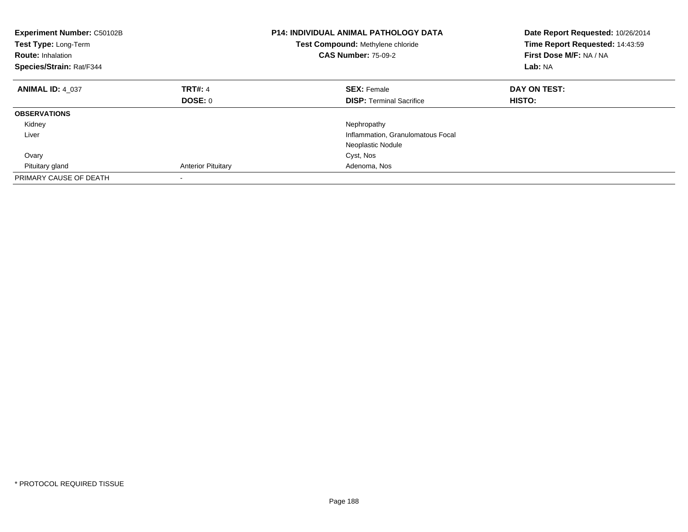| Experiment Number: C50102B<br>Test Type: Long-Term<br><b>Route: Inhalation</b><br>Species/Strain: Rat/F344 |                           | <b>P14: INDIVIDUAL ANIMAL PATHOLOGY DATA</b><br>Test Compound: Methylene chloride<br><b>CAS Number: 75-09-2</b> | Date Report Requested: 10/26/2014<br>Time Report Requested: 14:43:59<br>First Dose M/F: NA / NA<br>Lab: NA |
|------------------------------------------------------------------------------------------------------------|---------------------------|-----------------------------------------------------------------------------------------------------------------|------------------------------------------------------------------------------------------------------------|
| <b>ANIMAL ID: 4 037</b>                                                                                    | <b>TRT#: 4</b>            | <b>SEX: Female</b>                                                                                              | DAY ON TEST:                                                                                               |
|                                                                                                            | DOSE: 0                   | <b>DISP:</b> Terminal Sacrifice                                                                                 | HISTO:                                                                                                     |
| <b>OBSERVATIONS</b>                                                                                        |                           |                                                                                                                 |                                                                                                            |
| Kidney                                                                                                     |                           | Nephropathy                                                                                                     |                                                                                                            |
| Liver                                                                                                      |                           | Inflammation, Granulomatous Focal                                                                               |                                                                                                            |
|                                                                                                            |                           | Neoplastic Nodule                                                                                               |                                                                                                            |
| Ovary                                                                                                      |                           | Cyst, Nos                                                                                                       |                                                                                                            |
| Pituitary gland                                                                                            | <b>Anterior Pituitary</b> | Adenoma, Nos                                                                                                    |                                                                                                            |
| PRIMARY CAUSE OF DEATH                                                                                     |                           |                                                                                                                 |                                                                                                            |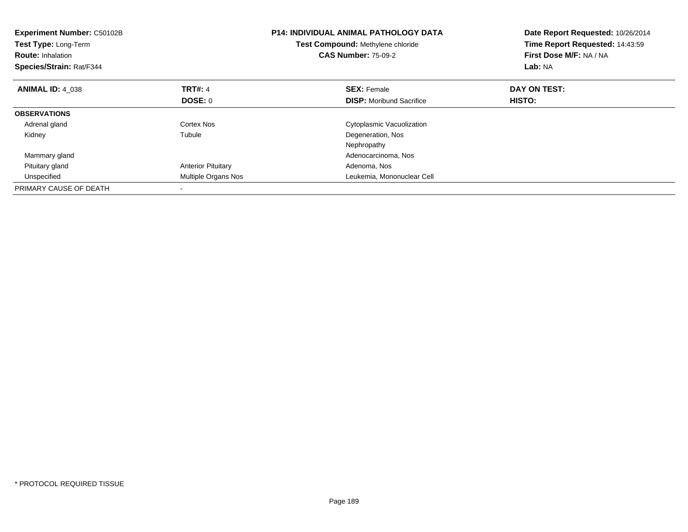| <b>Experiment Number: C50102B</b><br>Test Type: Long-Term<br><b>Route: Inhalation</b><br>Species/Strain: Rat/F344 |                           | <b>P14: INDIVIDUAL ANIMAL PATHOLOGY DATA</b><br>Test Compound: Methylene chloride<br><b>CAS Number: 75-09-2</b> | Date Report Requested: 10/26/2014<br>Time Report Requested: 14:43:59<br>First Dose M/F: NA / NA<br>Lab: NA |
|-------------------------------------------------------------------------------------------------------------------|---------------------------|-----------------------------------------------------------------------------------------------------------------|------------------------------------------------------------------------------------------------------------|
| <b>ANIMAL ID: 4 038</b>                                                                                           | <b>TRT#: 4</b>            | <b>SEX: Female</b>                                                                                              | DAY ON TEST:                                                                                               |
|                                                                                                                   | DOSE: 0                   | <b>DISP:</b> Moribund Sacrifice                                                                                 | <b>HISTO:</b>                                                                                              |
| <b>OBSERVATIONS</b>                                                                                               |                           |                                                                                                                 |                                                                                                            |
| Adrenal gland                                                                                                     | Cortex Nos                | Cytoplasmic Vacuolization                                                                                       |                                                                                                            |
| Kidney                                                                                                            | Tubule                    | Degeneration, Nos                                                                                               |                                                                                                            |
|                                                                                                                   |                           | Nephropathy                                                                                                     |                                                                                                            |
| Mammary gland                                                                                                     |                           | Adenocarcinoma, Nos                                                                                             |                                                                                                            |
| Pituitary gland                                                                                                   | <b>Anterior Pituitary</b> | Adenoma, Nos                                                                                                    |                                                                                                            |
| Unspecified                                                                                                       | Multiple Organs Nos       | Leukemia, Mononuclear Cell                                                                                      |                                                                                                            |
| PRIMARY CAUSE OF DEATH                                                                                            |                           |                                                                                                                 |                                                                                                            |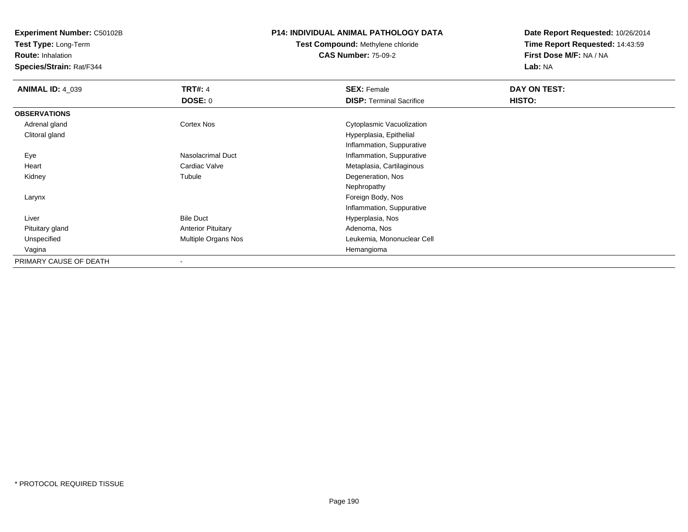**Experiment Number:** C50102B

**Test Type:** Long-Term

**Route:** Inhalation

**Species/Strain:** Rat/F344

## **P14: INDIVIDUAL ANIMAL PATHOLOGY DATA**

## **Test Compound:** Methylene chloride**CAS Number:** 75-09-2

**Date Report Requested:** 10/26/2014**Time Report Requested:** 14:43:59**First Dose M/F:** NA / NA**Lab:** NA

| <b>ANIMAL ID: 4_039</b> | <b>TRT#: 4</b>            | <b>SEX: Female</b>              | DAY ON TEST: |  |
|-------------------------|---------------------------|---------------------------------|--------------|--|
|                         | <b>DOSE: 0</b>            | <b>DISP: Terminal Sacrifice</b> | HISTO:       |  |
| <b>OBSERVATIONS</b>     |                           |                                 |              |  |
| Adrenal gland           | <b>Cortex Nos</b>         | Cytoplasmic Vacuolization       |              |  |
| Clitoral gland          |                           | Hyperplasia, Epithelial         |              |  |
|                         |                           | Inflammation, Suppurative       |              |  |
| Eye                     | <b>Nasolacrimal Duct</b>  | Inflammation, Suppurative       |              |  |
| Heart                   | Cardiac Valve             | Metaplasia, Cartilaginous       |              |  |
| Kidney                  | Tubule                    | Degeneration, Nos               |              |  |
|                         |                           | Nephropathy                     |              |  |
| Larynx                  |                           | Foreign Body, Nos               |              |  |
|                         |                           | Inflammation, Suppurative       |              |  |
| Liver                   | <b>Bile Duct</b>          | Hyperplasia, Nos                |              |  |
| Pituitary gland         | <b>Anterior Pituitary</b> | Adenoma, Nos                    |              |  |
| Unspecified             | Multiple Organs Nos       | Leukemia, Mononuclear Cell      |              |  |
| Vagina                  |                           | Hemangioma                      |              |  |
| PRIMARY CAUSE OF DEATH  |                           |                                 |              |  |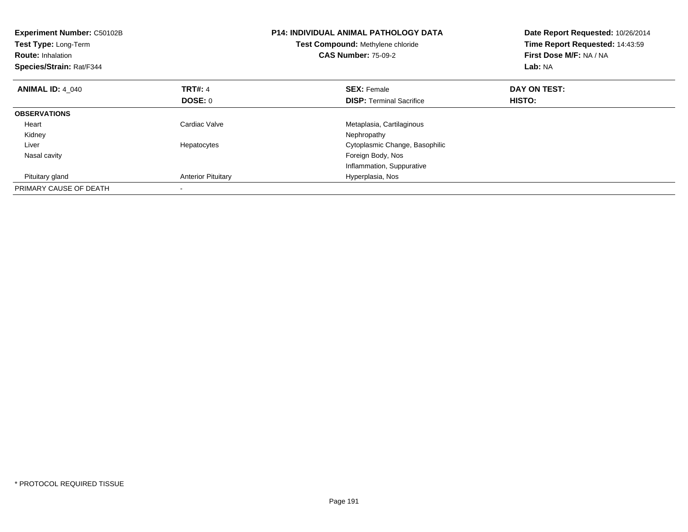| <b>Experiment Number: C50102B</b><br><b>Test Type: Long-Term</b><br><b>Route: Inhalation</b><br>Species/Strain: Rat/F344 |                           | <b>P14: INDIVIDUAL ANIMAL PATHOLOGY DATA</b><br>Test Compound: Methylene chloride<br><b>CAS Number: 75-09-2</b> | Date Report Requested: 10/26/2014<br>Time Report Requested: 14:43:59<br>First Dose M/F: NA / NA<br>Lab: NA |
|--------------------------------------------------------------------------------------------------------------------------|---------------------------|-----------------------------------------------------------------------------------------------------------------|------------------------------------------------------------------------------------------------------------|
| <b>ANIMAL ID: 4 040</b>                                                                                                  | <b>TRT#: 4</b>            | <b>SEX: Female</b>                                                                                              | DAY ON TEST:                                                                                               |
|                                                                                                                          | DOSE: 0                   | <b>DISP:</b> Terminal Sacrifice                                                                                 | HISTO:                                                                                                     |
| <b>OBSERVATIONS</b>                                                                                                      |                           |                                                                                                                 |                                                                                                            |
| Heart                                                                                                                    | Cardiac Valve             | Metaplasia, Cartilaginous                                                                                       |                                                                                                            |
| Kidney                                                                                                                   |                           | Nephropathy                                                                                                     |                                                                                                            |
| Liver                                                                                                                    | Hepatocytes               | Cytoplasmic Change, Basophilic                                                                                  |                                                                                                            |
| Nasal cavity                                                                                                             |                           | Foreign Body, Nos                                                                                               |                                                                                                            |
|                                                                                                                          |                           | Inflammation, Suppurative                                                                                       |                                                                                                            |
| Pituitary gland                                                                                                          | <b>Anterior Pituitary</b> | Hyperplasia, Nos                                                                                                |                                                                                                            |
| PRIMARY CAUSE OF DEATH                                                                                                   |                           |                                                                                                                 |                                                                                                            |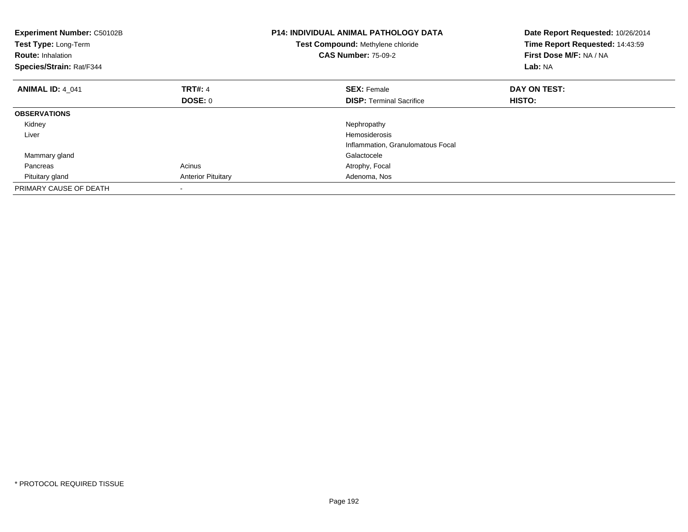| <b>Experiment Number: C50102B</b><br>Test Type: Long-Term<br><b>Route: Inhalation</b><br>Species/Strain: Rat/F344 |                           | <b>P14: INDIVIDUAL ANIMAL PATHOLOGY DATA</b><br>Test Compound: Methylene chloride<br><b>CAS Number: 75-09-2</b> | Date Report Requested: 10/26/2014<br>Time Report Requested: 14:43:59<br>First Dose M/F: NA / NA<br>Lab: NA |
|-------------------------------------------------------------------------------------------------------------------|---------------------------|-----------------------------------------------------------------------------------------------------------------|------------------------------------------------------------------------------------------------------------|
| <b>ANIMAL ID: 4 041</b>                                                                                           | <b>TRT#: 4</b>            | <b>SEX: Female</b>                                                                                              | DAY ON TEST:                                                                                               |
|                                                                                                                   | <b>DOSE: 0</b>            | <b>DISP:</b> Terminal Sacrifice                                                                                 | <b>HISTO:</b>                                                                                              |
| <b>OBSERVATIONS</b>                                                                                               |                           |                                                                                                                 |                                                                                                            |
| Kidney                                                                                                            |                           | Nephropathy                                                                                                     |                                                                                                            |
| Liver                                                                                                             |                           | <b>Hemosiderosis</b>                                                                                            |                                                                                                            |
|                                                                                                                   |                           | Inflammation, Granulomatous Focal                                                                               |                                                                                                            |
| Mammary gland                                                                                                     |                           | Galactocele                                                                                                     |                                                                                                            |
| Pancreas                                                                                                          | Acinus                    | Atrophy, Focal                                                                                                  |                                                                                                            |
| Pituitary gland                                                                                                   | <b>Anterior Pituitary</b> | Adenoma, Nos                                                                                                    |                                                                                                            |
| PRIMARY CAUSE OF DEATH                                                                                            |                           |                                                                                                                 |                                                                                                            |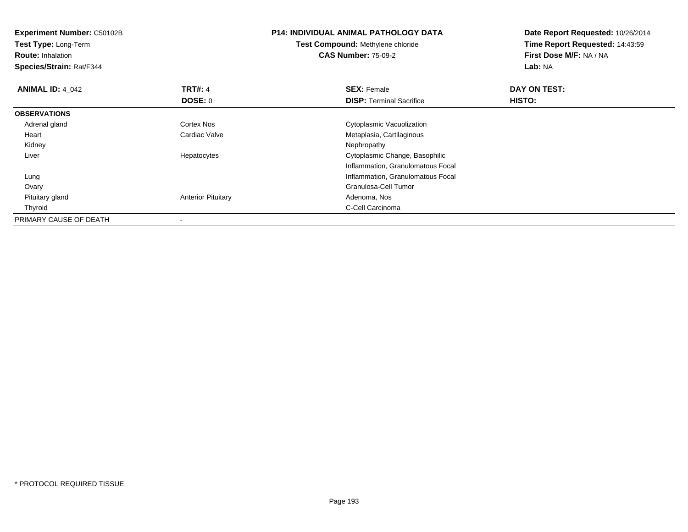| <b>Experiment Number: C50102B</b><br>Test Type: Long-Term<br><b>Route: Inhalation</b><br>Species/Strain: Rat/F344 |                           | <b>P14: INDIVIDUAL ANIMAL PATHOLOGY DATA</b><br>Test Compound: Methylene chloride<br><b>CAS Number: 75-09-2</b> | Date Report Requested: 10/26/2014<br>Time Report Requested: 14:43:59<br>First Dose M/F: NA / NA<br>Lab: NA |
|-------------------------------------------------------------------------------------------------------------------|---------------------------|-----------------------------------------------------------------------------------------------------------------|------------------------------------------------------------------------------------------------------------|
| <b>ANIMAL ID: 4_042</b>                                                                                           | <b>TRT#: 4</b>            | <b>SEX: Female</b>                                                                                              | DAY ON TEST:                                                                                               |
|                                                                                                                   | <b>DOSE: 0</b>            | <b>DISP: Terminal Sacrifice</b>                                                                                 | HISTO:                                                                                                     |
| <b>OBSERVATIONS</b>                                                                                               |                           |                                                                                                                 |                                                                                                            |
| Adrenal gland                                                                                                     | Cortex Nos                | Cytoplasmic Vacuolization                                                                                       |                                                                                                            |
| Heart                                                                                                             | Cardiac Valve             | Metaplasia, Cartilaginous                                                                                       |                                                                                                            |
| Kidney                                                                                                            |                           | Nephropathy                                                                                                     |                                                                                                            |
| Liver                                                                                                             | Hepatocytes               | Cytoplasmic Change, Basophilic                                                                                  |                                                                                                            |
|                                                                                                                   |                           | Inflammation, Granulomatous Focal                                                                               |                                                                                                            |
| Lung                                                                                                              |                           | Inflammation, Granulomatous Focal                                                                               |                                                                                                            |
| Ovary                                                                                                             |                           | Granulosa-Cell Tumor                                                                                            |                                                                                                            |
| Pituitary gland                                                                                                   | <b>Anterior Pituitary</b> | Adenoma, Nos                                                                                                    |                                                                                                            |
| Thyroid                                                                                                           |                           | C-Cell Carcinoma                                                                                                |                                                                                                            |
| PRIMARY CAUSE OF DEATH                                                                                            |                           |                                                                                                                 |                                                                                                            |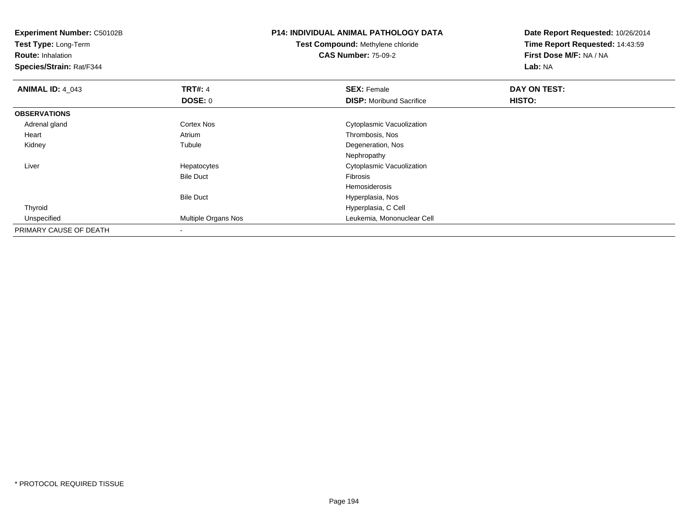**Experiment Number:** C50102B**Test Type:** Long-Term**Route:** Inhalation **Species/Strain:** Rat/F344**P14: INDIVIDUAL ANIMAL PATHOLOGY DATATest Compound:** Methylene chloride**CAS Number:** 75-09-2**Date Report Requested:** 10/26/2014**Time Report Requested:** 14:43:59**First Dose M/F:** NA / NA**Lab:** NA**ANIMAL ID: 4 043 TRT#:** 4 **SEX:** Female **DAY ON TEST: DOSE:** 0**DISP:** Moribund Sacrifice **HISTO: OBSERVATIONS** Adrenal glandCortex Nos **Cytoplasmic Vacuolization**  Heart AtriumAtrium Thrombosis, Nos<br>
Tubule Company Contract Company Contract Company Contract Company Contract Company Company Company Company Company<br>
Tubule Company Company Company Company Company Company Company Company Company Com Kidneyy the contract of the contract of the contract of the contract of the contract of the contract of the contract of the contract of the contract of the contract of the contract of the contract of the contract of the contract Degeneration, Nos Nephropathys **Subset Constructs** Cytoplasmic Vacuolization Liver HepatocytesBile Duct Fibrosis Hemosiderosis Hyperplasia, NosBile Duct Hyperplasia, C Cell Thyroid Unspecified Multiple Organs Nos Leukemia, Mononuclear Cell PRIMARY CAUSE OF DEATH-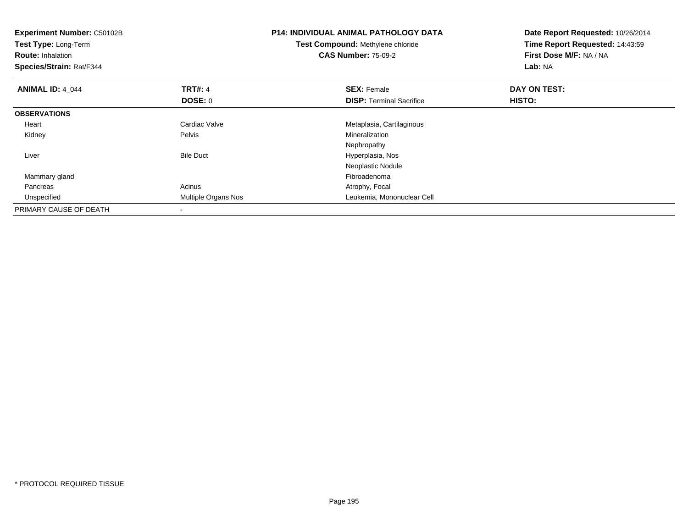| <b>Experiment Number: C50102B</b><br><b>Test Type: Long-Term</b><br><b>Route: Inhalation</b><br>Species/Strain: Rat/F344 |                     | <b>P14: INDIVIDUAL ANIMAL PATHOLOGY DATA</b><br><b>Test Compound: Methylene chloride</b><br><b>CAS Number: 75-09-2</b> | Date Report Requested: 10/26/2014<br>Time Report Requested: 14:43:59<br>First Dose M/F: NA / NA<br>Lab: NA |
|--------------------------------------------------------------------------------------------------------------------------|---------------------|------------------------------------------------------------------------------------------------------------------------|------------------------------------------------------------------------------------------------------------|
| <b>ANIMAL ID: 4_044</b>                                                                                                  | <b>TRT#: 4</b>      | <b>SEX: Female</b>                                                                                                     | DAY ON TEST:                                                                                               |
|                                                                                                                          | DOSE: 0             | <b>DISP: Terminal Sacrifice</b>                                                                                        | HISTO:                                                                                                     |
| <b>OBSERVATIONS</b>                                                                                                      |                     |                                                                                                                        |                                                                                                            |
| Heart                                                                                                                    | Cardiac Valve       | Metaplasia, Cartilaginous                                                                                              |                                                                                                            |
| Kidney                                                                                                                   | Pelvis              | Mineralization                                                                                                         |                                                                                                            |
|                                                                                                                          |                     | Nephropathy                                                                                                            |                                                                                                            |
| Liver                                                                                                                    | <b>Bile Duct</b>    | Hyperplasia, Nos                                                                                                       |                                                                                                            |
|                                                                                                                          |                     | Neoplastic Nodule                                                                                                      |                                                                                                            |
| Mammary gland                                                                                                            |                     | Fibroadenoma                                                                                                           |                                                                                                            |
| Pancreas                                                                                                                 | Acinus              | Atrophy, Focal                                                                                                         |                                                                                                            |
| Unspecified                                                                                                              | Multiple Organs Nos | Leukemia, Mononuclear Cell                                                                                             |                                                                                                            |
| PRIMARY CAUSE OF DEATH                                                                                                   |                     |                                                                                                                        |                                                                                                            |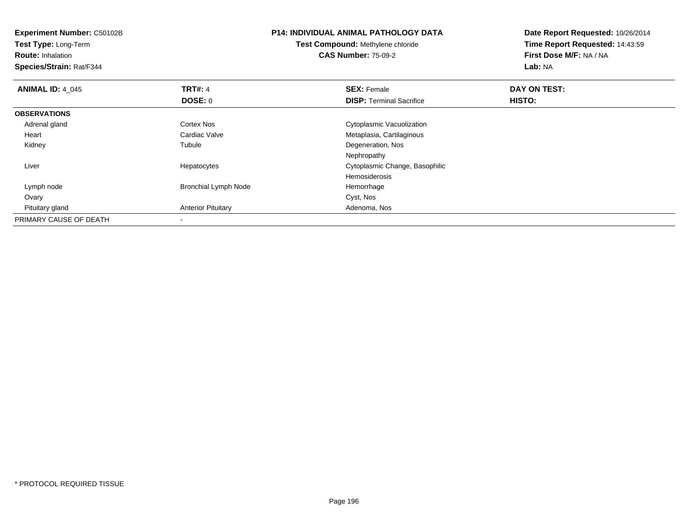| <b>Experiment Number: C50102B</b> |                             | <b>P14: INDIVIDUAL ANIMAL PATHOLOGY DATA</b> | Date Report Requested: 10/26/2014 |  |
|-----------------------------------|-----------------------------|----------------------------------------------|-----------------------------------|--|
| Test Type: Long-Term              |                             | <b>Test Compound: Methylene chloride</b>     | Time Report Requested: 14:43:59   |  |
| <b>Route: Inhalation</b>          |                             | <b>CAS Number: 75-09-2</b>                   | First Dose M/F: NA / NA           |  |
| <b>Species/Strain: Rat/F344</b>   |                             |                                              | Lab: NA                           |  |
| <b>ANIMAL ID: 4 045</b>           | <b>TRT#: 4</b>              | <b>SEX: Female</b>                           | DAY ON TEST:                      |  |
|                                   | <b>DOSE: 0</b>              | <b>DISP:</b> Terminal Sacrifice              | HISTO:                            |  |
| <b>OBSERVATIONS</b>               |                             |                                              |                                   |  |
| Adrenal gland                     | Cortex Nos                  | Cytoplasmic Vacuolization                    |                                   |  |
| Heart                             | Cardiac Valve               | Metaplasia, Cartilaginous                    |                                   |  |
| Kidney                            | Tubule                      | Degeneration, Nos                            |                                   |  |
|                                   |                             | Nephropathy                                  |                                   |  |
| Liver                             | Hepatocytes                 | Cytoplasmic Change, Basophilic               |                                   |  |
|                                   |                             | <b>Hemosiderosis</b>                         |                                   |  |
| Lymph node                        | <b>Bronchial Lymph Node</b> | Hemorrhage                                   |                                   |  |
| Ovary                             |                             | Cyst, Nos                                    |                                   |  |
| Pituitary gland                   | <b>Anterior Pituitary</b>   | Adenoma, Nos                                 |                                   |  |
| PRIMARY CAUSE OF DEATH            |                             |                                              |                                   |  |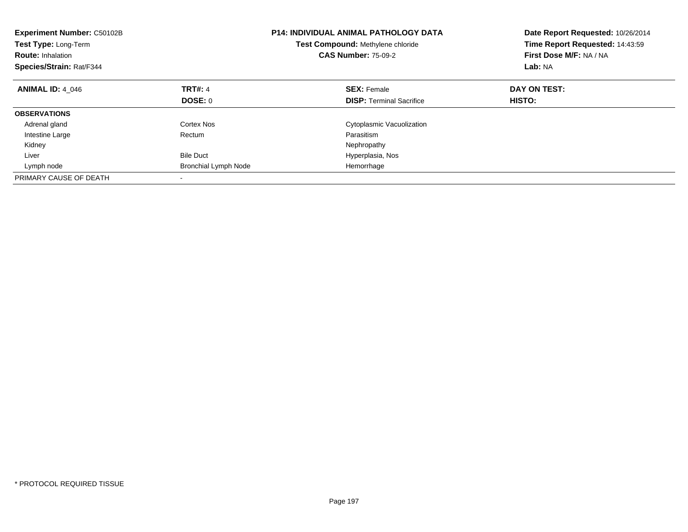| <b>Experiment Number: C50102B</b><br>Test Type: Long-Term<br><b>Route: Inhalation</b><br><b>Species/Strain: Rat/F344</b> |                             | <b>P14: INDIVIDUAL ANIMAL PATHOLOGY DATA</b><br>Test Compound: Methylene chloride<br><b>CAS Number: 75-09-2</b> | Date Report Requested: 10/26/2014<br>Time Report Requested: 14:43:59<br>First Dose M/F: NA / NA<br>Lab: NA |
|--------------------------------------------------------------------------------------------------------------------------|-----------------------------|-----------------------------------------------------------------------------------------------------------------|------------------------------------------------------------------------------------------------------------|
| <b>ANIMAL ID: 4 046</b>                                                                                                  | <b>TRT#: 4</b>              | <b>SEX: Female</b>                                                                                              | DAY ON TEST:                                                                                               |
|                                                                                                                          | DOSE: 0                     | <b>DISP:</b> Terminal Sacrifice                                                                                 | HISTO:                                                                                                     |
| <b>OBSERVATIONS</b>                                                                                                      |                             |                                                                                                                 |                                                                                                            |
| Adrenal gland                                                                                                            | Cortex Nos                  | Cytoplasmic Vacuolization                                                                                       |                                                                                                            |
| Intestine Large                                                                                                          | Rectum                      | Parasitism                                                                                                      |                                                                                                            |
| Kidney                                                                                                                   |                             | Nephropathy                                                                                                     |                                                                                                            |
| Liver                                                                                                                    | <b>Bile Duct</b>            | Hyperplasia, Nos                                                                                                |                                                                                                            |
| Lymph node                                                                                                               | <b>Bronchial Lymph Node</b> | Hemorrhage                                                                                                      |                                                                                                            |
| PRIMARY CAUSE OF DEATH                                                                                                   |                             |                                                                                                                 |                                                                                                            |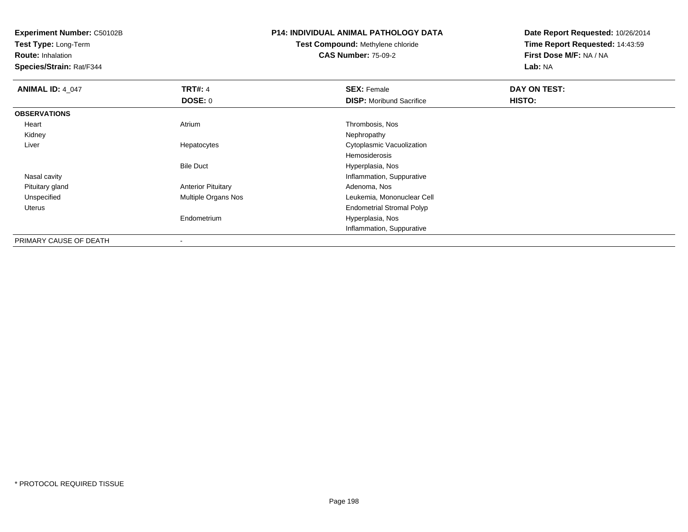**Experiment Number:** C50102B

**Test Type:** Long-Term

**Route:** Inhalation

**Species/Strain:** Rat/F344

## **P14: INDIVIDUAL ANIMAL PATHOLOGY DATA**

**Test Compound:** Methylene chloride**CAS Number:** 75-09-2

**Date Report Requested:** 10/26/2014**Time Report Requested:** 14:43:59**First Dose M/F:** NA / NA**Lab:** NA

| <b>ANIMAL ID: 4 047</b> | <b>TRT#: 4</b>            | <b>SEX: Female</b>               | DAY ON TEST: |  |
|-------------------------|---------------------------|----------------------------------|--------------|--|
|                         | <b>DOSE: 0</b>            | <b>DISP:</b> Moribund Sacrifice  | HISTO:       |  |
| <b>OBSERVATIONS</b>     |                           |                                  |              |  |
| Heart                   | Atrium                    | Thrombosis, Nos                  |              |  |
| Kidney                  |                           | Nephropathy                      |              |  |
| Liver                   | Hepatocytes               | Cytoplasmic Vacuolization        |              |  |
|                         |                           | Hemosiderosis                    |              |  |
|                         | <b>Bile Duct</b>          | Hyperplasia, Nos                 |              |  |
| Nasal cavity            |                           | Inflammation, Suppurative        |              |  |
| Pituitary gland         | <b>Anterior Pituitary</b> | Adenoma, Nos                     |              |  |
| Unspecified             | Multiple Organs Nos       | Leukemia, Mononuclear Cell       |              |  |
| Uterus                  |                           | <b>Endometrial Stromal Polyp</b> |              |  |
|                         | Endometrium               | Hyperplasia, Nos                 |              |  |
|                         |                           | Inflammation, Suppurative        |              |  |
| PRIMARY CAUSE OF DEATH  | $\,$                      |                                  |              |  |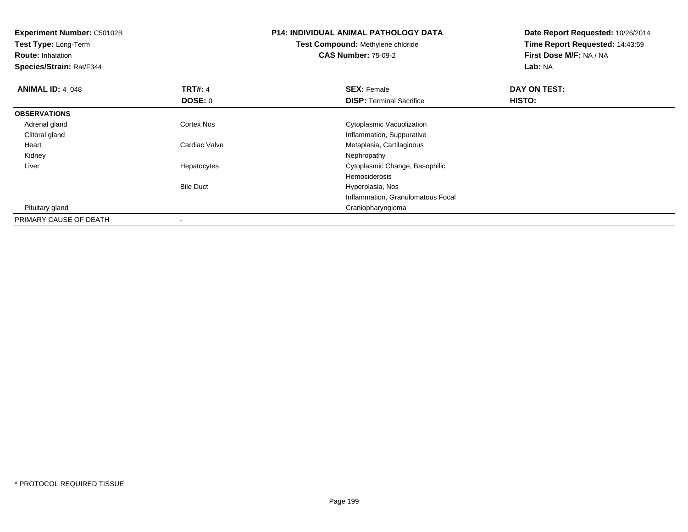| <b>Experiment Number: C50102B</b><br>Test Type: Long-Term<br><b>Route: Inhalation</b><br>Species/Strain: Rat/F344 |                  | <b>P14: INDIVIDUAL ANIMAL PATHOLOGY DATA</b><br><b>Test Compound: Methylene chloride</b><br><b>CAS Number: 75-09-2</b> | Date Report Requested: 10/26/2014<br>Time Report Requested: 14:43:59<br>First Dose M/F: NA / NA<br>Lab: NA |
|-------------------------------------------------------------------------------------------------------------------|------------------|------------------------------------------------------------------------------------------------------------------------|------------------------------------------------------------------------------------------------------------|
| <b>ANIMAL ID: 4_048</b>                                                                                           | <b>TRT#: 4</b>   | <b>SEX: Female</b>                                                                                                     | DAY ON TEST:                                                                                               |
|                                                                                                                   | DOSE: 0          | <b>DISP:</b> Terminal Sacrifice                                                                                        | HISTO:                                                                                                     |
| <b>OBSERVATIONS</b>                                                                                               |                  |                                                                                                                        |                                                                                                            |
| Adrenal gland                                                                                                     | Cortex Nos       | Cytoplasmic Vacuolization                                                                                              |                                                                                                            |
| Clitoral gland                                                                                                    |                  | Inflammation, Suppurative                                                                                              |                                                                                                            |
| Heart                                                                                                             | Cardiac Valve    | Metaplasia, Cartilaginous                                                                                              |                                                                                                            |
| Kidney                                                                                                            |                  | Nephropathy                                                                                                            |                                                                                                            |
| Liver                                                                                                             | Hepatocytes      | Cytoplasmic Change, Basophilic                                                                                         |                                                                                                            |
|                                                                                                                   |                  | <b>Hemosiderosis</b>                                                                                                   |                                                                                                            |
|                                                                                                                   | <b>Bile Duct</b> | Hyperplasia, Nos                                                                                                       |                                                                                                            |
|                                                                                                                   |                  | Inflammation, Granulomatous Focal                                                                                      |                                                                                                            |
| Pituitary gland                                                                                                   |                  | Craniopharyngioma                                                                                                      |                                                                                                            |
| PRIMARY CAUSE OF DEATH                                                                                            |                  |                                                                                                                        |                                                                                                            |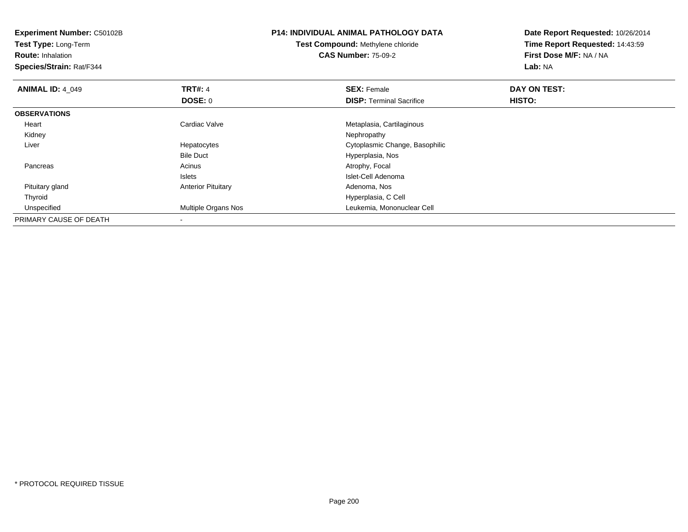| <b>Experiment Number: C50102B</b><br>Test Type: Long-Term<br><b>Route: Inhalation</b><br>Species/Strain: Rat/F344 |                            | <b>P14: INDIVIDUAL ANIMAL PATHOLOGY DATA</b><br><b>Test Compound: Methylene chloride</b><br><b>CAS Number: 75-09-2</b> | Date Report Requested: 10/26/2014<br>Time Report Requested: 14:43:59<br>First Dose M/F: NA / NA<br>Lab: NA |
|-------------------------------------------------------------------------------------------------------------------|----------------------------|------------------------------------------------------------------------------------------------------------------------|------------------------------------------------------------------------------------------------------------|
| <b>ANIMAL ID: 4_049</b>                                                                                           | <b>TRT#: 4</b>             | <b>SEX: Female</b>                                                                                                     | DAY ON TEST:                                                                                               |
|                                                                                                                   | DOSE: 0                    | <b>DISP:</b> Terminal Sacrifice                                                                                        | HISTO:                                                                                                     |
| <b>OBSERVATIONS</b>                                                                                               |                            |                                                                                                                        |                                                                                                            |
| Heart                                                                                                             | Cardiac Valve              | Metaplasia, Cartilaginous                                                                                              |                                                                                                            |
| Kidney                                                                                                            |                            | Nephropathy                                                                                                            |                                                                                                            |
| Liver                                                                                                             | Hepatocytes                | Cytoplasmic Change, Basophilic                                                                                         |                                                                                                            |
|                                                                                                                   | <b>Bile Duct</b>           | Hyperplasia, Nos                                                                                                       |                                                                                                            |
| Pancreas                                                                                                          | Acinus                     | Atrophy, Focal                                                                                                         |                                                                                                            |
|                                                                                                                   | Islets                     | Islet-Cell Adenoma                                                                                                     |                                                                                                            |
| Pituitary gland                                                                                                   | <b>Anterior Pituitary</b>  | Adenoma, Nos                                                                                                           |                                                                                                            |
| Thyroid                                                                                                           |                            | Hyperplasia, C Cell                                                                                                    |                                                                                                            |
| Unspecified                                                                                                       | <b>Multiple Organs Nos</b> | Leukemia, Mononuclear Cell                                                                                             |                                                                                                            |
| PRIMARY CAUSE OF DEATH                                                                                            |                            |                                                                                                                        |                                                                                                            |